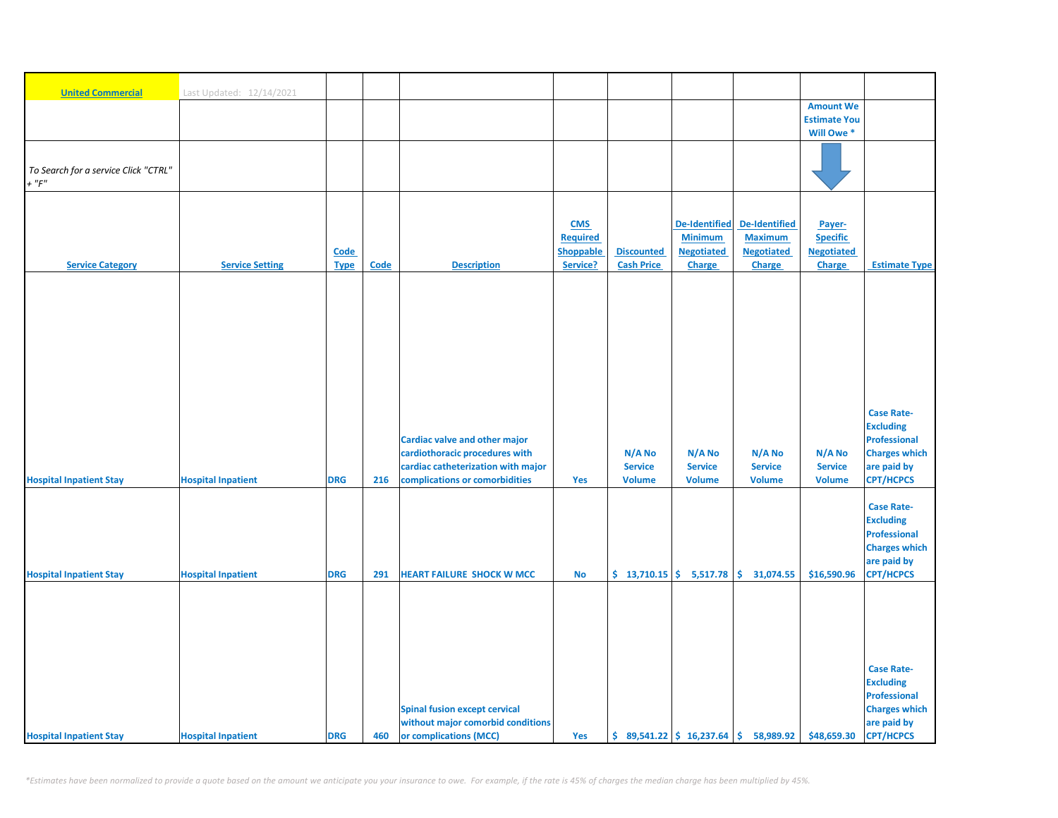| <b>United Commercial</b>             | Last Updated: 12/14/2021  |                     |             |                                      |                       |                                        |                                    |                                              |                                    |                                       |
|--------------------------------------|---------------------------|---------------------|-------------|--------------------------------------|-----------------------|----------------------------------------|------------------------------------|----------------------------------------------|------------------------------------|---------------------------------------|
|                                      |                           |                     |             |                                      |                       |                                        |                                    |                                              | <b>Amount We</b>                   |                                       |
|                                      |                           |                     |             |                                      |                       |                                        |                                    |                                              | <b>Estimate You</b>                |                                       |
|                                      |                           |                     |             |                                      |                       |                                        |                                    |                                              | Will Owe *                         |                                       |
|                                      |                           |                     |             |                                      |                       |                                        |                                    |                                              |                                    |                                       |
| To Search for a service Click "CTRL" |                           |                     |             |                                      |                       |                                        |                                    |                                              |                                    |                                       |
| $+$ " $F$ "                          |                           |                     |             |                                      |                       |                                        |                                    |                                              |                                    |                                       |
|                                      |                           |                     |             |                                      |                       |                                        |                                    |                                              |                                    |                                       |
|                                      |                           |                     |             |                                      |                       |                                        |                                    |                                              |                                    |                                       |
|                                      |                           |                     |             |                                      | <b>CMS</b>            |                                        | <b>De-Identified</b>               | <b>De-Identified</b>                         | Payer-                             |                                       |
|                                      |                           |                     |             |                                      | <b>Required</b>       |                                        | <b>Minimum</b>                     | <b>Maximum</b>                               | <b>Specific</b>                    |                                       |
| <b>Service Category</b>              | <b>Service Setting</b>    | Code<br><b>Type</b> | <b>Code</b> | <b>Description</b>                   | Shoppable<br>Service? | <b>Discounted</b><br><b>Cash Price</b> | <b>Negotiated</b><br><b>Charge</b> | <b>Negotiated</b><br><b>Charge</b>           | <b>Negotiated</b><br><b>Charge</b> | <b>Estimate Type</b>                  |
|                                      |                           |                     |             |                                      |                       |                                        |                                    |                                              |                                    |                                       |
|                                      |                           |                     |             |                                      |                       |                                        |                                    |                                              |                                    |                                       |
|                                      |                           |                     |             |                                      |                       |                                        |                                    |                                              |                                    |                                       |
|                                      |                           |                     |             |                                      |                       |                                        |                                    |                                              |                                    |                                       |
|                                      |                           |                     |             |                                      |                       |                                        |                                    |                                              |                                    |                                       |
|                                      |                           |                     |             |                                      |                       |                                        |                                    |                                              |                                    |                                       |
|                                      |                           |                     |             |                                      |                       |                                        |                                    |                                              |                                    |                                       |
|                                      |                           |                     |             |                                      |                       |                                        |                                    |                                              |                                    |                                       |
|                                      |                           |                     |             |                                      |                       |                                        |                                    |                                              |                                    |                                       |
|                                      |                           |                     |             |                                      |                       |                                        |                                    |                                              |                                    | <b>Case Rate-</b>                     |
|                                      |                           |                     |             |                                      |                       |                                        |                                    |                                              |                                    | <b>Excluding</b>                      |
|                                      |                           |                     |             | <b>Cardiac valve and other major</b> |                       |                                        |                                    |                                              |                                    | <b>Professional</b>                   |
|                                      |                           |                     |             | cardiothoracic procedures with       |                       | N/A No                                 | N/A No                             | N/A No                                       | N/A No                             | <b>Charges which</b>                  |
|                                      |                           |                     |             | cardiac catheterization with major   |                       | <b>Service</b>                         | <b>Service</b>                     | <b>Service</b>                               | <b>Service</b>                     | are paid by                           |
| <b>Hospital Inpatient Stay</b>       | <b>Hospital Inpatient</b> | <b>DRG</b>          | 216         | complications or comorbidities       | Yes                   | <b>Volume</b>                          | <b>Volume</b>                      | <b>Volume</b>                                | <b>Volume</b>                      | <b>CPT/HCPCS</b>                      |
|                                      |                           |                     |             |                                      |                       |                                        |                                    |                                              |                                    |                                       |
|                                      |                           |                     |             |                                      |                       |                                        |                                    |                                              |                                    | <b>Case Rate-</b><br><b>Excluding</b> |
|                                      |                           |                     |             |                                      |                       |                                        |                                    |                                              |                                    | <b>Professional</b>                   |
|                                      |                           |                     |             |                                      |                       |                                        |                                    |                                              |                                    | <b>Charges which</b>                  |
|                                      |                           |                     |             |                                      |                       |                                        |                                    |                                              |                                    | are paid by                           |
| <b>Hospital Inpatient Stay</b>       | <b>Hospital Inpatient</b> | <b>DRG</b>          | 291         | <b>HEART FAILURE SHOCK W MCC</b>     | <b>No</b>             |                                        | $$13,710.15$ $$5,517.78$           | \$<br>31,074.55                              | \$16,590.96                        | <b>CPT/HCPCS</b>                      |
|                                      |                           |                     |             |                                      |                       |                                        |                                    |                                              |                                    |                                       |
|                                      |                           |                     |             |                                      |                       |                                        |                                    |                                              |                                    |                                       |
|                                      |                           |                     |             |                                      |                       |                                        |                                    |                                              |                                    |                                       |
|                                      |                           |                     |             |                                      |                       |                                        |                                    |                                              |                                    |                                       |
|                                      |                           |                     |             |                                      |                       |                                        |                                    |                                              |                                    |                                       |
|                                      |                           |                     |             |                                      |                       |                                        |                                    |                                              |                                    | <b>Case Rate-</b>                     |
|                                      |                           |                     |             |                                      |                       |                                        |                                    |                                              |                                    | <b>Excluding</b>                      |
|                                      |                           |                     |             |                                      |                       |                                        |                                    |                                              |                                    | <b>Professional</b>                   |
|                                      |                           |                     |             | <b>Spinal fusion except cervical</b> |                       |                                        |                                    |                                              |                                    | <b>Charges which</b>                  |
|                                      |                           |                     |             | without major comorbid conditions    |                       |                                        |                                    |                                              |                                    | are paid by                           |
| <b>Hospital Inpatient Stay</b>       | <b>Hospital Inpatient</b> | <b>DRG</b>          | 460         | or complications (MCC)               | Yes                   |                                        |                                    | $$89,541.22 \mid $16,237.64 \mid $58,989.92$ | \$48,659.30                        | <b>CPT/HCPCS</b>                      |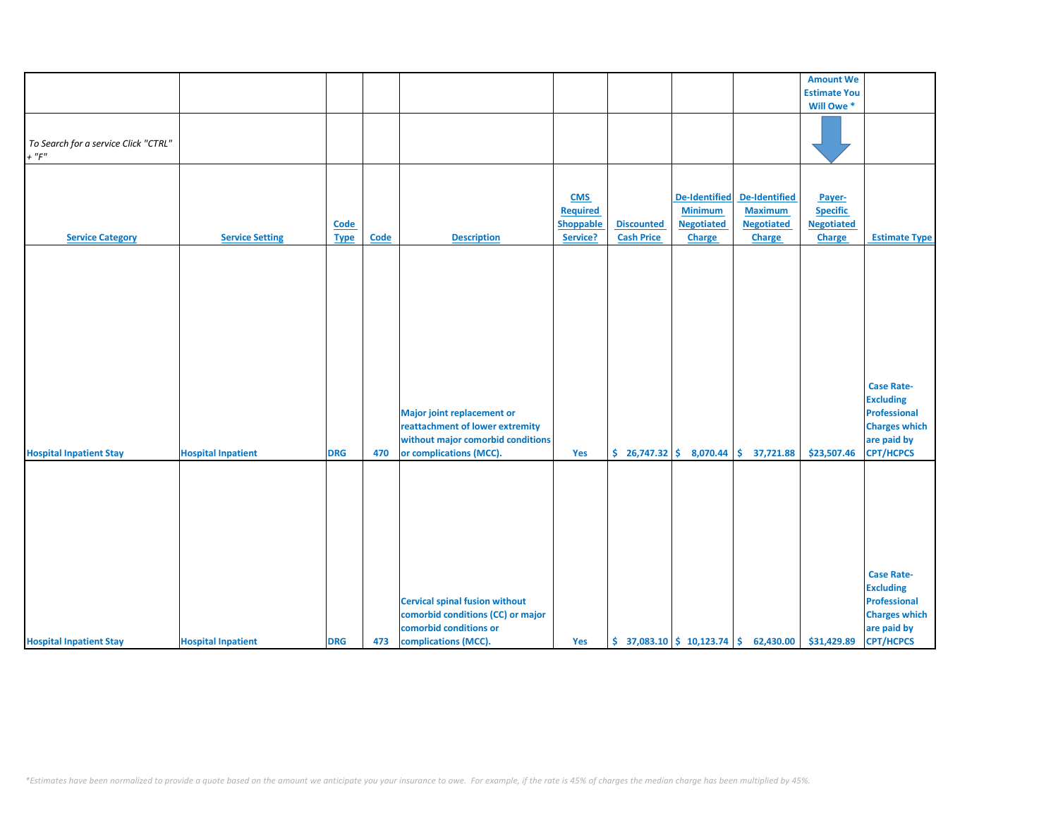|                                      |                           |             |             |                                       |                  |                   |                              |                                                                            | <b>Amount We</b>      |                      |
|--------------------------------------|---------------------------|-------------|-------------|---------------------------------------|------------------|-------------------|------------------------------|----------------------------------------------------------------------------|-----------------------|----------------------|
|                                      |                           |             |             |                                       |                  |                   |                              |                                                                            |                       |                      |
|                                      |                           |             |             |                                       |                  |                   |                              |                                                                            | <b>Estimate You</b>   |                      |
|                                      |                           |             |             |                                       |                  |                   |                              |                                                                            | Will Owe <sup>*</sup> |                      |
|                                      |                           |             |             |                                       |                  |                   |                              |                                                                            |                       |                      |
| To Search for a service Click "CTRL" |                           |             |             |                                       |                  |                   |                              |                                                                            |                       |                      |
| $+$ " $F$ "                          |                           |             |             |                                       |                  |                   |                              |                                                                            |                       |                      |
|                                      |                           |             |             |                                       |                  |                   |                              |                                                                            |                       |                      |
|                                      |                           |             |             |                                       |                  |                   |                              |                                                                            |                       |                      |
|                                      |                           |             |             |                                       |                  |                   |                              |                                                                            |                       |                      |
|                                      |                           |             |             |                                       | <b>CMS</b>       |                   | <b>De-Identified</b>         | De-Identified                                                              | Payer-                |                      |
|                                      |                           |             |             |                                       | <b>Required</b>  |                   | <b>Minimum</b>               | <b>Maximum</b>                                                             | <b>Specific</b>       |                      |
|                                      |                           | Code        |             |                                       | <b>Shoppable</b> | <b>Discounted</b> | <b>Negotiated</b>            | <b>Negotiated</b>                                                          | <b>Negotiated</b>     |                      |
| <b>Service Category</b>              | <b>Service Setting</b>    | <b>Type</b> | <b>Code</b> | <b>Description</b>                    | Service?         | <b>Cash Price</b> | <b>Charge</b>                | Charge                                                                     | <b>Charge</b>         | <b>Estimate Type</b> |
|                                      |                           |             |             |                                       |                  |                   |                              |                                                                            |                       |                      |
|                                      |                           |             |             |                                       |                  |                   |                              |                                                                            |                       |                      |
|                                      |                           |             |             |                                       |                  |                   |                              |                                                                            |                       |                      |
|                                      |                           |             |             |                                       |                  |                   |                              |                                                                            |                       |                      |
|                                      |                           |             |             |                                       |                  |                   |                              |                                                                            |                       |                      |
|                                      |                           |             |             |                                       |                  |                   |                              |                                                                            |                       |                      |
|                                      |                           |             |             |                                       |                  |                   |                              |                                                                            |                       |                      |
|                                      |                           |             |             |                                       |                  |                   |                              |                                                                            |                       |                      |
|                                      |                           |             |             |                                       |                  |                   |                              |                                                                            |                       |                      |
|                                      |                           |             |             |                                       |                  |                   |                              |                                                                            |                       |                      |
|                                      |                           |             |             |                                       |                  |                   |                              |                                                                            |                       |                      |
|                                      |                           |             |             |                                       |                  |                   |                              |                                                                            |                       |                      |
|                                      |                           |             |             |                                       |                  |                   |                              |                                                                            |                       | <b>Case Rate-</b>    |
|                                      |                           |             |             |                                       |                  |                   |                              |                                                                            |                       | <b>Excluding</b>     |
|                                      |                           |             |             | <b>Major joint replacement or</b>     |                  |                   |                              |                                                                            |                       | <b>Professional</b>  |
|                                      |                           |             |             | reattachment of lower extremity       |                  |                   |                              |                                                                            |                       | <b>Charges which</b> |
|                                      |                           |             |             | without major comorbid conditions     |                  |                   |                              |                                                                            |                       | are paid by          |
|                                      |                           |             |             |                                       |                  |                   |                              |                                                                            |                       |                      |
| <b>Hospital Inpatient Stay</b>       | <b>Hospital Inpatient</b> | <b>DRG</b>  | 470         | or complications (MCC).               | Yes              |                   | $$26,747.32 \mid $8,070.44]$ | \$37,721.88                                                                | \$23,507.46           | <b>CPT/HCPCS</b>     |
|                                      |                           |             |             |                                       |                  |                   |                              |                                                                            |                       |                      |
|                                      |                           |             |             |                                       |                  |                   |                              |                                                                            |                       |                      |
|                                      |                           |             |             |                                       |                  |                   |                              |                                                                            |                       |                      |
|                                      |                           |             |             |                                       |                  |                   |                              |                                                                            |                       |                      |
|                                      |                           |             |             |                                       |                  |                   |                              |                                                                            |                       |                      |
|                                      |                           |             |             |                                       |                  |                   |                              |                                                                            |                       |                      |
|                                      |                           |             |             |                                       |                  |                   |                              |                                                                            |                       |                      |
|                                      |                           |             |             |                                       |                  |                   |                              |                                                                            |                       |                      |
|                                      |                           |             |             |                                       |                  |                   |                              |                                                                            |                       |                      |
|                                      |                           |             |             |                                       |                  |                   |                              |                                                                            |                       | <b>Case Rate-</b>    |
|                                      |                           |             |             |                                       |                  |                   |                              |                                                                            |                       | <b>Excluding</b>     |
|                                      |                           |             |             | <b>Cervical spinal fusion without</b> |                  |                   |                              |                                                                            |                       | Professional         |
|                                      |                           |             |             | comorbid conditions (CC) or major     |                  |                   |                              |                                                                            |                       | <b>Charges which</b> |
|                                      |                           |             |             |                                       |                  |                   |                              |                                                                            |                       |                      |
|                                      |                           |             |             | comorbid conditions or                |                  |                   |                              |                                                                            |                       | are paid by          |
| <b>Hospital Inpatient Stay</b>       | <b>Hospital Inpatient</b> | <b>DRG</b>  | 473         | complications (MCC).                  | Yes              |                   |                              | $\binom{2}{3}$ 37,083.10 $\binom{2}{3}$ 10,123.74 $\binom{2}{3}$ 62,430.00 | \$31,429.89           | <b>CPT/HCPCS</b>     |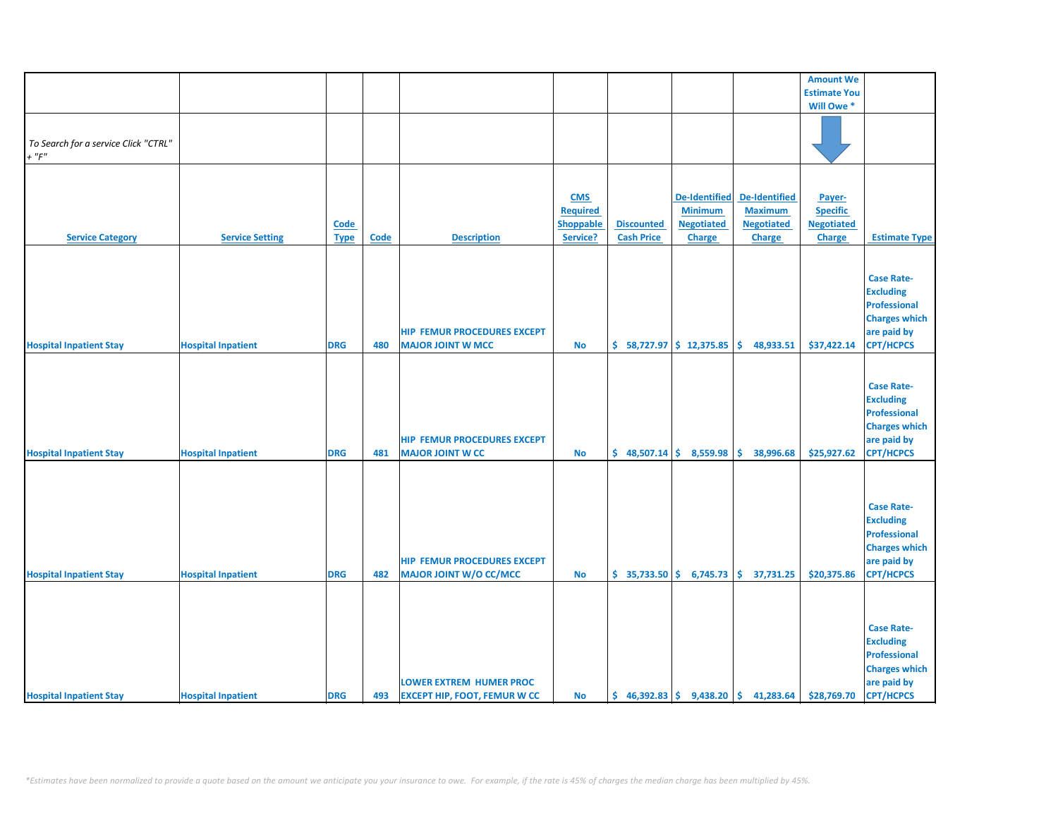|                                      |                           |             |             |                                     |                 |                           |                           |                                                                           | <b>Amount We</b>    |                      |
|--------------------------------------|---------------------------|-------------|-------------|-------------------------------------|-----------------|---------------------------|---------------------------|---------------------------------------------------------------------------|---------------------|----------------------|
|                                      |                           |             |             |                                     |                 |                           |                           |                                                                           | <b>Estimate You</b> |                      |
|                                      |                           |             |             |                                     |                 |                           |                           |                                                                           | Will Owe *          |                      |
|                                      |                           |             |             |                                     |                 |                           |                           |                                                                           |                     |                      |
|                                      |                           |             |             |                                     |                 |                           |                           |                                                                           |                     |                      |
| To Search for a service Click "CTRL" |                           |             |             |                                     |                 |                           |                           |                                                                           |                     |                      |
|                                      |                           |             |             |                                     |                 |                           |                           |                                                                           |                     |                      |
| $+$ " $F"$                           |                           |             |             |                                     |                 |                           |                           |                                                                           |                     |                      |
|                                      |                           |             |             |                                     |                 |                           |                           |                                                                           |                     |                      |
|                                      |                           |             |             |                                     |                 |                           |                           |                                                                           |                     |                      |
|                                      |                           |             |             |                                     | <b>CMS</b>      |                           | De-Identified             | <b>De-Identified</b>                                                      | Payer-              |                      |
|                                      |                           |             |             |                                     | <b>Required</b> |                           | <b>Minimum</b>            | <b>Maximum</b>                                                            | <b>Specific</b>     |                      |
|                                      |                           |             |             |                                     |                 |                           |                           |                                                                           |                     |                      |
|                                      |                           | <b>Code</b> |             |                                     | Shoppable       | <b>Discounted</b>         | <b>Negotiated</b>         | <b>Negotiated</b>                                                         | <b>Negotiated</b>   |                      |
| <b>Service Category</b>              | <b>Service Setting</b>    | <b>Type</b> | <b>Code</b> | <b>Description</b>                  | Service?        | <b>Cash Price</b>         | <b>Charge</b>             | <b>Charge</b>                                                             | Charge              | <b>Estimate Type</b> |
|                                      |                           |             |             |                                     |                 |                           |                           |                                                                           |                     |                      |
|                                      |                           |             |             |                                     |                 |                           |                           |                                                                           |                     |                      |
|                                      |                           |             |             |                                     |                 |                           |                           |                                                                           |                     |                      |
|                                      |                           |             |             |                                     |                 |                           |                           |                                                                           |                     | <b>Case Rate-</b>    |
|                                      |                           |             |             |                                     |                 |                           |                           |                                                                           |                     | <b>Excluding</b>     |
|                                      |                           |             |             |                                     |                 |                           |                           |                                                                           |                     | <b>Professional</b>  |
|                                      |                           |             |             |                                     |                 |                           |                           |                                                                           |                     | <b>Charges which</b> |
|                                      |                           |             |             | <b>HIP FEMUR PROCEDURES EXCEPT</b>  |                 |                           |                           |                                                                           |                     | are paid by          |
|                                      |                           |             |             |                                     |                 |                           |                           |                                                                           |                     |                      |
| <b>Hospital Inpatient Stay</b>       | <b>Hospital Inpatient</b> | <b>DRG</b>  | 480         | <b>MAJOR JOINT W MCC</b>            | <b>No</b>       | $$58,727.97$ $$12,375.85$ |                           | \$.<br>48,933.51                                                          | \$37,422.14         | <b>CPT/HCPCS</b>     |
|                                      |                           |             |             |                                     |                 |                           |                           |                                                                           |                     |                      |
|                                      |                           |             |             |                                     |                 |                           |                           |                                                                           |                     |                      |
|                                      |                           |             |             |                                     |                 |                           |                           |                                                                           |                     | <b>Case Rate-</b>    |
|                                      |                           |             |             |                                     |                 |                           |                           |                                                                           |                     | <b>Excluding</b>     |
|                                      |                           |             |             |                                     |                 |                           |                           |                                                                           |                     |                      |
|                                      |                           |             |             |                                     |                 |                           |                           |                                                                           |                     | <b>Professional</b>  |
|                                      |                           |             |             |                                     |                 |                           |                           |                                                                           |                     | <b>Charges which</b> |
|                                      |                           |             |             | <b>HIP FEMUR PROCEDURES EXCEPT</b>  |                 |                           |                           |                                                                           |                     | are paid by          |
| <b>Hospital Inpatient Stay</b>       | <b>Hospital Inpatient</b> | <b>DRG</b>  | 481         | <b>MAJOR JOINT W CC</b>             | No              |                           | $$48,507.14$$ $$8,559.98$ | \$.<br>38,996.68                                                          | \$25,927.62         | <b>CPT/HCPCS</b>     |
|                                      |                           |             |             |                                     |                 |                           |                           |                                                                           |                     |                      |
|                                      |                           |             |             |                                     |                 |                           |                           |                                                                           |                     |                      |
|                                      |                           |             |             |                                     |                 |                           |                           |                                                                           |                     |                      |
|                                      |                           |             |             |                                     |                 |                           |                           |                                                                           |                     |                      |
|                                      |                           |             |             |                                     |                 |                           |                           |                                                                           |                     | <b>Case Rate-</b>    |
|                                      |                           |             |             |                                     |                 |                           |                           |                                                                           |                     | <b>Excluding</b>     |
|                                      |                           |             |             |                                     |                 |                           |                           |                                                                           |                     |                      |
|                                      |                           |             |             |                                     |                 |                           |                           |                                                                           |                     | <b>Professional</b>  |
|                                      |                           |             |             |                                     |                 |                           |                           |                                                                           |                     | <b>Charges which</b> |
|                                      |                           |             |             | <b>HIP FEMUR PROCEDURES EXCEPT</b>  |                 |                           |                           |                                                                           |                     | are paid by          |
| <b>Hospital Inpatient Stay</b>       | <b>Hospital Inpatient</b> | <b>DRG</b>  | 482         | <b>MAJOR JOINT W/O CC/MCC</b>       | No              |                           |                           | $\binom{1}{2}$ 35,733.50 $\binom{2}{3}$ 6,745.73 $\binom{3}{2}$ 37,731.25 | \$20,375.86         | <b>CPT/HCPCS</b>     |
|                                      |                           |             |             |                                     |                 |                           |                           |                                                                           |                     |                      |
|                                      |                           |             |             |                                     |                 |                           |                           |                                                                           |                     |                      |
|                                      |                           |             |             |                                     |                 |                           |                           |                                                                           |                     |                      |
|                                      |                           |             |             |                                     |                 |                           |                           |                                                                           |                     |                      |
|                                      |                           |             |             |                                     |                 |                           |                           |                                                                           |                     | <b>Case Rate-</b>    |
|                                      |                           |             |             |                                     |                 |                           |                           |                                                                           |                     | <b>Excluding</b>     |
|                                      |                           |             |             |                                     |                 |                           |                           |                                                                           |                     |                      |
|                                      |                           |             |             |                                     |                 |                           |                           |                                                                           |                     | <b>Professional</b>  |
|                                      |                           |             |             |                                     |                 |                           |                           |                                                                           |                     | <b>Charges which</b> |
|                                      |                           |             |             | <b>LOWER EXTREM HUMER PROC</b>      |                 |                           |                           |                                                                           |                     | are paid by          |
| <b>Hospital Inpatient Stay</b>       | <b>Hospital Inpatient</b> | <b>DRG</b>  | 493         | <b>EXCEPT HIP, FOOT, FEMUR W CC</b> | No              |                           |                           | $\binom{6}{5}$ 46,392.83 $\binom{6}{5}$ 9,438.20 $\binom{6}{5}$ 41,283.64 | \$28,769.70         | <b>CPT/HCPCS</b>     |
|                                      |                           |             |             |                                     |                 |                           |                           |                                                                           |                     |                      |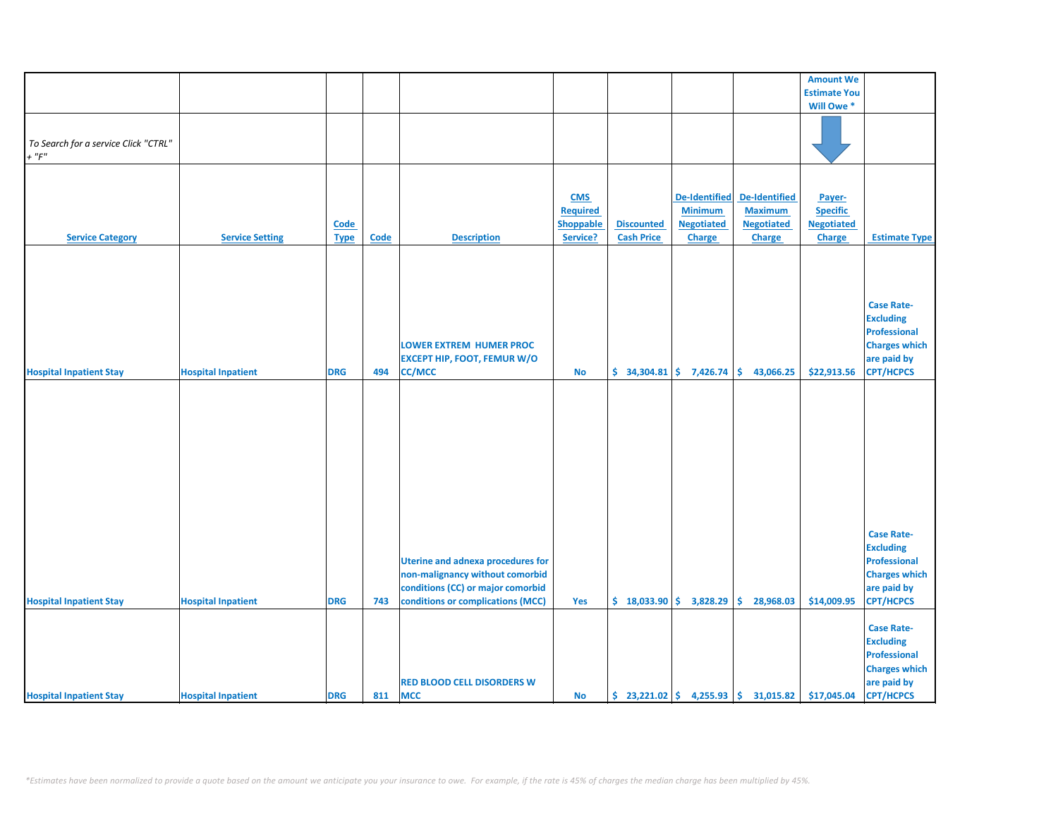|                                                    |                           |             |             |                                          |                  |                   |                             |                                                                        | <b>Amount We</b>    |                      |
|----------------------------------------------------|---------------------------|-------------|-------------|------------------------------------------|------------------|-------------------|-----------------------------|------------------------------------------------------------------------|---------------------|----------------------|
|                                                    |                           |             |             |                                          |                  |                   |                             |                                                                        | <b>Estimate You</b> |                      |
|                                                    |                           |             |             |                                          |                  |                   |                             |                                                                        | Will Owe *          |                      |
|                                                    |                           |             |             |                                          |                  |                   |                             |                                                                        |                     |                      |
|                                                    |                           |             |             |                                          |                  |                   |                             |                                                                        |                     |                      |
| To Search for a service Click "CTRL"<br>$+$ " $F"$ |                           |             |             |                                          |                  |                   |                             |                                                                        |                     |                      |
|                                                    |                           |             |             |                                          |                  |                   |                             |                                                                        |                     |                      |
|                                                    |                           |             |             |                                          |                  |                   |                             |                                                                        |                     |                      |
|                                                    |                           |             |             |                                          |                  |                   |                             | <b>De-Identified</b>                                                   |                     |                      |
|                                                    |                           |             |             |                                          | <b>CMS</b>       |                   | <b>De-Identified</b>        |                                                                        | Payer-              |                      |
|                                                    |                           |             |             |                                          | <b>Required</b>  |                   | <b>Minimum</b>              | <b>Maximum</b>                                                         | <b>Specific</b>     |                      |
|                                                    |                           | Code        |             |                                          | <b>Shoppable</b> | <b>Discounted</b> | <b>Negotiated</b>           | <b>Negotiated</b>                                                      | <b>Negotiated</b>   |                      |
|                                                    |                           |             |             |                                          |                  | <b>Cash Price</b> | <b>Charge</b>               |                                                                        |                     |                      |
| <b>Service Category</b>                            | <b>Service Setting</b>    | <b>Type</b> | <b>Code</b> | <b>Description</b>                       | Service?         |                   |                             | <b>Charge</b>                                                          | Charge              | <b>Estimate Type</b> |
|                                                    |                           |             |             |                                          |                  |                   |                             |                                                                        |                     |                      |
|                                                    |                           |             |             |                                          |                  |                   |                             |                                                                        |                     |                      |
|                                                    |                           |             |             |                                          |                  |                   |                             |                                                                        |                     |                      |
|                                                    |                           |             |             |                                          |                  |                   |                             |                                                                        |                     |                      |
|                                                    |                           |             |             |                                          |                  |                   |                             |                                                                        |                     |                      |
|                                                    |                           |             |             |                                          |                  |                   |                             |                                                                        |                     | <b>Case Rate-</b>    |
|                                                    |                           |             |             |                                          |                  |                   |                             |                                                                        |                     |                      |
|                                                    |                           |             |             |                                          |                  |                   |                             |                                                                        |                     | <b>Excluding</b>     |
|                                                    |                           |             |             |                                          |                  |                   |                             |                                                                        |                     | <b>Professional</b>  |
|                                                    |                           |             |             | <b>LOWER EXTREM HUMER PROC</b>           |                  |                   |                             |                                                                        |                     | <b>Charges which</b> |
|                                                    |                           |             |             |                                          |                  |                   |                             |                                                                        |                     |                      |
|                                                    |                           |             |             | <b>EXCEPT HIP, FOOT, FEMUR W/O</b>       |                  |                   |                             |                                                                        |                     | are paid by          |
| <b>Hospital Inpatient Stay</b>                     | <b>Hospital Inpatient</b> | <b>DRG</b>  | 494         | <b>CC/MCC</b>                            | <b>No</b>        |                   | $$34,304.81$ $$7,426.74$    | \$.<br>43,066.25                                                       | \$22,913.56         | <b>CPT/HCPCS</b>     |
|                                                    |                           |             |             |                                          |                  |                   |                             |                                                                        |                     |                      |
|                                                    |                           |             |             |                                          |                  |                   |                             |                                                                        |                     |                      |
|                                                    |                           |             |             |                                          |                  |                   |                             |                                                                        |                     |                      |
|                                                    |                           |             |             |                                          |                  |                   |                             |                                                                        |                     |                      |
|                                                    |                           |             |             |                                          |                  |                   |                             |                                                                        |                     |                      |
|                                                    |                           |             |             |                                          |                  |                   |                             |                                                                        |                     |                      |
|                                                    |                           |             |             |                                          |                  |                   |                             |                                                                        |                     |                      |
|                                                    |                           |             |             |                                          |                  |                   |                             |                                                                        |                     |                      |
|                                                    |                           |             |             |                                          |                  |                   |                             |                                                                        |                     |                      |
|                                                    |                           |             |             |                                          |                  |                   |                             |                                                                        |                     |                      |
|                                                    |                           |             |             |                                          |                  |                   |                             |                                                                        |                     |                      |
|                                                    |                           |             |             |                                          |                  |                   |                             |                                                                        |                     |                      |
|                                                    |                           |             |             |                                          |                  |                   |                             |                                                                        |                     |                      |
|                                                    |                           |             |             |                                          |                  |                   |                             |                                                                        |                     |                      |
|                                                    |                           |             |             |                                          |                  |                   |                             |                                                                        |                     |                      |
|                                                    |                           |             |             |                                          |                  |                   |                             |                                                                        |                     |                      |
|                                                    |                           |             |             |                                          |                  |                   |                             |                                                                        |                     | <b>Case Rate-</b>    |
|                                                    |                           |             |             |                                          |                  |                   |                             |                                                                        |                     | <b>Excluding</b>     |
|                                                    |                           |             |             | <b>Uterine and adnexa procedures for</b> |                  |                   |                             |                                                                        |                     | <b>Professional</b>  |
|                                                    |                           |             |             |                                          |                  |                   |                             |                                                                        |                     |                      |
|                                                    |                           |             |             | non-malignancy without comorbid          |                  |                   |                             |                                                                        |                     | <b>Charges which</b> |
|                                                    |                           |             |             | conditions (CC) or major comorbid        |                  |                   |                             |                                                                        |                     | are paid by          |
| <b>Hospital Inpatient Stay</b>                     | <b>Hospital Inpatient</b> | <b>DRG</b>  | 743         | conditions or complications (MCC)        | Yes              |                   | $$18,033.90 \mid $3,828.29$ | Ŝ.<br>28,968.03                                                        | \$14,009.95         | <b>CPT/HCPCS</b>     |
|                                                    |                           |             |             |                                          |                  |                   |                             |                                                                        |                     |                      |
|                                                    |                           |             |             |                                          |                  |                   |                             |                                                                        |                     |                      |
|                                                    |                           |             |             |                                          |                  |                   |                             |                                                                        |                     | <b>Case Rate-</b>    |
|                                                    |                           |             |             |                                          |                  |                   |                             |                                                                        |                     | <b>Excluding</b>     |
|                                                    |                           |             |             |                                          |                  |                   |                             |                                                                        |                     |                      |
|                                                    |                           |             |             |                                          |                  |                   |                             |                                                                        |                     | <b>Professional</b>  |
|                                                    |                           |             |             |                                          |                  |                   |                             |                                                                        |                     | <b>Charges which</b> |
|                                                    |                           |             |             | <b>RED BLOOD CELL DISORDERS W</b>        |                  |                   |                             |                                                                        |                     | are paid by          |
|                                                    |                           |             |             |                                          |                  |                   |                             |                                                                        |                     |                      |
| <b>Hospital Inpatient Stay</b>                     | <b>Hospital Inpatient</b> | <b>DRG</b>  | 811         | <b>MCC</b>                               | <b>No</b>        |                   |                             | $\binom{23}{221.02}$ $\binom{255.93}{4}$ $\binom{255.93}{5}$ 31,015.82 | \$17,045.04         | <b>CPT/HCPCS</b>     |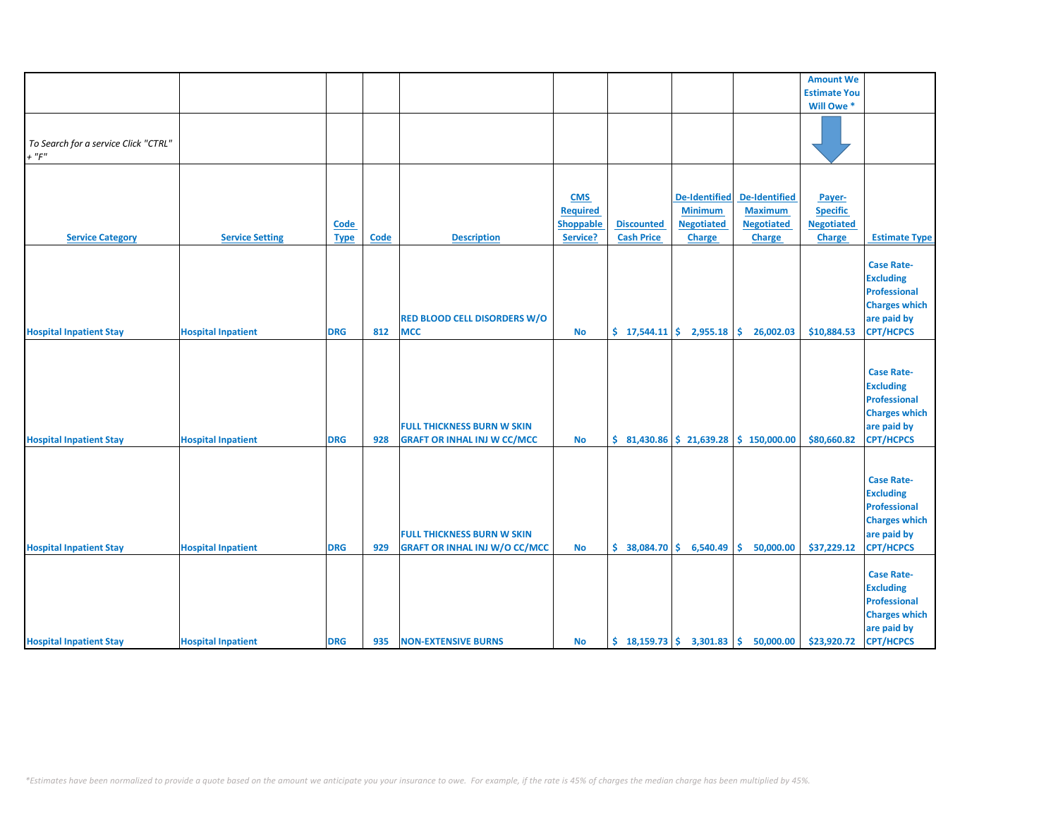|                                                     |                           |                     |             |                                                                           |                                                        |                                        |                                                                              |                                                                       | <b>Amount We</b>                                                |                                                                                                                         |
|-----------------------------------------------------|---------------------------|---------------------|-------------|---------------------------------------------------------------------------|--------------------------------------------------------|----------------------------------------|------------------------------------------------------------------------------|-----------------------------------------------------------------------|-----------------------------------------------------------------|-------------------------------------------------------------------------------------------------------------------------|
|                                                     |                           |                     |             |                                                                           |                                                        |                                        |                                                                              |                                                                       | <b>Estimate You</b>                                             |                                                                                                                         |
|                                                     |                           |                     |             |                                                                           |                                                        |                                        |                                                                              |                                                                       | Will Owe *                                                      |                                                                                                                         |
| To Search for a service Click "CTRL"<br>$+$ " $F$ " |                           |                     |             |                                                                           |                                                        |                                        |                                                                              |                                                                       |                                                                 |                                                                                                                         |
|                                                     |                           |                     |             |                                                                           |                                                        |                                        |                                                                              |                                                                       |                                                                 |                                                                                                                         |
| <b>Service Category</b>                             | <b>Service Setting</b>    | Code<br><b>Type</b> | <b>Code</b> | <b>Description</b>                                                        | <b>CMS</b><br><b>Required</b><br>Shoppable<br>Service? | <b>Discounted</b><br><b>Cash Price</b> | <b>De-Identified</b><br><b>Minimum</b><br><b>Negotiated</b><br><b>Charge</b> | <b>De-Identified</b><br><b>Maximum</b><br><b>Negotiated</b><br>Charge | Payer-<br><b>Specific</b><br><b>Negotiated</b><br><b>Charge</b> | <b>Estimate Type</b>                                                                                                    |
| <b>Hospital Inpatient Stay</b>                      | <b>Hospital Inpatient</b> | <b>DRG</b>          | 812         | <b>RED BLOOD CELL DISORDERS W/O</b><br><b>MCC</b>                         | <b>No</b>                                              | \$17,544.11                            | 2,955.18                                                                     | \$<br>26,002.03                                                       | \$10,884.53                                                     | <b>Case Rate-</b><br><b>Excluding</b><br>Professional<br><b>Charges which</b><br>are paid by<br><b>CPT/HCPCS</b>        |
| <b>Hospital Inpatient Stay</b>                      | <b>Hospital Inpatient</b> | <b>DRG</b>          | 928         | <b>FULL THICKNESS BURN W SKIN</b><br><b>GRAFT OR INHAL INJ W CC/MCC</b>   | <b>No</b>                                              |                                        | $$31,430.86 \mid $21,639.28$                                                 | \$150,000.00                                                          | \$80,660.82                                                     | <b>Case Rate-</b><br><b>Excluding</b><br>Professional<br><b>Charges which</b><br>are paid by<br><b>CPT/HCPCS</b>        |
| <b>Hospital Inpatient Stay</b>                      | <b>Hospital Inpatient</b> | <b>DRG</b>          | 929         | <b>FULL THICKNESS BURN W SKIN</b><br><b>GRAFT OR INHAL INJ W/O CC/MCC</b> | <b>No</b>                                              | \$38,084.70                            | 6,540.49                                                                     | \$.<br>50,000.00                                                      | \$37,229.12                                                     | <b>Case Rate-</b><br><b>Excluding</b><br><b>Professional</b><br><b>Charges which</b><br>are paid by<br><b>CPT/HCPCS</b> |
| <b>Hospital Inpatient Stay</b>                      | <b>Hospital Inpatient</b> | <b>DRG</b>          | 935         | <b>NON-EXTENSIVE BURNS</b>                                                | <b>No</b>                                              |                                        |                                                                              | $\binom{18,159.73}{ }$ \$ 3,301.83 \$ 50,000.00                       | \$23,920.72                                                     | <b>Case Rate-</b><br><b>Excluding</b><br>Professional<br><b>Charges which</b><br>are paid by<br><b>CPT/HCPCS</b>        |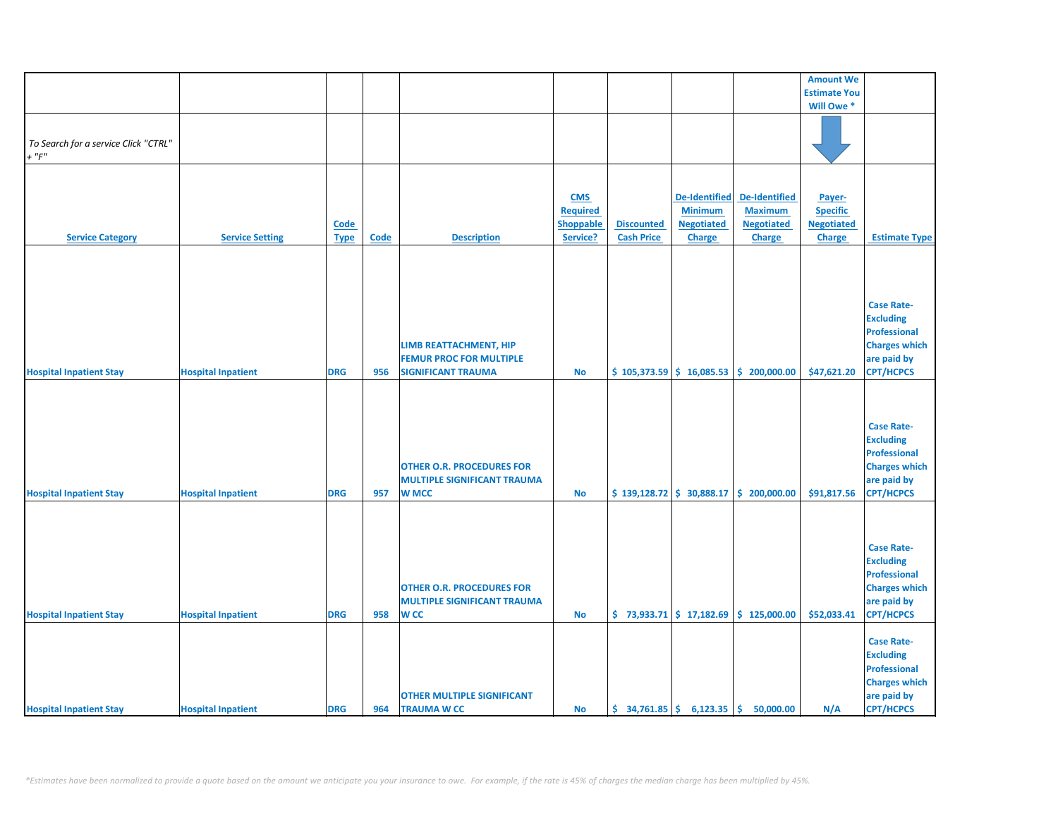|                                      |                           |             |             |                                    |                 |                                                |                      |                                                                             | <b>Amount We</b>    |                      |
|--------------------------------------|---------------------------|-------------|-------------|------------------------------------|-----------------|------------------------------------------------|----------------------|-----------------------------------------------------------------------------|---------------------|----------------------|
|                                      |                           |             |             |                                    |                 |                                                |                      |                                                                             | <b>Estimate You</b> |                      |
|                                      |                           |             |             |                                    |                 |                                                |                      |                                                                             | Will Owe *          |                      |
|                                      |                           |             |             |                                    |                 |                                                |                      |                                                                             |                     |                      |
|                                      |                           |             |             |                                    |                 |                                                |                      |                                                                             |                     |                      |
| To Search for a service Click "CTRL" |                           |             |             |                                    |                 |                                                |                      |                                                                             |                     |                      |
| $+$ " $F$ "                          |                           |             |             |                                    |                 |                                                |                      |                                                                             |                     |                      |
|                                      |                           |             |             |                                    |                 |                                                |                      |                                                                             |                     |                      |
|                                      |                           |             |             |                                    |                 |                                                |                      |                                                                             |                     |                      |
|                                      |                           |             |             |                                    |                 |                                                |                      |                                                                             |                     |                      |
|                                      |                           |             |             |                                    | <b>CMS</b>      |                                                | <b>De-Identified</b> | De-Identified                                                               | Payer-              |                      |
|                                      |                           |             |             |                                    | <b>Required</b> |                                                | <b>Minimum</b>       | <b>Maximum</b>                                                              | <b>Specific</b>     |                      |
|                                      |                           | <b>Code</b> |             |                                    | Shoppable       | <b>Discounted</b>                              | <b>Negotiated</b>    | <b>Negotiated</b>                                                           | <b>Negotiated</b>   |                      |
| <b>Service Category</b>              | <b>Service Setting</b>    | <b>Type</b> | <b>Code</b> | <b>Description</b>                 | Service?        | <b>Cash Price</b>                              | <b>Charge</b>        | <b>Charge</b>                                                               | Charge              | <b>Estimate Type</b> |
|                                      |                           |             |             |                                    |                 |                                                |                      |                                                                             |                     |                      |
|                                      |                           |             |             |                                    |                 |                                                |                      |                                                                             |                     |                      |
|                                      |                           |             |             |                                    |                 |                                                |                      |                                                                             |                     |                      |
|                                      |                           |             |             |                                    |                 |                                                |                      |                                                                             |                     |                      |
|                                      |                           |             |             |                                    |                 |                                                |                      |                                                                             |                     | <b>Case Rate-</b>    |
|                                      |                           |             |             |                                    |                 |                                                |                      |                                                                             |                     | <b>Excluding</b>     |
|                                      |                           |             |             |                                    |                 |                                                |                      |                                                                             |                     |                      |
|                                      |                           |             |             |                                    |                 |                                                |                      |                                                                             |                     | <b>Professional</b>  |
|                                      |                           |             |             | LIMB REATTACHMENT, HIP             |                 |                                                |                      |                                                                             |                     | <b>Charges which</b> |
|                                      |                           |             |             | <b>FEMUR PROC FOR MULTIPLE</b>     |                 |                                                |                      |                                                                             |                     | are paid by          |
| <b>Hospital Inpatient Stay</b>       | <b>Hospital Inpatient</b> | <b>DRG</b>  | 956         | <b>SIGNIFICANT TRAUMA</b>          | <b>No</b>       |                                                |                      | $$105,373.59 \mid $16,085.53 \mid $200,000.00$                              | \$47,621.20         | <b>CPT/HCPCS</b>     |
|                                      |                           |             |             |                                    |                 |                                                |                      |                                                                             |                     |                      |
|                                      |                           |             |             |                                    |                 |                                                |                      |                                                                             |                     |                      |
|                                      |                           |             |             |                                    |                 |                                                |                      |                                                                             |                     |                      |
|                                      |                           |             |             |                                    |                 |                                                |                      |                                                                             |                     | <b>Case Rate-</b>    |
|                                      |                           |             |             |                                    |                 |                                                |                      |                                                                             |                     | <b>Excluding</b>     |
|                                      |                           |             |             |                                    |                 |                                                |                      |                                                                             |                     | Professional         |
|                                      |                           |             |             |                                    |                 |                                                |                      |                                                                             |                     |                      |
|                                      |                           |             |             | <b>OTHER O.R. PROCEDURES FOR</b>   |                 |                                                |                      |                                                                             |                     | <b>Charges which</b> |
|                                      |                           |             |             | <b>MULTIPLE SIGNIFICANT TRAUMA</b> |                 |                                                |                      |                                                                             |                     | are paid by          |
| <b>Hospital Inpatient Stay</b>       | <b>Hospital Inpatient</b> | <b>DRG</b>  | 957         | <b>W MCC</b>                       | <b>No</b>       |                                                |                      | $\frac{1}{2}$ 139,128.72 $\frac{1}{2}$ 30,888.17 $\frac{1}{2}$ 200,000.00   | \$91,817.56         | <b>CPT/HCPCS</b>     |
|                                      |                           |             |             |                                    |                 |                                                |                      |                                                                             |                     |                      |
|                                      |                           |             |             |                                    |                 |                                                |                      |                                                                             |                     |                      |
|                                      |                           |             |             |                                    |                 |                                                |                      |                                                                             |                     |                      |
|                                      |                           |             |             |                                    |                 |                                                |                      |                                                                             |                     | <b>Case Rate-</b>    |
|                                      |                           |             |             |                                    |                 |                                                |                      |                                                                             |                     | <b>Excluding</b>     |
|                                      |                           |             |             |                                    |                 |                                                |                      |                                                                             |                     | <b>Professional</b>  |
|                                      |                           |             |             |                                    |                 |                                                |                      |                                                                             |                     |                      |
|                                      |                           |             |             | <b>OTHER O.R. PROCEDURES FOR</b>   |                 |                                                |                      |                                                                             |                     | <b>Charges which</b> |
|                                      |                           |             |             | <b>MULTIPLE SIGNIFICANT TRAUMA</b> |                 |                                                |                      |                                                                             |                     | are paid by          |
| <b>Hospital Inpatient Stay</b>       | <b>Hospital Inpatient</b> | <b>DRG</b>  | 958         | <b>WCC</b>                         | <b>No</b>       |                                                |                      | $\binom{1}{2}$ 73,933.71 $\binom{2}{3}$ 17,182.69 $\binom{3}{2}$ 125,000.00 | \$52,033.41         | <b>CPT/HCPCS</b>     |
|                                      |                           |             |             |                                    |                 |                                                |                      |                                                                             |                     |                      |
|                                      |                           |             |             |                                    |                 |                                                |                      |                                                                             |                     | <b>Case Rate-</b>    |
|                                      |                           |             |             |                                    |                 |                                                |                      |                                                                             |                     | <b>Excluding</b>     |
|                                      |                           |             |             |                                    |                 |                                                |                      |                                                                             |                     | <b>Professional</b>  |
|                                      |                           |             |             |                                    |                 |                                                |                      |                                                                             |                     | <b>Charges which</b> |
|                                      |                           |             |             | <b>OTHER MULTIPLE SIGNIFICANT</b>  |                 |                                                |                      |                                                                             |                     | are paid by          |
| <b>Hospital Inpatient Stay</b>       | <b>Hospital Inpatient</b> | <b>DRG</b>  | 964         | <b>TRAUMA W CC</b>                 | <b>No</b>       | $\frac{1}{2}$ 34,761.85 $\frac{1}{2}$ 6,123.35 |                      | \$.<br>50,000.00                                                            | N/A                 | <b>CPT/HCPCS</b>     |
|                                      |                           |             |             |                                    |                 |                                                |                      |                                                                             |                     |                      |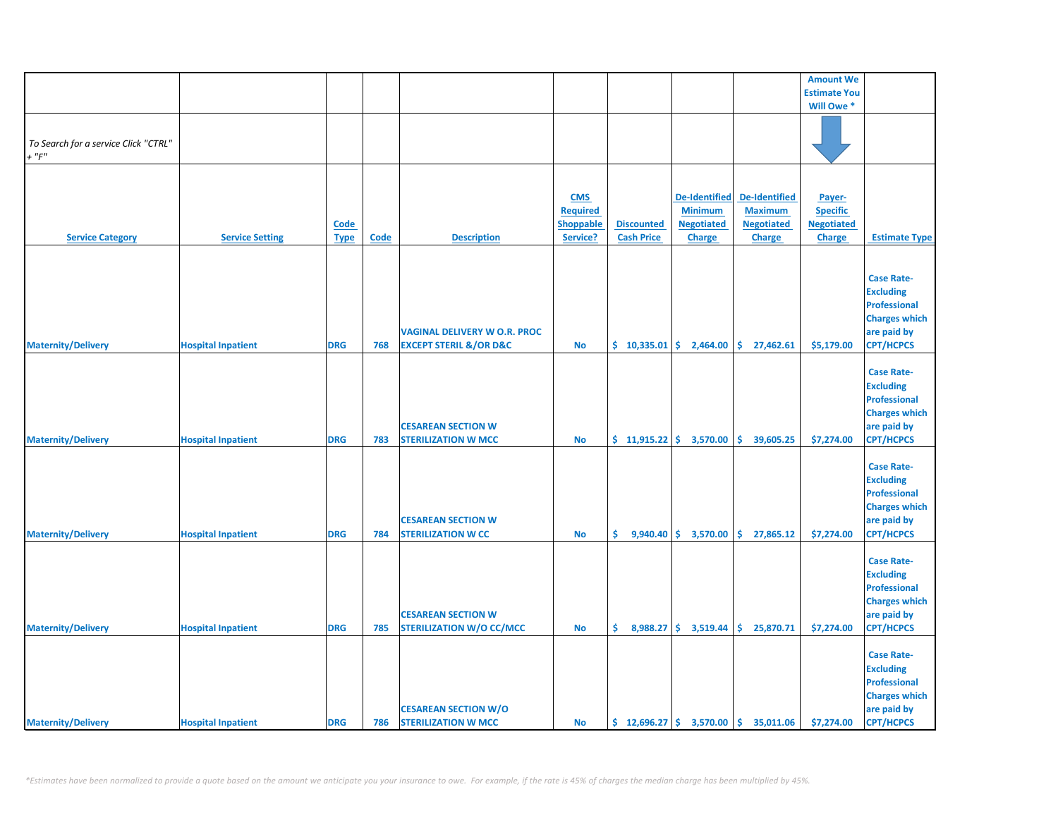|                                                                                                                      |                  |                   |                                                 |                                                                  | <b>Amount We</b>    |                      |
|----------------------------------------------------------------------------------------------------------------------|------------------|-------------------|-------------------------------------------------|------------------------------------------------------------------|---------------------|----------------------|
|                                                                                                                      |                  |                   |                                                 |                                                                  | <b>Estimate You</b> |                      |
|                                                                                                                      |                  |                   |                                                 |                                                                  | Will Owe *          |                      |
|                                                                                                                      |                  |                   |                                                 |                                                                  |                     |                      |
| To Search for a service Click "CTRL"                                                                                 |                  |                   |                                                 |                                                                  |                     |                      |
| $+$ " $F$ "                                                                                                          |                  |                   |                                                 |                                                                  |                     |                      |
|                                                                                                                      |                  |                   |                                                 |                                                                  |                     |                      |
|                                                                                                                      |                  |                   |                                                 |                                                                  |                     |                      |
|                                                                                                                      | <b>CMS</b>       |                   | <b>De-Identified</b>                            | <b>De-Identified</b>                                             | Payer-              |                      |
|                                                                                                                      | <b>Required</b>  |                   | <b>Minimum</b>                                  | <b>Maximum</b>                                                   |                     |                      |
|                                                                                                                      |                  |                   |                                                 |                                                                  | <b>Specific</b>     |                      |
| <b>Code</b>                                                                                                          | <b>Shoppable</b> | <b>Discounted</b> | <b>Negotiated</b>                               | <b>Negotiated</b>                                                | <b>Negotiated</b>   |                      |
| <b>Service Category</b><br><b>Service Setting</b><br><b>Code</b><br><b>Description</b><br><b>Type</b>                | Service?         | <b>Cash Price</b> | <b>Charge</b>                                   | <b>Charge</b>                                                    | Charge              | <b>Estimate Type</b> |
|                                                                                                                      |                  |                   |                                                 |                                                                  |                     |                      |
|                                                                                                                      |                  |                   |                                                 |                                                                  |                     |                      |
|                                                                                                                      |                  |                   |                                                 |                                                                  |                     | <b>Case Rate-</b>    |
|                                                                                                                      |                  |                   |                                                 |                                                                  |                     | <b>Excluding</b>     |
|                                                                                                                      |                  |                   |                                                 |                                                                  |                     | <b>Professional</b>  |
|                                                                                                                      |                  |                   |                                                 |                                                                  |                     | <b>Charges which</b> |
| <b>VAGINAL DELIVERY W O.R. PROC</b>                                                                                  |                  |                   |                                                 |                                                                  |                     | are paid by          |
| <b>Maternity/Delivery</b><br><b>DRG</b><br><b>EXCEPT STERIL &amp;/OR D&amp;C</b><br><b>Hospital Inpatient</b><br>768 | <b>No</b>        |                   |                                                 | $\binom{10,335.01}{5}$ 2,464.00 $\binom{10,335.01}{5}$ 27,462.61 | \$5,179.00          | <b>CPT/HCPCS</b>     |
|                                                                                                                      |                  |                   |                                                 |                                                                  |                     |                      |
|                                                                                                                      |                  |                   |                                                 |                                                                  |                     | <b>Case Rate-</b>    |
|                                                                                                                      |                  |                   |                                                 |                                                                  |                     | <b>Excluding</b>     |
|                                                                                                                      |                  |                   |                                                 |                                                                  |                     | <b>Professional</b>  |
|                                                                                                                      |                  |                   |                                                 |                                                                  |                     | <b>Charges which</b> |
| <b>CESAREAN SECTION W</b>                                                                                            |                  |                   |                                                 |                                                                  |                     | are paid by          |
| <b>Maternity/Delivery</b><br><b>Hospital Inpatient</b><br><b>DRG</b><br>783<br><b>STERILIZATION W MCC</b>            | <b>No</b>        |                   | $$11,915.22 \mid $3,570.00$                     | \$<br>39,605.25                                                  | \$7,274.00          | <b>CPT/HCPCS</b>     |
|                                                                                                                      |                  |                   |                                                 |                                                                  |                     |                      |
|                                                                                                                      |                  |                   |                                                 |                                                                  |                     | <b>Case Rate-</b>    |
|                                                                                                                      |                  |                   |                                                 |                                                                  |                     | <b>Excluding</b>     |
|                                                                                                                      |                  |                   |                                                 |                                                                  |                     | <b>Professional</b>  |
|                                                                                                                      |                  |                   |                                                 |                                                                  |                     | <b>Charges which</b> |
|                                                                                                                      |                  |                   |                                                 |                                                                  |                     |                      |
| <b>CESAREAN SECTION W</b>                                                                                            |                  |                   |                                                 |                                                                  |                     | are paid by          |
| <b>Maternity/Delivery</b><br><b>Hospital Inpatient</b><br><b>DRG</b><br>784<br><b>STERILIZATION W CC</b>             | <b>No</b>        | \$.               | $9,940.40 \mid \xi$ 3,570.00                    | \$27,865.12                                                      | \$7,274.00          | <b>CPT/HCPCS</b>     |
|                                                                                                                      |                  |                   |                                                 |                                                                  |                     |                      |
|                                                                                                                      |                  |                   |                                                 |                                                                  |                     | <b>Case Rate-</b>    |
|                                                                                                                      |                  |                   |                                                 |                                                                  |                     | <b>Excluding</b>     |
|                                                                                                                      |                  |                   |                                                 |                                                                  |                     | <b>Professional</b>  |
|                                                                                                                      |                  |                   |                                                 |                                                                  |                     | <b>Charges which</b> |
| <b>CESAREAN SECTION W</b>                                                                                            |                  |                   |                                                 |                                                                  |                     | are paid by          |
| <b>Maternity/Delivery</b><br><b>Hospital Inpatient</b><br><b>DRG</b><br>785<br><b>STERILIZATION W/O CC/MCC</b>       | No               |                   | $\binom{6}{5}$ 8,988.27 $\binom{6}{5}$ 3,519.44 | \$25,870.71                                                      | \$7,274.00          | CPT/HCPCS            |
|                                                                                                                      |                  |                   |                                                 |                                                                  |                     |                      |
|                                                                                                                      |                  |                   |                                                 |                                                                  |                     | <b>Case Rate-</b>    |
|                                                                                                                      |                  |                   |                                                 |                                                                  |                     | <b>Excluding</b>     |
|                                                                                                                      |                  |                   |                                                 |                                                                  |                     | <b>Professional</b>  |
|                                                                                                                      |                  |                   |                                                 |                                                                  |                     | <b>Charges which</b> |
| <b>CESAREAN SECTION W/O</b>                                                                                          |                  |                   |                                                 |                                                                  |                     | are paid by          |
| <b>Maternity/Delivery</b><br><b>STERILIZATION W MCC</b><br><b>Hospital Inpatient</b><br><b>DRG</b><br>786            | <b>No</b>        |                   |                                                 | $\binom{12,696.27}{ }$ \$ 3,570.00 \$ 35,011.06                  | \$7,274.00          | <b>CPT/HCPCS</b>     |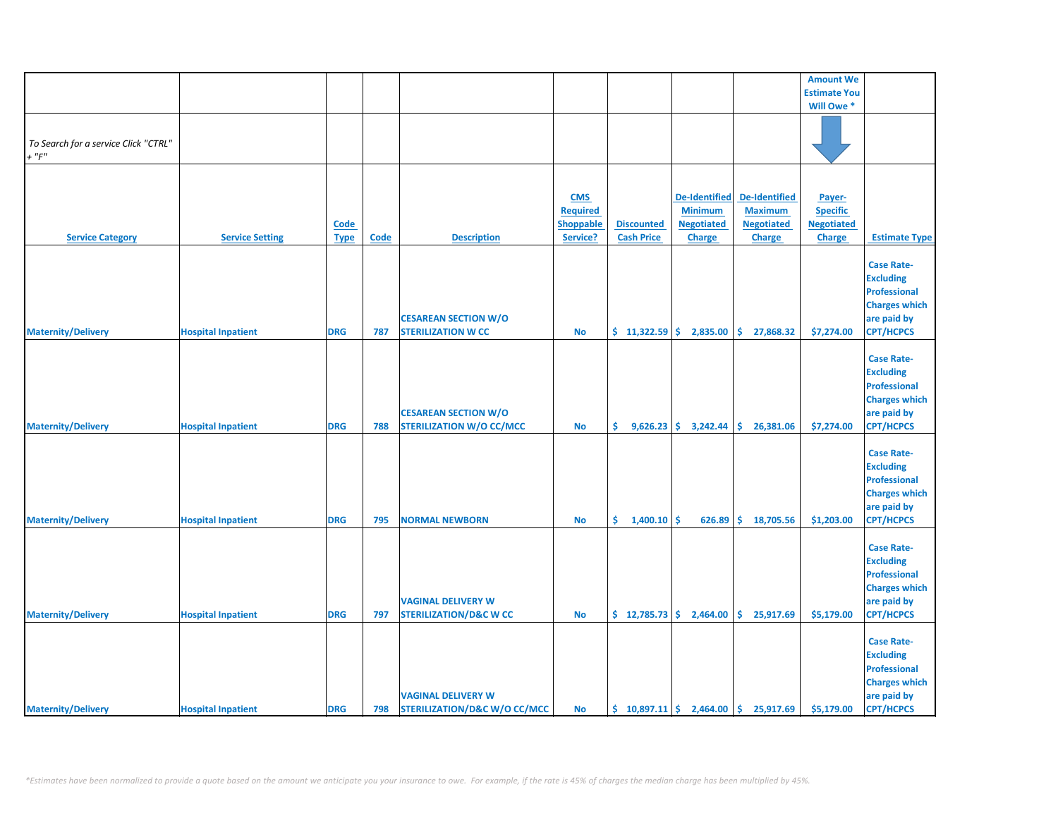|                                                     |                           |                     |             |                                                                      |                                                        |                                        |                                                                              |                                                                       | <b>Amount We</b>                                                |                                                                                                                         |
|-----------------------------------------------------|---------------------------|---------------------|-------------|----------------------------------------------------------------------|--------------------------------------------------------|----------------------------------------|------------------------------------------------------------------------------|-----------------------------------------------------------------------|-----------------------------------------------------------------|-------------------------------------------------------------------------------------------------------------------------|
|                                                     |                           |                     |             |                                                                      |                                                        |                                        |                                                                              |                                                                       | <b>Estimate You</b>                                             |                                                                                                                         |
|                                                     |                           |                     |             |                                                                      |                                                        |                                        |                                                                              |                                                                       | Will Owe *                                                      |                                                                                                                         |
| To Search for a service Click "CTRL"<br>$+$ " $F$ " |                           |                     |             |                                                                      |                                                        |                                        |                                                                              |                                                                       |                                                                 |                                                                                                                         |
|                                                     |                           |                     |             |                                                                      |                                                        |                                        |                                                                              |                                                                       |                                                                 |                                                                                                                         |
| <b>Service Category</b>                             | <b>Service Setting</b>    | Code<br><b>Type</b> | <b>Code</b> | <b>Description</b>                                                   | <b>CMS</b><br><b>Required</b><br>Shoppable<br>Service? | <b>Discounted</b><br><b>Cash Price</b> | <b>De-Identified</b><br><b>Minimum</b><br><b>Negotiated</b><br><b>Charge</b> | De-Identified<br><b>Maximum</b><br><b>Negotiated</b><br><b>Charge</b> | Payer-<br><b>Specific</b><br><b>Negotiated</b><br><b>Charge</b> | <b>Estimate Type</b>                                                                                                    |
| <b>Maternity/Delivery</b>                           | <b>Hospital Inpatient</b> | <b>DRG</b>          | 787         | <b>CESAREAN SECTION W/O</b><br><b>STERILIZATION W CC</b>             | <b>No</b>                                              | $$11,322.59$ \$                        | 2,835.00                                                                     | \$.<br>27,868.32                                                      | \$7,274.00                                                      | <b>Case Rate-</b><br><b>Excluding</b><br><b>Professional</b><br><b>Charges which</b><br>are paid by<br><b>CPT/HCPCS</b> |
| <b>Maternity/Delivery</b>                           | <b>Hospital Inpatient</b> | <b>DRG</b>          | 788         | <b>CESAREAN SECTION W/O</b><br><b>STERILIZATION W/O CC/MCC</b>       | <b>No</b>                                              | \$.                                    | $9,626.23$ \$ 3,242.44                                                       | \$26,381.06                                                           | \$7,274.00                                                      | <b>Case Rate-</b><br><b>Excluding</b><br><b>Professional</b><br><b>Charges which</b><br>are paid by<br>CPT/HCPCS        |
| <b>Maternity/Delivery</b>                           | <b>Hospital Inpatient</b> | <b>DRG</b>          | 795         | <b>NORMAL NEWBORN</b>                                                | $\mathbf {No}$                                         | \$.<br>1,400.10                        | \$<br>626.89                                                                 | \$.<br>18,705.56                                                      | \$1,203.00                                                      | <b>Case Rate-</b><br><b>Excluding</b><br><b>Professional</b><br><b>Charges which</b><br>are paid by<br><b>CPT/HCPCS</b> |
| <b>Maternity/Delivery</b>                           | <b>Hospital Inpatient</b> | <b>DRG</b>          | 797         | <b>VAGINAL DELIVERY W</b><br><b>STERILIZATION/D&amp;C W CC</b>       | <b>No</b>                                              |                                        | $\frac{1}{2}$ 12,785.73 $\frac{1}{2}$ 2,464.00                               | \$25,917.69                                                           | \$5,179.00                                                      | <b>Case Rate-</b><br><b>Excluding</b><br><b>Professional</b><br><b>Charges which</b><br>are paid by<br><b>CPT/HCPCS</b> |
| <b>Maternity/Delivery</b>                           | <b>Hospital Inpatient</b> | <b>DRG</b>          | 798         | <b>VAGINAL DELIVERY W</b><br><b>STERILIZATION/D&amp;C W/O CC/MCC</b> | <b>No</b>                                              |                                        |                                                                              | $\binom{10,897.11}{5}$ 2,464.00 $\binom{10,897.11}{5}$                | \$5,179.00                                                      | <b>Case Rate-</b><br><b>Excluding</b><br><b>Professional</b><br><b>Charges which</b><br>are paid by<br><b>CPT/HCPCS</b> |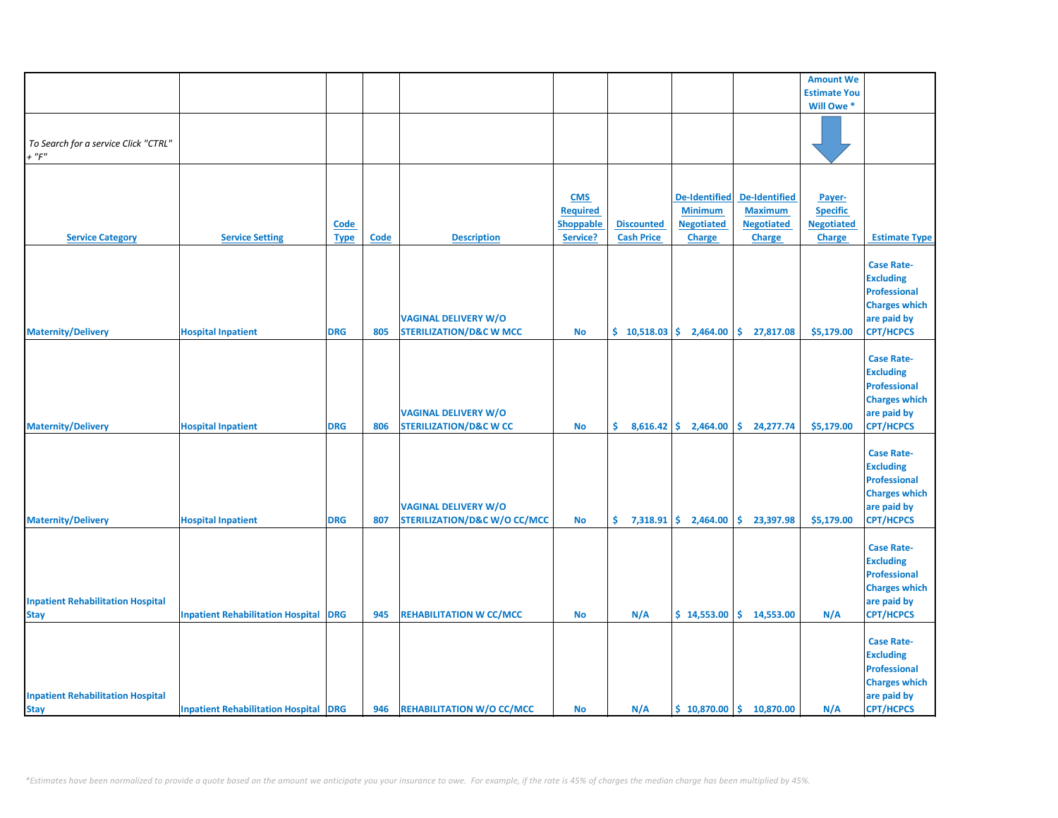|                                                         |                                              |                            |      |                                                                        |                                                               |                                        |                                                                              |                                                                              | <b>Amount We</b>                                         |                                                                                                                         |
|---------------------------------------------------------|----------------------------------------------|----------------------------|------|------------------------------------------------------------------------|---------------------------------------------------------------|----------------------------------------|------------------------------------------------------------------------------|------------------------------------------------------------------------------|----------------------------------------------------------|-------------------------------------------------------------------------------------------------------------------------|
|                                                         |                                              |                            |      |                                                                        |                                                               |                                        |                                                                              |                                                                              | <b>Estimate You</b>                                      |                                                                                                                         |
|                                                         |                                              |                            |      |                                                                        |                                                               |                                        |                                                                              |                                                                              | Will Owe *                                               |                                                                                                                         |
| To Search for a service Click "CTRL"<br>$+$ " $F$ "     |                                              |                            |      |                                                                        |                                                               |                                        |                                                                              |                                                                              |                                                          |                                                                                                                         |
|                                                         |                                              |                            |      |                                                                        |                                                               |                                        |                                                                              |                                                                              |                                                          |                                                                                                                         |
| <b>Service Category</b>                                 | <b>Service Setting</b>                       | <b>Code</b><br><b>Type</b> | Code | <b>Description</b>                                                     | <b>CMS</b><br><b>Required</b><br><b>Shoppable</b><br>Service? | <b>Discounted</b><br><b>Cash Price</b> | <b>De-Identified</b><br><b>Minimum</b><br><b>Negotiated</b><br><b>Charge</b> | <b>De-Identified</b><br><b>Maximum</b><br><b>Negotiated</b><br><b>Charge</b> | Payer-<br><b>Specific</b><br><b>Negotiated</b><br>Charge | <b>Estimate Type</b>                                                                                                    |
|                                                         |                                              |                            |      |                                                                        |                                                               |                                        |                                                                              |                                                                              |                                                          | <b>Case Rate-</b><br><b>Excluding</b>                                                                                   |
| <b>Maternity/Delivery</b>                               | <b>Hospital Inpatient</b>                    | <b>DRG</b>                 | 805  | <b>VAGINAL DELIVERY W/O</b><br><b>STERILIZATION/D&amp;C W MCC</b>      | No                                                            | \$10,518.03                            | 2,464.00                                                                     | \$.<br>27,817.08                                                             | \$5,179.00                                               | <b>Professional</b><br><b>Charges which</b><br>are paid by<br><b>CPT/HCPCS</b>                                          |
| <b>Maternity/Delivery</b>                               | <b>Hospital Inpatient</b>                    | <b>DRG</b>                 | 806  | <b>VAGINAL DELIVERY W/O</b><br><b>STERILIZATION/D&amp;C W CC</b>       | <b>No</b>                                                     | \$.                                    | $8,616.42$ \$ 2,464.00                                                       | \$24,277.74                                                                  | \$5,179.00                                               | <b>Case Rate-</b><br><b>Excluding</b><br><b>Professional</b><br><b>Charges which</b><br>are paid by<br><b>CPT/HCPCS</b> |
|                                                         |                                              |                            |      |                                                                        |                                                               |                                        |                                                                              |                                                                              |                                                          | <b>Case Rate-</b>                                                                                                       |
| <b>Maternity/Delivery</b>                               | <b>Hospital Inpatient</b>                    | <b>DRG</b>                 | 807  | <b>VAGINAL DELIVERY W/O</b><br><b>STERILIZATION/D&amp;C W/O CC/MCC</b> | <b>No</b>                                                     | \$.<br>7,318.91                        | \$.<br>2,464.00                                                              | \$.<br>23,397.98                                                             | \$5,179.00                                               | <b>Excluding</b><br><b>Professional</b><br><b>Charges which</b><br>are paid by<br><b>CPT/HCPCS</b>                      |
| <b>Inpatient Rehabilitation Hospital</b><br><b>Stay</b> | <b>Inpatient Rehabilitation Hospital</b>     | <b>DRG</b>                 | 945  | <b>REHABILITATION W CC/MCC</b>                                         | <b>No</b>                                                     | N/A                                    | \$14,553.00                                                                  | \$14,553.00                                                                  | N/A                                                      | <b>Case Rate-</b><br><b>Excluding</b><br><b>Professional</b><br><b>Charges which</b><br>are paid by<br><b>CPT/HCPCS</b> |
| <b>Inpatient Rehabilitation Hospital</b><br><b>Stay</b> | <b>Inpatient Rehabilitation Hospital DRG</b> |                            | 946  | <b>REHABILITATION W/O CC/MCC</b>                                       | <b>No</b>                                                     | N/A                                    |                                                                              | $$10,870.00 \mid $10,870.00$                                                 | N/A                                                      | <b>Case Rate-</b><br><b>Excluding</b><br><b>Professional</b><br><b>Charges which</b><br>are paid by<br><b>CPT/HCPCS</b> |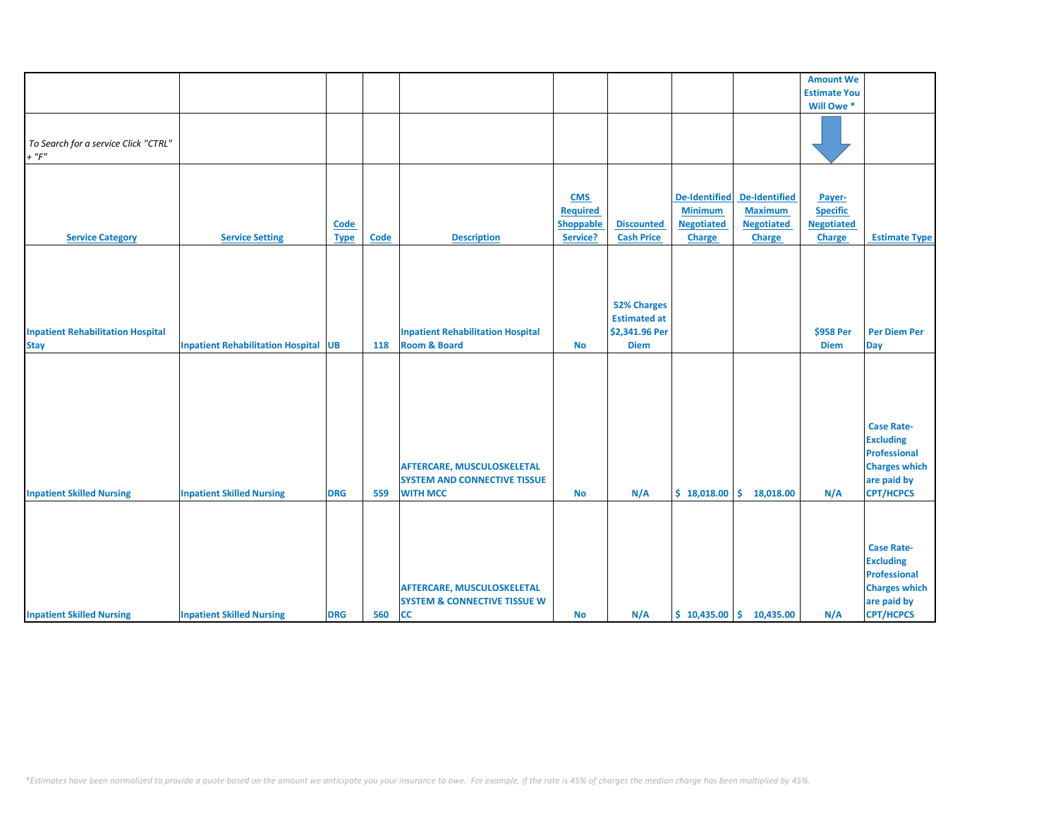|                                                         |                                             |                     |      |                                                                                             |                                                               |                                                                            |                                                                              |                                                                              | <b>Amount We</b>                                                |                                                                                                                         |
|---------------------------------------------------------|---------------------------------------------|---------------------|------|---------------------------------------------------------------------------------------------|---------------------------------------------------------------|----------------------------------------------------------------------------|------------------------------------------------------------------------------|------------------------------------------------------------------------------|-----------------------------------------------------------------|-------------------------------------------------------------------------------------------------------------------------|
|                                                         |                                             |                     |      |                                                                                             |                                                               |                                                                            |                                                                              |                                                                              | <b>Estimate You</b>                                             |                                                                                                                         |
|                                                         |                                             |                     |      |                                                                                             |                                                               |                                                                            |                                                                              |                                                                              | Will Owe *                                                      |                                                                                                                         |
| To Search for a service Click "CTRL"<br>$+$ " $F$ "     |                                             |                     |      |                                                                                             |                                                               |                                                                            |                                                                              |                                                                              |                                                                 |                                                                                                                         |
|                                                         |                                             |                     |      |                                                                                             |                                                               |                                                                            |                                                                              |                                                                              |                                                                 |                                                                                                                         |
| <b>Service Category</b>                                 | <b>Service Setting</b>                      | Code<br><b>Type</b> | Code | <b>Description</b>                                                                          | <b>CMS</b><br><b>Required</b><br><b>Shoppable</b><br>Service? | <b>Discounted</b><br><b>Cash Price</b>                                     | <b>De-Identified</b><br><b>Minimum</b><br><b>Negotiated</b><br><b>Charge</b> | <b>De-Identified</b><br><b>Maximum</b><br><b>Negotiated</b><br><b>Charge</b> | Payer-<br><b>Specific</b><br><b>Negotiated</b><br><b>Charge</b> | <b>Estimate Type</b>                                                                                                    |
|                                                         |                                             |                     |      |                                                                                             |                                                               |                                                                            |                                                                              |                                                                              |                                                                 |                                                                                                                         |
| <b>Inpatient Rehabilitation Hospital</b><br><b>Stay</b> | <b>Inpatient Rehabilitation Hospital UB</b> |                     | 118  | <b>Inpatient Rehabilitation Hospital</b><br><b>Room &amp; Board</b>                         | <b>No</b>                                                     | <b>52% Charges</b><br><b>Estimated at</b><br>\$2,341.96 Per<br><b>Diem</b> |                                                                              |                                                                              | \$958 Per<br><b>Diem</b>                                        | <b>Per Diem Per</b><br><b>Day</b>                                                                                       |
| <b>Inpatient Skilled Nursing</b>                        | <b>Inpatient Skilled Nursing</b>            | <b>DRG</b>          | 559  | <b>AFTERCARE, MUSCULOSKELETAL</b><br><b>SYSTEM AND CONNECTIVE TISSUE</b><br><b>WITH MCC</b> | <b>No</b>                                                     | N/A                                                                        | \$18,018.00                                                                  | \$.<br>18,018.00                                                             | N/A                                                             | <b>Case Rate-</b><br><b>Excluding</b><br><b>Professional</b><br><b>Charges which</b><br>are paid by<br><b>CPT/HCPCS</b> |
| <b>Inpatient Skilled Nursing</b>                        | <b>Inpatient Skilled Nursing</b>            | <b>DRG</b>          | 560  | <b>AFTERCARE, MUSCULOSKELETAL</b><br><b>SYSTEM &amp; CONNECTIVE TISSUE W</b><br><b>CC</b>   | <b>No</b>                                                     | N/A                                                                        |                                                                              | $$10,435.00 \mid $10,435.00$                                                 | N/A                                                             | <b>Case Rate-</b><br><b>Excluding</b><br><b>Professional</b><br><b>Charges which</b><br>are paid by<br><b>CPT/HCPCS</b> |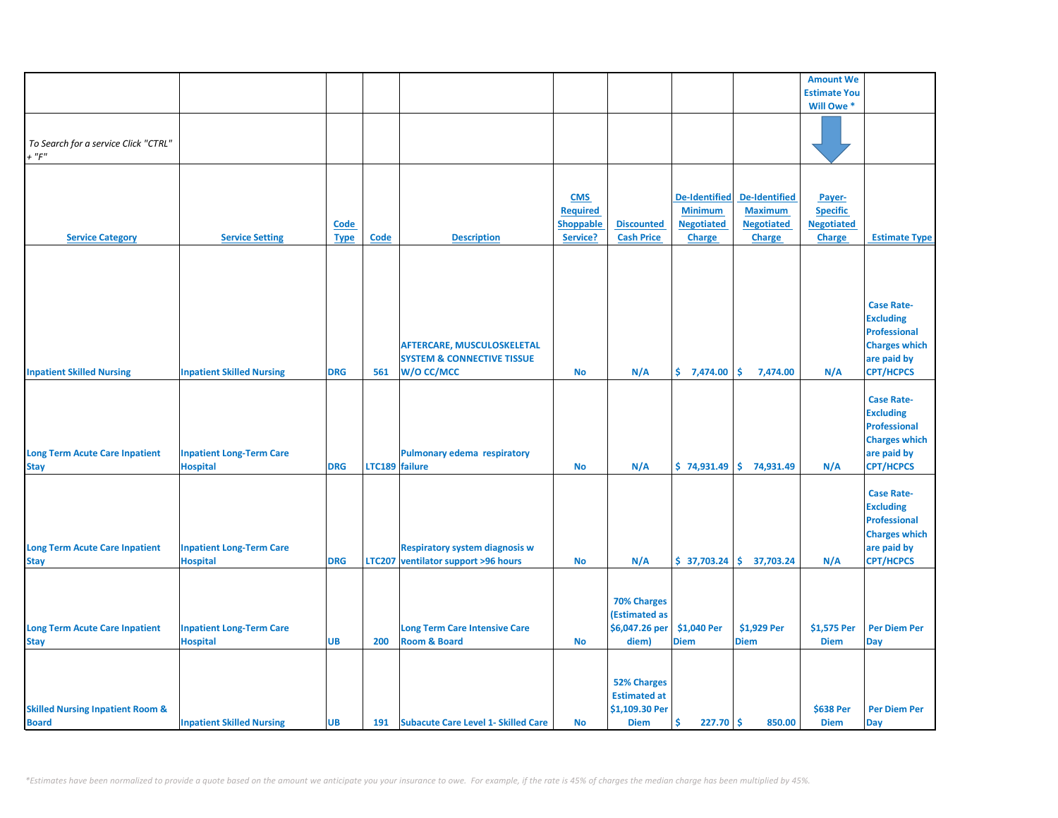|                                                             |                                                    |                     |                |                                                                                          |                                                               |                                                                            |                                                                              |                                                                              | <b>Amount We</b>                                                |                                                                                                                         |
|-------------------------------------------------------------|----------------------------------------------------|---------------------|----------------|------------------------------------------------------------------------------------------|---------------------------------------------------------------|----------------------------------------------------------------------------|------------------------------------------------------------------------------|------------------------------------------------------------------------------|-----------------------------------------------------------------|-------------------------------------------------------------------------------------------------------------------------|
|                                                             |                                                    |                     |                |                                                                                          |                                                               |                                                                            |                                                                              |                                                                              | <b>Estimate You</b>                                             |                                                                                                                         |
|                                                             |                                                    |                     |                |                                                                                          |                                                               |                                                                            |                                                                              |                                                                              | Will Owe *                                                      |                                                                                                                         |
| To Search for a service Click "CTRL"<br>$+$ " $F$ "         |                                                    |                     |                |                                                                                          |                                                               |                                                                            |                                                                              |                                                                              |                                                                 |                                                                                                                         |
| <b>Service Category</b>                                     | <b>Service Setting</b>                             | Code<br><b>Type</b> | <b>Code</b>    | <b>Description</b>                                                                       | <b>CMS</b><br><b>Required</b><br><b>Shoppable</b><br>Service? | <b>Discounted</b><br><b>Cash Price</b>                                     | <b>De-Identified</b><br><b>Minimum</b><br><b>Negotiated</b><br><b>Charge</b> | <b>De-Identified</b><br><b>Maximum</b><br><b>Negotiated</b><br><b>Charge</b> | Payer-<br><b>Specific</b><br><b>Negotiated</b><br><b>Charge</b> | <b>Estimate Type</b>                                                                                                    |
|                                                             |                                                    |                     |                |                                                                                          |                                                               |                                                                            |                                                                              |                                                                              |                                                                 |                                                                                                                         |
| <b>Inpatient Skilled Nursing</b>                            | <b>Inpatient Skilled Nursing</b>                   | <b>DRG</b>          | 561            | <b>AFTERCARE, MUSCULOSKELETAL</b><br><b>SYSTEM &amp; CONNECTIVE TISSUE</b><br>W/O CC/MCC | <b>No</b>                                                     | N/A                                                                        | \$7,474.00                                                                   | \$<br>7,474.00                                                               | N/A                                                             | <b>Case Rate-</b><br><b>Excluding</b><br><b>Professional</b><br><b>Charges which</b><br>are paid by<br><b>CPT/HCPCS</b> |
| <b>Long Term Acute Care Inpatient</b><br><b>Stay</b>        | <b>Inpatient Long-Term Care</b><br><b>Hospital</b> | <b>DRG</b>          | LTC189 failure | Pulmonary edema respiratory                                                              | No                                                            | N/A                                                                        |                                                                              | $$74,931.49$ $$74,931.49$                                                    | N/A                                                             | <b>Case Rate-</b><br><b>Excluding</b><br><b>Professional</b><br><b>Charges which</b><br>are paid by<br><b>CPT/HCPCS</b> |
| <b>Long Term Acute Care Inpatient</b><br><b>Stay</b>        | <b>Inpatient Long-Term Care</b><br><b>Hospital</b> | <b>DRG</b>          |                | <b>Respiratory system diagnosis w</b><br>LTC207 ventilator support >96 hours             | No                                                            | N/A                                                                        |                                                                              | $$37,703.24 \mid $37,703.24$$                                                | N/A                                                             | <b>Case Rate-</b><br><b>Excluding</b><br><b>Professional</b><br><b>Charges which</b><br>are paid by<br><b>CPT/HCPCS</b> |
| <b>Long Term Acute Care Inpatient</b><br><b>Stay</b>        | <b>Inpatient Long-Term Care</b><br><b>Hospital</b> | <b>UB</b>           | 200            | <b>Long Term Care Intensive Care</b><br><b>Room &amp; Board</b>                          | <b>No</b>                                                     | <b>70% Charges</b><br>(Estimated as<br>\$6,047.26 per<br>diem)             | \$1,040 Per<br><b>Diem</b>                                                   | \$1,929 Per<br><b>Diem</b>                                                   | \$1,575 Per<br><b>Diem</b>                                      | <b>Per Diem Per</b><br>Day                                                                                              |
| <b>Skilled Nursing Inpatient Room &amp;</b><br><b>Board</b> | <b>Inpatient Skilled Nursing</b>                   | <b>UB</b>           |                | 191 Subacute Care Level 1- Skilled Care                                                  | <b>No</b>                                                     | <b>52% Charges</b><br><b>Estimated at</b><br>\$1,109.30 Per<br><b>Diem</b> | Ŝ<br>$227.70$ \$                                                             | 850.00                                                                       | \$638 Per<br><b>Diem</b>                                        | <b>Per Diem Per</b><br>Day                                                                                              |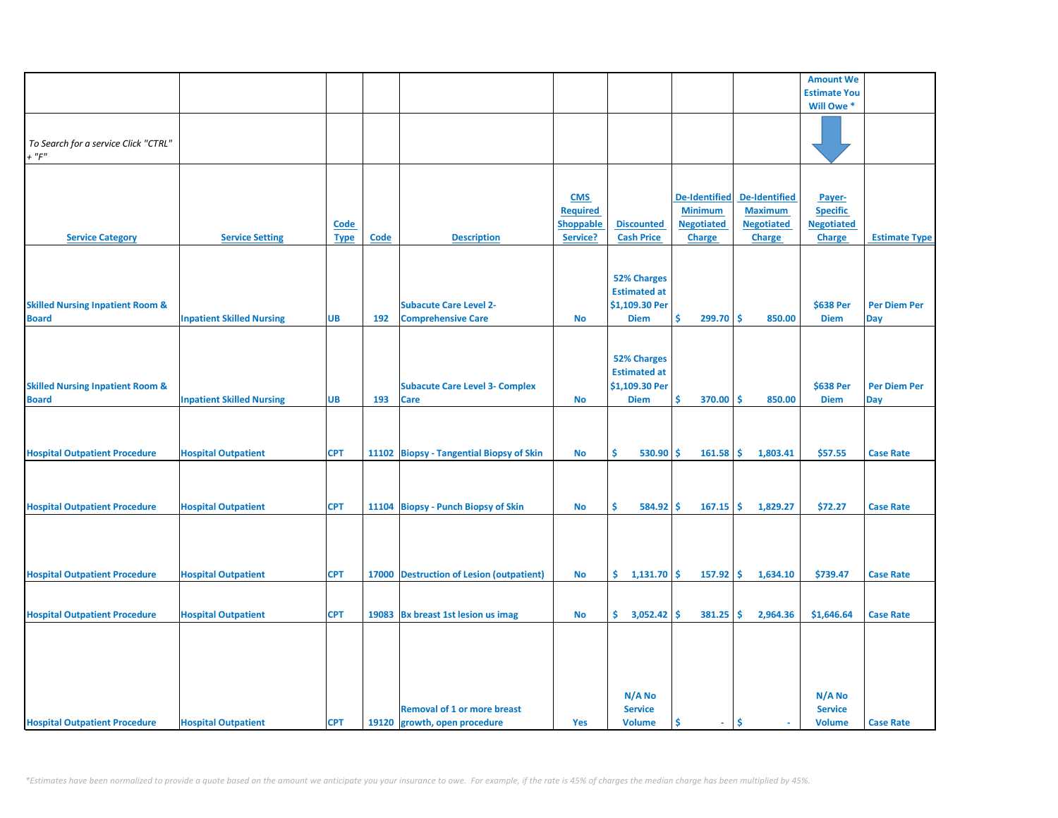|                                                             |                                  |                     |      |                                                                    |                                                               |                                                                            |                                                                              |                                                                              | <b>Amount We</b>                                                |                            |
|-------------------------------------------------------------|----------------------------------|---------------------|------|--------------------------------------------------------------------|---------------------------------------------------------------|----------------------------------------------------------------------------|------------------------------------------------------------------------------|------------------------------------------------------------------------------|-----------------------------------------------------------------|----------------------------|
|                                                             |                                  |                     |      |                                                                    |                                                               |                                                                            |                                                                              |                                                                              | <b>Estimate You</b>                                             |                            |
|                                                             |                                  |                     |      |                                                                    |                                                               |                                                                            |                                                                              |                                                                              | Will Owe *                                                      |                            |
| To Search for a service Click "CTRL"<br>$+$ " $F$ "         |                                  |                     |      |                                                                    |                                                               |                                                                            |                                                                              |                                                                              |                                                                 |                            |
| <b>Service Category</b>                                     | <b>Service Setting</b>           | Code<br><b>Type</b> | Code | <b>Description</b>                                                 | <b>CMS</b><br><b>Required</b><br><b>Shoppable</b><br>Service? | <b>Discounted</b><br><b>Cash Price</b>                                     | <b>De-Identified</b><br><b>Minimum</b><br><b>Negotiated</b><br><b>Charge</b> | <b>De-Identified</b><br><b>Maximum</b><br><b>Negotiated</b><br><b>Charge</b> | Payer-<br><b>Specific</b><br><b>Negotiated</b><br><b>Charge</b> | <b>Estimate Type</b>       |
| <b>Skilled Nursing Inpatient Room &amp;</b><br><b>Board</b> | <b>Inpatient Skilled Nursing</b> | <b>UB</b>           | 192  | <b>Subacute Care Level 2-</b><br><b>Comprehensive Care</b>         | <b>No</b>                                                     | <b>52% Charges</b><br><b>Estimated at</b><br>\$1,109.30 Per<br><b>Diem</b> | \$<br>$299.70$ \$                                                            | 850.00                                                                       | \$638 Per<br><b>Diem</b>                                        | <b>Per Diem Per</b><br>Day |
| <b>Skilled Nursing Inpatient Room &amp;</b><br><b>Board</b> | <b>Inpatient Skilled Nursing</b> | <b>UB</b>           | 193  | <b>Subacute Care Level 3- Complex</b><br><b>Care</b>               | <b>No</b>                                                     | <b>52% Charges</b><br><b>Estimated at</b><br>\$1,109.30 Per<br><b>Diem</b> | \$<br>370.00                                                                 | ۱\$<br>850.00                                                                | \$638 Per<br><b>Diem</b>                                        | <b>Per Diem Per</b><br>Day |
| <b>Hospital Outpatient Procedure</b>                        | <b>Hospital Outpatient</b>       | <b>CPT</b>          |      | 11102 Biopsy - Tangential Biopsy of Skin                           | No                                                            | 530.90<br>Ś.                                                               | -Ś<br>161.58                                                                 | 1,803.41<br>۱\$                                                              | \$57.55                                                         | <b>Case Rate</b>           |
| <b>Hospital Outpatient Procedure</b>                        | <b>Hospital Outpatient</b>       | <b>CPT</b>          |      | 11104 Biopsy - Punch Biopsy of Skin                                | <b>No</b>                                                     | Ś.<br>584.92                                                               | -Ś<br>$167.15$ \$                                                            | 1,829.27                                                                     | \$72.27                                                         | <b>Case Rate</b>           |
| <b>Hospital Outpatient Procedure</b>                        | <b>Hospital Outpatient</b>       | <b>CPT</b>          |      | 17000 Destruction of Lesion (outpatient)                           | No                                                            | $1,131.70$ \$<br>\$.                                                       | $157.92$ \$                                                                  | 1,634.10                                                                     | \$739.47                                                        | <b>Case Rate</b>           |
| <b>Hospital Outpatient Procedure</b>                        | <b>Hospital Outpatient</b>       | <b>CPT</b>          |      | 19083 Bx breast 1st lesion us imag                                 | No                                                            | $\frac{1}{2}$ 3,052.42 \$                                                  | $381.25$ \$                                                                  | 2,964.36                                                                     | \$1,646.64                                                      | <b>Case Rate</b>           |
| <b>Hospital Outpatient Procedure</b>                        | <b>Hospital Outpatient</b>       | <b>CPT</b>          |      | <b>Removal of 1 or more breast</b><br>19120 growth, open procedure | Yes                                                           | N/A No<br><b>Service</b><br><b>Volume</b>                                  | Ś<br>$\sim$                                                                  | Ŝ                                                                            | N/A No<br><b>Service</b><br><b>Volume</b>                       | <b>Case Rate</b>           |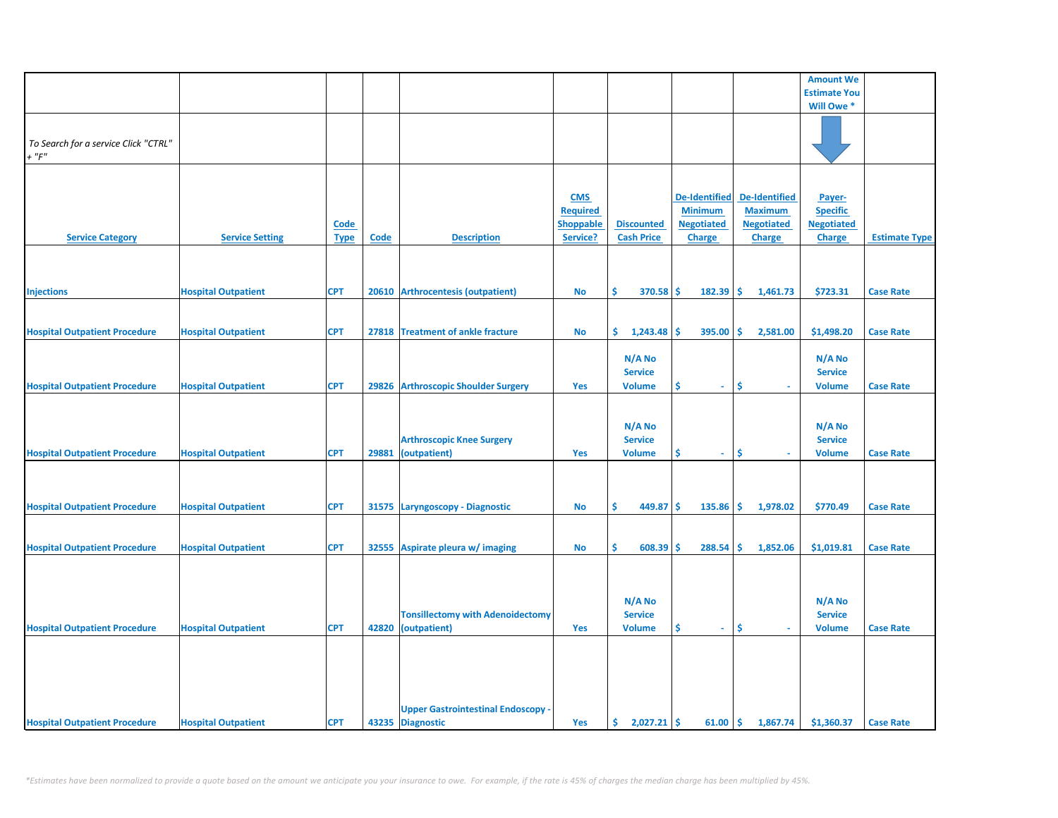|                                      |                            |             |       |                                           |                  |                   |                      |                      | <b>Amount We</b>    |                      |
|--------------------------------------|----------------------------|-------------|-------|-------------------------------------------|------------------|-------------------|----------------------|----------------------|---------------------|----------------------|
|                                      |                            |             |       |                                           |                  |                   |                      |                      | <b>Estimate You</b> |                      |
|                                      |                            |             |       |                                           |                  |                   |                      |                      | Will Owe *          |                      |
|                                      |                            |             |       |                                           |                  |                   |                      |                      |                     |                      |
|                                      |                            |             |       |                                           |                  |                   |                      |                      |                     |                      |
|                                      |                            |             |       |                                           |                  |                   |                      |                      |                     |                      |
| To Search for a service Click "CTRL" |                            |             |       |                                           |                  |                   |                      |                      |                     |                      |
| $+$ " $F$ "                          |                            |             |       |                                           |                  |                   |                      |                      |                     |                      |
|                                      |                            |             |       |                                           |                  |                   |                      |                      |                     |                      |
|                                      |                            |             |       |                                           |                  |                   |                      |                      |                     |                      |
|                                      |                            |             |       |                                           |                  |                   |                      |                      |                     |                      |
|                                      |                            |             |       |                                           | <b>CMS</b>       |                   | <b>De-Identified</b> | <b>De-Identified</b> | Payer-              |                      |
|                                      |                            |             |       |                                           | <b>Required</b>  |                   | <b>Minimum</b>       | <b>Maximum</b>       | <b>Specific</b>     |                      |
|                                      |                            | <b>Code</b> |       |                                           | <b>Shoppable</b> | <b>Discounted</b> | <b>Negotiated</b>    | <b>Negotiated</b>    | <b>Negotiated</b>   |                      |
|                                      |                            |             |       | <b>Description</b>                        |                  | <b>Cash Price</b> |                      |                      |                     |                      |
| <b>Service Category</b>              | <b>Service Setting</b>     | <b>Type</b> | Code  |                                           | Service?         |                   | <b>Charge</b>        | <b>Charge</b>        | <b>Charge</b>       | <b>Estimate Type</b> |
|                                      |                            |             |       |                                           |                  |                   |                      |                      |                     |                      |
|                                      |                            |             |       |                                           |                  |                   |                      |                      |                     |                      |
|                                      |                            |             |       |                                           |                  |                   |                      |                      |                     |                      |
|                                      |                            |             |       |                                           |                  |                   |                      |                      |                     |                      |
| <b>Injections</b>                    | <b>Hospital Outpatient</b> | <b>CPT</b>  | 20610 | <b>Arthrocentesis (outpatient)</b>        | <b>No</b>        | \$<br>370.58      | \$<br>182.39         | \$<br>1,461.73       | \$723.31            | <b>Case Rate</b>     |
|                                      |                            |             |       |                                           |                  |                   |                      |                      |                     |                      |
|                                      |                            |             |       |                                           |                  |                   |                      |                      |                     |                      |
| <b>Hospital Outpatient Procedure</b> | <b>Hospital Outpatient</b> | <b>CPT</b>  |       | 27818 Treatment of ankle fracture         | No               | \$.<br>1,243.48   | \$.<br>395.00        | Ŝ.<br>2,581.00       | \$1,498.20          | <b>Case Rate</b>     |
|                                      |                            |             |       |                                           |                  |                   |                      |                      |                     |                      |
|                                      |                            |             |       |                                           |                  |                   |                      |                      |                     |                      |
|                                      |                            |             |       |                                           |                  | N/A No            |                      |                      | N/A No              |                      |
|                                      |                            |             |       |                                           |                  | <b>Service</b>    |                      |                      | <b>Service</b>      |                      |
| <b>Hospital Outpatient Procedure</b> | <b>Hospital Outpatient</b> | <b>CPT</b>  |       | 29826 Arthroscopic Shoulder Surgery       | <b>Yes</b>       | <b>Volume</b>     | \$<br>$\sim$         | \$                   | <b>Volume</b>       | <b>Case Rate</b>     |
|                                      |                            |             |       |                                           |                  |                   |                      |                      |                     |                      |
|                                      |                            |             |       |                                           |                  |                   |                      |                      |                     |                      |
|                                      |                            |             |       |                                           |                  |                   |                      |                      |                     |                      |
|                                      |                            |             |       |                                           |                  | N/A No            |                      |                      | N/A No              |                      |
|                                      |                            |             |       | <b>Arthroscopic Knee Surgery</b>          |                  | <b>Service</b>    |                      |                      | <b>Service</b>      |                      |
|                                      |                            |             |       |                                           |                  |                   |                      |                      |                     |                      |
| <b>Hospital Outpatient Procedure</b> | <b>Hospital Outpatient</b> | <b>CPT</b>  | 29881 | (outpatient)                              | Yes              | <b>Volume</b>     | \$<br>$\omega$ .     | \$.                  | <b>Volume</b>       | <b>Case Rate</b>     |
|                                      |                            |             |       |                                           |                  |                   |                      |                      |                     |                      |
|                                      |                            |             |       |                                           |                  |                   |                      |                      |                     |                      |
|                                      |                            |             |       |                                           |                  |                   |                      |                      |                     |                      |
|                                      |                            |             |       |                                           |                  |                   |                      |                      |                     |                      |
| <b>Hospital Outpatient Procedure</b> | <b>Hospital Outpatient</b> | <b>CPT</b>  |       | 31575 Laryngoscopy - Diagnostic           | <b>No</b>        | \$<br>449.87      | \$<br>135.86         | \$<br>1,978.02       | \$770.49            | <b>Case Rate</b>     |
|                                      |                            |             |       |                                           |                  |                   |                      |                      |                     |                      |
|                                      |                            |             |       |                                           |                  |                   |                      |                      |                     |                      |
|                                      |                            | <b>CPT</b>  | 32555 |                                           |                  | Ŝ.<br>608.39      | Ś<br>288.54          | Ŝ.<br>1,852.06       | \$1,019.81          |                      |
| <b>Hospital Outpatient Procedure</b> | <b>Hospital Outpatient</b> |             |       | Aspirate pleura w/ imaging                | No               |                   |                      |                      |                     | <b>Case Rate</b>     |
|                                      |                            |             |       |                                           |                  |                   |                      |                      |                     |                      |
|                                      |                            |             |       |                                           |                  |                   |                      |                      |                     |                      |
|                                      |                            |             |       |                                           |                  |                   |                      |                      |                     |                      |
|                                      |                            |             |       |                                           |                  | N/A No            |                      |                      | N/A No              |                      |
|                                      |                            |             |       |                                           |                  |                   |                      |                      |                     |                      |
|                                      |                            |             |       | <b>Tonsillectomy with Adenoidectomy</b>   |                  | <b>Service</b>    |                      |                      | <b>Service</b>      |                      |
| <b>Hospital Outpatient Procedure</b> | <b>Hospital Outpatient</b> | <b>CPT</b>  |       | 42820 (outpatient)                        | Yes              | <b>Volume</b>     | \$<br>$\sim$         | \$<br>$\sim$         | <b>Volume</b>       | <b>Case Rate</b>     |
|                                      |                            |             |       |                                           |                  |                   |                      |                      |                     |                      |
|                                      |                            |             |       |                                           |                  |                   |                      |                      |                     |                      |
|                                      |                            |             |       |                                           |                  |                   |                      |                      |                     |                      |
|                                      |                            |             |       |                                           |                  |                   |                      |                      |                     |                      |
|                                      |                            |             |       |                                           |                  |                   |                      |                      |                     |                      |
|                                      |                            |             |       |                                           |                  |                   |                      |                      |                     |                      |
|                                      |                            |             |       |                                           |                  |                   |                      |                      |                     |                      |
|                                      |                            |             |       | <b>Upper Gastrointestinal Endoscopy -</b> |                  |                   |                      |                      |                     |                      |
| <b>Hospital Outpatient Procedure</b> | <b>Hospital Outpatient</b> | <b>CPT</b>  |       | 43235 Diagnostic                          | Yes              | \$.<br>2,027.21   | -\$<br>61.00         | \$<br>1,867.74       | \$1,360.37          | <b>Case Rate</b>     |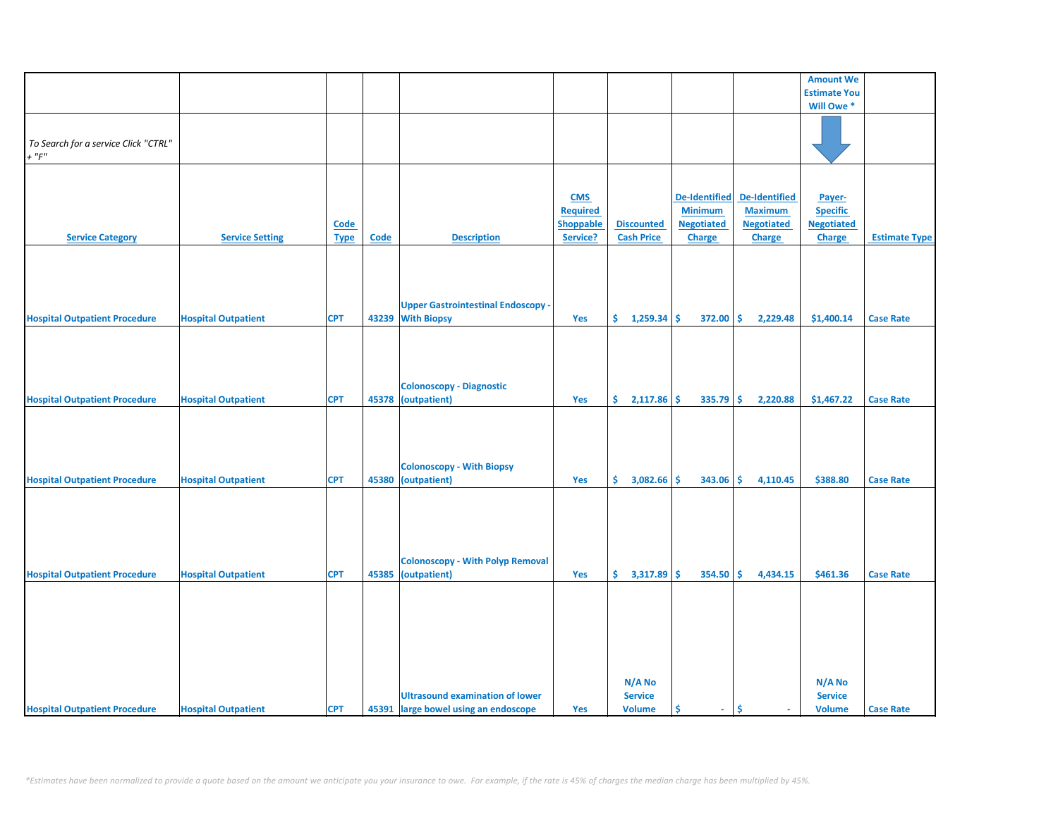|                                      |                            |             |       |                                         |                  |                   |                      |                      | <b>Amount We</b>      |                      |
|--------------------------------------|----------------------------|-------------|-------|-----------------------------------------|------------------|-------------------|----------------------|----------------------|-----------------------|----------------------|
|                                      |                            |             |       |                                         |                  |                   |                      |                      | <b>Estimate You</b>   |                      |
|                                      |                            |             |       |                                         |                  |                   |                      |                      | Will Owe <sup>*</sup> |                      |
|                                      |                            |             |       |                                         |                  |                   |                      |                      |                       |                      |
|                                      |                            |             |       |                                         |                  |                   |                      |                      |                       |                      |
|                                      |                            |             |       |                                         |                  |                   |                      |                      |                       |                      |
| To Search for a service Click "CTRL" |                            |             |       |                                         |                  |                   |                      |                      |                       |                      |
| $+$ " $F$ "                          |                            |             |       |                                         |                  |                   |                      |                      |                       |                      |
|                                      |                            |             |       |                                         |                  |                   |                      |                      |                       |                      |
|                                      |                            |             |       |                                         |                  |                   |                      |                      |                       |                      |
|                                      |                            |             |       |                                         |                  |                   | <b>De-Identified</b> | <b>De-Identified</b> |                       |                      |
|                                      |                            |             |       |                                         | <b>CMS</b>       |                   |                      |                      | Payer-                |                      |
|                                      |                            |             |       |                                         | <b>Required</b>  |                   | <b>Minimum</b>       | <b>Maximum</b>       | <b>Specific</b>       |                      |
|                                      |                            | Code        |       |                                         | <b>Shoppable</b> | <b>Discounted</b> | <b>Negotiated</b>    | <b>Negotiated</b>    | <b>Negotiated</b>     |                      |
| <b>Service Category</b>              | <b>Service Setting</b>     | <b>Type</b> | Code  | <b>Description</b>                      | Service?         | <b>Cash Price</b> | Charge               | <b>Charge</b>        | Charge                | <b>Estimate Type</b> |
|                                      |                            |             |       |                                         |                  |                   |                      |                      |                       |                      |
|                                      |                            |             |       |                                         |                  |                   |                      |                      |                       |                      |
|                                      |                            |             |       |                                         |                  |                   |                      |                      |                       |                      |
|                                      |                            |             |       |                                         |                  |                   |                      |                      |                       |                      |
|                                      |                            |             |       |                                         |                  |                   |                      |                      |                       |                      |
|                                      |                            |             |       |                                         |                  |                   |                      |                      |                       |                      |
|                                      |                            |             |       | <b>Upper Gastrointestinal Endoscopy</b> |                  |                   |                      |                      |                       |                      |
| <b>Hospital Outpatient Procedure</b> | <b>Hospital Outpatient</b> | <b>CPT</b>  | 43239 | <b>With Biopsy</b>                      | Yes              | \$.<br>1,259.34   | Ŝ.<br>372.00         | \$<br>2,229.48       | \$1,400.14            | <b>Case Rate</b>     |
|                                      |                            |             |       |                                         |                  |                   |                      |                      |                       |                      |
|                                      |                            |             |       |                                         |                  |                   |                      |                      |                       |                      |
|                                      |                            |             |       |                                         |                  |                   |                      |                      |                       |                      |
|                                      |                            |             |       |                                         |                  |                   |                      |                      |                       |                      |
|                                      |                            |             |       |                                         |                  |                   |                      |                      |                       |                      |
|                                      |                            |             |       | <b>Colonoscopy - Diagnostic</b>         |                  |                   |                      |                      |                       |                      |
| <b>Hospital Outpatient Procedure</b> | <b>Hospital Outpatient</b> | <b>CPT</b>  | 45378 | (outpatient)                            | Yes              | \$.<br>2,117.86   | Ŝ.<br>335.79         | 2,220.88<br>Ŝ.       | \$1,467.22            | <b>Case Rate</b>     |
|                                      |                            |             |       |                                         |                  |                   |                      |                      |                       |                      |
|                                      |                            |             |       |                                         |                  |                   |                      |                      |                       |                      |
|                                      |                            |             |       |                                         |                  |                   |                      |                      |                       |                      |
|                                      |                            |             |       |                                         |                  |                   |                      |                      |                       |                      |
|                                      |                            |             |       |                                         |                  |                   |                      |                      |                       |                      |
|                                      |                            |             |       |                                         |                  |                   |                      |                      |                       |                      |
|                                      |                            |             |       | <b>Colonoscopy - With Biopsy</b>        |                  |                   |                      |                      |                       |                      |
| <b>Hospital Outpatient Procedure</b> | <b>Hospital Outpatient</b> | <b>CPT</b>  | 45380 | (outpatient)                            | Yes              | \$.<br>3,082.66   | Ŝ.<br>343.06         | Ś.<br>4,110.45       | \$388.80              | <b>Case Rate</b>     |
|                                      |                            |             |       |                                         |                  |                   |                      |                      |                       |                      |
|                                      |                            |             |       |                                         |                  |                   |                      |                      |                       |                      |
|                                      |                            |             |       |                                         |                  |                   |                      |                      |                       |                      |
|                                      |                            |             |       |                                         |                  |                   |                      |                      |                       |                      |
|                                      |                            |             |       |                                         |                  |                   |                      |                      |                       |                      |
|                                      |                            |             |       |                                         |                  |                   |                      |                      |                       |                      |
|                                      |                            |             |       |                                         |                  |                   |                      |                      |                       |                      |
|                                      |                            |             |       | <b>Colonoscopy - With Polyp Removal</b> |                  |                   |                      |                      |                       |                      |
| <b>Hospital Outpatient Procedure</b> | <b>Hospital Outpatient</b> | <b>CPT</b>  |       | 45385 (outpatient)                      | Yes              | \$.<br>3,317.89   | \$<br>354.50         | \$<br>4,434.15       | \$461.36              | <b>Case Rate</b>     |
|                                      |                            |             |       |                                         |                  |                   |                      |                      |                       |                      |
|                                      |                            |             |       |                                         |                  |                   |                      |                      |                       |                      |
|                                      |                            |             |       |                                         |                  |                   |                      |                      |                       |                      |
|                                      |                            |             |       |                                         |                  |                   |                      |                      |                       |                      |
|                                      |                            |             |       |                                         |                  |                   |                      |                      |                       |                      |
|                                      |                            |             |       |                                         |                  |                   |                      |                      |                       |                      |
|                                      |                            |             |       |                                         |                  |                   |                      |                      |                       |                      |
|                                      |                            |             |       |                                         |                  |                   |                      |                      |                       |                      |
|                                      |                            |             |       |                                         |                  |                   |                      |                      |                       |                      |
|                                      |                            |             |       |                                         |                  | N/A No            |                      |                      | N/A No                |                      |
|                                      |                            |             |       | <b>Ultrasound examination of lower</b>  |                  | <b>Service</b>    |                      |                      | <b>Service</b>        |                      |
|                                      |                            |             |       |                                         |                  |                   |                      | Ŝ.                   |                       |                      |
| <b>Hospital Outpatient Procedure</b> | <b>Hospital Outpatient</b> | <b>CPT</b>  |       | 45391 large bowel using an endoscope    | Yes              | <b>Volume</b>     | \$<br>$\sim$         | $\mathbf{r}$         | <b>Volume</b>         | <b>Case Rate</b>     |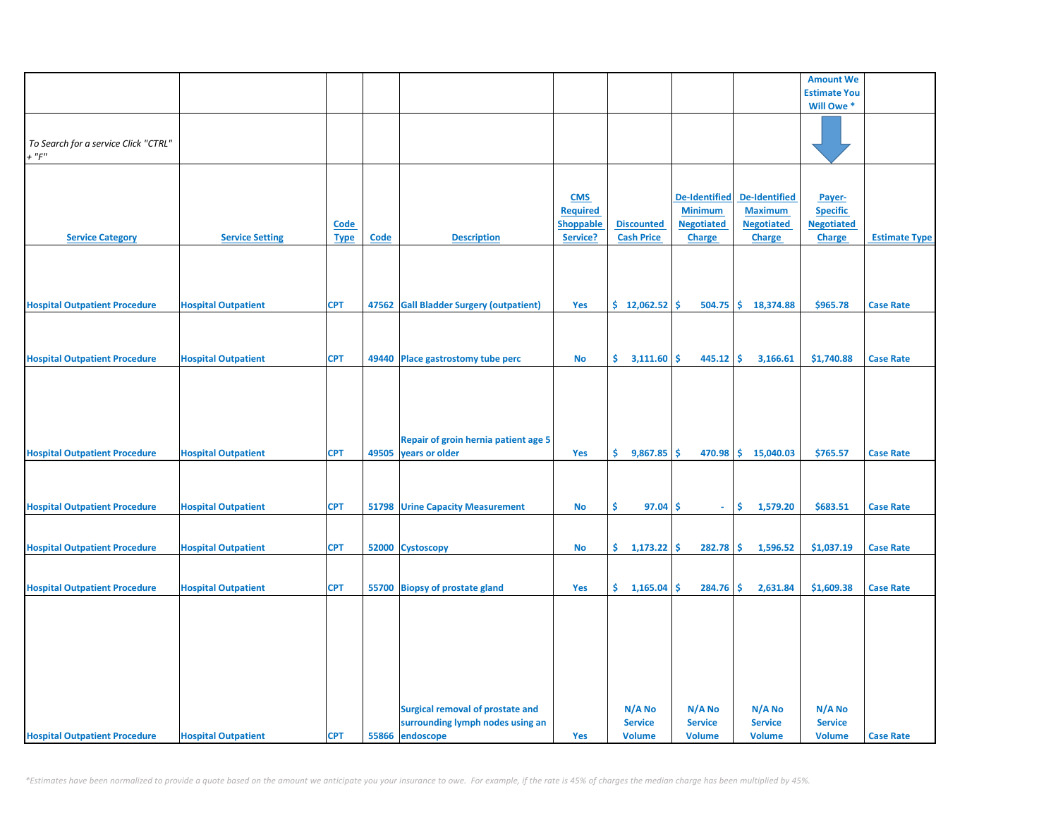|                                                     |                            |                            |       |                                                                                                |                                                               |                                           |                                                                       |                                                                       | <b>Amount We</b>                                                |                      |
|-----------------------------------------------------|----------------------------|----------------------------|-------|------------------------------------------------------------------------------------------------|---------------------------------------------------------------|-------------------------------------------|-----------------------------------------------------------------------|-----------------------------------------------------------------------|-----------------------------------------------------------------|----------------------|
|                                                     |                            |                            |       |                                                                                                |                                                               |                                           |                                                                       |                                                                       | <b>Estimate You</b>                                             |                      |
|                                                     |                            |                            |       |                                                                                                |                                                               |                                           |                                                                       |                                                                       | Will Owe *                                                      |                      |
| To Search for a service Click "CTRL"<br>$+$ " $F$ " |                            |                            |       |                                                                                                |                                                               |                                           |                                                                       |                                                                       |                                                                 |                      |
| <b>Service Category</b>                             | <b>Service Setting</b>     | <b>Code</b><br><b>Type</b> | Code  | <b>Description</b>                                                                             | <b>CMS</b><br><b>Required</b><br><b>Shoppable</b><br>Service? | <b>Discounted</b><br><b>Cash Price</b>    | <b>De-Identified</b><br><b>Minimum</b><br><b>Negotiated</b><br>Charge | <b>De-Identified</b><br><b>Maximum</b><br><b>Negotiated</b><br>Charge | Payer-<br><b>Specific</b><br><b>Negotiated</b><br><b>Charge</b> | <b>Estimate Type</b> |
| <b>Hospital Outpatient Procedure</b>                | <b>Hospital Outpatient</b> | <b>CPT</b>                 | 47562 | <b>Gall Bladder Surgery (outpatient)</b>                                                       | Yes                                                           | \$12,062.52                               | Ŝ<br>504.75                                                           | \$18,374.88                                                           | \$965.78                                                        | <b>Case Rate</b>     |
|                                                     |                            |                            |       |                                                                                                |                                                               |                                           |                                                                       |                                                                       |                                                                 |                      |
| <b>Hospital Outpatient Procedure</b>                | <b>Hospital Outpatient</b> | <b>CPT</b>                 |       | 49440 Place gastrostomy tube perc                                                              | No                                                            | \$.<br>3,111.60                           | \$<br>445.12                                                          | -\$<br>3,166.61                                                       | \$1,740.88                                                      | <b>Case Rate</b>     |
| <b>Hospital Outpatient Procedure</b>                | <b>Hospital Outpatient</b> | <b>CPT</b>                 | 49505 | Repair of groin hernia patient age 5<br>years or older                                         | Yes                                                           | \$.<br>$9,867.85$ \$                      |                                                                       | 470.98 \$ 15,040.03                                                   | \$765.57                                                        | <b>Case Rate</b>     |
| <b>Hospital Outpatient Procedure</b>                | <b>Hospital Outpatient</b> | <b>CPT</b>                 | 51798 | <b>Urine Capacity Measurement</b>                                                              | No                                                            | \$<br>97.04                               | \$<br>÷.                                                              | \$<br>1,579.20                                                        | \$683.51                                                        | <b>Case Rate</b>     |
| <b>Hospital Outpatient Procedure</b>                | <b>Hospital Outpatient</b> | <b>CPT</b>                 |       | 52000 Cystoscopy                                                                               | No                                                            | \$.<br>$1,173.22$ \$                      | 282.78                                                                | \$<br>1,596.52                                                        | \$1,037.19                                                      | <b>Case Rate</b>     |
| <b>Hospital Outpatient Procedure</b>                | <b>Hospital Outpatient</b> | <b>CPT</b>                 |       | 55700 Biopsy of prostate gland                                                                 | Yes                                                           | \$.<br>1,165.04                           | \$<br>284.76                                                          | \$<br>2,631.84                                                        | \$1,609.38                                                      | <b>Case Rate</b>     |
| <b>Hospital Outpatient Procedure</b>                | <b>Hospital Outpatient</b> | <b>CPT</b>                 |       | <b>Surgical removal of prostate and</b><br>surrounding lymph nodes using an<br>55866 endoscope | Yes                                                           | N/A No<br><b>Service</b><br><b>Volume</b> | N/A No<br><b>Service</b><br><b>Volume</b>                             | N/A No<br><b>Service</b><br><b>Volume</b>                             | $N/A$ No<br><b>Service</b><br><b>Volume</b>                     | <b>Case Rate</b>     |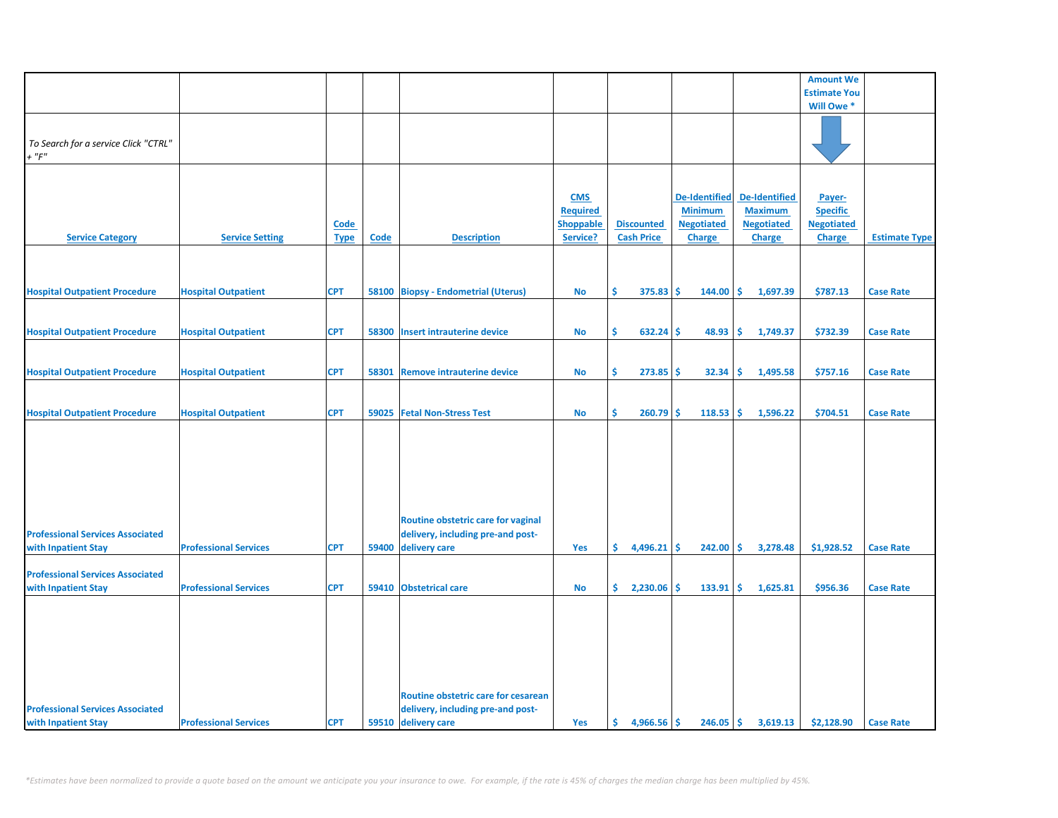|                                                                |                              |                     |       |                                                                         |                                                               |                                        |                                                                              |                                                                              | <b>Amount We</b>                                                |                      |
|----------------------------------------------------------------|------------------------------|---------------------|-------|-------------------------------------------------------------------------|---------------------------------------------------------------|----------------------------------------|------------------------------------------------------------------------------|------------------------------------------------------------------------------|-----------------------------------------------------------------|----------------------|
|                                                                |                              |                     |       |                                                                         |                                                               |                                        |                                                                              |                                                                              | <b>Estimate You</b>                                             |                      |
|                                                                |                              |                     |       |                                                                         |                                                               |                                        |                                                                              |                                                                              | Will Owe *                                                      |                      |
| To Search for a service Click "CTRL"<br>$+$ " $F$ "            |                              |                     |       |                                                                         |                                                               |                                        |                                                                              |                                                                              |                                                                 |                      |
| <b>Service Category</b>                                        | <b>Service Setting</b>       | Code<br><b>Type</b> | Code  | <b>Description</b>                                                      | <b>CMS</b><br><b>Required</b><br><b>Shoppable</b><br>Service? | <b>Discounted</b><br><b>Cash Price</b> | <b>De-Identified</b><br><b>Minimum</b><br><b>Negotiated</b><br><b>Charge</b> | <b>De-Identified</b><br><b>Maximum</b><br><b>Negotiated</b><br><b>Charge</b> | Payer-<br><b>Specific</b><br><b>Negotiated</b><br><b>Charge</b> | <b>Estimate Type</b> |
|                                                                |                              |                     |       |                                                                         |                                                               |                                        |                                                                              |                                                                              |                                                                 |                      |
| <b>Hospital Outpatient Procedure</b>                           | <b>Hospital Outpatient</b>   | <b>CPT</b>          |       | 58100 Biopsy - Endometrial (Uterus)                                     | No                                                            | Ś.<br>$375.83$ \$                      | $144.00$ \$                                                                  | 1,697.39                                                                     | \$787.13                                                        | <b>Case Rate</b>     |
| <b>Hospital Outpatient Procedure</b>                           | <b>Hospital Outpatient</b>   | <b>CPT</b>          | 58300 | <b>Insert intrauterine device</b>                                       | <b>No</b>                                                     | Ŝ.<br>632.24                           | 48.93<br>-Ś                                                                  | ١Ś<br>1,749.37                                                               | \$732.39                                                        | <b>Case Rate</b>     |
| <b>Hospital Outpatient Procedure</b>                           | <b>Hospital Outpatient</b>   | <b>CPT</b>          | 58301 | <b>Remove intrauterine device</b>                                       | <b>No</b>                                                     | Ŝ.<br>273.85                           | -Ś<br>32.34                                                                  | l\$<br>1,495.58                                                              | \$757.16                                                        | <b>Case Rate</b>     |
| <b>Hospital Outpatient Procedure</b>                           | <b>Hospital Outpatient</b>   | <b>CPT</b>          |       | 59025 Fetal Non-Stress Test                                             | No                                                            | \$<br>260.79                           | -\$<br>118.53                                                                | 1,596.22<br>١\$                                                              | \$704.51                                                        | <b>Case Rate</b>     |
|                                                                |                              |                     |       |                                                                         |                                                               |                                        |                                                                              |                                                                              |                                                                 |                      |
| <b>Professional Services Associated</b>                        |                              |                     |       | Routine obstetric care for vaginal<br>delivery, including pre-and post- |                                                               |                                        |                                                                              |                                                                              |                                                                 |                      |
| with Inpatient Stay                                            | <b>Professional Services</b> | <b>CPT</b>          | 59400 | delivery care                                                           | Yes                                                           | \$.<br>4,496.21                        | -\$<br>$242.00$ \$                                                           | 3,278.48                                                                     | \$1,928.52                                                      | <b>Case Rate</b>     |
| <b>Professional Services Associated</b>                        | <b>Professional Services</b> | <b>CPT</b>          |       | 59410 Obstetrical care                                                  |                                                               | \$.<br>2,230.06                        | -Ś<br>133.91                                                                 | 1,625.81<br>-Ś                                                               | \$956.36                                                        |                      |
| with Inpatient Stay                                            |                              |                     |       | Routine obstetric care for cesarean                                     | No                                                            |                                        |                                                                              |                                                                              |                                                                 | <b>Case Rate</b>     |
| <b>Professional Services Associated</b><br>with Inpatient Stay | <b>Professional Services</b> | <b>CPT</b>          |       | delivery, including pre-and post-<br>59510 delivery care                | Yes                                                           | Ś.<br>$4,966.56$ \$                    | $246.05$ \$                                                                  | 3,619.13                                                                     | \$2,128.90                                                      | <b>Case Rate</b>     |
|                                                                |                              |                     |       |                                                                         |                                                               |                                        |                                                                              |                                                                              |                                                                 |                      |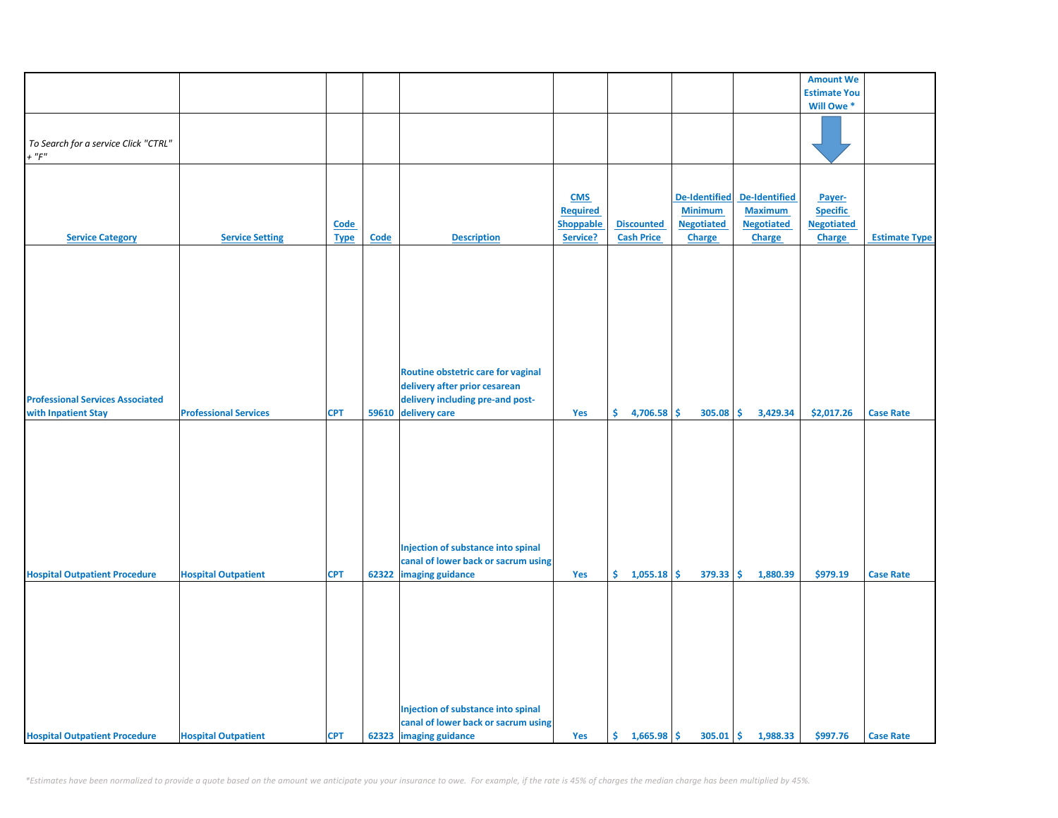|                                         |                              |             |       |                                     |                  |                   |                      |                      | <b>Amount We</b>    |                      |
|-----------------------------------------|------------------------------|-------------|-------|-------------------------------------|------------------|-------------------|----------------------|----------------------|---------------------|----------------------|
|                                         |                              |             |       |                                     |                  |                   |                      |                      |                     |                      |
|                                         |                              |             |       |                                     |                  |                   |                      |                      | <b>Estimate You</b> |                      |
|                                         |                              |             |       |                                     |                  |                   |                      |                      | Will Owe *          |                      |
|                                         |                              |             |       |                                     |                  |                   |                      |                      |                     |                      |
|                                         |                              |             |       |                                     |                  |                   |                      |                      |                     |                      |
| To Search for a service Click "CTRL"    |                              |             |       |                                     |                  |                   |                      |                      |                     |                      |
| $+$ " $F$ "                             |                              |             |       |                                     |                  |                   |                      |                      |                     |                      |
|                                         |                              |             |       |                                     |                  |                   |                      |                      |                     |                      |
|                                         |                              |             |       |                                     |                  |                   |                      |                      |                     |                      |
|                                         |                              |             |       |                                     | <b>CMS</b>       |                   | <b>De-Identified</b> | <b>De-Identified</b> | Payer-              |                      |
|                                         |                              |             |       |                                     | <b>Required</b>  |                   | <b>Minimum</b>       | <b>Maximum</b>       | <b>Specific</b>     |                      |
|                                         |                              | Code        |       |                                     | <b>Shoppable</b> | <b>Discounted</b> | <b>Negotiated</b>    | <b>Negotiated</b>    | <b>Negotiated</b>   |                      |
| <b>Service Category</b>                 | <b>Service Setting</b>       | <b>Type</b> | Code  | <b>Description</b>                  | Service?         | <b>Cash Price</b> | <b>Charge</b>        | Charge               | Charge              | <b>Estimate Type</b> |
|                                         |                              |             |       |                                     |                  |                   |                      |                      |                     |                      |
|                                         |                              |             |       |                                     |                  |                   |                      |                      |                     |                      |
|                                         |                              |             |       |                                     |                  |                   |                      |                      |                     |                      |
|                                         |                              |             |       |                                     |                  |                   |                      |                      |                     |                      |
|                                         |                              |             |       |                                     |                  |                   |                      |                      |                     |                      |
|                                         |                              |             |       |                                     |                  |                   |                      |                      |                     |                      |
|                                         |                              |             |       |                                     |                  |                   |                      |                      |                     |                      |
|                                         |                              |             |       |                                     |                  |                   |                      |                      |                     |                      |
|                                         |                              |             |       |                                     |                  |                   |                      |                      |                     |                      |
|                                         |                              |             |       |                                     |                  |                   |                      |                      |                     |                      |
|                                         |                              |             |       |                                     |                  |                   |                      |                      |                     |                      |
|                                         |                              |             |       | Routine obstetric care for vaginal  |                  |                   |                      |                      |                     |                      |
|                                         |                              |             |       | delivery after prior cesarean       |                  |                   |                      |                      |                     |                      |
| <b>Professional Services Associated</b> |                              |             |       | delivery including pre-and post-    |                  |                   |                      |                      |                     |                      |
| with Inpatient Stay                     | <b>Professional Services</b> | <b>CPT</b>  | 59610 | delivery care                       | Yes              | \$<br>4,706.58    | \$<br>305.08         | \$<br>3,429.34       | \$2,017.26          | <b>Case Rate</b>     |
|                                         |                              |             |       |                                     |                  |                   |                      |                      |                     |                      |
|                                         |                              |             |       |                                     |                  |                   |                      |                      |                     |                      |
|                                         |                              |             |       |                                     |                  |                   |                      |                      |                     |                      |
|                                         |                              |             |       |                                     |                  |                   |                      |                      |                     |                      |
|                                         |                              |             |       |                                     |                  |                   |                      |                      |                     |                      |
|                                         |                              |             |       |                                     |                  |                   |                      |                      |                     |                      |
|                                         |                              |             |       |                                     |                  |                   |                      |                      |                     |                      |
|                                         |                              |             |       |                                     |                  |                   |                      |                      |                     |                      |
|                                         |                              |             |       |                                     |                  |                   |                      |                      |                     |                      |
|                                         |                              |             |       |                                     |                  |                   |                      |                      |                     |                      |
|                                         |                              |             |       |                                     |                  |                   |                      |                      |                     |                      |
|                                         |                              |             |       | Injection of substance into spinal  |                  |                   |                      |                      |                     |                      |
|                                         |                              |             |       | canal of lower back or sacrum using |                  |                   |                      |                      |                     |                      |
| <b>Hospital Outpatient Procedure</b>    | <b>Hospital Outpatient</b>   | <b>CPT</b>  | 62322 | imaging guidance                    | Yes              | \$.<br>1,055.18   | \$<br>379.33         | \$<br>1,880.39       | \$979.19            | <b>Case Rate</b>     |
|                                         |                              |             |       |                                     |                  |                   |                      |                      |                     |                      |
|                                         |                              |             |       |                                     |                  |                   |                      |                      |                     |                      |
|                                         |                              |             |       |                                     |                  |                   |                      |                      |                     |                      |
|                                         |                              |             |       |                                     |                  |                   |                      |                      |                     |                      |
|                                         |                              |             |       |                                     |                  |                   |                      |                      |                     |                      |
|                                         |                              |             |       |                                     |                  |                   |                      |                      |                     |                      |
|                                         |                              |             |       |                                     |                  |                   |                      |                      |                     |                      |
|                                         |                              |             |       |                                     |                  |                   |                      |                      |                     |                      |
|                                         |                              |             |       |                                     |                  |                   |                      |                      |                     |                      |
|                                         |                              |             |       |                                     |                  |                   |                      |                      |                     |                      |
|                                         |                              |             |       |                                     |                  |                   |                      |                      |                     |                      |
|                                         |                              |             |       | Injection of substance into spinal  |                  |                   |                      |                      |                     |                      |
|                                         |                              |             |       | canal of lower back or sacrum using |                  |                   |                      |                      |                     |                      |
| <b>Hospital Outpatient Procedure</b>    | <b>Hospital Outpatient</b>   | <b>CPT</b>  |       | 62323 imaging guidance              | Yes              | \$1,665.98        | $305.01$ \$          | 1,988.33             | \$997.76            | <b>Case Rate</b>     |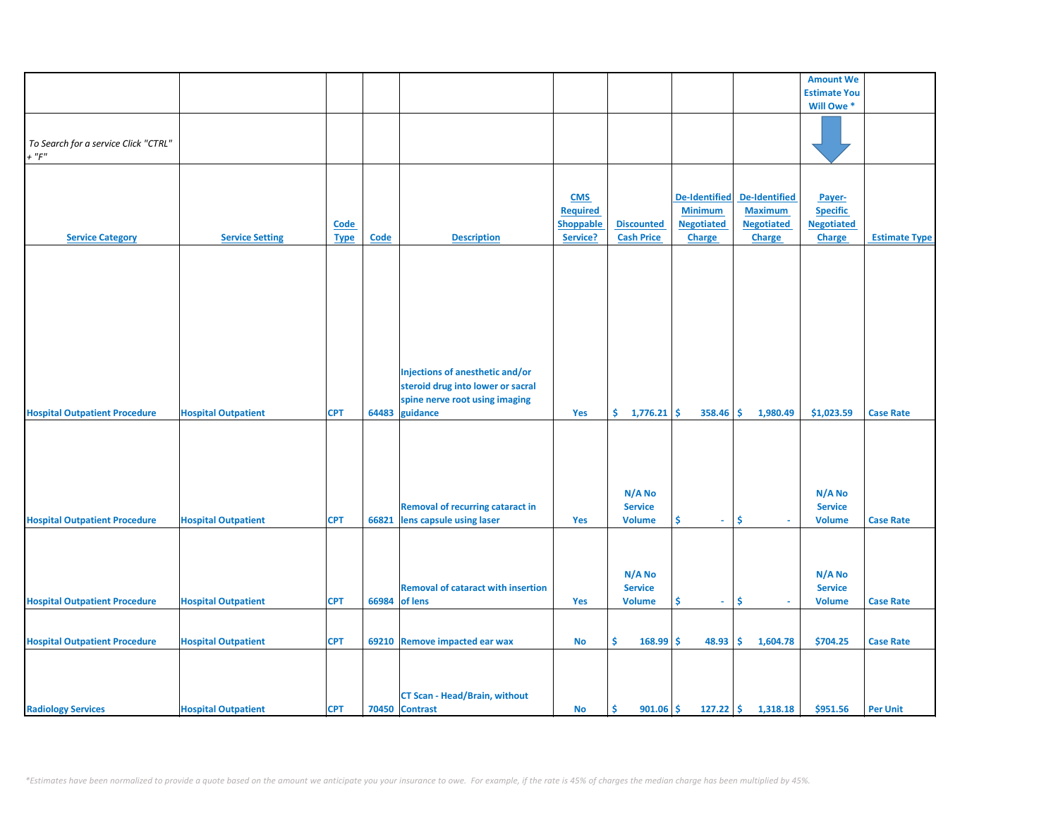|                                      |                            |             |             |                                           |                 |                      |                      |                   | <b>Amount We</b>    |                      |
|--------------------------------------|----------------------------|-------------|-------------|-------------------------------------------|-----------------|----------------------|----------------------|-------------------|---------------------|----------------------|
|                                      |                            |             |             |                                           |                 |                      |                      |                   | <b>Estimate You</b> |                      |
|                                      |                            |             |             |                                           |                 |                      |                      |                   | Will Owe *          |                      |
|                                      |                            |             |             |                                           |                 |                      |                      |                   |                     |                      |
|                                      |                            |             |             |                                           |                 |                      |                      |                   |                     |                      |
| To Search for a service Click "CTRL" |                            |             |             |                                           |                 |                      |                      |                   |                     |                      |
| $+$ " $F$ "                          |                            |             |             |                                           |                 |                      |                      |                   |                     |                      |
|                                      |                            |             |             |                                           |                 |                      |                      |                   |                     |                      |
|                                      |                            |             |             |                                           |                 |                      |                      |                   |                     |                      |
|                                      |                            |             |             |                                           |                 |                      |                      |                   |                     |                      |
|                                      |                            |             |             |                                           | <b>CMS</b>      |                      | <b>De-Identified</b> | De-Identified     | Payer-              |                      |
|                                      |                            |             |             |                                           | <b>Required</b> |                      | <b>Minimum</b>       | <b>Maximum</b>    | <b>Specific</b>     |                      |
|                                      |                            | <b>Code</b> |             |                                           | Shoppable       | <b>Discounted</b>    | <b>Negotiated</b>    | <b>Negotiated</b> | <b>Negotiated</b>   |                      |
| <b>Service Category</b>              | <b>Service Setting</b>     | <b>Type</b> | <b>Code</b> | <b>Description</b>                        | Service?        | <b>Cash Price</b>    | <b>Charge</b>        | <b>Charge</b>     | Charge              | <b>Estimate Type</b> |
|                                      |                            |             |             |                                           |                 |                      |                      |                   |                     |                      |
|                                      |                            |             |             |                                           |                 |                      |                      |                   |                     |                      |
|                                      |                            |             |             |                                           |                 |                      |                      |                   |                     |                      |
|                                      |                            |             |             |                                           |                 |                      |                      |                   |                     |                      |
|                                      |                            |             |             |                                           |                 |                      |                      |                   |                     |                      |
|                                      |                            |             |             |                                           |                 |                      |                      |                   |                     |                      |
|                                      |                            |             |             |                                           |                 |                      |                      |                   |                     |                      |
|                                      |                            |             |             |                                           |                 |                      |                      |                   |                     |                      |
|                                      |                            |             |             |                                           |                 |                      |                      |                   |                     |                      |
|                                      |                            |             |             |                                           |                 |                      |                      |                   |                     |                      |
|                                      |                            |             |             |                                           |                 |                      |                      |                   |                     |                      |
|                                      |                            |             |             | Injections of anesthetic and/or           |                 |                      |                      |                   |                     |                      |
|                                      |                            |             |             | steroid drug into lower or sacral         |                 |                      |                      |                   |                     |                      |
|                                      |                            |             |             | spine nerve root using imaging            |                 |                      |                      |                   |                     |                      |
| <b>Hospital Outpatient Procedure</b> | <b>Hospital Outpatient</b> | <b>CPT</b>  | 64483       | guidance                                  | Yes             | \$.<br>$1,776.21$ \$ | 358.46               | 1,980.49<br>-\$   | \$1,023.59          | <b>Case Rate</b>     |
|                                      |                            |             |             |                                           |                 |                      |                      |                   |                     |                      |
|                                      |                            |             |             |                                           |                 |                      |                      |                   |                     |                      |
|                                      |                            |             |             |                                           |                 |                      |                      |                   |                     |                      |
|                                      |                            |             |             |                                           |                 |                      |                      |                   |                     |                      |
|                                      |                            |             |             |                                           |                 |                      |                      |                   |                     |                      |
|                                      |                            |             |             |                                           |                 |                      |                      |                   |                     |                      |
|                                      |                            |             |             |                                           |                 | N/A No               |                      |                   | N/A No              |                      |
|                                      |                            |             |             | <b>Removal of recurring cataract in</b>   |                 | <b>Service</b>       |                      |                   | <b>Service</b>      |                      |
| <b>Hospital Outpatient Procedure</b> | <b>Hospital Outpatient</b> | <b>CPT</b>  | 66821       | lens capsule using laser                  | Yes             | <b>Volume</b>        | \$<br>$\omega$       | \$<br>$\sim$      | <b>Volume</b>       | <b>Case Rate</b>     |
|                                      |                            |             |             |                                           |                 |                      |                      |                   |                     |                      |
|                                      |                            |             |             |                                           |                 |                      |                      |                   |                     |                      |
|                                      |                            |             |             |                                           |                 |                      |                      |                   |                     |                      |
|                                      |                            |             |             |                                           |                 |                      |                      |                   |                     |                      |
|                                      |                            |             |             |                                           |                 | N/A No               |                      |                   | N/A No              |                      |
|                                      |                            |             |             | <b>Removal of cataract with insertion</b> |                 | <b>Service</b>       |                      |                   | <b>Service</b>      |                      |
| <b>Hospital Outpatient Procedure</b> | <b>Hospital Outpatient</b> | <b>CPT</b>  | 66984       | of lens                                   | Yes             | <b>Volume</b>        | \$<br>÷.             | \$                | <b>Volume</b>       | <b>Case Rate</b>     |
|                                      |                            |             |             |                                           |                 |                      |                      |                   |                     |                      |
|                                      |                            |             |             |                                           |                 |                      |                      |                   |                     |                      |
| <b>Hospital Outpatient Procedure</b> | <b>Hospital Outpatient</b> | <b>CPT</b>  |             | 69210 Remove impacted ear wax             | No              | \$<br>168.99         | \$<br>48.93          | \$.<br>1,604.78   | \$704.25            | <b>Case Rate</b>     |
|                                      |                            |             |             |                                           |                 |                      |                      |                   |                     |                      |
|                                      |                            |             |             |                                           |                 |                      |                      |                   |                     |                      |
|                                      |                            |             |             |                                           |                 |                      |                      |                   |                     |                      |
|                                      |                            |             |             |                                           |                 |                      |                      |                   |                     |                      |
|                                      |                            |             |             | <b>CT Scan - Head/Brain, without</b>      |                 |                      |                      |                   |                     |                      |
| <b>Radiology Services</b>            | <b>Hospital Outpatient</b> | <b>CPT</b>  |             | 70450 Contrast                            | No              | \$.<br>$901.06$ \$   | $127.22$ \$          | 1,318.18          | \$951.56            | <b>Per Unit</b>      |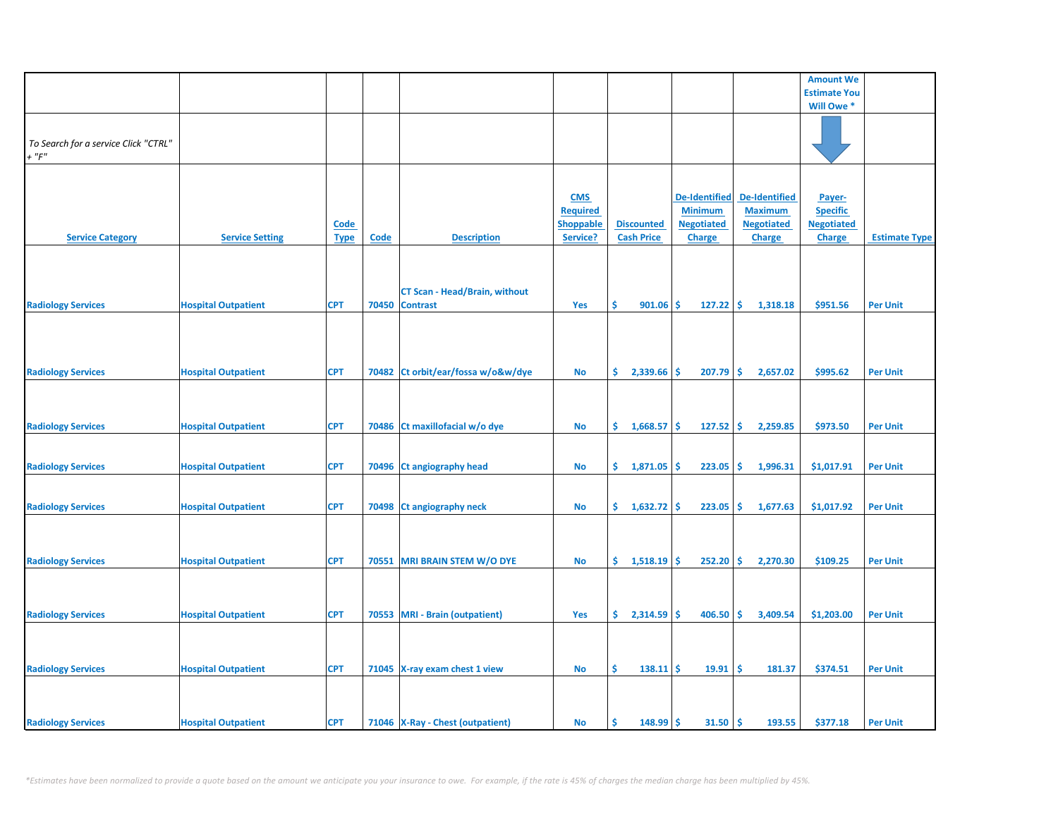|                                                     |                            |                            |       |                                                         |                                                               |                                        |                                                                              |                                                                              | <b>Amount We</b>                                                |                      |
|-----------------------------------------------------|----------------------------|----------------------------|-------|---------------------------------------------------------|---------------------------------------------------------------|----------------------------------------|------------------------------------------------------------------------------|------------------------------------------------------------------------------|-----------------------------------------------------------------|----------------------|
|                                                     |                            |                            |       |                                                         |                                                               |                                        |                                                                              |                                                                              | <b>Estimate You</b>                                             |                      |
|                                                     |                            |                            |       |                                                         |                                                               |                                        |                                                                              |                                                                              | Will Owe *                                                      |                      |
| To Search for a service Click "CTRL"<br>$+$ " $F$ " |                            |                            |       |                                                         |                                                               |                                        |                                                                              |                                                                              |                                                                 |                      |
| <b>Service Category</b>                             | <b>Service Setting</b>     | <b>Code</b><br><b>Type</b> | Code  | <b>Description</b>                                      | <b>CMS</b><br><b>Required</b><br><b>Shoppable</b><br>Service? | <b>Discounted</b><br><b>Cash Price</b> | <b>De-Identified</b><br><b>Minimum</b><br><b>Negotiated</b><br><b>Charge</b> | <b>De-Identified</b><br><b>Maximum</b><br><b>Negotiated</b><br><b>Charge</b> | Payer-<br><b>Specific</b><br><b>Negotiated</b><br><b>Charge</b> | <b>Estimate Type</b> |
| <b>Radiology Services</b>                           | <b>Hospital Outpatient</b> | <b>CPT</b>                 | 70450 | <b>CT Scan - Head/Brain, without</b><br><b>Contrast</b> | Yes                                                           | \$<br>901.06                           | 127.22<br>\$                                                                 | \$<br>1,318.18                                                               | \$951.56                                                        | <b>Per Unit</b>      |
| <b>Radiology Services</b>                           | <b>Hospital Outpatient</b> | <b>CPT</b>                 | 70482 | Ct orbit/ear/fossa w/o&w/dye                            | <b>No</b>                                                     | \$.<br>2,339.66                        | \$<br>207.79                                                                 | Ŝ.<br>2,657.02                                                               | \$995.62                                                        | <b>Per Unit</b>      |
| <b>Radiology Services</b>                           | <b>Hospital Outpatient</b> | <b>CPT</b>                 |       | 70486 Ct maxillofacial w/o dye                          | No                                                            | \$.<br>1,668.57                        | \$<br>127.52                                                                 | \$.<br>2,259.85                                                              | \$973.50                                                        | <b>Per Unit</b>      |
| <b>Radiology Services</b>                           | <b>Hospital Outpatient</b> | <b>CPT</b>                 | 70496 | Ct angiography head                                     | <b>No</b>                                                     | \$.<br>1,871.05                        | 223.05<br>\$                                                                 | \$<br>1,996.31                                                               | \$1,017.91                                                      | <b>Per Unit</b>      |
| <b>Radiology Services</b>                           | <b>Hospital Outpatient</b> | <b>CPT</b>                 |       | 70498 Ct angiography neck                               | No                                                            | \$.<br>1,632.72                        | \$<br>223.05                                                                 | \$<br>1,677.63                                                               | \$1,017.92                                                      | <b>Per Unit</b>      |
| <b>Radiology Services</b>                           | <b>Hospital Outpatient</b> | <b>CPT</b>                 |       | 70551 MRI BRAIN STEM W/O DYE                            | <b>No</b>                                                     | \$.<br>1,518.19                        | Ŝ.<br>252.20                                                                 | \$<br>2,270.30                                                               | \$109.25                                                        | <b>Per Unit</b>      |
| <b>Radiology Services</b>                           | <b>Hospital Outpatient</b> | <b>CPT</b>                 |       | 70553 MRI - Brain (outpatient)                          | Yes                                                           | \$.<br>2,314.59                        | 406.50<br>\$.                                                                | Ŝ.<br>3,409.54                                                               | \$1,203.00                                                      | <b>Per Unit</b>      |
| <b>Radiology Services</b>                           | <b>Hospital Outpatient</b> | <b>CPT</b>                 |       | 71045 X-ray exam chest 1 view                           | No                                                            | \$<br>$138.11$ \$                      | 19.91                                                                        | \$<br>181.37                                                                 | \$374.51                                                        | <b>Per Unit</b>      |
| <b>Radiology Services</b>                           | <b>Hospital Outpatient</b> | <b>CPT</b>                 |       | 71046 X-Ray - Chest (outpatient)                        | No                                                            | Ś<br>148.99                            | 31.50<br>\$                                                                  | \$<br>193.55                                                                 | \$377.18                                                        | <b>Per Unit</b>      |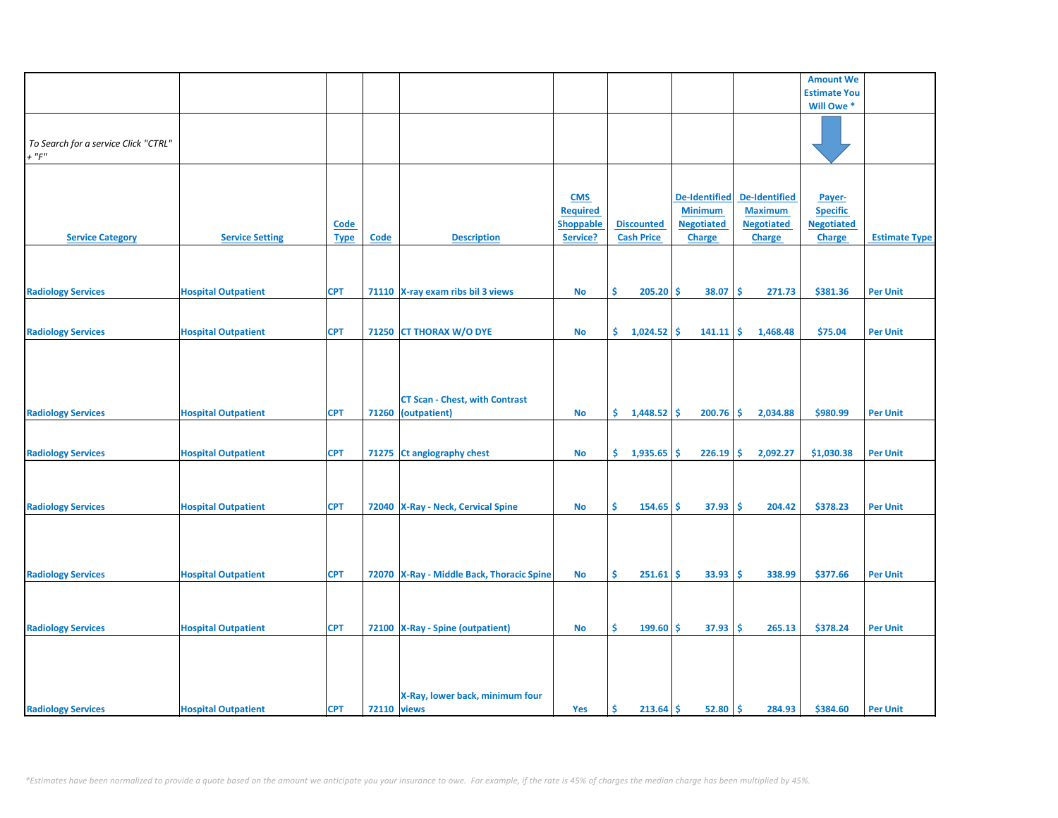|                                      |                            |             |                    |                                           |                  |                   |                      |                      | <b>Amount We</b>    |                      |
|--------------------------------------|----------------------------|-------------|--------------------|-------------------------------------------|------------------|-------------------|----------------------|----------------------|---------------------|----------------------|
|                                      |                            |             |                    |                                           |                  |                   |                      |                      | <b>Estimate You</b> |                      |
|                                      |                            |             |                    |                                           |                  |                   |                      |                      | Will Owe*           |                      |
|                                      |                            |             |                    |                                           |                  |                   |                      |                      |                     |                      |
|                                      |                            |             |                    |                                           |                  |                   |                      |                      |                     |                      |
| To Search for a service Click "CTRL" |                            |             |                    |                                           |                  |                   |                      |                      |                     |                      |
| $+$ " $F$ "                          |                            |             |                    |                                           |                  |                   |                      |                      |                     |                      |
|                                      |                            |             |                    |                                           |                  |                   |                      |                      |                     |                      |
|                                      |                            |             |                    |                                           |                  |                   |                      |                      |                     |                      |
|                                      |                            |             |                    |                                           |                  |                   |                      |                      |                     |                      |
|                                      |                            |             |                    |                                           | <b>CMS</b>       |                   | <b>De-Identified</b> | <b>De-Identified</b> | Payer-              |                      |
|                                      |                            |             |                    |                                           | <b>Required</b>  |                   | <b>Minimum</b>       | <b>Maximum</b>       | <b>Specific</b>     |                      |
|                                      |                            |             |                    |                                           |                  |                   |                      |                      |                     |                      |
|                                      |                            | <b>Code</b> |                    |                                           | <b>Shoppable</b> | <b>Discounted</b> | <b>Negotiated</b>    | <b>Negotiated</b>    | <b>Negotiated</b>   |                      |
| <b>Service Category</b>              | <b>Service Setting</b>     | <b>Type</b> | Code               | <b>Description</b>                        | Service?         | <b>Cash Price</b> | <b>Charge</b>        | <b>Charge</b>        | <b>Charge</b>       | <b>Estimate Type</b> |
|                                      |                            |             |                    |                                           |                  |                   |                      |                      |                     |                      |
|                                      |                            |             |                    |                                           |                  |                   |                      |                      |                     |                      |
|                                      |                            |             |                    |                                           |                  |                   |                      |                      |                     |                      |
|                                      |                            | <b>CPT</b>  |                    |                                           |                  | \$<br>205.20      | -\$<br>38.07         | -\$<br>271.73        | \$381.36            | <b>Per Unit</b>      |
| <b>Radiology Services</b>            | <b>Hospital Outpatient</b> |             |                    | 71110 X-ray exam ribs bil 3 views         | <b>No</b>        |                   |                      |                      |                     |                      |
|                                      |                            |             |                    |                                           |                  |                   |                      |                      |                     |                      |
|                                      |                            |             |                    |                                           |                  |                   |                      |                      |                     |                      |
| <b>Radiology Services</b>            | <b>Hospital Outpatient</b> | <b>CPT</b>  |                    | 71250 CT THORAX W/O DYE                   | <b>No</b>        | \$.<br>1,024.52   | Ŝ.<br>141.11         | \$<br>1,468.48       | \$75.04             | <b>Per Unit</b>      |
|                                      |                            |             |                    |                                           |                  |                   |                      |                      |                     |                      |
|                                      |                            |             |                    |                                           |                  |                   |                      |                      |                     |                      |
|                                      |                            |             |                    |                                           |                  |                   |                      |                      |                     |                      |
|                                      |                            |             |                    |                                           |                  |                   |                      |                      |                     |                      |
|                                      |                            |             |                    |                                           |                  |                   |                      |                      |                     |                      |
|                                      |                            |             |                    | <b>CT Scan - Chest, with Contrast</b>     |                  |                   |                      |                      |                     |                      |
| <b>Radiology Services</b>            | <b>Hospital Outpatient</b> | <b>CPT</b>  | 71260              | (outpatient)                              | <b>No</b>        | \$.<br>1,448.52   | 200.76<br>-\$        | -\$<br>2,034.88      | \$980.99            | <b>Per Unit</b>      |
|                                      |                            |             |                    |                                           |                  |                   |                      |                      |                     |                      |
|                                      |                            |             |                    |                                           |                  |                   |                      |                      |                     |                      |
|                                      |                            |             |                    |                                           |                  |                   |                      |                      |                     |                      |
| <b>Radiology Services</b>            | <b>Hospital Outpatient</b> | <b>CPT</b>  |                    | 71275 Ct angiography chest                | No               | \$.<br>1,935.65   | 226.19<br>\$         | -\$<br>2,092.27      | \$1,030.38          | <b>Per Unit</b>      |
|                                      |                            |             |                    |                                           |                  |                   |                      |                      |                     |                      |
|                                      |                            |             |                    |                                           |                  |                   |                      |                      |                     |                      |
|                                      |                            |             |                    |                                           |                  |                   |                      |                      |                     |                      |
|                                      |                            |             |                    |                                           |                  |                   |                      |                      |                     |                      |
| <b>Radiology Services</b>            | <b>Hospital Outpatient</b> | <b>CPT</b>  |                    | 72040 X-Ray - Neck, Cervical Spine        | <b>No</b>        | \$<br>154.65      | 37.93<br>-\$         | -\$<br>204.42        | \$378.23            | <b>Per Unit</b>      |
|                                      |                            |             |                    |                                           |                  |                   |                      |                      |                     |                      |
|                                      |                            |             |                    |                                           |                  |                   |                      |                      |                     |                      |
|                                      |                            |             |                    |                                           |                  |                   |                      |                      |                     |                      |
|                                      |                            |             |                    |                                           |                  |                   |                      |                      |                     |                      |
|                                      |                            |             |                    |                                           |                  | \$.               |                      |                      |                     |                      |
| <b>Radiology Services</b>            | <b>Hospital Outpatient</b> | <b>CPT</b>  |                    | 72070 X-Ray - Middle Back, Thoracic Spine | <b>No</b>        | $251.61$ \$       | 33.93                | -\$<br>338.99        | \$377.66            | <b>Per Unit</b>      |
|                                      |                            |             |                    |                                           |                  |                   |                      |                      |                     |                      |
|                                      |                            |             |                    |                                           |                  |                   |                      |                      |                     |                      |
|                                      |                            |             |                    |                                           |                  |                   |                      |                      |                     |                      |
| <b>Radiology Services</b>            | <b>Hospital Outpatient</b> | <b>CPT</b>  |                    | 72100 X-Ray - Spine (outpatient)          | <b>No</b>        | Ŝ.<br>199.60      | Ŝ.<br>37.93          | -\$<br>265.13        | \$378.24            | <b>Per Unit</b>      |
|                                      |                            |             |                    |                                           |                  |                   |                      |                      |                     |                      |
|                                      |                            |             |                    |                                           |                  |                   |                      |                      |                     |                      |
|                                      |                            |             |                    |                                           |                  |                   |                      |                      |                     |                      |
|                                      |                            |             |                    |                                           |                  |                   |                      |                      |                     |                      |
|                                      |                            |             |                    |                                           |                  |                   |                      |                      |                     |                      |
|                                      |                            |             |                    | X-Ray, lower back, minimum four           |                  |                   |                      |                      |                     |                      |
| <b>Radiology Services</b>            |                            | <b>CPT</b>  | <b>72110</b> views |                                           |                  | Ŝ<br>$213.64$ \$  | 52.80                | ١\$<br>284.93        | \$384.60            |                      |
|                                      | <b>Hospital Outpatient</b> |             |                    |                                           | Yes              |                   |                      |                      |                     | <b>Per Unit</b>      |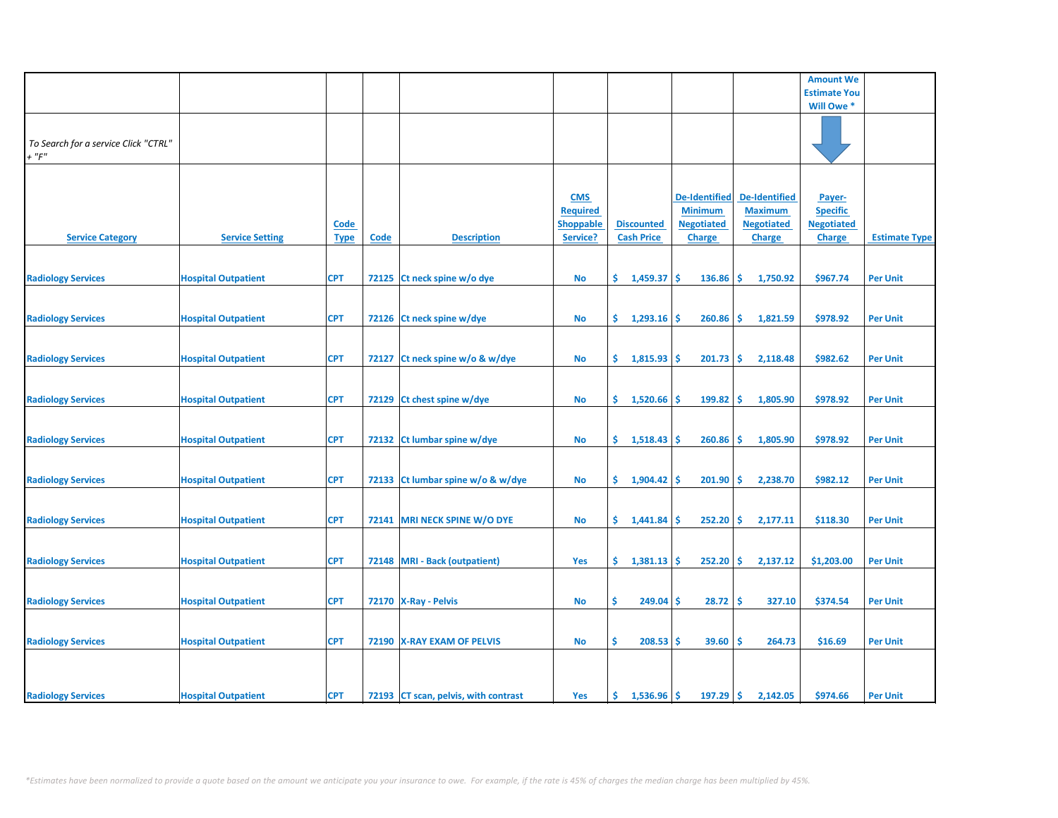|                                      |                            |             |       |                                      |                               |                      |                                     |                                        | <b>Amount We</b>          |                      |
|--------------------------------------|----------------------------|-------------|-------|--------------------------------------|-------------------------------|----------------------|-------------------------------------|----------------------------------------|---------------------------|----------------------|
|                                      |                            |             |       |                                      |                               |                      |                                     |                                        | <b>Estimate You</b>       |                      |
|                                      |                            |             |       |                                      |                               |                      |                                     |                                        | Will Owe *                |                      |
|                                      |                            |             |       |                                      |                               |                      |                                     |                                        |                           |                      |
|                                      |                            |             |       |                                      |                               |                      |                                     |                                        |                           |                      |
| To Search for a service Click "CTRL" |                            |             |       |                                      |                               |                      |                                     |                                        |                           |                      |
| $+$ " $F$ "                          |                            |             |       |                                      |                               |                      |                                     |                                        |                           |                      |
|                                      |                            |             |       |                                      |                               |                      |                                     |                                        |                           |                      |
|                                      |                            |             |       |                                      |                               |                      |                                     |                                        |                           |                      |
|                                      |                            |             |       |                                      | <b>CMS</b><br><b>Required</b> |                      | <b>De-Identified</b>                | <b>De-Identified</b><br><b>Maximum</b> | Payer-<br><b>Specific</b> |                      |
|                                      |                            |             |       |                                      |                               | <b>Discounted</b>    | <b>Minimum</b><br><b>Negotiated</b> | <b>Negotiated</b>                      | <b>Negotiated</b>         |                      |
| <b>Service Category</b>              | <b>Service Setting</b>     | <b>Code</b> | Code  | <b>Description</b>                   | <b>Shoppable</b><br>Service?  | <b>Cash Price</b>    |                                     |                                        |                           | <b>Estimate Type</b> |
|                                      |                            | <b>Type</b> |       |                                      |                               |                      | <b>Charge</b>                       | <b>Charge</b>                          | <b>Charge</b>             |                      |
|                                      |                            |             |       |                                      |                               |                      |                                     |                                        |                           |                      |
| <b>Radiology Services</b>            | <b>Hospital Outpatient</b> | <b>CPT</b>  |       | 72125 Ct neck spine w/o dye          | No                            | \$.<br>1,459.37      | <b>S</b><br>136.86                  | -\$<br>1,750.92                        | \$967.74                  | <b>Per Unit</b>      |
|                                      |                            |             |       |                                      |                               |                      |                                     |                                        |                           |                      |
|                                      |                            |             |       |                                      |                               |                      |                                     |                                        |                           |                      |
| <b>Radiology Services</b>            | <b>Hospital Outpatient</b> | <b>CPT</b>  |       | 72126 Ct neck spine w/dye            | No                            | \$.<br>$1,293.16$ \$ | 260.86                              | l\$<br>1,821.59                        | \$978.92                  | <b>Per Unit</b>      |
|                                      |                            |             |       |                                      |                               |                      |                                     |                                        |                           |                      |
|                                      |                            |             |       |                                      |                               |                      |                                     |                                        |                           |                      |
| <b>Radiology Services</b>            | <b>Hospital Outpatient</b> | <b>CPT</b>  | 72127 | Ct neck spine w/o & w/dye            | No                            | \$.<br>1,815.93      | 201.73<br><b>S</b>                  | -\$<br>2,118.48                        | \$982.62                  | <b>Per Unit</b>      |
|                                      |                            |             |       |                                      |                               |                      |                                     |                                        |                           |                      |
|                                      |                            |             |       |                                      |                               |                      |                                     |                                        |                           |                      |
| <b>Radiology Services</b>            | <b>Hospital Outpatient</b> | <b>CPT</b>  |       | 72129 Ct chest spine w/dye           | <b>No</b>                     | \$.<br>1,520.66      | 199.82<br>\$.                       | -\$<br>1,805.90                        | \$978.92                  | <b>Per Unit</b>      |
|                                      |                            |             |       |                                      |                               |                      |                                     |                                        |                           |                      |
|                                      |                            |             |       |                                      |                               |                      |                                     |                                        |                           |                      |
| <b>Radiology Services</b>            | <b>Hospital Outpatient</b> | <b>CPT</b>  |       | 72132 Ct lumbar spine w/dye          | <b>No</b>                     | \$.<br>1,518.43      | 260.86<br><b>S</b>                  | -\$<br>1,805.90                        | \$978.92                  | <b>Per Unit</b>      |
|                                      |                            |             |       |                                      |                               |                      |                                     |                                        |                           |                      |
|                                      |                            |             |       |                                      |                               |                      |                                     |                                        |                           |                      |
| <b>Radiology Services</b>            | <b>Hospital Outpatient</b> | <b>CPT</b>  |       | 72133 Ct lumbar spine w/o & w/dye    | <b>No</b>                     | \$.<br>1,904.42      | 201.90<br>-\$                       | -\$<br>2,238.70                        | \$982.12                  | <b>Per Unit</b>      |
|                                      |                            |             |       |                                      |                               |                      |                                     |                                        |                           |                      |
|                                      |                            |             |       |                                      |                               |                      |                                     |                                        |                           |                      |
| <b>Radiology Services</b>            | <b>Hospital Outpatient</b> | <b>CPT</b>  |       | 72141 MRI NECK SPINE W/O DYE         | No                            | \$1,441.84           | $252.20$ \$<br>-S                   | 2,177.11                               | \$118.30                  | <b>Per Unit</b>      |
|                                      |                            |             |       |                                      |                               |                      |                                     |                                        |                           |                      |
|                                      |                            |             |       |                                      |                               |                      |                                     |                                        |                           |                      |
| <b>Radiology Services</b>            | <b>Hospital Outpatient</b> | <b>CPT</b>  |       | 72148 MRI - Back (outpatient)        | Yes                           | \$.<br>1,381.13      | <b>S</b><br>252.20                  | \$<br>2,137.12                         | \$1,203.00                | <b>Per Unit</b>      |
|                                      |                            |             |       |                                      |                               |                      |                                     |                                        |                           |                      |
| <b>Radiology Services</b>            | <b>Hospital Outpatient</b> | <b>CPT</b>  |       | 72170 X-Ray - Pelvis                 | No                            | \$<br>$249.04$ \$    | 28.72                               | -\$<br>327.10                          | \$374.54                  | <b>Per Unit</b>      |
|                                      |                            |             |       |                                      |                               |                      |                                     |                                        |                           |                      |
|                                      |                            |             |       |                                      |                               |                      |                                     |                                        |                           |                      |
| <b>Radiology Services</b>            | <b>Hospital Outpatient</b> | <b>CPT</b>  |       | 72190   X-RAY EXAM OF PELVIS         | <b>No</b>                     | \$<br>$208.53$ \$    | 39.60                               | 264.73<br>-\$                          | \$16.69                   | <b>Per Unit</b>      |
|                                      |                            |             |       |                                      |                               |                      |                                     |                                        |                           |                      |
|                                      |                            |             |       |                                      |                               |                      |                                     |                                        |                           |                      |
|                                      |                            |             |       |                                      |                               |                      |                                     |                                        |                           |                      |
| <b>Radiology Services</b>            | <b>Hospital Outpatient</b> | <b>CPT</b>  |       | 72193 CT scan, pelvis, with contrast | Yes                           | \$.<br>1,536.96      | 197.29<br>Ŝ.                        | -\$<br>2,142.05                        | \$974.66                  | <b>Per Unit</b>      |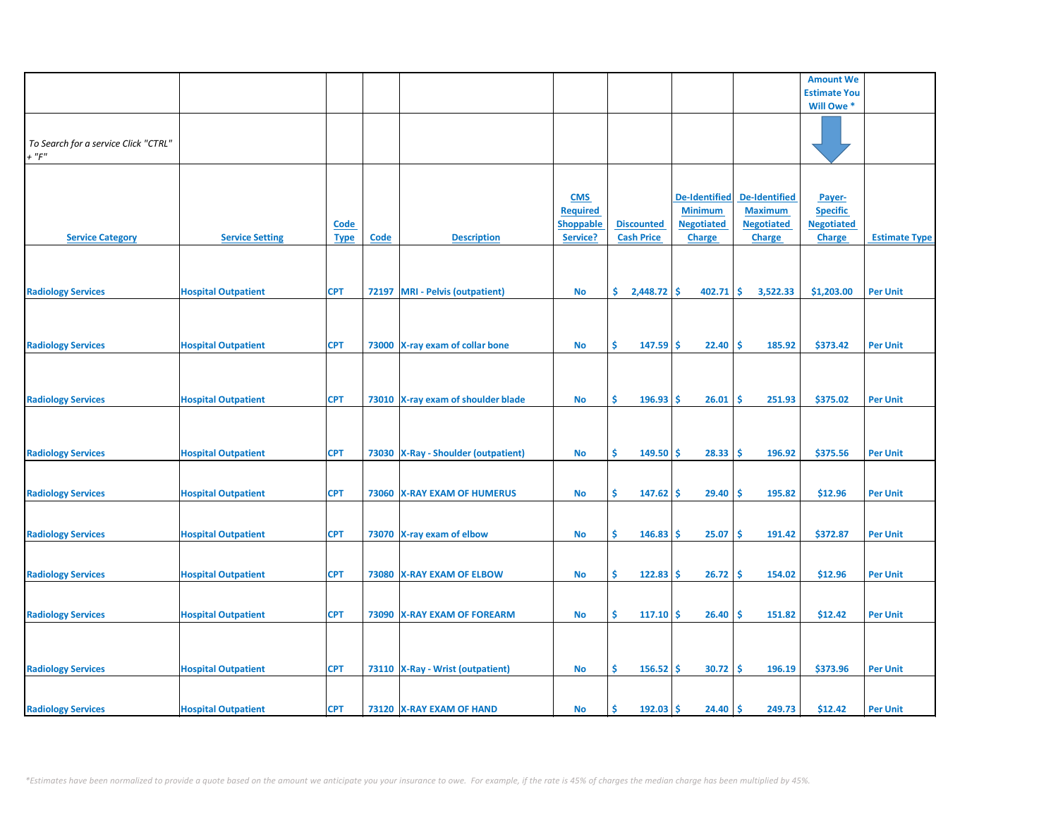|                                      |                            |             |      |                                       |                  |                   |                      |                      | <b>Amount We</b>    |                      |
|--------------------------------------|----------------------------|-------------|------|---------------------------------------|------------------|-------------------|----------------------|----------------------|---------------------|----------------------|
|                                      |                            |             |      |                                       |                  |                   |                      |                      | <b>Estimate You</b> |                      |
|                                      |                            |             |      |                                       |                  |                   |                      |                      | Will Owe *          |                      |
|                                      |                            |             |      |                                       |                  |                   |                      |                      |                     |                      |
|                                      |                            |             |      |                                       |                  |                   |                      |                      |                     |                      |
|                                      |                            |             |      |                                       |                  |                   |                      |                      |                     |                      |
| To Search for a service Click "CTRL" |                            |             |      |                                       |                  |                   |                      |                      |                     |                      |
| $+$ " $F$ "                          |                            |             |      |                                       |                  |                   |                      |                      |                     |                      |
|                                      |                            |             |      |                                       |                  |                   |                      |                      |                     |                      |
|                                      |                            |             |      |                                       |                  |                   |                      |                      |                     |                      |
|                                      |                            |             |      |                                       |                  |                   |                      |                      |                     |                      |
|                                      |                            |             |      |                                       | <b>CMS</b>       |                   | <b>De-Identified</b> | <b>De-Identified</b> | Payer-              |                      |
|                                      |                            |             |      |                                       | <b>Required</b>  |                   | <b>Minimum</b>       | <b>Maximum</b>       | <b>Specific</b>     |                      |
|                                      |                            |             |      |                                       |                  |                   |                      |                      |                     |                      |
|                                      |                            | <b>Code</b> |      |                                       | <b>Shoppable</b> | <b>Discounted</b> | <b>Negotiated</b>    | <b>Negotiated</b>    | <b>Negotiated</b>   |                      |
| <b>Service Category</b>              | <b>Service Setting</b>     | <b>Type</b> | Code | <b>Description</b>                    | Service?         | <b>Cash Price</b> | <b>Charge</b>        | <b>Charge</b>        | <b>Charge</b>       | <b>Estimate Type</b> |
|                                      |                            |             |      |                                       |                  |                   |                      |                      |                     |                      |
|                                      |                            |             |      |                                       |                  |                   |                      |                      |                     |                      |
|                                      |                            |             |      |                                       |                  |                   |                      |                      |                     |                      |
|                                      |                            |             |      |                                       |                  |                   |                      |                      |                     |                      |
| <b>Radiology Services</b>            | <b>Hospital Outpatient</b> | <b>CPT</b>  |      | 72197 MRI - Pelvis (outpatient)       | <b>No</b>        | \$<br>2,448.72    | \$<br>402.71         | -\$<br>3,522.33      | \$1,203.00          | <b>Per Unit</b>      |
|                                      |                            |             |      |                                       |                  |                   |                      |                      |                     |                      |
|                                      |                            |             |      |                                       |                  |                   |                      |                      |                     |                      |
|                                      |                            |             |      |                                       |                  |                   |                      |                      |                     |                      |
|                                      |                            |             |      |                                       |                  |                   |                      |                      |                     |                      |
| <b>Radiology Services</b>            | <b>Hospital Outpatient</b> | <b>CPT</b>  |      | 73000 X-ray exam of collar bone       | <b>No</b>        | \$<br>147.59      | 22.40<br><b>S</b>    | \$ ا<br>185.92       | \$373.42            | <b>Per Unit</b>      |
|                                      |                            |             |      |                                       |                  |                   |                      |                      |                     |                      |
|                                      |                            |             |      |                                       |                  |                   |                      |                      |                     |                      |
|                                      |                            |             |      |                                       |                  |                   |                      |                      |                     |                      |
|                                      |                            |             |      |                                       |                  |                   |                      |                      |                     |                      |
| <b>Radiology Services</b>            | <b>Hospital Outpatient</b> | <b>CPT</b>  |      | 73010 X-ray exam of shoulder blade    | <b>No</b>        | \$<br>196.93      | Ŝ.<br>26.01          | \$.<br>251.93        | \$375.02            | <b>Per Unit</b>      |
|                                      |                            |             |      |                                       |                  |                   |                      |                      |                     |                      |
|                                      |                            |             |      |                                       |                  |                   |                      |                      |                     |                      |
|                                      |                            |             |      |                                       |                  |                   |                      |                      |                     |                      |
|                                      |                            |             |      |                                       |                  |                   |                      |                      |                     |                      |
| <b>Radiology Services</b>            | <b>Hospital Outpatient</b> | <b>CPT</b>  |      | 73030   X-Ray - Shoulder (outpatient) | No               | \$<br>149.50      | Ŝ<br>28.33           | \$.<br>196.92        | \$375.56            | <b>Per Unit</b>      |
|                                      |                            |             |      |                                       |                  |                   |                      |                      |                     |                      |
|                                      |                            |             |      |                                       |                  |                   |                      |                      |                     |                      |
|                                      |                            |             |      |                                       |                  |                   |                      |                      |                     |                      |
| <b>Radiology Services</b>            | <b>Hospital Outpatient</b> | <b>CPT</b>  |      | 73060 X-RAY EXAM OF HUMERUS           | <b>No</b>        | \$<br>$147.62$ \$ | 29.40                | ۱\$<br>195.82        | \$12.96             | <b>Per Unit</b>      |
|                                      |                            |             |      |                                       |                  |                   |                      |                      |                     |                      |
|                                      |                            |             |      |                                       |                  |                   |                      |                      |                     |                      |
|                                      |                            |             |      |                                       |                  |                   |                      |                      |                     |                      |
| <b>Radiology Services</b>            | <b>Hospital Outpatient</b> | <b>CPT</b>  |      | 73070 X-ray exam of elbow             | <b>No</b>        | \$<br>146.83      | 25.07<br>-S          | -\$<br>191.42        | \$372.87            | <b>Per Unit</b>      |
|                                      |                            |             |      |                                       |                  |                   |                      |                      |                     |                      |
|                                      |                            |             |      |                                       |                  |                   |                      |                      |                     |                      |
|                                      |                            |             |      |                                       |                  |                   |                      |                      |                     |                      |
| <b>Radiology Services</b>            | <b>Hospital Outpatient</b> | <b>CPT</b>  |      | 73080 X-RAY EXAM OF ELBOW             | <b>No</b>        | \$<br>122.83      | 26.72<br>'\$         | \$<br>154.02         | \$12.96             | <b>Per Unit</b>      |
|                                      |                            |             |      |                                       |                  |                   |                      |                      |                     |                      |
|                                      |                            |             |      |                                       |                  |                   |                      |                      |                     |                      |
|                                      |                            |             |      |                                       |                  |                   |                      |                      |                     |                      |
| <b>Radiology Services</b>            | <b>Hospital Outpatient</b> | <b>CPT</b>  |      | 73090 X-RAY EXAM OF FOREARM           | <b>No</b>        | \$<br>$117.10$ \$ | 26.40                | ۱\$<br>151.82        | \$12.42             | <b>Per Unit</b>      |
|                                      |                            |             |      |                                       |                  |                   |                      |                      |                     |                      |
|                                      |                            |             |      |                                       |                  |                   |                      |                      |                     |                      |
|                                      |                            |             |      |                                       |                  |                   |                      |                      |                     |                      |
|                                      |                            |             |      |                                       |                  |                   |                      |                      |                     |                      |
| <b>Radiology Services</b>            | <b>Hospital Outpatient</b> | <b>CPT</b>  |      | 73110   X-Ray - Wrist (outpatient)    | <b>No</b>        | \$<br>156.52      | 30.72<br><b>S</b>    | -\$<br>196.19        | \$373.96            | <b>Per Unit</b>      |
|                                      |                            |             |      |                                       |                  |                   |                      |                      |                     |                      |
|                                      |                            |             |      |                                       |                  |                   |                      |                      |                     |                      |
|                                      |                            |             |      |                                       |                  | Ś                 |                      |                      |                     |                      |
| <b>Radiology Services</b>            | <b>Hospital Outpatient</b> | <b>CPT</b>  |      | 73120 X-RAY EXAM OF HAND              | <b>No</b>        | 192.03            | <b>S</b><br>24.40    | \$ ا<br>249.73       | \$12.42             | <b>Per Unit</b>      |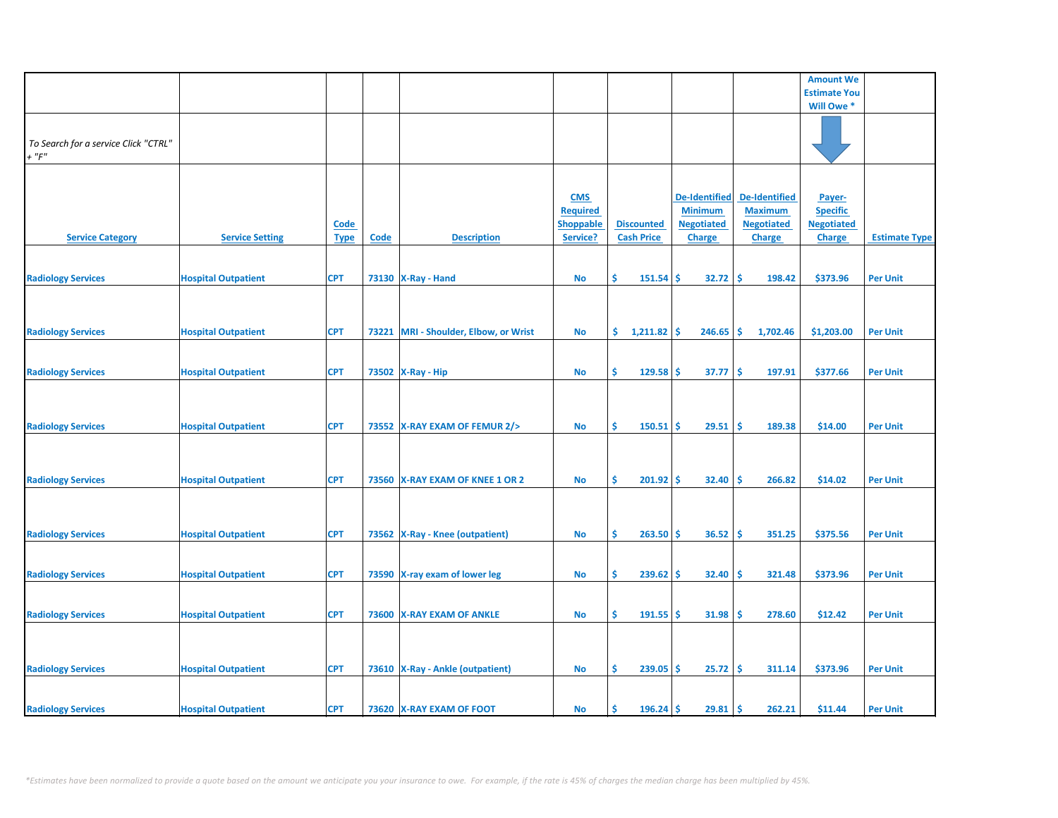|                                      |                            |             |             |                                        |                  |                   |                    |                      | <b>Amount We</b>    |                      |
|--------------------------------------|----------------------------|-------------|-------------|----------------------------------------|------------------|-------------------|--------------------|----------------------|---------------------|----------------------|
|                                      |                            |             |             |                                        |                  |                   |                    |                      |                     |                      |
|                                      |                            |             |             |                                        |                  |                   |                    |                      | <b>Estimate You</b> |                      |
|                                      |                            |             |             |                                        |                  |                   |                    |                      | Will Owe *          |                      |
|                                      |                            |             |             |                                        |                  |                   |                    |                      |                     |                      |
|                                      |                            |             |             |                                        |                  |                   |                    |                      |                     |                      |
| To Search for a service Click "CTRL" |                            |             |             |                                        |                  |                   |                    |                      |                     |                      |
| $+$ " $F$ "                          |                            |             |             |                                        |                  |                   |                    |                      |                     |                      |
|                                      |                            |             |             |                                        |                  |                   |                    |                      |                     |                      |
|                                      |                            |             |             |                                        |                  |                   |                    |                      |                     |                      |
|                                      |                            |             |             |                                        |                  |                   |                    |                      |                     |                      |
|                                      |                            |             |             |                                        | <b>CMS</b>       |                   | De-Identified      | <b>De-Identified</b> | Payer-              |                      |
|                                      |                            |             |             |                                        | <b>Required</b>  |                   | <b>Minimum</b>     | <b>Maximum</b>       | <b>Specific</b>     |                      |
|                                      |                            | <b>Code</b> |             |                                        | <b>Shoppable</b> | <b>Discounted</b> | <b>Negotiated</b>  | <b>Negotiated</b>    | <b>Negotiated</b>   |                      |
| <b>Service Category</b>              | <b>Service Setting</b>     | <b>Type</b> | <b>Code</b> | <b>Description</b>                     | Service?         | <b>Cash Price</b> | <b>Charge</b>      | <b>Charge</b>        | <b>Charge</b>       | <b>Estimate Type</b> |
|                                      |                            |             |             |                                        |                  |                   |                    |                      |                     |                      |
|                                      |                            |             |             |                                        |                  |                   |                    |                      |                     |                      |
|                                      |                            |             |             |                                        |                  | Ś                 |                    |                      |                     |                      |
| <b>Radiology Services</b>            | <b>Hospital Outpatient</b> | <b>CPT</b>  |             | 73130   X-Ray - Hand                   | No               | 151.54            | 32.72<br><b>S</b>  | -\$<br>198.42        | \$373.96            | <b>Per Unit</b>      |
|                                      |                            |             |             |                                        |                  |                   |                    |                      |                     |                      |
|                                      |                            |             |             |                                        |                  |                   |                    |                      |                     |                      |
|                                      |                            |             |             |                                        |                  |                   |                    |                      |                     |                      |
| <b>Radiology Services</b>            | <b>Hospital Outpatient</b> | <b>CPT</b>  | 73221       | <b>MRI</b> - Shoulder, Elbow, or Wrist | No               | \$.<br>1,211.82   | 246.65<br><b>S</b> | -\$<br>1,702.46      | \$1,203.00          | <b>Per Unit</b>      |
|                                      |                            |             |             |                                        |                  |                   |                    |                      |                     |                      |
|                                      |                            |             |             |                                        |                  |                   |                    |                      |                     |                      |
|                                      |                            |             |             |                                        |                  |                   |                    |                      |                     |                      |
| <b>Radiology Services</b>            | <b>Hospital Outpatient</b> | <b>CPT</b>  |             | 73502 X-Ray - Hip                      | No               | \$<br>$129.58$ \$ | 37.77              | -\$<br>197.91        | \$377.66            | <b>Per Unit</b>      |
|                                      |                            |             |             |                                        |                  |                   |                    |                      |                     |                      |
|                                      |                            |             |             |                                        |                  |                   |                    |                      |                     |                      |
|                                      |                            |             |             |                                        |                  |                   |                    |                      |                     |                      |
| <b>Radiology Services</b>            | <b>Hospital Outpatient</b> | <b>CPT</b>  |             | 73552 X-RAY EXAM OF FEMUR 2/>          | No               | Ŝ.<br>$150.51$ \$ | 29.51              | -\$<br>189.38        | \$14.00             | <b>Per Unit</b>      |
|                                      |                            |             |             |                                        |                  |                   |                    |                      |                     |                      |
|                                      |                            |             |             |                                        |                  |                   |                    |                      |                     |                      |
|                                      |                            |             |             |                                        |                  |                   |                    |                      |                     |                      |
|                                      |                            |             |             |                                        |                  |                   |                    |                      |                     |                      |
| <b>Radiology Services</b>            | <b>Hospital Outpatient</b> | <b>CPT</b>  |             | 73560 X-RAY EXAM OF KNEE 1 OR 2        | No               | \$<br>$201.92$ \$ | 32.40              | -\$<br>266.82        | \$14.02             | <b>Per Unit</b>      |
|                                      |                            |             |             |                                        |                  |                   |                    |                      |                     |                      |
|                                      |                            |             |             |                                        |                  |                   |                    |                      |                     |                      |
|                                      |                            |             |             |                                        |                  |                   |                    |                      |                     |                      |
|                                      |                            | <b>CPT</b>  |             |                                        |                  | Ŝ.<br>$263.50$ \$ | 36.52              | -\$<br>351.25        | \$375.56            |                      |
| <b>Radiology Services</b>            | <b>Hospital Outpatient</b> |             |             | 73562 X-Ray - Knee (outpatient)        | No               |                   |                    |                      |                     | <b>Per Unit</b>      |
|                                      |                            |             |             |                                        |                  |                   |                    |                      |                     |                      |
|                                      |                            |             |             |                                        |                  |                   |                    |                      |                     |                      |
| <b>Radiology Services</b>            | <b>Hospital Outpatient</b> | <b>CPT</b>  |             | 73590 X-ray exam of lower leg          | <b>No</b>        | \$<br>239.62      | 32.40<br>\$.       | \$.<br>321.48        | \$373.96            | <b>Per Unit</b>      |
|                                      |                            |             |             |                                        |                  |                   |                    |                      |                     |                      |
|                                      |                            |             |             |                                        |                  |                   |                    |                      |                     |                      |
| <b>Radiology Services</b>            | <b>Hospital Outpatient</b> | <b>CPT</b>  |             | 73600 X-RAY EXAM OF ANKLE              | <b>No</b>        | \$<br>$191.55$ \$ | 31.98              | -\$<br>278.60        | \$12.42             | <b>Per Unit</b>      |
|                                      |                            |             |             |                                        |                  |                   |                    |                      |                     |                      |
|                                      |                            |             |             |                                        |                  |                   |                    |                      |                     |                      |
|                                      |                            |             |             |                                        |                  |                   |                    |                      |                     |                      |
|                                      |                            |             |             |                                        |                  |                   |                    |                      |                     |                      |
| <b>Radiology Services</b>            | <b>Hospital Outpatient</b> | <b>CPT</b>  |             | 73610 X-Ray - Ankle (outpatient)       | <b>No</b>        | \$<br>239.05      | -\$<br>25.72       | \$<br>311.14         | \$373.96            | <b>Per Unit</b>      |
|                                      |                            |             |             |                                        |                  |                   |                    |                      |                     |                      |
|                                      |                            |             |             |                                        |                  |                   |                    |                      |                     |                      |
|                                      |                            |             |             |                                        |                  | Ŝ.                |                    |                      |                     |                      |
| <b>Radiology Services</b>            | <b>Hospital Outpatient</b> | <b>CPT</b>  |             | 73620 X-RAY EXAM OF FOOT               | No               | $196.24$ \$       | 29.81              | -\$<br>262.21        | \$11.44             | <b>Per Unit</b>      |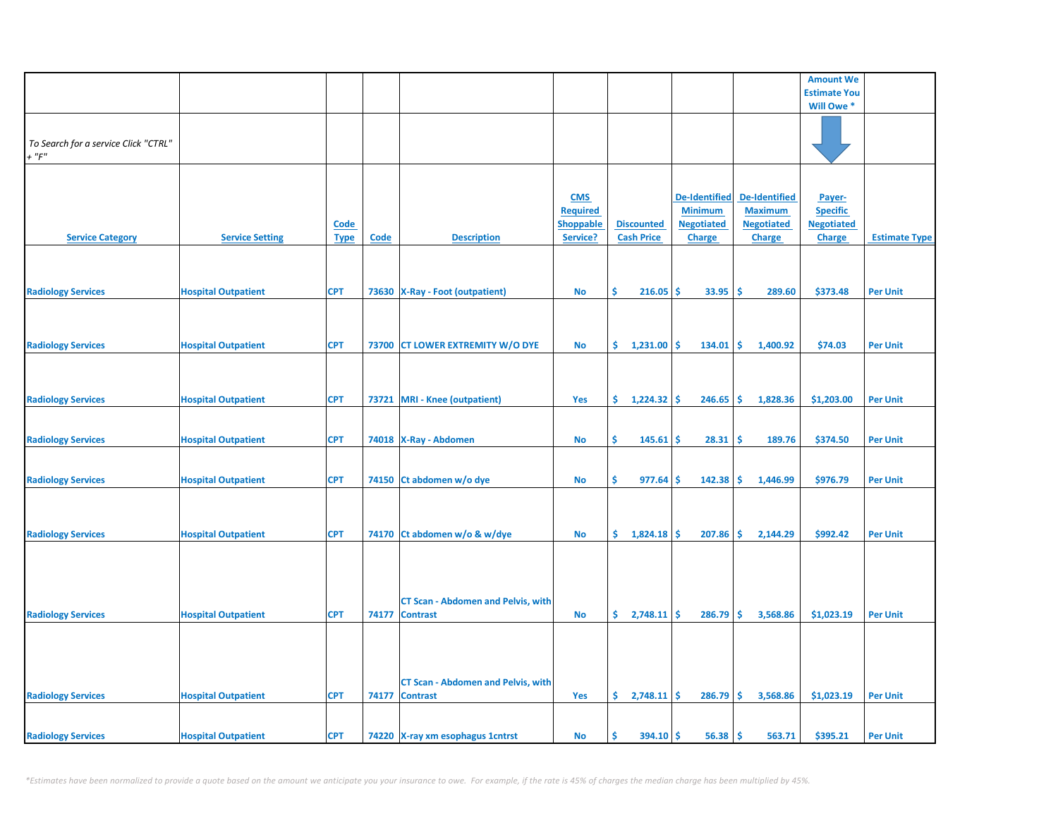|                                      |                            |             |       |                                           |                  |                          |                      |                      | <b>Amount We</b>    |                      |
|--------------------------------------|----------------------------|-------------|-------|-------------------------------------------|------------------|--------------------------|----------------------|----------------------|---------------------|----------------------|
|                                      |                            |             |       |                                           |                  |                          |                      |                      | <b>Estimate You</b> |                      |
|                                      |                            |             |       |                                           |                  |                          |                      |                      | Will Owe *          |                      |
|                                      |                            |             |       |                                           |                  |                          |                      |                      |                     |                      |
| To Search for a service Click "CTRL" |                            |             |       |                                           |                  |                          |                      |                      |                     |                      |
| $+$ " $F$ "                          |                            |             |       |                                           |                  |                          |                      |                      |                     |                      |
|                                      |                            |             |       |                                           |                  |                          |                      |                      |                     |                      |
|                                      |                            |             |       |                                           | <b>CMS</b>       |                          | <b>De-Identified</b> | <b>De-Identified</b> | Payer-              |                      |
|                                      |                            |             |       |                                           | <b>Required</b>  |                          | <b>Minimum</b>       | <b>Maximum</b>       | <b>Specific</b>     |                      |
|                                      |                            | <b>Code</b> |       |                                           | <b>Shoppable</b> | <b>Discounted</b>        | <b>Negotiated</b>    | <b>Negotiated</b>    | <b>Negotiated</b>   |                      |
| <b>Service Category</b>              | <b>Service Setting</b>     | <b>Type</b> | Code  | <b>Description</b>                        | Service?         | <b>Cash Price</b>        | Charge               | Charge               | <b>Charge</b>       | <b>Estimate Type</b> |
|                                      |                            |             |       |                                           |                  |                          |                      |                      |                     |                      |
|                                      |                            |             |       |                                           |                  |                          |                      |                      |                     |                      |
| <b>Radiology Services</b>            | <b>Hospital Outpatient</b> | <b>CPT</b>  |       | 73630 X-Ray - Foot (outpatient)           | No               | \$<br>216.05             | <b>S</b><br>33.95    | -\$<br>289.60        | \$373.48            | <b>Per Unit</b>      |
|                                      |                            |             |       |                                           |                  |                          |                      |                      |                     |                      |
|                                      |                            |             |       |                                           |                  |                          |                      |                      |                     |                      |
|                                      |                            |             |       |                                           |                  |                          |                      |                      |                     |                      |
| <b>Radiology Services</b>            | <b>Hospital Outpatient</b> | <b>CPT</b>  |       | 73700 CT LOWER EXTREMITY W/O DYE          | <b>No</b>        | \$.<br>1,231.00          | Ŝ.<br>134.01         | -Ś<br>1,400.92       | \$74.03             | <b>Per Unit</b>      |
|                                      |                            |             |       |                                           |                  |                          |                      |                      |                     |                      |
|                                      |                            |             |       |                                           |                  |                          |                      |                      |                     |                      |
| <b>Radiology Services</b>            | <b>Hospital Outpatient</b> | <b>CPT</b>  |       | 73721 MRI - Knee (outpatient)             | Yes              | \$.<br>$1,224.32$ \$     | 246.65               | -\$<br>1,828.36      | \$1,203.00          | <b>Per Unit</b>      |
|                                      |                            |             |       |                                           |                  |                          |                      |                      |                     |                      |
|                                      |                            |             |       |                                           |                  |                          |                      |                      |                     |                      |
| <b>Radiology Services</b>            | <b>Hospital Outpatient</b> | <b>CPT</b>  |       | 74018   X-Ray - Abdomen                   | No               | Ŝ.<br>145.61             | <b>S</b><br>28.31    | -\$<br>189.76        | \$374.50            | <b>Per Unit</b>      |
|                                      |                            |             |       |                                           |                  |                          |                      |                      |                     |                      |
| <b>Radiology Services</b>            | <b>Hospital Outpatient</b> | <b>CPT</b>  |       | 74150 Ct abdomen w/o dye                  | No               | Ŝ.<br>977.64             | 142.38<br><b>S</b>   | \$<br>1,446.99       | \$976.79            | <b>Per Unit</b>      |
|                                      |                            |             |       |                                           |                  |                          |                      |                      |                     |                      |
|                                      |                            |             |       |                                           |                  |                          |                      |                      |                     |                      |
|                                      |                            |             |       |                                           |                  |                          |                      |                      |                     |                      |
| <b>Radiology Services</b>            | <b>Hospital Outpatient</b> | <b>CPT</b>  |       | 74170 Ct abdomen w/o & w/dye              | <b>No</b>        | $\sin 1,824.18$ $\sin 5$ | 207.86               | Ŝ.<br>2,144.29       | \$992.42            | <b>Per Unit</b>      |
|                                      |                            |             |       |                                           |                  |                          |                      |                      |                     |                      |
|                                      |                            |             |       |                                           |                  |                          |                      |                      |                     |                      |
|                                      |                            |             |       |                                           |                  |                          |                      |                      |                     |                      |
|                                      |                            |             |       | <b>CT Scan - Abdomen and Pelvis, with</b> |                  |                          |                      |                      |                     |                      |
| <b>Radiology Services</b>            | <b>Hospital Outpatient</b> | <b>CPT</b>  | 74177 | <b>Contrast</b>                           | <b>No</b>        | $\frac{2,748.11}{5}$     | 286.79               | Ŝ.<br>3,568.86       | \$1,023.19          | <b>Per Unit</b>      |
|                                      |                            |             |       |                                           |                  |                          |                      |                      |                     |                      |
|                                      |                            |             |       |                                           |                  |                          |                      |                      |                     |                      |
|                                      |                            |             |       |                                           |                  |                          |                      |                      |                     |                      |
|                                      |                            |             |       | <b>CT Scan - Abdomen and Pelvis, with</b> |                  |                          |                      |                      |                     |                      |
| <b>Radiology Services</b>            | <b>Hospital Outpatient</b> | <b>CPT</b>  | 74177 | <b>Contrast</b>                           | Yes              | $\frac{2,748.11}{5}$     | 286.79               | <b>S</b><br>3,568.86 | \$1,023.19          | <b>Per Unit</b>      |
|                                      |                            |             |       |                                           |                  |                          |                      |                      |                     |                      |
|                                      |                            |             |       |                                           |                  |                          |                      |                      |                     |                      |
| <b>Radiology Services</b>            | <b>Hospital Outpatient</b> | <b>CPT</b>  |       | 74220 X-ray xm esophagus 1 cntrst         | <b>No</b>        | \$<br>$394.10$ \$        | 56.38                | l\$<br>563.71        | \$395.21            | <b>Per Unit</b>      |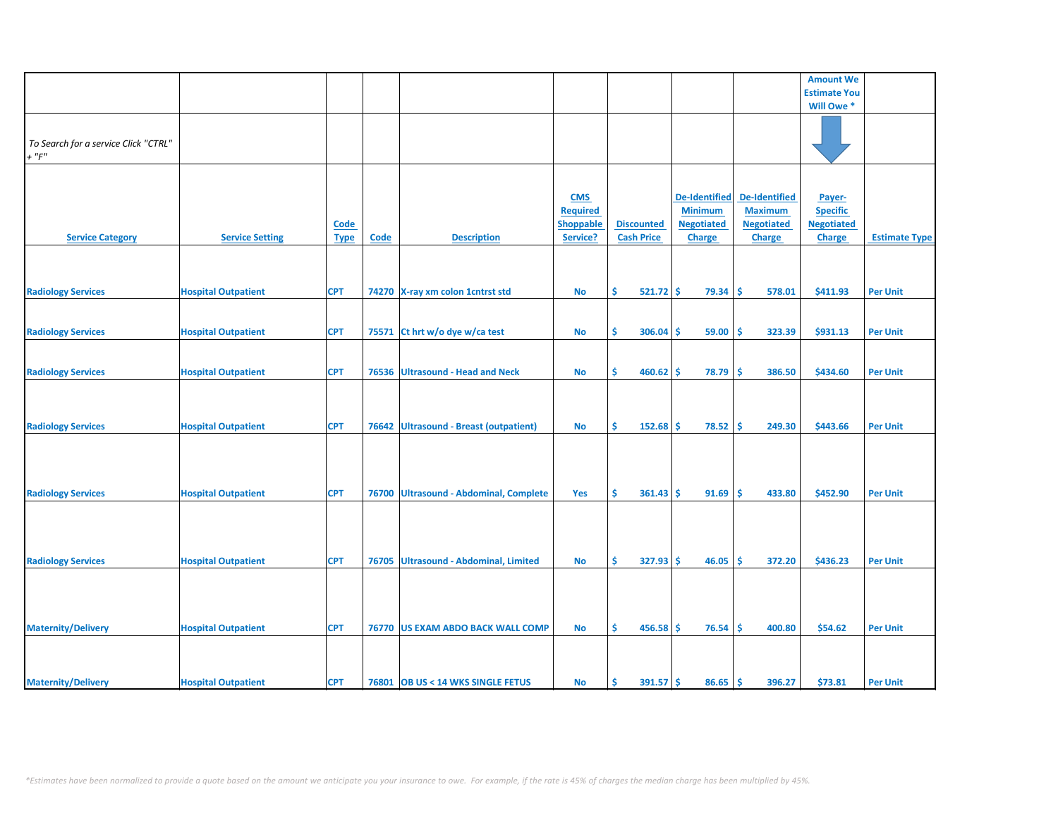|                                                     |                            |                     |             |                                         |                                                               |                                        |                                                                              |                                                                              | <b>Amount We</b>                                                |                      |
|-----------------------------------------------------|----------------------------|---------------------|-------------|-----------------------------------------|---------------------------------------------------------------|----------------------------------------|------------------------------------------------------------------------------|------------------------------------------------------------------------------|-----------------------------------------------------------------|----------------------|
|                                                     |                            |                     |             |                                         |                                                               |                                        |                                                                              |                                                                              |                                                                 |                      |
|                                                     |                            |                     |             |                                         |                                                               |                                        |                                                                              |                                                                              | <b>Estimate You</b>                                             |                      |
|                                                     |                            |                     |             |                                         |                                                               |                                        |                                                                              |                                                                              | Will Owe *                                                      |                      |
| To Search for a service Click "CTRL"<br>$+$ " $F$ " |                            |                     |             |                                         |                                                               |                                        |                                                                              |                                                                              |                                                                 |                      |
|                                                     |                            |                     |             |                                         |                                                               |                                        |                                                                              |                                                                              |                                                                 |                      |
| <b>Service Category</b>                             | <b>Service Setting</b>     | Code<br><b>Type</b> | <b>Code</b> | <b>Description</b>                      | <b>CMS</b><br><b>Required</b><br><b>Shoppable</b><br>Service? | <b>Discounted</b><br><b>Cash Price</b> | <b>De-Identified</b><br><b>Minimum</b><br><b>Negotiated</b><br><b>Charge</b> | <b>De-Identified</b><br><b>Maximum</b><br><b>Negotiated</b><br><b>Charge</b> | Payer-<br><b>Specific</b><br><b>Negotiated</b><br><b>Charge</b> | <b>Estimate Type</b> |
|                                                     |                            |                     |             |                                         |                                                               |                                        |                                                                              |                                                                              |                                                                 |                      |
| <b>Radiology Services</b>                           | <b>Hospital Outpatient</b> | <b>CPT</b>          |             | 74270 X-ray xm colon 1 cntrst std       | <b>No</b>                                                     | \$<br>$521.72$ \$                      | 79.34                                                                        | \$.<br>578.01                                                                | \$411.93                                                        | <b>Per Unit</b>      |
|                                                     |                            |                     |             |                                         |                                                               |                                        |                                                                              |                                                                              |                                                                 |                      |
| <b>Radiology Services</b>                           | <b>Hospital Outpatient</b> | <b>CPT</b>          | 75571       | Ct hrt w/o dye w/ca test                | No                                                            | \$<br>306.04                           | 59.00<br>\$.                                                                 | \$.<br>323.39                                                                | \$931.13                                                        | <b>Per Unit</b>      |
| <b>Radiology Services</b>                           | <b>Hospital Outpatient</b> | <b>CPT</b>          | 76536       | <b>Ultrasound - Head and Neck</b>       | <b>No</b>                                                     | \$<br>460.62                           | \$<br>78.79                                                                  | Ŝ<br>386.50                                                                  | \$434.60                                                        | <b>Per Unit</b>      |
|                                                     |                            |                     |             |                                         |                                                               |                                        |                                                                              |                                                                              |                                                                 |                      |
| <b>Radiology Services</b>                           | <b>Hospital Outpatient</b> | <b>CPT</b>          | 76642       | <b>Ultrasound - Breast (outpatient)</b> | <b>No</b>                                                     | Ś<br>152.68                            | \$<br>78.52                                                                  | Ŝ<br>249.30                                                                  | \$443.66                                                        | <b>Per Unit</b>      |
| <b>Radiology Services</b>                           | <b>Hospital Outpatient</b> | <b>CPT</b>          | 76700       | <b>Ultrasound - Abdominal, Complete</b> | Yes                                                           | Ŝ.<br>361.43                           | 91.69<br>-S                                                                  | Ŝ<br>433.80                                                                  | \$452.90                                                        | <b>Per Unit</b>      |
| <b>Radiology Services</b>                           | <b>Hospital Outpatient</b> | <b>CPT</b>          | 76705       | Ultrasound - Abdominal, Limited         | No                                                            | \$<br>327.93                           | Ŝ<br>46.05                                                                   | Ś<br>372.20                                                                  | \$436.23                                                        | <b>Per Unit</b>      |
| <b>Maternity/Delivery</b>                           | <b>Hospital Outpatient</b> | <b>CPT</b>          |             | 76770 US EXAM ABDO BACK WALL COMP       | No                                                            | \$<br>$456.58$ \$                      | 76.54                                                                        | Ŝ<br>400.80                                                                  | \$54.62                                                         | <b>Per Unit</b>      |
|                                                     |                            |                     |             |                                         |                                                               |                                        |                                                                              |                                                                              |                                                                 |                      |
| <b>Maternity/Delivery</b>                           | <b>Hospital Outpatient</b> | <b>CPT</b>          |             | 76801 OB US < 14 WKS SINGLE FETUS       | <b>No</b>                                                     | Ŝ<br>$391.57$ \$                       | 86.65                                                                        | Ŝ.<br>396.27                                                                 | \$73.81                                                         | <b>Per Unit</b>      |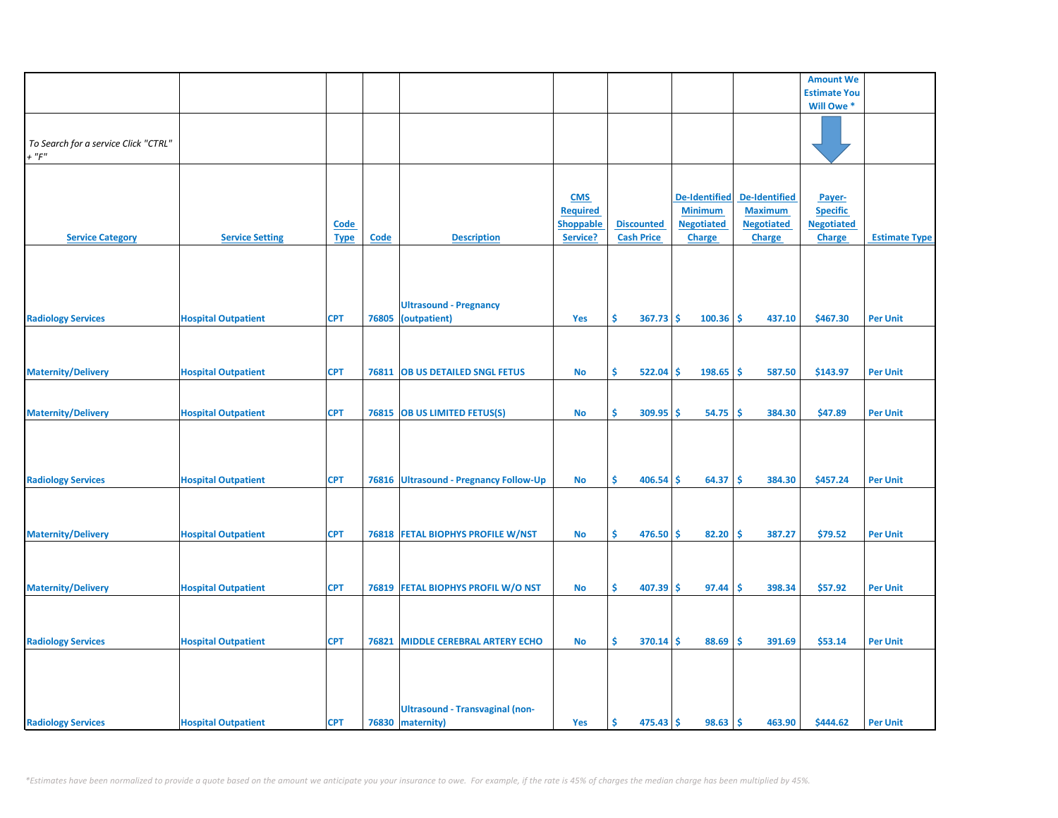|                                      |                            |             |       |                                        |                  |                    |                      |                    | <b>Amount We</b>    |                      |
|--------------------------------------|----------------------------|-------------|-------|----------------------------------------|------------------|--------------------|----------------------|--------------------|---------------------|----------------------|
|                                      |                            |             |       |                                        |                  |                    |                      |                    | <b>Estimate You</b> |                      |
|                                      |                            |             |       |                                        |                  |                    |                      |                    | Will Owe*           |                      |
|                                      |                            |             |       |                                        |                  |                    |                      |                    |                     |                      |
|                                      |                            |             |       |                                        |                  |                    |                      |                    |                     |                      |
| To Search for a service Click "CTRL" |                            |             |       |                                        |                  |                    |                      |                    |                     |                      |
| $+$ " $F$ "                          |                            |             |       |                                        |                  |                    |                      |                    |                     |                      |
|                                      |                            |             |       |                                        |                  |                    |                      |                    |                     |                      |
|                                      |                            |             |       |                                        |                  |                    |                      |                    |                     |                      |
|                                      |                            |             |       |                                        |                  |                    |                      |                    |                     |                      |
|                                      |                            |             |       |                                        | <b>CMS</b>       |                    | <b>De-Identified</b> | De-Identified      | Payer-              |                      |
|                                      |                            |             |       |                                        | <b>Required</b>  |                    | <b>Minimum</b>       | <b>Maximum</b>     | <b>Specific</b>     |                      |
|                                      |                            | <b>Code</b> |       |                                        | <b>Shoppable</b> | <b>Discounted</b>  | <b>Negotiated</b>    | <b>Negotiated</b>  | <b>Negotiated</b>   |                      |
| <b>Service Category</b>              | <b>Service Setting</b>     | <b>Type</b> | Code  | <b>Description</b>                     | Service?         | <b>Cash Price</b>  | Charge               | Charge             | <b>Charge</b>       | <b>Estimate Type</b> |
|                                      |                            |             |       |                                        |                  |                    |                      |                    |                     |                      |
|                                      |                            |             |       |                                        |                  |                    |                      |                    |                     |                      |
|                                      |                            |             |       |                                        |                  |                    |                      |                    |                     |                      |
|                                      |                            |             |       |                                        |                  |                    |                      |                    |                     |                      |
|                                      |                            |             |       | <b>Ultrasound - Pregnancy</b>          |                  |                    |                      |                    |                     |                      |
| <b>Radiology Services</b>            | <b>Hospital Outpatient</b> | <b>CPT</b>  | 76805 | (outpatient)                           | Yes              | \$<br>367.73       | -Ś<br>100.36         | <b>S</b><br>437.10 | \$467.30            | <b>Per Unit</b>      |
|                                      |                            |             |       |                                        |                  |                    |                      |                    |                     |                      |
|                                      |                            |             |       |                                        |                  |                    |                      |                    |                     |                      |
|                                      |                            |             |       |                                        |                  |                    |                      |                    |                     |                      |
|                                      |                            |             |       |                                        |                  |                    |                      |                    |                     |                      |
| <b>Maternity/Delivery</b>            | <b>Hospital Outpatient</b> | <b>CPT</b>  |       | 76811   OB US DETAILED SNGL FETUS      | No               | \$<br>522.04       | -\$<br>198.65        | ١\$<br>587.50      | \$143.97            | <b>Per Unit</b>      |
|                                      |                            |             |       |                                        |                  |                    |                      |                    |                     |                      |
|                                      |                            |             |       |                                        |                  |                    |                      |                    |                     |                      |
| <b>Maternity/Delivery</b>            | <b>Hospital Outpatient</b> | <b>CPT</b>  |       | 76815 OB US LIMITED FETUS(S)           | <b>No</b>        | Ŝ.<br>$309.95$ \$  | 54.75                | -Ś<br>384.30       | \$47.89             | <b>Per Unit</b>      |
|                                      |                            |             |       |                                        |                  |                    |                      |                    |                     |                      |
|                                      |                            |             |       |                                        |                  |                    |                      |                    |                     |                      |
|                                      |                            |             |       |                                        |                  |                    |                      |                    |                     |                      |
|                                      |                            |             |       |                                        |                  |                    |                      |                    |                     |                      |
| <b>Radiology Services</b>            | <b>Hospital Outpatient</b> | <b>CPT</b>  |       | 76816 Ultrasound - Pregnancy Follow-Up | No               | Ŝ.<br>$406.54$ \$  | 64.37                | -\$<br>384.30      | \$457.24            | <b>Per Unit</b>      |
|                                      |                            |             |       |                                        |                  |                    |                      |                    |                     |                      |
|                                      |                            |             |       |                                        |                  |                    |                      |                    |                     |                      |
|                                      |                            |             |       |                                        |                  |                    |                      |                    |                     |                      |
|                                      |                            |             |       |                                        |                  |                    |                      |                    |                     |                      |
| <b>Maternity/Delivery</b>            | <b>Hospital Outpatient</b> | <b>CPT</b>  |       | 76818 FETAL BIOPHYS PROFILE W/NST      | <b>No</b>        | \$.<br>$476.50$ \$ | 82.20                | -\$<br>387.27      | \$79.52             | <b>Per Unit</b>      |
|                                      |                            |             |       |                                        |                  |                    |                      |                    |                     |                      |
|                                      |                            |             |       |                                        |                  |                    |                      |                    |                     |                      |
|                                      |                            |             |       |                                        |                  |                    |                      |                    |                     |                      |
| <b>Maternity/Delivery</b>            | <b>Hospital Outpatient</b> | <b>CPT</b>  |       | 76819 FETAL BIOPHYS PROFIL W/O NST     | No               | \$<br>407.39       | 97.44<br>s           | -\$<br>398.34      | \$57.92             | <b>Per Unit</b>      |
|                                      |                            |             |       |                                        |                  |                    |                      |                    |                     |                      |
|                                      |                            |             |       |                                        |                  |                    |                      |                    |                     |                      |
|                                      |                            |             |       |                                        |                  |                    |                      |                    |                     |                      |
| <b>Radiology Services</b>            | <b>Hospital Outpatient</b> | <b>CPT</b>  | 76821 | <b>MIDDLE CEREBRAL ARTERY ECHO</b>     | No               | \$<br>$370.14$ \$  | 88.69                | -\$<br>391.69      | \$53.14             | <b>Per Unit</b>      |
|                                      |                            |             |       |                                        |                  |                    |                      |                    |                     |                      |
|                                      |                            |             |       |                                        |                  |                    |                      |                    |                     |                      |
|                                      |                            |             |       |                                        |                  |                    |                      |                    |                     |                      |
|                                      |                            |             |       |                                        |                  |                    |                      |                    |                     |                      |
|                                      |                            |             |       |                                        |                  |                    |                      |                    |                     |                      |
|                                      |                            |             |       | <b>Ultrasound - Transvaginal (non-</b> |                  |                    |                      |                    |                     |                      |
| <b>Radiology Services</b>            | <b>Hospital Outpatient</b> | <b>CPT</b>  |       | 76830 maternity)                       | Yes              | -\$<br>$475.43$ \$ | 98.63                | l\$<br>463.90      | \$444.62            | <b>Per Unit</b>      |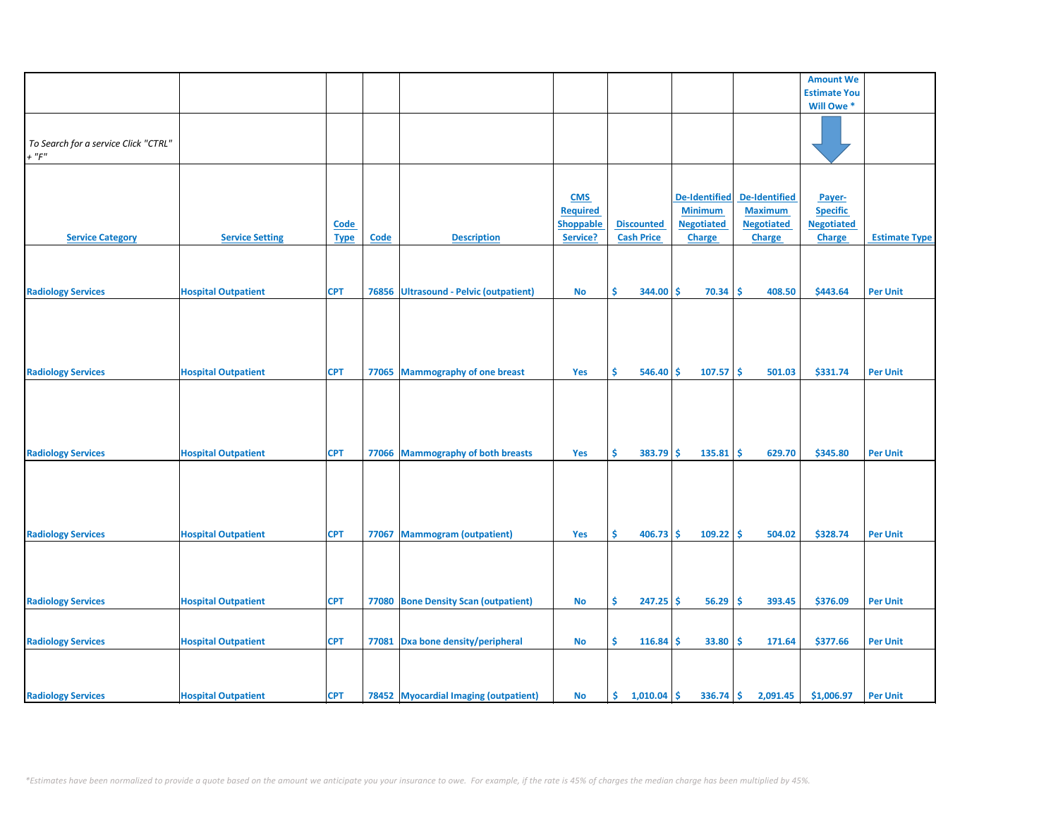|                                      |                            |             |       |                                        |                 |    |                   |    |                      |                      | <b>Amount We</b>    |                      |
|--------------------------------------|----------------------------|-------------|-------|----------------------------------------|-----------------|----|-------------------|----|----------------------|----------------------|---------------------|----------------------|
|                                      |                            |             |       |                                        |                 |    |                   |    |                      |                      | <b>Estimate You</b> |                      |
|                                      |                            |             |       |                                        |                 |    |                   |    |                      |                      | Will Owe *          |                      |
|                                      |                            |             |       |                                        |                 |    |                   |    |                      |                      |                     |                      |
|                                      |                            |             |       |                                        |                 |    |                   |    |                      |                      |                     |                      |
|                                      |                            |             |       |                                        |                 |    |                   |    |                      |                      |                     |                      |
| To Search for a service Click "CTRL" |                            |             |       |                                        |                 |    |                   |    |                      |                      |                     |                      |
| $+$ " $F"$                           |                            |             |       |                                        |                 |    |                   |    |                      |                      |                     |                      |
|                                      |                            |             |       |                                        |                 |    |                   |    |                      |                      |                     |                      |
|                                      |                            |             |       |                                        |                 |    |                   |    |                      |                      |                     |                      |
|                                      |                            |             |       |                                        | <b>CMS</b>      |    |                   |    | <b>De-Identified</b> | <b>De-Identified</b> |                     |                      |
|                                      |                            |             |       |                                        |                 |    |                   |    |                      |                      | Payer-              |                      |
|                                      |                            |             |       |                                        | <b>Required</b> |    |                   |    | <b>Minimum</b>       | <b>Maximum</b>       | <b>Specific</b>     |                      |
|                                      |                            | <b>Code</b> |       |                                        | Shoppable       |    | <b>Discounted</b> |    | <b>Negotiated</b>    | <b>Negotiated</b>    | <b>Negotiated</b>   |                      |
| <b>Service Category</b>              | <b>Service Setting</b>     | <b>Type</b> | Code  | <b>Description</b>                     | Service?        |    | <b>Cash Price</b> |    | Charge               | Charge               | <b>Charge</b>       | <b>Estimate Type</b> |
|                                      |                            |             |       |                                        |                 |    |                   |    |                      |                      |                     |                      |
|                                      |                            |             |       |                                        |                 |    |                   |    |                      |                      |                     |                      |
|                                      |                            |             |       |                                        |                 |    |                   |    |                      |                      |                     |                      |
|                                      |                            |             |       |                                        |                 |    |                   |    |                      |                      |                     |                      |
| <b>Radiology Services</b>            | <b>Hospital Outpatient</b> | <b>CPT</b>  |       | 76856 Ultrasound - Pelvic (outpatient) | <b>No</b>       | Ŝ  | 344.00            | Ŝ  | 70.34                | Ŝ.<br>408.50         | \$443.64            | <b>Per Unit</b>      |
|                                      |                            |             |       |                                        |                 |    |                   |    |                      |                      |                     |                      |
|                                      |                            |             |       |                                        |                 |    |                   |    |                      |                      |                     |                      |
|                                      |                            |             |       |                                        |                 |    |                   |    |                      |                      |                     |                      |
|                                      |                            |             |       |                                        |                 |    |                   |    |                      |                      |                     |                      |
|                                      |                            |             |       |                                        |                 |    |                   |    |                      |                      |                     |                      |
|                                      |                            |             |       |                                        |                 |    |                   |    |                      |                      |                     |                      |
| <b>Radiology Services</b>            | <b>Hospital Outpatient</b> | <b>CPT</b>  |       | 77065 Mammography of one breast        | Yes             | \$ | $546.40$ \$       |    | 107.57               | ۱\$<br>501.03        | \$331.74            | <b>Per Unit</b>      |
|                                      |                            |             |       |                                        |                 |    |                   |    |                      |                      |                     |                      |
|                                      |                            |             |       |                                        |                 |    |                   |    |                      |                      |                     |                      |
|                                      |                            |             |       |                                        |                 |    |                   |    |                      |                      |                     |                      |
|                                      |                            |             |       |                                        |                 |    |                   |    |                      |                      |                     |                      |
|                                      |                            |             |       |                                        |                 |    |                   |    |                      |                      |                     |                      |
|                                      |                            |             |       |                                        |                 |    |                   |    |                      |                      |                     |                      |
| <b>Radiology Services</b>            | <b>Hospital Outpatient</b> | <b>CPT</b>  |       | 77066 Mammography of both breasts      | Yes             | \$ | $383.79$ \$       |    | 135.81               | ١ś<br>629.70         | \$345.80            | <b>Per Unit</b>      |
|                                      |                            |             |       |                                        |                 |    |                   |    |                      |                      |                     |                      |
|                                      |                            |             |       |                                        |                 |    |                   |    |                      |                      |                     |                      |
|                                      |                            |             |       |                                        |                 |    |                   |    |                      |                      |                     |                      |
|                                      |                            |             |       |                                        |                 |    |                   |    |                      |                      |                     |                      |
|                                      |                            |             |       |                                        |                 |    |                   |    |                      |                      |                     |                      |
|                                      |                            |             |       |                                        |                 |    |                   |    |                      |                      |                     |                      |
| <b>Radiology Services</b>            | <b>Hospital Outpatient</b> | <b>CPT</b>  | 77067 | <b>Mammogram (outpatient)</b>          | Yes             | Ŝ  | $406.73$ \$       |    | $109.22$ \$          | 504.02               | \$328.74            | <b>Per Unit</b>      |
|                                      |                            |             |       |                                        |                 |    |                   |    |                      |                      |                     |                      |
|                                      |                            |             |       |                                        |                 |    |                   |    |                      |                      |                     |                      |
|                                      |                            |             |       |                                        |                 |    |                   |    |                      |                      |                     |                      |
|                                      |                            |             |       |                                        |                 |    |                   |    |                      |                      |                     |                      |
|                                      |                            |             |       |                                        |                 |    |                   |    |                      |                      |                     |                      |
| <b>Radiology Services</b>            | <b>Hospital Outpatient</b> | <b>CPT</b>  |       | 77080 Bone Density Scan (outpatient)   | No              | \$ | $247.25$ \$       |    | 56.29                | ۱\$<br>393.45        | \$376.09            | <b>Per Unit</b>      |
|                                      |                            |             |       |                                        |                 |    |                   |    |                      |                      |                     |                      |
|                                      |                            |             |       |                                        |                 |    |                   |    |                      |                      |                     |                      |
|                                      |                            |             |       |                                        |                 |    |                   |    |                      |                      |                     |                      |
| <b>Radiology Services</b>            | <b>Hospital Outpatient</b> | <b>CPT</b>  |       | 77081 Dxa bone density/peripheral      | <b>No</b>       | \$ | 116.84            | -Ś | 33.80                | -\$<br>171.64        | \$377.66            | <b>Per Unit</b>      |
|                                      |                            |             |       |                                        |                 |    |                   |    |                      |                      |                     |                      |
|                                      |                            |             |       |                                        |                 |    |                   |    |                      |                      |                     |                      |
|                                      |                            |             |       |                                        |                 |    |                   |    |                      |                      |                     |                      |
| <b>Radiology Services</b>            | <b>Hospital Outpatient</b> | <b>CPT</b>  |       | 78452 Myocardial Imaging (outpatient)  | <b>No</b>       | \$ | 1,010.04          | -Ś | $336.74$ \$          | 2,091.45             | \$1,006.97          | <b>Per Unit</b>      |
|                                      |                            |             |       |                                        |                 |    |                   |    |                      |                      |                     |                      |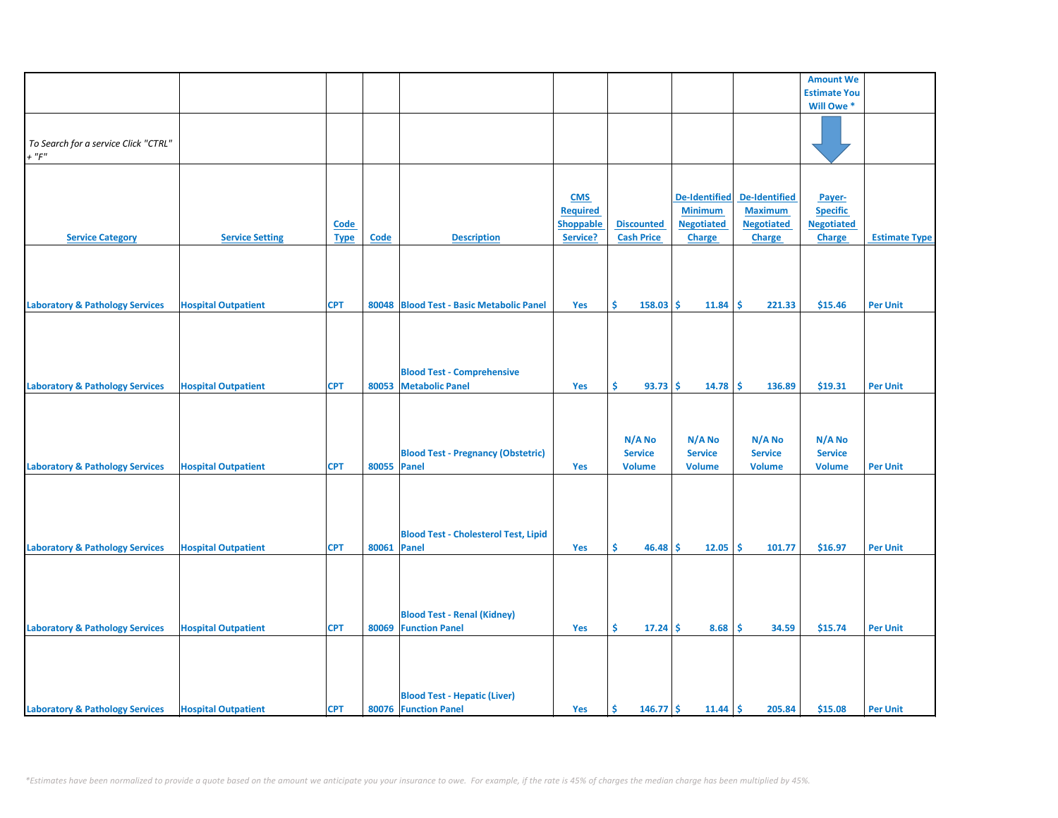|                                            |                            |             |             |                                             |                  |                   |                      |                   | <b>Amount We</b>    |                      |
|--------------------------------------------|----------------------------|-------------|-------------|---------------------------------------------|------------------|-------------------|----------------------|-------------------|---------------------|----------------------|
|                                            |                            |             |             |                                             |                  |                   |                      |                   | <b>Estimate You</b> |                      |
|                                            |                            |             |             |                                             |                  |                   |                      |                   | Will Owe *          |                      |
|                                            |                            |             |             |                                             |                  |                   |                      |                   |                     |                      |
|                                            |                            |             |             |                                             |                  |                   |                      |                   |                     |                      |
| To Search for a service Click "CTRL"       |                            |             |             |                                             |                  |                   |                      |                   |                     |                      |
| $+$ " $F$ "                                |                            |             |             |                                             |                  |                   |                      |                   |                     |                      |
|                                            |                            |             |             |                                             |                  |                   |                      |                   |                     |                      |
|                                            |                            |             |             |                                             |                  |                   |                      |                   |                     |                      |
|                                            |                            |             |             |                                             | <b>CMS</b>       |                   | <b>De-Identified</b> | De-Identified     | Payer-              |                      |
|                                            |                            |             |             |                                             | <b>Required</b>  |                   | <b>Minimum</b>       | <b>Maximum</b>    | <b>Specific</b>     |                      |
|                                            |                            | <b>Code</b> |             |                                             | <b>Shoppable</b> | <b>Discounted</b> | <b>Negotiated</b>    | <b>Negotiated</b> | <b>Negotiated</b>   |                      |
| <b>Service Category</b>                    | <b>Service Setting</b>     |             | <b>Code</b> | <b>Description</b>                          | Service?         | <b>Cash Price</b> | Charge               |                   | <b>Charge</b>       | <b>Estimate Type</b> |
|                                            |                            | <b>Type</b> |             |                                             |                  |                   |                      | Charge            |                     |                      |
|                                            |                            |             |             |                                             |                  |                   |                      |                   |                     |                      |
|                                            |                            |             |             |                                             |                  |                   |                      |                   |                     |                      |
|                                            |                            |             |             |                                             |                  |                   |                      |                   |                     |                      |
|                                            |                            |             |             |                                             |                  |                   |                      |                   |                     |                      |
| <b>Laboratory &amp; Pathology Services</b> | <b>Hospital Outpatient</b> | <b>CPT</b>  |             | 80048 Blood Test - Basic Metabolic Panel    | Yes              | Ŝ.<br>$158.03$ \$ | 11.84                | -\$<br>221.33     | \$15.46             | <b>Per Unit</b>      |
|                                            |                            |             |             |                                             |                  |                   |                      |                   |                     |                      |
|                                            |                            |             |             |                                             |                  |                   |                      |                   |                     |                      |
|                                            |                            |             |             |                                             |                  |                   |                      |                   |                     |                      |
|                                            |                            |             |             |                                             |                  |                   |                      |                   |                     |                      |
|                                            |                            |             |             | <b>Blood Test - Comprehensive</b>           |                  |                   |                      |                   |                     |                      |
| <b>Laboratory &amp; Pathology Services</b> | <b>Hospital Outpatient</b> | <b>CPT</b>  |             | 80053 Metabolic Panel                       | Yes              | \$<br>93.73       | -Ś<br>14.78          | -\$<br>136.89     | \$19.31             | <b>Per Unit</b>      |
|                                            |                            |             |             |                                             |                  |                   |                      |                   |                     |                      |
|                                            |                            |             |             |                                             |                  |                   |                      |                   |                     |                      |
|                                            |                            |             |             |                                             |                  |                   |                      |                   |                     |                      |
|                                            |                            |             |             |                                             |                  |                   |                      |                   |                     |                      |
|                                            |                            |             |             |                                             |                  | N/A No            | N/A No               | N/A No            | N/A No              |                      |
|                                            |                            |             |             | <b>Blood Test - Pregnancy (Obstetric)</b>   |                  | <b>Service</b>    | <b>Service</b>       | <b>Service</b>    | <b>Service</b>      |                      |
| <b>Laboratory &amp; Pathology Services</b> | <b>Hospital Outpatient</b> | <b>CPT</b>  | 80055 Panel |                                             | Yes              | <b>Volume</b>     | <b>Volume</b>        | <b>Volume</b>     | <b>Volume</b>       | <b>Per Unit</b>      |
|                                            |                            |             |             |                                             |                  |                   |                      |                   |                     |                      |
|                                            |                            |             |             |                                             |                  |                   |                      |                   |                     |                      |
|                                            |                            |             |             |                                             |                  |                   |                      |                   |                     |                      |
|                                            |                            |             |             |                                             |                  |                   |                      |                   |                     |                      |
|                                            |                            |             |             | <b>Blood Test - Cholesterol Test, Lipid</b> |                  |                   |                      |                   |                     |                      |
| <b>Laboratory &amp; Pathology Services</b> | <b>Hospital Outpatient</b> | <b>CPT</b>  | 80061 Panel |                                             | Yes              | Ŝ.<br>$46.48$ \$  | 12.05                | ١\$<br>101.77     | \$16.97             | <b>Per Unit</b>      |
|                                            |                            |             |             |                                             |                  |                   |                      |                   |                     |                      |
|                                            |                            |             |             |                                             |                  |                   |                      |                   |                     |                      |
|                                            |                            |             |             |                                             |                  |                   |                      |                   |                     |                      |
|                                            |                            |             |             |                                             |                  |                   |                      |                   |                     |                      |
|                                            |                            |             |             |                                             |                  |                   |                      |                   |                     |                      |
|                                            |                            |             |             | <b>Blood Test - Renal (Kidney)</b>          |                  |                   |                      |                   |                     |                      |
| <b>Laboratory &amp; Pathology Services</b> | <b>Hospital Outpatient</b> | <b>CPT</b>  |             | 80069 Function Panel                        | Yes              | \$.<br>17.24      | 8.68<br>-\$          | -\$<br>34.59      | \$15.74             | <b>Per Unit</b>      |
|                                            |                            |             |             |                                             |                  |                   |                      |                   |                     |                      |
|                                            |                            |             |             |                                             |                  |                   |                      |                   |                     |                      |
|                                            |                            |             |             |                                             |                  |                   |                      |                   |                     |                      |
|                                            |                            |             |             |                                             |                  |                   |                      |                   |                     |                      |
|                                            |                            |             |             | <b>Blood Test - Hepatic (Liver)</b>         |                  |                   |                      |                   |                     |                      |
| <b>Laboratory &amp; Pathology Services</b> | <b>Hospital Outpatient</b> | <b>CPT</b>  |             | 80076 Function Panel                        | Yes              | \$<br>$146.77$ \$ | 11.44                | l\$<br>205.84     | \$15.08             | <b>Per Unit</b>      |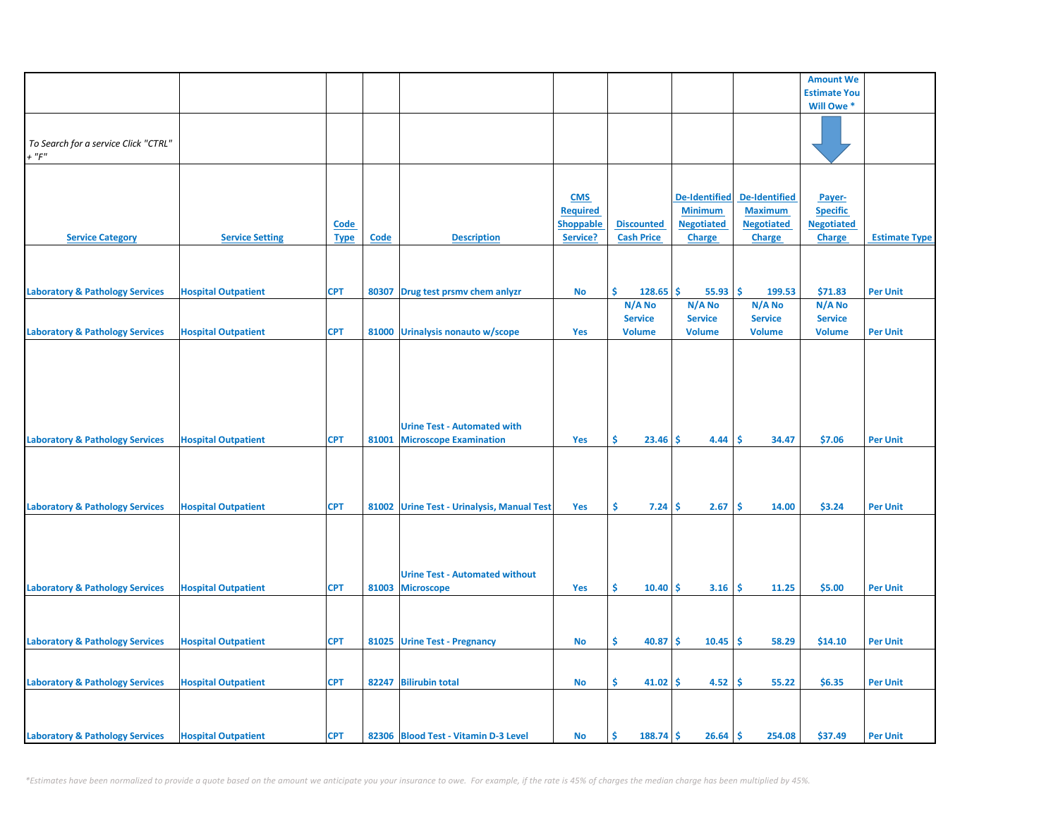|                                                     |                            |             |       |                                            |                  |                     |                      |                      | <b>Amount We</b>    |                      |
|-----------------------------------------------------|----------------------------|-------------|-------|--------------------------------------------|------------------|---------------------|----------------------|----------------------|---------------------|----------------------|
|                                                     |                            |             |       |                                            |                  |                     |                      |                      | <b>Estimate You</b> |                      |
|                                                     |                            |             |       |                                            |                  |                     |                      |                      | Will Owe *          |                      |
|                                                     |                            |             |       |                                            |                  |                     |                      |                      |                     |                      |
|                                                     |                            |             |       |                                            |                  |                     |                      |                      |                     |                      |
| To Search for a service Click "CTRL"<br>$+$ " $F$ " |                            |             |       |                                            |                  |                     |                      |                      |                     |                      |
|                                                     |                            |             |       |                                            |                  |                     |                      |                      |                     |                      |
|                                                     |                            |             |       |                                            |                  |                     |                      |                      |                     |                      |
|                                                     |                            |             |       |                                            | <b>CMS</b>       |                     | <b>De-Identified</b> | <b>De-Identified</b> | Payer-              |                      |
|                                                     |                            |             |       |                                            | <b>Required</b>  |                     | <b>Minimum</b>       | <b>Maximum</b>       | <b>Specific</b>     |                      |
|                                                     |                            | <b>Code</b> |       |                                            | <b>Shoppable</b> | <b>Discounted</b>   | <b>Negotiated</b>    | <b>Negotiated</b>    | <b>Negotiated</b>   |                      |
| <b>Service Category</b>                             | <b>Service Setting</b>     | <b>Type</b> | Code  | <b>Description</b>                         | Service?         | <b>Cash Price</b>   | <b>Charge</b>        | <b>Charge</b>        | <b>Charge</b>       | <b>Estimate Type</b> |
|                                                     |                            |             |       |                                            |                  |                     |                      |                      |                     |                      |
|                                                     |                            |             |       |                                            |                  |                     |                      |                      |                     |                      |
|                                                     |                            |             |       |                                            |                  |                     |                      |                      |                     |                      |
| <b>Laboratory &amp; Pathology Services</b>          | <b>Hospital Outpatient</b> | <b>CPT</b>  | 80307 | Drug test prsmv chem anlyzr                | No               | Ś.<br>128.65        | \$.<br>55.93         | -\$<br>199.53        | \$71.83             | <b>Per Unit</b>      |
|                                                     |                            |             |       |                                            |                  | N/A No              | N/A No               | N/A No               | N/A No              |                      |
|                                                     |                            |             |       |                                            |                  | <b>Service</b>      | <b>Service</b>       | <b>Service</b>       | <b>Service</b>      |                      |
| <b>Laboratory &amp; Pathology Services</b>          | <b>Hospital Outpatient</b> | <b>CPT</b>  |       | 81000 Urinalysis nonauto w/scope           | Yes              | <b>Volume</b>       | <b>Volume</b>        | <b>Volume</b>        | <b>Volume</b>       | <b>Per Unit</b>      |
|                                                     |                            |             |       |                                            |                  |                     |                      |                      |                     |                      |
|                                                     |                            |             |       |                                            |                  |                     |                      |                      |                     |                      |
|                                                     |                            |             |       |                                            |                  |                     |                      |                      |                     |                      |
|                                                     |                            |             |       |                                            |                  |                     |                      |                      |                     |                      |
|                                                     |                            |             |       |                                            |                  |                     |                      |                      |                     |                      |
|                                                     |                            |             |       |                                            |                  |                     |                      |                      |                     |                      |
|                                                     |                            |             |       | <b>Urine Test - Automated with</b>         |                  |                     |                      |                      |                     |                      |
| <b>Laboratory &amp; Pathology Services</b>          | <b>Hospital Outpatient</b> | <b>CPT</b>  | 81001 | <b>Microscope Examination</b>              | Yes              | \$<br>23.46         | Ŝ.<br>4.44           | <b>S</b><br>34.47    | \$7.06              | <b>Per Unit</b>      |
|                                                     |                            |             |       |                                            |                  |                     |                      |                      |                     |                      |
|                                                     |                            |             |       |                                            |                  |                     |                      |                      |                     |                      |
|                                                     |                            |             |       |                                            |                  |                     |                      |                      |                     |                      |
|                                                     |                            | <b>CPT</b>  |       |                                            | Yes              | \$.<br>$7.24 \,$ \$ | 2.67                 | -\$<br>14.00         | \$3.24              | <b>Per Unit</b>      |
| <b>Laboratory &amp; Pathology Services</b>          | <b>Hospital Outpatient</b> |             |       | 81002 Urine Test - Urinalysis, Manual Test |                  |                     |                      |                      |                     |                      |
|                                                     |                            |             |       |                                            |                  |                     |                      |                      |                     |                      |
|                                                     |                            |             |       |                                            |                  |                     |                      |                      |                     |                      |
|                                                     |                            |             |       |                                            |                  |                     |                      |                      |                     |                      |
|                                                     |                            |             |       | <b>Urine Test - Automated without</b>      |                  |                     |                      |                      |                     |                      |
| <b>Laboratory &amp; Pathology Services</b>          | <b>Hospital Outpatient</b> | <b>CPT</b>  |       | 81003 Microscope                           | Yes              | Ŝ.<br>10.40         | -Ś<br>3.16           | Ŝ.<br>11.25          | \$5.00              | <b>Per Unit</b>      |
|                                                     |                            |             |       |                                            |                  |                     |                      |                      |                     |                      |
|                                                     |                            |             |       |                                            |                  |                     |                      |                      |                     |                      |
|                                                     |                            |             |       |                                            |                  |                     |                      |                      |                     |                      |
| <b>Laboratory &amp; Pathology Services</b>          | <b>Hospital Outpatient</b> | <b>CPT</b>  |       | 81025 Urine Test - Pregnancy               | <b>No</b>        | \$<br>40.87         | -Ś<br>10.45          | ١\$<br>58.29         | \$14.10             | <b>Per Unit</b>      |
|                                                     |                            |             |       |                                            |                  |                     |                      |                      |                     |                      |
|                                                     |                            |             |       |                                            |                  |                     |                      |                      |                     |                      |
| <b>Laboratory &amp; Pathology Services</b>          | <b>Hospital Outpatient</b> | <b>CPT</b>  |       | 82247 Bilirubin total                      | <b>No</b>        | \$<br>$41.02$ \$    | 4.52                 | ١\$<br>55.22         | \$6.35              | <b>Per Unit</b>      |
|                                                     |                            |             |       |                                            |                  |                     |                      |                      |                     |                      |
|                                                     |                            |             |       |                                            |                  |                     |                      |                      |                     |                      |
|                                                     |                            |             |       |                                            |                  |                     |                      |                      |                     |                      |
| <b>Laboratory &amp; Pathology Services</b>          | <b>Hospital Outpatient</b> | <b>CPT</b>  |       | 82306 Blood Test - Vitamin D-3 Level       | No               | \$<br>$188.74$ \$   | $26.64$ \$           | 254.08               | \$37.49             | <b>Per Unit</b>      |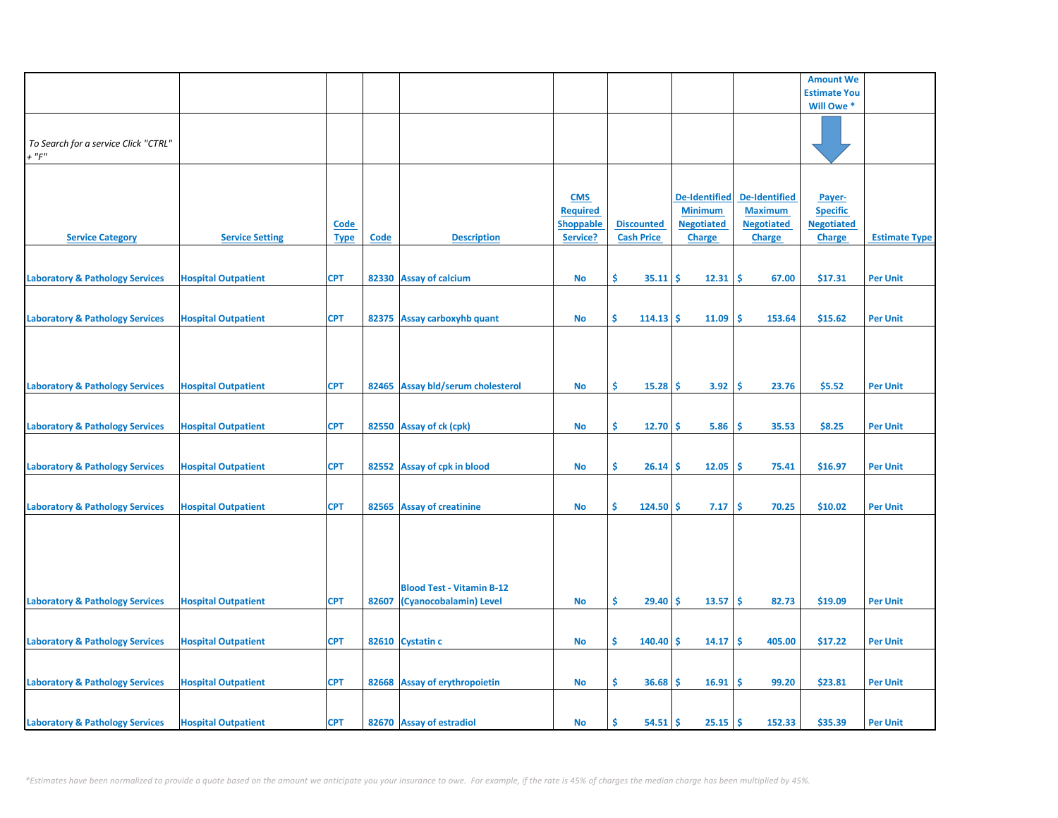|                                                     |                            |                            |       |                                                            |                                                               |                                        |                                                                              |                                                                              | <b>Amount We</b>                                                |                      |
|-----------------------------------------------------|----------------------------|----------------------------|-------|------------------------------------------------------------|---------------------------------------------------------------|----------------------------------------|------------------------------------------------------------------------------|------------------------------------------------------------------------------|-----------------------------------------------------------------|----------------------|
|                                                     |                            |                            |       |                                                            |                                                               |                                        |                                                                              |                                                                              | <b>Estimate You</b>                                             |                      |
|                                                     |                            |                            |       |                                                            |                                                               |                                        |                                                                              |                                                                              | Will Owe *                                                      |                      |
| To Search for a service Click "CTRL"<br>$+$ " $F$ " |                            |                            |       |                                                            |                                                               |                                        |                                                                              |                                                                              |                                                                 |                      |
| <b>Service Category</b>                             | <b>Service Setting</b>     | <b>Code</b><br><b>Type</b> | Code  | <b>Description</b>                                         | <b>CMS</b><br><b>Required</b><br><b>Shoppable</b><br>Service? | <b>Discounted</b><br><b>Cash Price</b> | <b>De-Identified</b><br><b>Minimum</b><br><b>Negotiated</b><br><b>Charge</b> | <b>De-Identified</b><br><b>Maximum</b><br><b>Negotiated</b><br><b>Charge</b> | Payer-<br><b>Specific</b><br><b>Negotiated</b><br><b>Charge</b> | <b>Estimate Type</b> |
| <b>Laboratory &amp; Pathology Services</b>          | <b>Hospital Outpatient</b> | <b>CPT</b>                 |       | 82330 Assay of calcium                                     | <b>No</b>                                                     | \$<br>35.11                            | -Ś<br>12.31                                                                  | \$<br>67.00                                                                  | \$17.31                                                         | <b>Per Unit</b>      |
| <b>Laboratory &amp; Pathology Services</b>          | <b>Hospital Outpatient</b> | <b>CPT</b>                 |       | 82375 Assay carboxyhb quant                                | <b>No</b>                                                     | \$<br>114.13                           | Ŝ<br>11.09                                                                   | Ś<br>153.64                                                                  | \$15.62                                                         | <b>Per Unit</b>      |
| <b>Laboratory &amp; Pathology Services</b>          | <b>Hospital Outpatient</b> | <b>CPT</b>                 |       | 82465 Assay bld/serum cholesterol                          | <b>No</b>                                                     | \$<br>15.28                            | 3.92<br>-Ś                                                                   | -\$<br>23.76                                                                 | \$5.52                                                          | <b>Per Unit</b>      |
| <b>Laboratory &amp; Pathology Services</b>          | <b>Hospital Outpatient</b> | <b>CPT</b>                 |       | 82550 Assay of ck (cpk)                                    | <b>No</b>                                                     | \$<br>12.70                            | -Ś<br>5.86                                                                   | -\$<br>35.53                                                                 | \$8.25                                                          | <b>Per Unit</b>      |
| <b>Laboratory &amp; Pathology Services</b>          | <b>Hospital Outpatient</b> | <b>CPT</b>                 |       | 82552 Assay of cpk in blood                                | No                                                            | \$.<br>26.14                           | 12.05<br>-\$                                                                 | -\$<br>75.41                                                                 | \$16.97                                                         | <b>Per Unit</b>      |
| <b>Laboratory &amp; Pathology Services</b>          | <b>Hospital Outpatient</b> | <b>CPT</b>                 |       | 82565 Assay of creatinine                                  | <b>No</b>                                                     | Š.<br>124.50                           | Ŝ<br>7.17                                                                    | Ŝ.<br>70.25                                                                  | \$10.02                                                         | <b>Per Unit</b>      |
| <b>Laboratory &amp; Pathology Services</b>          | <b>Hospital Outpatient</b> | <b>CPT</b>                 | 82607 | <b>Blood Test - Vitamin B-12</b><br>(Cyanocobalamin) Level | <b>No</b>                                                     | \$<br>29.40                            | <b>S</b><br>13.57                                                            | \$ ا<br>82.73                                                                | \$19.09                                                         | <b>Per Unit</b>      |
|                                                     |                            |                            |       |                                                            |                                                               |                                        |                                                                              |                                                                              |                                                                 |                      |
| <b>Laboratory &amp; Pathology Services</b>          | <b>Hospital Outpatient</b> | <b>CPT</b>                 |       | 82610 Cystatin c                                           | No                                                            | \$<br>140.40                           | -S<br>14.17                                                                  | -\$<br>405.00                                                                | \$17.22                                                         | <b>Per Unit</b>      |
| <b>Laboratory &amp; Pathology Services</b>          | <b>Hospital Outpatient</b> | <b>CPT</b>                 |       | 82668 Assay of erythropoietin                              | <b>No</b>                                                     | \$.<br>36.68                           | 16.91<br>-Ś                                                                  | -\$<br>99.20                                                                 | \$23.81                                                         | <b>Per Unit</b>      |
| <b>Laboratory &amp; Pathology Services</b>          | <b>Hospital Outpatient</b> | <b>CPT</b>                 |       | 82670 Assay of estradiol                                   | <b>No</b>                                                     | Ś<br>54.51                             | 25.15<br>-Ś                                                                  | l \$<br>152.33                                                               | \$35.39                                                         | <b>Per Unit</b>      |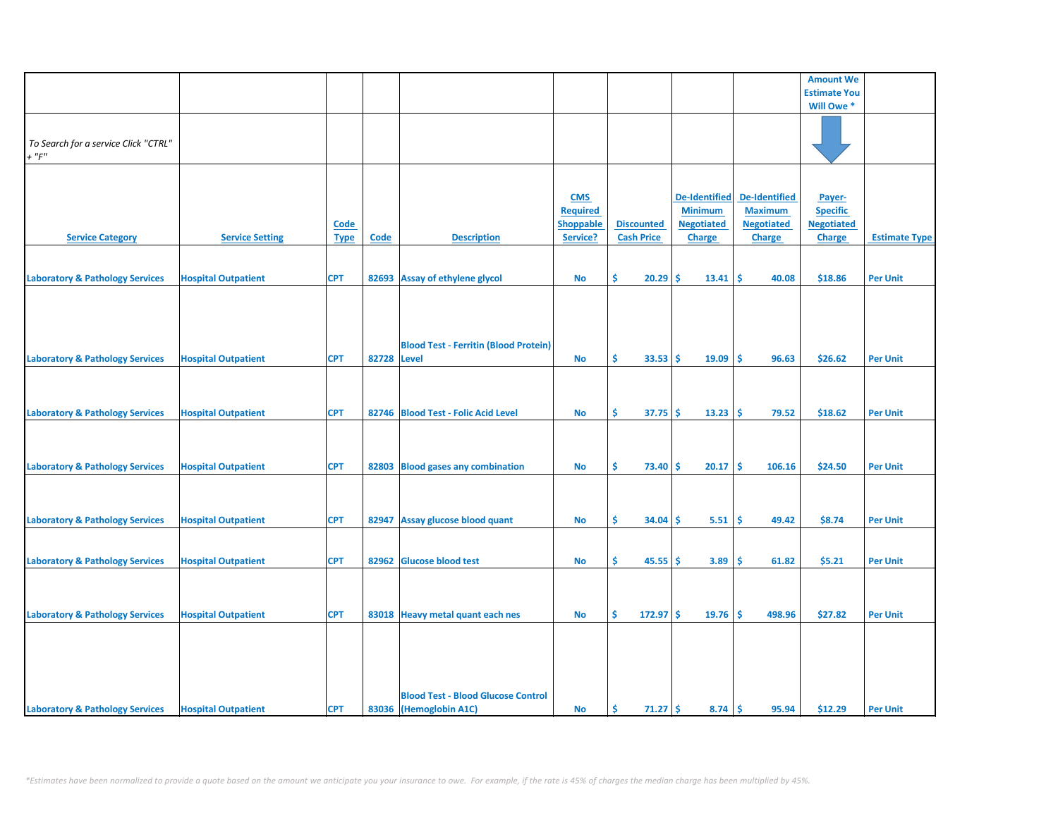|                                            |                            |             |             |                                              |                  |                    |                      |                      | <b>Amount We</b>    |                      |
|--------------------------------------------|----------------------------|-------------|-------------|----------------------------------------------|------------------|--------------------|----------------------|----------------------|---------------------|----------------------|
|                                            |                            |             |             |                                              |                  |                    |                      |                      | <b>Estimate You</b> |                      |
|                                            |                            |             |             |                                              |                  |                    |                      |                      | Will Owe *          |                      |
|                                            |                            |             |             |                                              |                  |                    |                      |                      |                     |                      |
|                                            |                            |             |             |                                              |                  |                    |                      |                      |                     |                      |
| To Search for a service Click "CTRL"       |                            |             |             |                                              |                  |                    |                      |                      |                     |                      |
| $+$ " $F$ "                                |                            |             |             |                                              |                  |                    |                      |                      |                     |                      |
|                                            |                            |             |             |                                              |                  |                    |                      |                      |                     |                      |
|                                            |                            |             |             |                                              |                  |                    |                      |                      |                     |                      |
|                                            |                            |             |             |                                              |                  |                    |                      |                      |                     |                      |
|                                            |                            |             |             |                                              | <b>CMS</b>       |                    | <b>De-Identified</b> | <b>De-Identified</b> | Payer-              |                      |
|                                            |                            |             |             |                                              | <b>Required</b>  |                    | <b>Minimum</b>       | <b>Maximum</b>       | <b>Specific</b>     |                      |
|                                            |                            | Code        |             |                                              | <b>Shoppable</b> | <b>Discounted</b>  | <b>Negotiated</b>    | <b>Negotiated</b>    | <b>Negotiated</b>   |                      |
| <b>Service Category</b>                    | <b>Service Setting</b>     | <b>Type</b> | Code        | <b>Description</b>                           | Service?         | <b>Cash Price</b>  | <b>Charge</b>        | <b>Charge</b>        | <b>Charge</b>       | <b>Estimate Type</b> |
|                                            |                            |             |             |                                              |                  |                    |                      |                      |                     |                      |
|                                            |                            |             |             |                                              |                  |                    |                      |                      |                     |                      |
| <b>Laboratory &amp; Pathology Services</b> | <b>Hospital Outpatient</b> | <b>CPT</b>  | 82693       | <b>Assay of ethylene glycol</b>              | No               | \$<br>20.29        | \$<br>13.41          | \$<br>40.08          | \$18.86             | <b>Per Unit</b>      |
|                                            |                            |             |             |                                              |                  |                    |                      |                      |                     |                      |
|                                            |                            |             |             |                                              |                  |                    |                      |                      |                     |                      |
|                                            |                            |             |             |                                              |                  |                    |                      |                      |                     |                      |
|                                            |                            |             |             |                                              |                  |                    |                      |                      |                     |                      |
|                                            |                            |             |             |                                              |                  |                    |                      |                      |                     |                      |
|                                            |                            |             |             | <b>Blood Test - Ferritin (Blood Protein)</b> |                  |                    |                      |                      |                     |                      |
| <b>Laboratory &amp; Pathology Services</b> | <b>Hospital Outpatient</b> | <b>CPT</b>  | 82728 Level |                                              | <b>No</b>        | Ŝ.<br>33.53        | Ŝ.<br>19.09          | Ŝ.<br>96.63          | \$26.62             | <b>Per Unit</b>      |
|                                            |                            |             |             |                                              |                  |                    |                      |                      |                     |                      |
|                                            |                            |             |             |                                              |                  |                    |                      |                      |                     |                      |
|                                            |                            |             |             |                                              |                  |                    |                      |                      |                     |                      |
| <b>Laboratory &amp; Pathology Services</b> | <b>Hospital Outpatient</b> | <b>CPT</b>  |             | 82746 Blood Test - Folic Acid Level          | No               | \$<br>37.75        | \$<br>13.23          | \$<br>79.52          | \$18.62             | <b>Per Unit</b>      |
|                                            |                            |             |             |                                              |                  |                    |                      |                      |                     |                      |
|                                            |                            |             |             |                                              |                  |                    |                      |                      |                     |                      |
|                                            |                            |             |             |                                              |                  |                    |                      |                      |                     |                      |
|                                            |                            |             |             |                                              |                  | Ŝ                  |                      |                      |                     |                      |
| <b>Laboratory &amp; Pathology Services</b> | <b>Hospital Outpatient</b> | <b>CPT</b>  | 82803       | <b>Blood gases any combination</b>           | No               | 73.40              | \$<br>20.17          | Ŝ<br>106.16          | \$24.50             | <b>Per Unit</b>      |
|                                            |                            |             |             |                                              |                  |                    |                      |                      |                     |                      |
|                                            |                            |             |             |                                              |                  |                    |                      |                      |                     |                      |
|                                            |                            |             |             |                                              |                  |                    |                      |                      |                     |                      |
| <b>Laboratory &amp; Pathology Services</b> | <b>Hospital Outpatient</b> | <b>CPT</b>  | 82947       | Assay glucose blood quant                    | No               | \$<br>34.04        | \$<br>5.51           | \$<br>49.42          | \$8.74              | <b>Per Unit</b>      |
|                                            |                            |             |             |                                              |                  |                    |                      |                      |                     |                      |
|                                            |                            |             |             |                                              |                  |                    |                      |                      |                     |                      |
| <b>Laboratory &amp; Pathology Services</b> | <b>Hospital Outpatient</b> | <b>CPT</b>  | 82962       | <b>Glucose blood test</b>                    | No               | \$.<br>45.55       | \$<br>3.89           | \$.<br>61.82         | \$5.21              | <b>Per Unit</b>      |
|                                            |                            |             |             |                                              |                  |                    |                      |                      |                     |                      |
|                                            |                            |             |             |                                              |                  |                    |                      |                      |                     |                      |
|                                            |                            |             |             |                                              |                  |                    |                      |                      |                     |                      |
| <b>Laboratory &amp; Pathology Services</b> | <b>Hospital Outpatient</b> | <b>CPT</b>  | 83018       | Heavy metal quant each nes                   | <b>No</b>        | \$.<br>$172.97$ \$ | 19.76                | \$.<br>498.96        | \$27.82             | <b>Per Unit</b>      |
|                                            |                            |             |             |                                              |                  |                    |                      |                      |                     |                      |
|                                            |                            |             |             |                                              |                  |                    |                      |                      |                     |                      |
|                                            |                            |             |             |                                              |                  |                    |                      |                      |                     |                      |
|                                            |                            |             |             |                                              |                  |                    |                      |                      |                     |                      |
|                                            |                            |             |             |                                              |                  |                    |                      |                      |                     |                      |
|                                            |                            |             |             |                                              |                  |                    |                      |                      |                     |                      |
|                                            |                            |             |             | <b>Blood Test - Blood Glucose Control</b>    |                  |                    |                      |                      |                     |                      |
| <b>Laboratory &amp; Pathology Services</b> | <b>Hospital Outpatient</b> | <b>CPT</b>  |             | 83036 (Hemoglobin A1C)                       | <b>No</b>        | -\$<br>$71.27$ \$  | 8.74                 | \$<br>95.94          | \$12.29             | <b>Per Unit</b>      |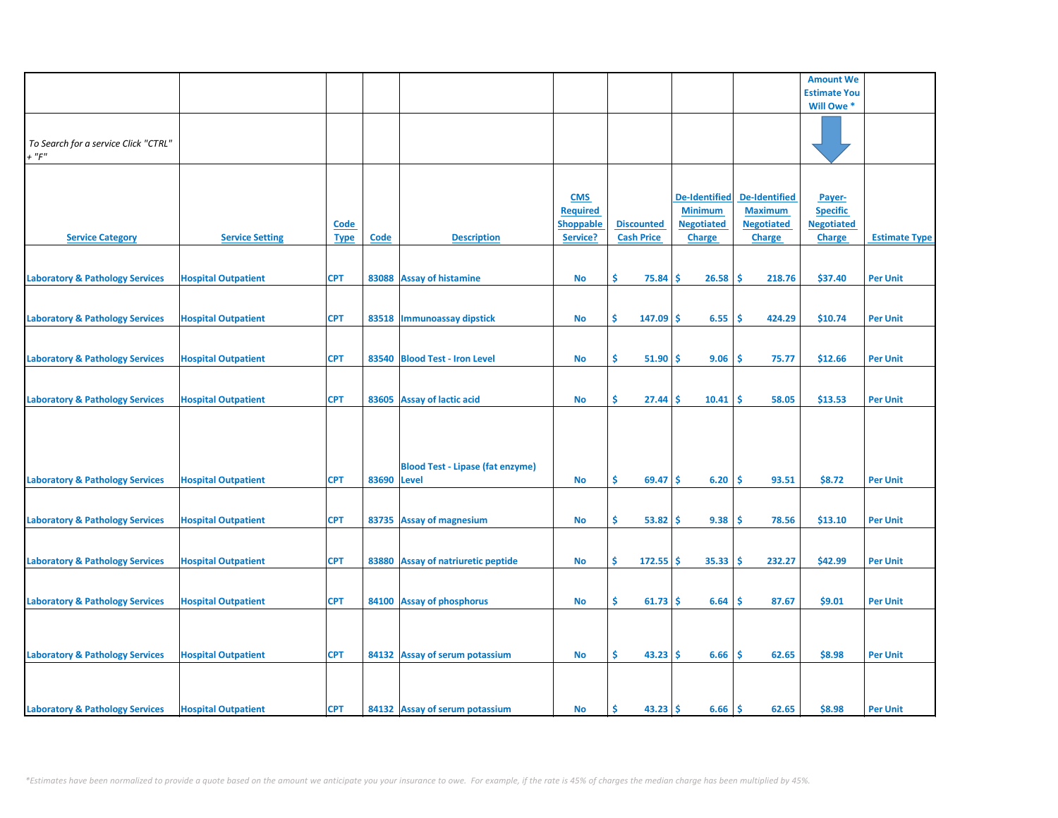|                                            |                            |             |       |                                         |                  |                   |                      |                      | <b>Amount We</b>    |                      |
|--------------------------------------------|----------------------------|-------------|-------|-----------------------------------------|------------------|-------------------|----------------------|----------------------|---------------------|----------------------|
|                                            |                            |             |       |                                         |                  |                   |                      |                      | <b>Estimate You</b> |                      |
|                                            |                            |             |       |                                         |                  |                   |                      |                      | Will Owe *          |                      |
|                                            |                            |             |       |                                         |                  |                   |                      |                      |                     |                      |
|                                            |                            |             |       |                                         |                  |                   |                      |                      |                     |                      |
| To Search for a service Click "CTRL"       |                            |             |       |                                         |                  |                   |                      |                      |                     |                      |
|                                            |                            |             |       |                                         |                  |                   |                      |                      |                     |                      |
| $+$ " $F$ "                                |                            |             |       |                                         |                  |                   |                      |                      |                     |                      |
|                                            |                            |             |       |                                         |                  |                   |                      |                      |                     |                      |
|                                            |                            |             |       |                                         |                  |                   |                      |                      |                     |                      |
|                                            |                            |             |       |                                         | <b>CMS</b>       |                   | <b>De-Identified</b> | <b>De-Identified</b> | Payer-              |                      |
|                                            |                            |             |       |                                         | <b>Required</b>  |                   | <b>Minimum</b>       | <b>Maximum</b>       | <b>Specific</b>     |                      |
|                                            |                            | <b>Code</b> |       |                                         | <b>Shoppable</b> | <b>Discounted</b> | <b>Negotiated</b>    | <b>Negotiated</b>    | <b>Negotiated</b>   |                      |
|                                            |                            |             |       |                                         |                  |                   |                      |                      |                     | <b>Estimate Type</b> |
| <b>Service Category</b>                    | <b>Service Setting</b>     | <b>Type</b> | Code  | <b>Description</b>                      | Service?         | <b>Cash Price</b> | <b>Charge</b>        | <b>Charge</b>        | <b>Charge</b>       |                      |
|                                            |                            |             |       |                                         |                  |                   |                      |                      |                     |                      |
|                                            |                            |             |       |                                         |                  |                   |                      |                      |                     |                      |
| <b>Laboratory &amp; Pathology Services</b> | <b>Hospital Outpatient</b> | <b>CPT</b>  |       | 83088 Assay of histamine                | <b>No</b>        | \$<br>75.84       | 26.58<br>Ŝ           | -Ś<br>218.76         | \$37.40             | <b>Per Unit</b>      |
|                                            |                            |             |       |                                         |                  |                   |                      |                      |                     |                      |
|                                            |                            |             |       |                                         |                  |                   |                      |                      |                     |                      |
| <b>Laboratory &amp; Pathology Services</b> | <b>Hospital Outpatient</b> | <b>CPT</b>  |       | 83518 Immunoassay dipstick              | No               | \$<br>$147.09$ \$ | 6.55                 | -\$<br>424.29        | \$10.74             | <b>Per Unit</b>      |
|                                            |                            |             |       |                                         |                  |                   |                      |                      |                     |                      |
|                                            |                            |             |       |                                         |                  |                   |                      |                      |                     |                      |
|                                            |                            |             |       |                                         |                  |                   |                      |                      |                     |                      |
| <b>Laboratory &amp; Pathology Services</b> | <b>Hospital Outpatient</b> | <b>CPT</b>  |       | 83540 Blood Test - Iron Level           | No               | \$.<br>51.90      | 9.06<br>-Ś           | -\$<br>75.77         | \$12.66             | <b>Per Unit</b>      |
|                                            |                            |             |       |                                         |                  |                   |                      |                      |                     |                      |
|                                            |                            |             |       |                                         |                  |                   |                      |                      |                     |                      |
| <b>Laboratory &amp; Pathology Services</b> | <b>Hospital Outpatient</b> | <b>CPT</b>  |       | 83605 Assay of lactic acid              | No               | \$<br>27.44       | 10.41<br>Ŝ           | \$.<br>58.05         | \$13.53             | <b>Per Unit</b>      |
|                                            |                            |             |       |                                         |                  |                   |                      |                      |                     |                      |
|                                            |                            |             |       |                                         |                  |                   |                      |                      |                     |                      |
|                                            |                            |             |       |                                         |                  |                   |                      |                      |                     |                      |
|                                            |                            |             |       |                                         |                  |                   |                      |                      |                     |                      |
|                                            |                            |             |       |                                         |                  |                   |                      |                      |                     |                      |
|                                            |                            |             |       | <b>Blood Test - Lipase (fat enzyme)</b> |                  |                   |                      |                      |                     |                      |
| <b>Laboratory &amp; Pathology Services</b> | <b>Hospital Outpatient</b> | <b>CPT</b>  | 83690 | <b>Level</b>                            | <b>No</b>        | \$<br>69.47       | 6.20<br>Ŝ.           | Ŝ.<br>93.51          | \$8.72              | <b>Per Unit</b>      |
|                                            |                            |             |       |                                         |                  |                   |                      |                      |                     |                      |
|                                            |                            |             |       |                                         |                  |                   |                      |                      |                     |                      |
|                                            |                            | <b>CPT</b>  |       |                                         |                  | \$<br>53.82       | 9.38<br><b>S</b>     | -\$<br>78.56         | \$13.10             |                      |
| <b>Laboratory &amp; Pathology Services</b> | <b>Hospital Outpatient</b> |             |       | 83735 Assay of magnesium                | No               |                   |                      |                      |                     | <b>Per Unit</b>      |
|                                            |                            |             |       |                                         |                  |                   |                      |                      |                     |                      |
|                                            |                            |             |       |                                         |                  |                   |                      |                      |                     |                      |
| <b>Laboratory &amp; Pathology Services</b> | <b>Hospital Outpatient</b> | <b>CPT</b>  |       | 83880 Assay of natriuretic peptide      | No               | Ŝ.<br>$172.55$ \$ | 35.33                | -\$<br>232.27        | \$42.99             | <b>Per Unit</b>      |
|                                            |                            |             |       |                                         |                  |                   |                      |                      |                     |                      |
|                                            |                            |             |       |                                         |                  |                   |                      |                      |                     |                      |
| <b>Laboratory &amp; Pathology Services</b> | <b>Hospital Outpatient</b> | <b>CPT</b>  |       | 84100 Assay of phosphorus               | No               | \$<br>$61.73$ \$  | 6.64                 | \$.<br>87.67         | \$9.01              | <b>Per Unit</b>      |
|                                            |                            |             |       |                                         |                  |                   |                      |                      |                     |                      |
|                                            |                            |             |       |                                         |                  |                   |                      |                      |                     |                      |
|                                            |                            |             |       |                                         |                  |                   |                      |                      |                     |                      |
|                                            |                            |             |       |                                         |                  |                   |                      |                      |                     |                      |
| <b>Laboratory &amp; Pathology Services</b> | <b>Hospital Outpatient</b> | <b>CPT</b>  |       | 84132 Assay of serum potassium          | <b>No</b>        | \$<br>$43.23$ \$  | 6.66                 | \$<br>62.65          | \$8.98              | <b>Per Unit</b>      |
|                                            |                            |             |       |                                         |                  |                   |                      |                      |                     |                      |
|                                            |                            |             |       |                                         |                  |                   |                      |                      |                     |                      |
|                                            |                            |             |       |                                         |                  |                   |                      |                      |                     |                      |
| <b>Laboratory &amp; Pathology Services</b> | <b>Hospital Outpatient</b> | <b>CPT</b>  |       | 84132 Assay of serum potassium          | <b>No</b>        | \$.<br>43.23      | Ŝ.<br>6.66           | ١\$<br>62.65         | \$8.98              | <b>Per Unit</b>      |
|                                            |                            |             |       |                                         |                  |                   |                      |                      |                     |                      |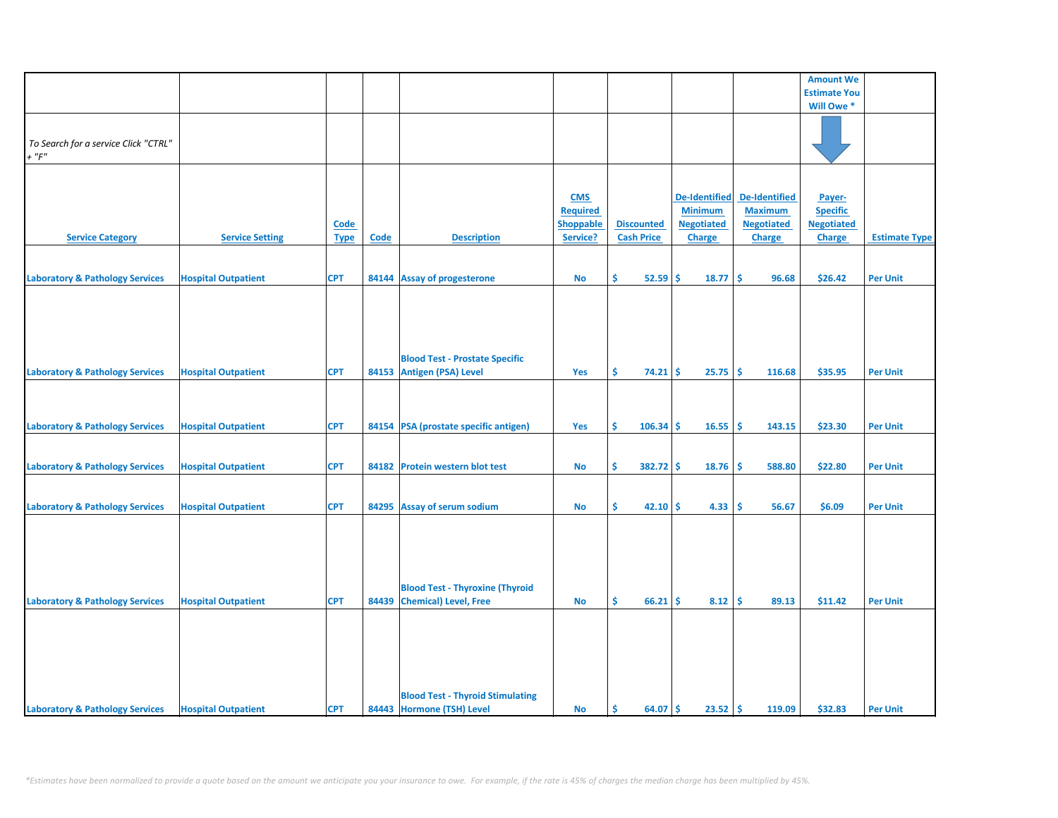|                                            |                            |             |       |                                         |                  |                   |                      |                      | <b>Amount We</b>    |                      |
|--------------------------------------------|----------------------------|-------------|-------|-----------------------------------------|------------------|-------------------|----------------------|----------------------|---------------------|----------------------|
|                                            |                            |             |       |                                         |                  |                   |                      |                      | <b>Estimate You</b> |                      |
|                                            |                            |             |       |                                         |                  |                   |                      |                      | Will Owe *          |                      |
|                                            |                            |             |       |                                         |                  |                   |                      |                      |                     |                      |
|                                            |                            |             |       |                                         |                  |                   |                      |                      |                     |                      |
| To Search for a service Click "CTRL"       |                            |             |       |                                         |                  |                   |                      |                      |                     |                      |
| $+$ " $F$ "                                |                            |             |       |                                         |                  |                   |                      |                      |                     |                      |
|                                            |                            |             |       |                                         |                  |                   |                      |                      |                     |                      |
|                                            |                            |             |       |                                         |                  |                   |                      |                      |                     |                      |
|                                            |                            |             |       |                                         |                  |                   |                      |                      |                     |                      |
|                                            |                            |             |       |                                         | <b>CMS</b>       |                   | <b>De-Identified</b> | <b>De-Identified</b> | Payer-              |                      |
|                                            |                            |             |       |                                         | <b>Required</b>  |                   | <b>Minimum</b>       | <b>Maximum</b>       | <b>Specific</b>     |                      |
|                                            |                            | <b>Code</b> |       |                                         | <b>Shoppable</b> | <b>Discounted</b> | <b>Negotiated</b>    | <b>Negotiated</b>    | <b>Negotiated</b>   |                      |
| <b>Service Category</b>                    | <b>Service Setting</b>     | <b>Type</b> | Code  | <b>Description</b>                      | Service?         | <b>Cash Price</b> | <b>Charge</b>        | <b>Charge</b>        | <b>Charge</b>       | <b>Estimate Type</b> |
|                                            |                            |             |       |                                         |                  |                   |                      |                      |                     |                      |
|                                            |                            |             |       |                                         |                  |                   |                      |                      |                     |                      |
| <b>Laboratory &amp; Pathology Services</b> | <b>Hospital Outpatient</b> | <b>CPT</b>  |       | 84144 Assay of progesterone             | No               | \$<br>52.59       | \$<br>18.77          | Ŝ<br>96.68           | \$26.42             | <b>Per Unit</b>      |
|                                            |                            |             |       |                                         |                  |                   |                      |                      |                     |                      |
|                                            |                            |             |       |                                         |                  |                   |                      |                      |                     |                      |
|                                            |                            |             |       |                                         |                  |                   |                      |                      |                     |                      |
|                                            |                            |             |       |                                         |                  |                   |                      |                      |                     |                      |
|                                            |                            |             |       |                                         |                  |                   |                      |                      |                     |                      |
|                                            |                            |             |       |                                         |                  |                   |                      |                      |                     |                      |
|                                            |                            |             |       | <b>Blood Test - Prostate Specific</b>   |                  |                   |                      |                      |                     |                      |
| <b>Laboratory &amp; Pathology Services</b> | <b>Hospital Outpatient</b> | <b>CPT</b>  | 84153 | <b>Antigen (PSA) Level</b>              | Yes              | \$<br>74.21       | -\$<br>25.75         | Ŝ.<br>116.68         | \$35.95             | <b>Per Unit</b>      |
|                                            |                            |             |       |                                         |                  |                   |                      |                      |                     |                      |
|                                            |                            |             |       |                                         |                  |                   |                      |                      |                     |                      |
|                                            |                            |             |       |                                         |                  |                   |                      |                      |                     |                      |
| <b>Laboratory &amp; Pathology Services</b> | <b>Hospital Outpatient</b> | <b>CPT</b>  |       | 84154 PSA (prostate specific antigen)   | Yes              | \$<br>106.34      | -\$<br>16.55         | \$.<br>143.15        | \$23.30             | <b>Per Unit</b>      |
|                                            |                            |             |       |                                         |                  |                   |                      |                      |                     |                      |
|                                            |                            |             |       |                                         |                  |                   |                      |                      |                     |                      |
| <b>Laboratory &amp; Pathology Services</b> | <b>Hospital Outpatient</b> | <b>CPT</b>  | 84182 | <b>Protein western blot test</b>        | No               | Ŝ.<br>382.72      | -\$<br>18.76         | Ŝ<br>588.80          | \$22.80             | <b>Per Unit</b>      |
|                                            |                            |             |       |                                         |                  |                   |                      |                      |                     |                      |
|                                            |                            |             |       |                                         |                  |                   |                      |                      |                     |                      |
|                                            |                            |             |       |                                         |                  |                   |                      |                      |                     |                      |
| <b>Laboratory &amp; Pathology Services</b> | <b>Hospital Outpatient</b> | <b>CPT</b>  | 84295 | <b>Assay of serum sodium</b>            | <b>No</b>        | \$<br>42.10       | 4.33<br>\$           | \$.<br>56.67         | \$6.09              | <b>Per Unit</b>      |
|                                            |                            |             |       |                                         |                  |                   |                      |                      |                     |                      |
|                                            |                            |             |       |                                         |                  |                   |                      |                      |                     |                      |
|                                            |                            |             |       |                                         |                  |                   |                      |                      |                     |                      |
|                                            |                            |             |       |                                         |                  |                   |                      |                      |                     |                      |
|                                            |                            |             |       |                                         |                  |                   |                      |                      |                     |                      |
|                                            |                            |             |       | <b>Blood Test - Thyroxine (Thyroid</b>  |                  |                   |                      |                      |                     |                      |
| <b>Laboratory &amp; Pathology Services</b> | <b>Hospital Outpatient</b> | <b>CPT</b>  | 84439 | <b>Chemical</b> ) Level, Free           | <b>No</b>        | Ŝ.<br>66.21       | 8.12<br>\$.          | -\$<br>89.13         | \$11.42             | <b>Per Unit</b>      |
|                                            |                            |             |       |                                         |                  |                   |                      |                      |                     |                      |
|                                            |                            |             |       |                                         |                  |                   |                      |                      |                     |                      |
|                                            |                            |             |       |                                         |                  |                   |                      |                      |                     |                      |
|                                            |                            |             |       |                                         |                  |                   |                      |                      |                     |                      |
|                                            |                            |             |       |                                         |                  |                   |                      |                      |                     |                      |
|                                            |                            |             |       |                                         |                  |                   |                      |                      |                     |                      |
|                                            |                            |             |       |                                         |                  |                   |                      |                      |                     |                      |
|                                            |                            |             |       | <b>Blood Test - Thyroid Stimulating</b> |                  |                   |                      |                      |                     |                      |
| <b>Laboratory &amp; Pathology Services</b> | <b>Hospital Outpatient</b> | <b>CPT</b>  |       | 84443 Hormone (TSH) Level               | <b>No</b>        | Ŝ.<br>64.07       | \$<br>23.52          | \$<br>119.09         | \$32.83             | <b>Per Unit</b>      |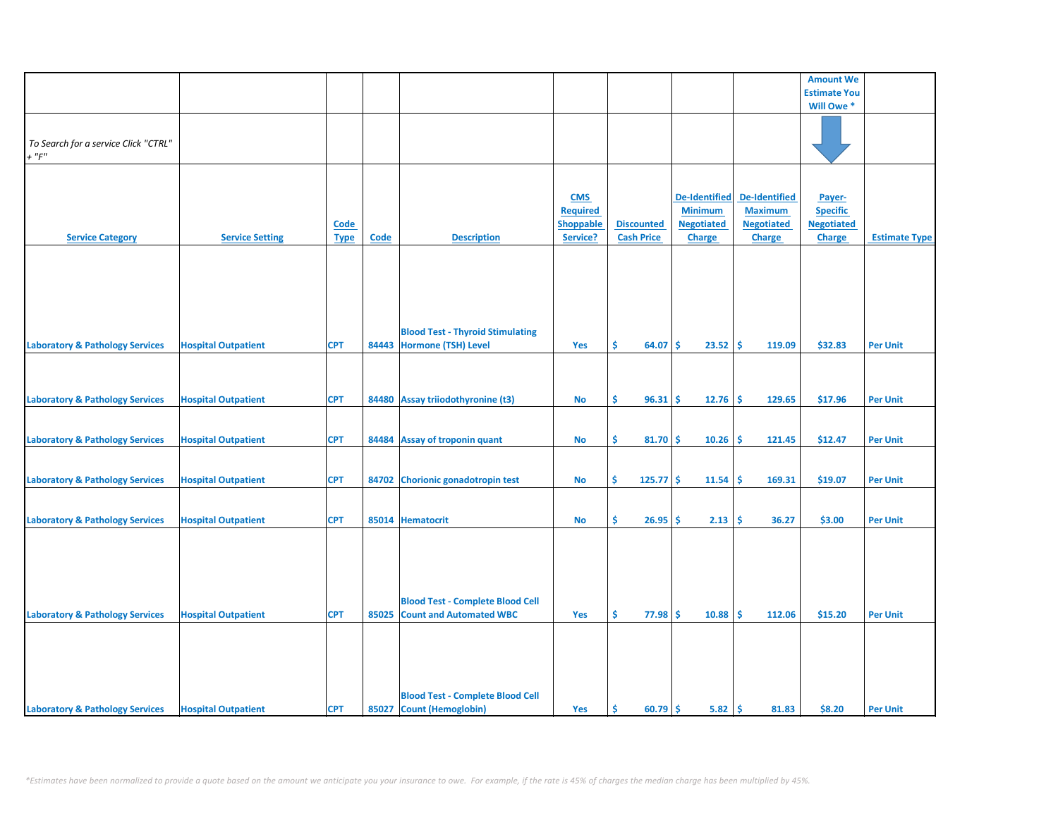|                                            |                            |             |             |                                         |                  |                   |                      |                      | <b>Amount We</b>    |                      |
|--------------------------------------------|----------------------------|-------------|-------------|-----------------------------------------|------------------|-------------------|----------------------|----------------------|---------------------|----------------------|
|                                            |                            |             |             |                                         |                  |                   |                      |                      | <b>Estimate You</b> |                      |
|                                            |                            |             |             |                                         |                  |                   |                      |                      | Will Owe*           |                      |
|                                            |                            |             |             |                                         |                  |                   |                      |                      |                     |                      |
|                                            |                            |             |             |                                         |                  |                   |                      |                      |                     |                      |
| To Search for a service Click "CTRL"       |                            |             |             |                                         |                  |                   |                      |                      |                     |                      |
| $+$ " $F$ "                                |                            |             |             |                                         |                  |                   |                      |                      |                     |                      |
|                                            |                            |             |             |                                         |                  |                   |                      |                      |                     |                      |
|                                            |                            |             |             |                                         |                  |                   |                      |                      |                     |                      |
|                                            |                            |             |             |                                         | <b>CMS</b>       |                   | <b>De-Identified</b> | <b>De-Identified</b> | Payer-              |                      |
|                                            |                            |             |             |                                         | <b>Required</b>  |                   | <b>Minimum</b>       | <b>Maximum</b>       | <b>Specific</b>     |                      |
|                                            |                            | <b>Code</b> |             |                                         | <b>Shoppable</b> | <b>Discounted</b> | <b>Negotiated</b>    | <b>Negotiated</b>    | <b>Negotiated</b>   |                      |
| <b>Service Category</b>                    | <b>Service Setting</b>     | <b>Type</b> | <b>Code</b> | <b>Description</b>                      | Service?         | <b>Cash Price</b> | <b>Charge</b>        | <b>Charge</b>        | <b>Charge</b>       | <b>Estimate Type</b> |
|                                            |                            |             |             |                                         |                  |                   |                      |                      |                     |                      |
|                                            |                            |             |             |                                         |                  |                   |                      |                      |                     |                      |
|                                            |                            |             |             |                                         |                  |                   |                      |                      |                     |                      |
|                                            |                            |             |             |                                         |                  |                   |                      |                      |                     |                      |
|                                            |                            |             |             |                                         |                  |                   |                      |                      |                     |                      |
|                                            |                            |             |             |                                         |                  |                   |                      |                      |                     |                      |
|                                            |                            |             |             | <b>Blood Test - Thyroid Stimulating</b> |                  |                   |                      |                      |                     |                      |
| <b>Laboratory &amp; Pathology Services</b> | <b>Hospital Outpatient</b> | <b>CPT</b>  |             | 84443 Hormone (TSH) Level               | Yes              | Ś.<br>64.07       | 23.52<br><b>S</b>    | ١\$<br>119.09        | \$32.83             | <b>Per Unit</b>      |
|                                            |                            |             |             |                                         |                  |                   |                      |                      |                     |                      |
|                                            |                            |             |             |                                         |                  |                   |                      |                      |                     |                      |
|                                            |                            |             |             |                                         |                  |                   |                      |                      |                     |                      |
| <b>Laboratory &amp; Pathology Services</b> | <b>Hospital Outpatient</b> | <b>CPT</b>  |             | 84480 Assay triiodothyronine (t3)       | No               | \$.<br>96.31      | 12.76<br><b>S</b>    | -\$<br>129.65        | \$17.96             | <b>Per Unit</b>      |
|                                            |                            |             |             |                                         |                  |                   |                      |                      |                     |                      |
|                                            |                            |             |             |                                         |                  |                   |                      |                      |                     |                      |
| <b>Laboratory &amp; Pathology Services</b> | <b>Hospital Outpatient</b> | <b>CPT</b>  |             | 84484 Assay of troponin quant           | <b>No</b>        | \$<br>$81.70$ \$  | 10.26                | ۱\$<br>121.45        | \$12.47             | <b>Per Unit</b>      |
|                                            |                            |             |             |                                         |                  |                   |                      |                      |                     |                      |
|                                            |                            |             |             |                                         |                  |                   |                      |                      |                     |                      |
| <b>Laboratory &amp; Pathology Services</b> | <b>Hospital Outpatient</b> | <b>CPT</b>  |             | 84702 Chorionic gonadotropin test       | No               | \$<br>$125.77$ \$ | 11.54                | -\$<br>169.31        | \$19.07             | <b>Per Unit</b>      |
|                                            |                            |             |             |                                         |                  |                   |                      |                      |                     |                      |
|                                            |                            |             |             |                                         |                  |                   |                      |                      |                     |                      |
| <b>Laboratory &amp; Pathology Services</b> | <b>Hospital Outpatient</b> | <b>CPT</b>  |             | 85014 Hematocrit                        | No               | \$<br>26.95       | 2.13<br><b>S</b>     | \$<br>36.27          | \$3.00              | <b>Per Unit</b>      |
|                                            |                            |             |             |                                         |                  |                   |                      |                      |                     |                      |
|                                            |                            |             |             |                                         |                  |                   |                      |                      |                     |                      |
|                                            |                            |             |             |                                         |                  |                   |                      |                      |                     |                      |
|                                            |                            |             |             |                                         |                  |                   |                      |                      |                     |                      |
|                                            |                            |             |             |                                         |                  |                   |                      |                      |                     |                      |
|                                            |                            |             |             | <b>Blood Test - Complete Blood Cell</b> |                  |                   |                      |                      |                     |                      |
| <b>Laboratory &amp; Pathology Services</b> | <b>Hospital Outpatient</b> | <b>CPT</b>  | 85025       | <b>Count and Automated WBC</b>          | Yes              | \$.<br>77.98      | -Ś<br>10.88          | -\$<br>112.06        | \$15.20             | <b>Per Unit</b>      |
|                                            |                            |             |             |                                         |                  |                   |                      |                      |                     |                      |
|                                            |                            |             |             |                                         |                  |                   |                      |                      |                     |                      |
|                                            |                            |             |             |                                         |                  |                   |                      |                      |                     |                      |
|                                            |                            |             |             |                                         |                  |                   |                      |                      |                     |                      |
|                                            |                            |             |             |                                         |                  |                   |                      |                      |                     |                      |
|                                            |                            |             |             | <b>Blood Test - Complete Blood Cell</b> |                  |                   |                      |                      |                     |                      |
| <b>Laboratory &amp; Pathology Services</b> | <b>Hospital Outpatient</b> | <b>CPT</b>  |             | 85027 Count (Hemoglobin)                | Yes              | \$<br>$60.79$ \$  | $5.82 \, \text{S}$   | 81.83                | \$8.20              | <b>Per Unit</b>      |
|                                            |                            |             |             |                                         |                  |                   |                      |                      |                     |                      |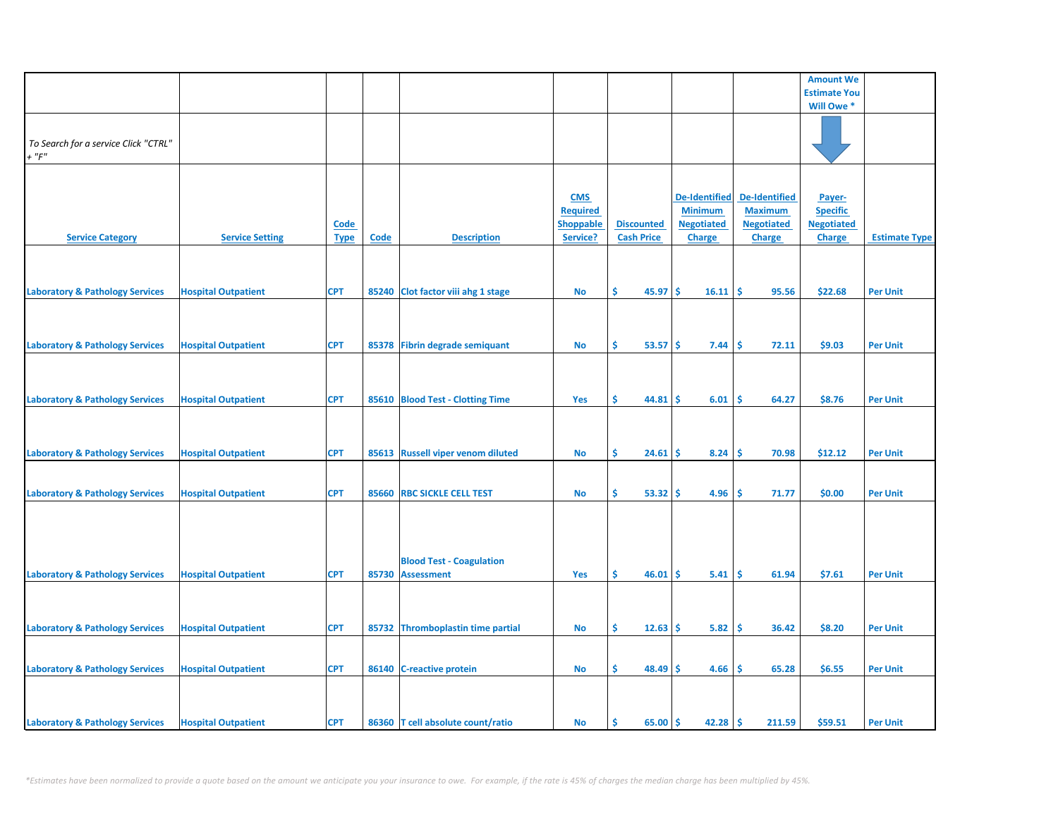|                                                     |                            |                            |       |                                                      |                                                               |                                        |                                                                              |                                                                              | <b>Amount We</b>                                                |                      |
|-----------------------------------------------------|----------------------------|----------------------------|-------|------------------------------------------------------|---------------------------------------------------------------|----------------------------------------|------------------------------------------------------------------------------|------------------------------------------------------------------------------|-----------------------------------------------------------------|----------------------|
|                                                     |                            |                            |       |                                                      |                                                               |                                        |                                                                              |                                                                              | <b>Estimate You</b>                                             |                      |
|                                                     |                            |                            |       |                                                      |                                                               |                                        |                                                                              |                                                                              | Will Owe *                                                      |                      |
| To Search for a service Click "CTRL"<br>$+$ " $F$ " |                            |                            |       |                                                      |                                                               |                                        |                                                                              |                                                                              |                                                                 |                      |
| <b>Service Category</b>                             | <b>Service Setting</b>     | <b>Code</b><br><b>Type</b> | Code  | <b>Description</b>                                   | <b>CMS</b><br><b>Required</b><br><b>Shoppable</b><br>Service? | <b>Discounted</b><br><b>Cash Price</b> | <b>De-Identified</b><br><b>Minimum</b><br><b>Negotiated</b><br><b>Charge</b> | <b>De-Identified</b><br><b>Maximum</b><br><b>Negotiated</b><br><b>Charge</b> | Payer-<br><b>Specific</b><br><b>Negotiated</b><br><b>Charge</b> | <b>Estimate Type</b> |
| <b>Laboratory &amp; Pathology Services</b>          | <b>Hospital Outpatient</b> | <b>CPT</b>                 |       | 85240 Clot factor viii ahg 1 stage                   | <b>No</b>                                                     | \$<br>45.97                            | \$<br>16.11                                                                  | \$.<br>95.56                                                                 | \$22.68                                                         | <b>Per Unit</b>      |
| <b>Laboratory &amp; Pathology Services</b>          | <b>Hospital Outpatient</b> | <b>CPT</b>                 |       | 85378 Fibrin degrade semiquant                       | <b>No</b>                                                     | \$<br>53.57                            | -\$<br>7.44                                                                  | \$.<br>72.11                                                                 | \$9.03                                                          | <b>Per Unit</b>      |
| <b>Laboratory &amp; Pathology Services</b>          | <b>Hospital Outpatient</b> | <b>CPT</b>                 |       | 85610 Blood Test - Clotting Time                     | <b>Yes</b>                                                    | \$.<br>44.81                           | \$<br>6.01                                                                   | \$<br>64.27                                                                  | \$8.76                                                          | <b>Per Unit</b>      |
| <b>Laboratory &amp; Pathology Services</b>          | <b>Hospital Outpatient</b> | <b>CPT</b>                 |       | 85613 Russell viper venom diluted                    | <b>No</b>                                                     | \$<br>24.61                            | \$<br>8.24                                                                   | -\$<br>70.98                                                                 | \$12.12                                                         | <b>Per Unit</b>      |
| <b>Laboratory &amp; Pathology Services</b>          | <b>Hospital Outpatient</b> | <b>CPT</b>                 |       | 85660 RBC SICKLE CELL TEST                           | No                                                            | \$.<br>53.32                           | 4.96<br>\$.                                                                  | -\$<br>71.77                                                                 | \$0.00                                                          | <b>Per Unit</b>      |
| <b>Laboratory &amp; Pathology Services</b>          | <b>Hospital Outpatient</b> | <b>CPT</b>                 | 85730 | <b>Blood Test - Coagulation</b><br><b>Assessment</b> | Yes                                                           | \$<br>46.01                            | \$.<br>5.41                                                                  | -\$<br>61.94                                                                 | \$7.61                                                          | <b>Per Unit</b>      |
|                                                     |                            |                            |       |                                                      |                                                               |                                        |                                                                              |                                                                              |                                                                 |                      |
| <b>Laboratory &amp; Pathology Services</b>          | <b>Hospital Outpatient</b> | <b>CPT</b>                 |       | 85732 Thromboplastin time partial                    | No                                                            | Ŝ.<br>12.63                            | 5.82<br>\$.                                                                  | \$<br>36.42                                                                  | \$8.20                                                          | <b>Per Unit</b>      |
| <b>Laboratory &amp; Pathology Services</b>          | <b>Hospital Outpatient</b> | <b>CPT</b>                 |       | 86140 C-reactive protein                             | <b>No</b>                                                     | \$<br>48.49                            | 4.66<br>Ś                                                                    | \$<br>65.28                                                                  | \$6.55                                                          | <b>Per Unit</b>      |
| <b>Laboratory &amp; Pathology Services</b>          | <b>Hospital Outpatient</b> | <b>CPT</b>                 |       | 86360 T cell absolute count/ratio                    | <b>No</b>                                                     | \$<br>65.00                            | \$<br>42.28                                                                  | -\$<br>211.59                                                                | \$59.51                                                         | <b>Per Unit</b>      |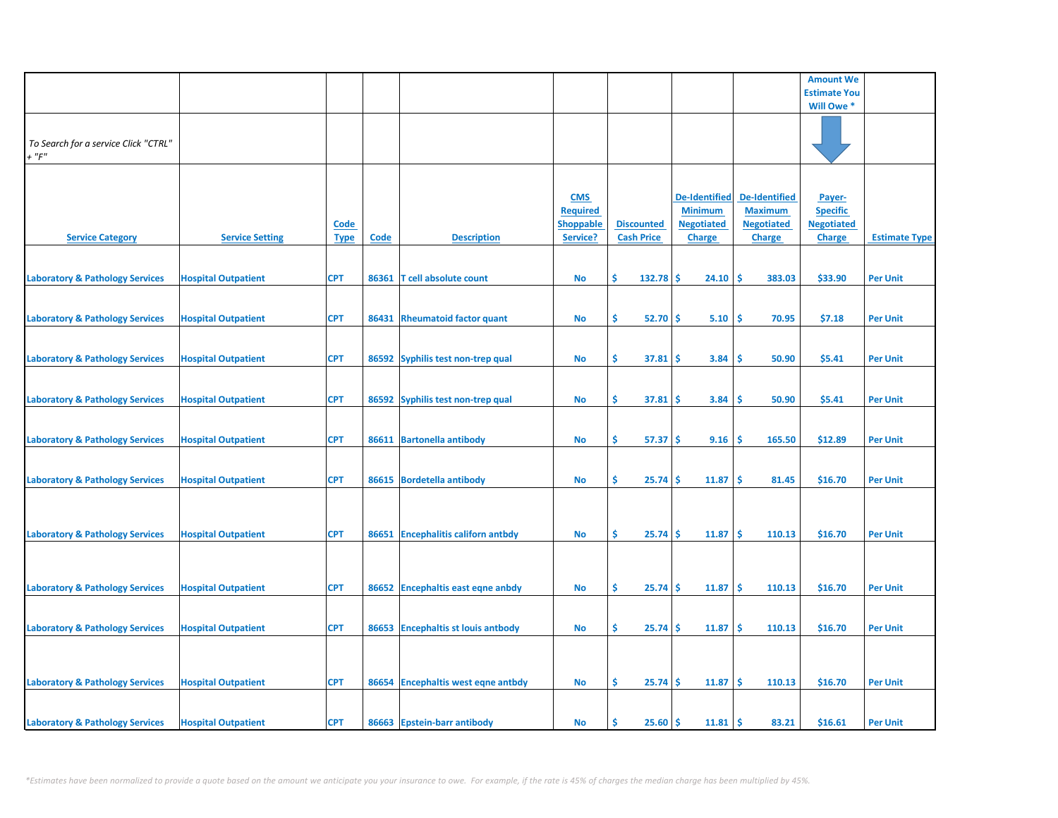|                                                     |                            |                            |       |                                     |                                                               |                                        |                                                                              |                                                                              | <b>Amount We</b>                                                |                      |
|-----------------------------------------------------|----------------------------|----------------------------|-------|-------------------------------------|---------------------------------------------------------------|----------------------------------------|------------------------------------------------------------------------------|------------------------------------------------------------------------------|-----------------------------------------------------------------|----------------------|
|                                                     |                            |                            |       |                                     |                                                               |                                        |                                                                              |                                                                              | <b>Estimate You</b>                                             |                      |
|                                                     |                            |                            |       |                                     |                                                               |                                        |                                                                              |                                                                              | Will Owe *                                                      |                      |
| To Search for a service Click "CTRL"<br>$+$ " $F$ " |                            |                            |       |                                     |                                                               |                                        |                                                                              |                                                                              |                                                                 |                      |
| <b>Service Category</b>                             | <b>Service Setting</b>     | <u>Code</u><br><b>Type</b> | Code  | <b>Description</b>                  | <b>CMS</b><br><b>Required</b><br><b>Shoppable</b><br>Service? | <b>Discounted</b><br><b>Cash Price</b> | <b>De-Identified</b><br><b>Minimum</b><br><b>Negotiated</b><br><b>Charge</b> | <b>De-Identified</b><br><b>Maximum</b><br><b>Negotiated</b><br><b>Charge</b> | Payer-<br><b>Specific</b><br><b>Negotiated</b><br><b>Charge</b> | <b>Estimate Type</b> |
| <b>Laboratory &amp; Pathology Services</b>          | <b>Hospital Outpatient</b> | <b>CPT</b>                 | 86361 | T cell absolute count               | No                                                            | Ŝ.<br>132.78                           | \$.<br>24.10                                                                 | \$.<br>383.03                                                                | \$33.90                                                         | <b>Per Unit</b>      |
| <b>Laboratory &amp; Pathology Services</b>          | <b>Hospital Outpatient</b> | <b>CPT</b>                 | 86431 | <b>Rheumatoid factor quant</b>      | <b>No</b>                                                     | \$<br>52.70                            | \$<br>5.10                                                                   | \$<br>70.95                                                                  | \$7.18                                                          | <b>Per Unit</b>      |
| <b>Laboratory &amp; Pathology Services</b>          | <b>Hospital Outpatient</b> | <b>CPT</b>                 |       | 86592 Syphilis test non-trep qual   | No                                                            | \$<br>37.81                            | 3.84<br>s                                                                    | 50.90<br><b>S</b>                                                            | \$5.41                                                          | <b>Per Unit</b>      |
| <b>Laboratory &amp; Pathology Services</b>          | <b>Hospital Outpatient</b> | <b>CPT</b>                 |       | 86592 Syphilis test non-trep qual   | No                                                            | \$<br>37.81                            | 3.84<br>\$                                                                   | Ś<br>50.90                                                                   | \$5.41                                                          | <b>Per Unit</b>      |
| <b>Laboratory &amp; Pathology Services</b>          | <b>Hospital Outpatient</b> | <b>CPT</b>                 |       | 86611 Bartonella antibody           | No                                                            | \$<br>57.37                            | \$.<br>9.16                                                                  | \$<br>165.50                                                                 | \$12.89                                                         | <b>Per Unit</b>      |
| <b>Laboratory &amp; Pathology Services</b>          | <b>Hospital Outpatient</b> | <b>CPT</b>                 |       | 86615 Bordetella antibody           | No                                                            | \$<br>25.74                            | Ś<br>11.87                                                                   | \$<br>81.45                                                                  | \$16.70                                                         | <b>Per Unit</b>      |
| <b>Laboratory &amp; Pathology Services</b>          | <b>Hospital Outpatient</b> | <b>CPT</b>                 | 86651 | <b>Encephalitis californ antbdy</b> | <b>No</b>                                                     | \$<br>25.74                            | Ś<br>11.87                                                                   | Ŝ.<br>110.13                                                                 | \$16.70                                                         | <b>Per Unit</b>      |
|                                                     |                            |                            |       |                                     |                                                               |                                        |                                                                              |                                                                              |                                                                 |                      |
| <b>Laboratory &amp; Pathology Services</b>          | <b>Hospital Outpatient</b> | <b>CPT</b>                 |       | 86652 Encephaltis east eqne anbdy   | <b>No</b>                                                     | \$<br>25.74                            | \$<br>11.87                                                                  | -\$<br>110.13                                                                | \$16.70                                                         | <b>Per Unit</b>      |
| <b>Laboratory &amp; Pathology Services</b>          | <b>Hospital Outpatient</b> | <b>CPT</b>                 | 86653 | <b>Encephaltis st louis antbody</b> | No                                                            | \$.<br>25.74                           | 11.87<br>\$.                                                                 | \$.<br>110.13                                                                | \$16.70                                                         | <b>Per Unit</b>      |
|                                                     |                            |                            |       |                                     |                                                               |                                        |                                                                              |                                                                              |                                                                 |                      |
| <b>Laboratory &amp; Pathology Services</b>          | <b>Hospital Outpatient</b> | <b>CPT</b>                 |       | 86654 Encephaltis west eqne antbdy  | No                                                            | \$<br>25.74                            | 11.87<br>\$.                                                                 | \$.<br>110.13                                                                | \$16.70                                                         | <b>Per Unit</b>      |
| <b>Laboratory &amp; Pathology Services</b>          | <b>Hospital Outpatient</b> | <b>CPT</b>                 |       | 86663 Epstein-barr antibody         | No                                                            | \$<br>25.60                            | 11.81<br>\$                                                                  | -\$<br>83.21                                                                 | \$16.61                                                         | <b>Per Unit</b>      |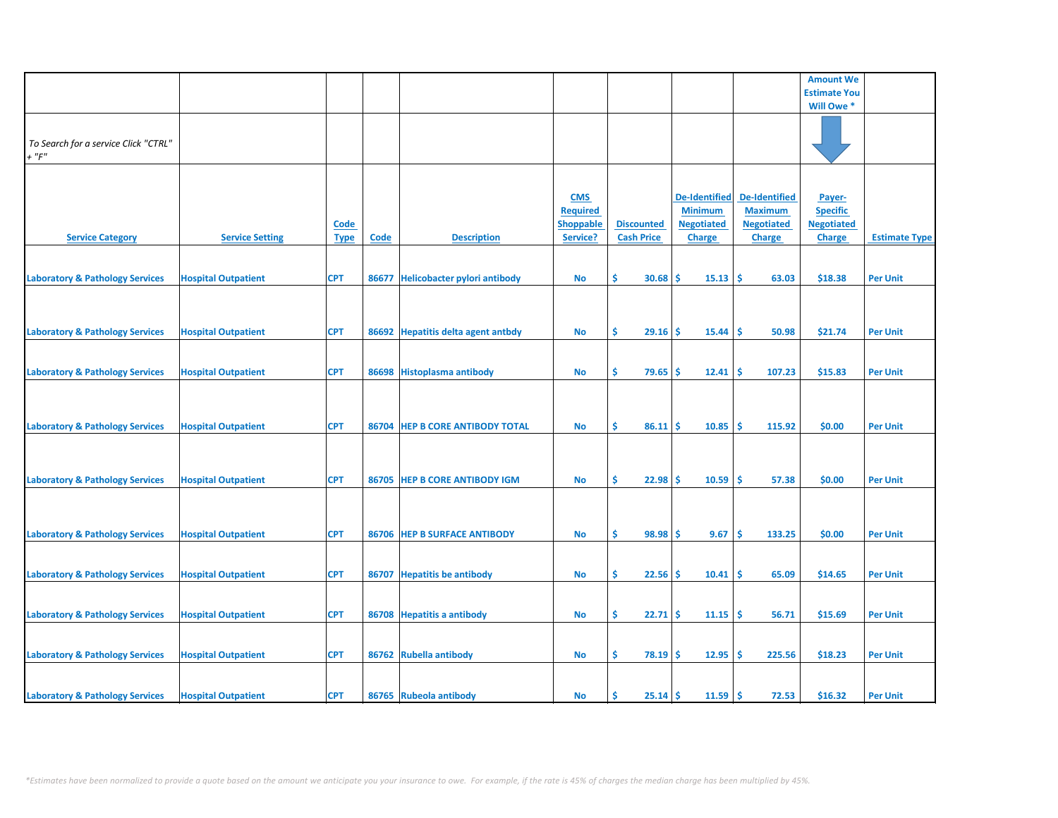|                                            |                            |             |       |                                     |                  |                   |                      |                      | <b>Amount We</b>    |                      |
|--------------------------------------------|----------------------------|-------------|-------|-------------------------------------|------------------|-------------------|----------------------|----------------------|---------------------|----------------------|
|                                            |                            |             |       |                                     |                  |                   |                      |                      | <b>Estimate You</b> |                      |
|                                            |                            |             |       |                                     |                  |                   |                      |                      | Will Owe *          |                      |
|                                            |                            |             |       |                                     |                  |                   |                      |                      |                     |                      |
|                                            |                            |             |       |                                     |                  |                   |                      |                      |                     |                      |
|                                            |                            |             |       |                                     |                  |                   |                      |                      |                     |                      |
| To Search for a service Click "CTRL"       |                            |             |       |                                     |                  |                   |                      |                      |                     |                      |
| $+$ " $F"$                                 |                            |             |       |                                     |                  |                   |                      |                      |                     |                      |
|                                            |                            |             |       |                                     |                  |                   |                      |                      |                     |                      |
|                                            |                            |             |       |                                     |                  |                   |                      |                      |                     |                      |
|                                            |                            |             |       |                                     |                  |                   |                      |                      |                     |                      |
|                                            |                            |             |       |                                     | <b>CMS</b>       |                   | <b>De-Identified</b> | <b>De-Identified</b> | Payer-              |                      |
|                                            |                            |             |       |                                     | <b>Required</b>  |                   | <b>Minimum</b>       | <b>Maximum</b>       | <b>Specific</b>     |                      |
|                                            |                            |             |       |                                     |                  |                   |                      |                      |                     |                      |
|                                            |                            | <b>Code</b> |       |                                     | <b>Shoppable</b> | <b>Discounted</b> | <b>Negotiated</b>    | <b>Negotiated</b>    | <b>Negotiated</b>   |                      |
| <b>Service Category</b>                    | <b>Service Setting</b>     | <b>Type</b> | Code  | <b>Description</b>                  | Service?         | <b>Cash Price</b> | <b>Charge</b>        | <b>Charge</b>        | <b>Charge</b>       | <b>Estimate Type</b> |
|                                            |                            |             |       |                                     |                  |                   |                      |                      |                     |                      |
|                                            |                            |             |       |                                     |                  |                   |                      |                      |                     |                      |
|                                            |                            |             |       |                                     |                  |                   |                      |                      |                     |                      |
| <b>Laboratory &amp; Pathology Services</b> | <b>Hospital Outpatient</b> | <b>CPT</b>  | 86677 | <b>Helicobacter pylori antibody</b> | No               | \$.<br>30.68      | 15.13<br><b>S</b>    | -\$<br>63.03         | \$18.38             | <b>Per Unit</b>      |
|                                            |                            |             |       |                                     |                  |                   |                      |                      |                     |                      |
|                                            |                            |             |       |                                     |                  |                   |                      |                      |                     |                      |
|                                            |                            |             |       |                                     |                  |                   |                      |                      |                     |                      |
|                                            |                            |             |       |                                     |                  |                   |                      |                      |                     |                      |
| <b>Laboratory &amp; Pathology Services</b> | <b>Hospital Outpatient</b> | <b>CPT</b>  | 86692 | <b>Hepatitis delta agent antbdy</b> | No               | \$.<br>$29.16$ \$ | 15.44                | ١\$<br>50.98         | \$21.74             | <b>Per Unit</b>      |
|                                            |                            |             |       |                                     |                  |                   |                      |                      |                     |                      |
|                                            |                            |             |       |                                     |                  |                   |                      |                      |                     |                      |
|                                            |                            |             |       |                                     |                  |                   |                      |                      |                     |                      |
| <b>Laboratory &amp; Pathology Services</b> | <b>Hospital Outpatient</b> | <b>CPT</b>  |       | 86698 Histoplasma antibody          | <b>No</b>        | \$.<br>79.65      | 12.41<br><b>S</b>    | -\$<br>107.23        | \$15.83             | <b>Per Unit</b>      |
|                                            |                            |             |       |                                     |                  |                   |                      |                      |                     |                      |
|                                            |                            |             |       |                                     |                  |                   |                      |                      |                     |                      |
|                                            |                            |             |       |                                     |                  |                   |                      |                      |                     |                      |
|                                            |                            |             |       |                                     |                  |                   |                      |                      |                     |                      |
| <b>Laboratory &amp; Pathology Services</b> | <b>Hospital Outpatient</b> | <b>CPT</b>  | 86704 | <b>HEP B CORE ANTIBODY TOTAL</b>    | No               | \$.<br>86.11      | Ŝ<br>10.85           | -\$<br>115.92        | \$0.00              | <b>Per Unit</b>      |
|                                            |                            |             |       |                                     |                  |                   |                      |                      |                     |                      |
|                                            |                            |             |       |                                     |                  |                   |                      |                      |                     |                      |
|                                            |                            |             |       |                                     |                  |                   |                      |                      |                     |                      |
|                                            |                            |             |       |                                     |                  |                   |                      |                      |                     |                      |
| <b>Laboratory &amp; Pathology Services</b> | <b>Hospital Outpatient</b> | <b>CPT</b>  |       | 86705 HEP B CORE ANTIBODY IGM       | No               | \$<br>$22.98$ \$  | 10.59                | ١\$<br>57.38         | \$0.00              | <b>Per Unit</b>      |
|                                            |                            |             |       |                                     |                  |                   |                      |                      |                     |                      |
|                                            |                            |             |       |                                     |                  |                   |                      |                      |                     |                      |
|                                            |                            |             |       |                                     |                  |                   |                      |                      |                     |                      |
|                                            |                            |             |       |                                     |                  |                   |                      |                      |                     |                      |
| <b>Laboratory &amp; Pathology Services</b> | <b>Hospital Outpatient</b> | <b>CPT</b>  |       | 86706 HEP B SURFACE ANTIBODY        | No               | \$.<br>98.98      | -\$<br>9.67          | -\$<br>133.25        | \$0.00              | <b>Per Unit</b>      |
|                                            |                            |             |       |                                     |                  |                   |                      |                      |                     |                      |
|                                            |                            |             |       |                                     |                  |                   |                      |                      |                     |                      |
|                                            |                            |             |       |                                     |                  |                   |                      |                      |                     |                      |
| <b>Laboratory &amp; Pathology Services</b> | <b>Hospital Outpatient</b> | <b>CPT</b>  | 86707 | <b>Hepatitis be antibody</b>        | No               | \$.<br>22.56      | 10.41<br><b>S</b>    | -\$<br>65.09         | \$14.65             | <b>Per Unit</b>      |
|                                            |                            |             |       |                                     |                  |                   |                      |                      |                     |                      |
|                                            |                            |             |       |                                     |                  |                   |                      |                      |                     |                      |
|                                            |                            |             |       |                                     |                  |                   |                      |                      |                     |                      |
| <b>Laboratory &amp; Pathology Services</b> | <b>Hospital Outpatient</b> | <b>CPT</b>  |       | 86708 Hepatitis a antibody          | No               | \$<br>22.71       | -Ś<br>11.15          | ١\$<br>56.71         | \$15.69             | <b>Per Unit</b>      |
|                                            |                            |             |       |                                     |                  |                   |                      |                      |                     |                      |
|                                            |                            |             |       |                                     |                  |                   |                      |                      |                     |                      |
|                                            |                            |             |       |                                     |                  |                   |                      |                      |                     |                      |
| <b>Laboratory &amp; Pathology Services</b> | <b>Hospital Outpatient</b> | <b>CPT</b>  | 86762 | <b>Rubella antibody</b>             | No               | \$.<br>$78.19$ \$ | 12.95                | -\$<br>225.56        | \$18.23             | <b>Per Unit</b>      |
|                                            |                            |             |       |                                     |                  |                   |                      |                      |                     |                      |
|                                            |                            |             |       |                                     |                  |                   |                      |                      |                     |                      |
|                                            |                            |             |       |                                     |                  |                   |                      |                      |                     |                      |
| <b>Laboratory &amp; Pathology Services</b> | <b>Hospital Outpatient</b> | <b>CPT</b>  |       | 86765 Rubeola antibody              | <b>No</b>        | Ŝ.<br>$25.14$ \$  | $11.59$ \$           | 72.53                | \$16.32             | <b>Per Unit</b>      |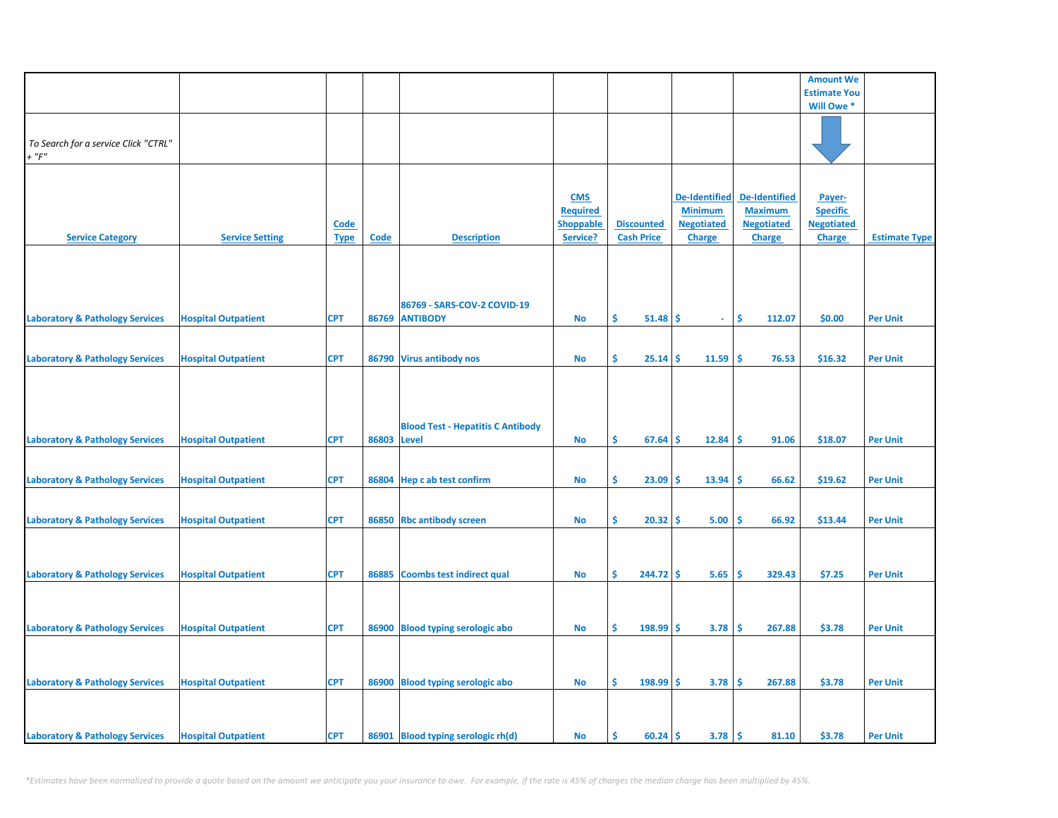| <b>Estimate You</b><br>Will Owe *<br>To Search for a service Click "CTRL"<br>$+$ " $F$ "<br><b>De-Identified</b><br><b>De-Identified</b><br><b>CMS</b><br>Payer-<br><b>Required</b><br><b>Minimum</b><br><b>Maximum</b><br><b>Specific</b><br><b>Shoppable</b><br><b>Discounted</b><br><b>Negotiated</b><br><b>Negotiated</b><br><b>Negotiated</b><br><b>Code</b><br><b>Service Setting</b><br><b>Description</b><br><b>Cash Price</b><br><b>Service Category</b><br><b>Code</b><br>Service?<br><b>Charge</b><br><b>Charge</b><br><b>Charge</b><br><b>Estimate Type</b><br><b>Type</b><br>86769 - SARS-COV-2 COVID-19<br>Ŝ.<br>Ŝ.<br><b>CPT</b><br>86769 ANTIBODY<br>51.48<br>112.07<br>\$0.00<br><b>Laboratory &amp; Pathology Services</b><br><b>Hospital Outpatient</b><br><b>No</b><br>-S<br><b>Per Unit</b><br>$\omega$ .<br><b>CPT</b><br>Ŝ.<br>25.14<br>11.59<br>Ŝ.<br>76.53<br>\$16.32<br><b>Laboratory &amp; Pathology Services</b><br><b>Hospital Outpatient</b><br>86790 Virus antibody nos<br><b>No</b><br>\$.<br><b>Per Unit</b><br><b>Blood Test - Hepatitis C Antibody</b><br><b>Laboratory &amp; Pathology Services</b><br><b>CPT</b><br>86803<br>\$<br>12.84<br>Ŝ.<br>\$18.07<br><b>Hospital Outpatient</b><br><b>Level</b><br>67.64<br>\$<br>91.06<br><b>Per Unit</b><br>No<br><b>CPT</b><br>\$<br>13.94<br>Ś<br>\$19.62<br><b>Per Unit</b><br><b>Laboratory &amp; Pathology Services</b><br><b>Hospital Outpatient</b><br>86804 Hep c ab test confirm<br>No<br>23.09<br>Ś<br>66.62<br><b>CPT</b><br>\$<br>5.00<br>Ś<br>\$13.44<br><b>Hospital Outpatient</b><br>86850 Rbc antibody screen<br><b>No</b><br>20.32<br>Ś<br>66.92<br><b>Per Unit</b><br>\$<br>244.72<br>5.65<br>\$.<br>\$7.25<br><b>Hospital Outpatient</b><br><b>CPT</b><br>86885<br><b>Coombs test indirect qual</b><br><b>No</b><br>Ś<br>329.43<br><b>Per Unit</b><br>\$<br><b>Hospital Outpatient</b><br><b>CPT</b><br>86900 Blood typing serologic abo<br>198.99<br>3.78<br>\$<br>267.88<br>\$3.78<br><b>Per Unit</b><br><b>No</b><br>\$.<br>\$<br><b>Laboratory &amp; Pathology Services</b><br><b>Hospital Outpatient</b><br><b>CPT</b><br>86900 Blood typing serologic abo<br>198.99<br>\$<br>3.78<br>\$<br>267.88<br>\$3.78<br><b>Per Unit</b><br><b>No</b><br><b>Laboratory &amp; Pathology Services</b><br><b>CPT</b><br>86901 Blood typing serologic rh(d)<br>3.78<br>\$<br>\$3.78<br><b>Per Unit</b><br><b>Hospital Outpatient</b><br>No<br>Ŝ.<br>60.24<br>\$<br>81.10 |                                            |  |  |  |  | <b>Amount We</b> |  |
|--------------------------------------------------------------------------------------------------------------------------------------------------------------------------------------------------------------------------------------------------------------------------------------------------------------------------------------------------------------------------------------------------------------------------------------------------------------------------------------------------------------------------------------------------------------------------------------------------------------------------------------------------------------------------------------------------------------------------------------------------------------------------------------------------------------------------------------------------------------------------------------------------------------------------------------------------------------------------------------------------------------------------------------------------------------------------------------------------------------------------------------------------------------------------------------------------------------------------------------------------------------------------------------------------------------------------------------------------------------------------------------------------------------------------------------------------------------------------------------------------------------------------------------------------------------------------------------------------------------------------------------------------------------------------------------------------------------------------------------------------------------------------------------------------------------------------------------------------------------------------------------------------------------------------------------------------------------------------------------------------------------------------------------------------------------------------------------------------------------------------------------------------------------------------------------------------------------------------------------------------------------------------------------------------------------------------------------------------------------------------------------------------------------------------------------------------------------------|--------------------------------------------|--|--|--|--|------------------|--|
|                                                                                                                                                                                                                                                                                                                                                                                                                                                                                                                                                                                                                                                                                                                                                                                                                                                                                                                                                                                                                                                                                                                                                                                                                                                                                                                                                                                                                                                                                                                                                                                                                                                                                                                                                                                                                                                                                                                                                                                                                                                                                                                                                                                                                                                                                                                                                                                                                                                                    |                                            |  |  |  |  |                  |  |
|                                                                                                                                                                                                                                                                                                                                                                                                                                                                                                                                                                                                                                                                                                                                                                                                                                                                                                                                                                                                                                                                                                                                                                                                                                                                                                                                                                                                                                                                                                                                                                                                                                                                                                                                                                                                                                                                                                                                                                                                                                                                                                                                                                                                                                                                                                                                                                                                                                                                    |                                            |  |  |  |  |                  |  |
|                                                                                                                                                                                                                                                                                                                                                                                                                                                                                                                                                                                                                                                                                                                                                                                                                                                                                                                                                                                                                                                                                                                                                                                                                                                                                                                                                                                                                                                                                                                                                                                                                                                                                                                                                                                                                                                                                                                                                                                                                                                                                                                                                                                                                                                                                                                                                                                                                                                                    |                                            |  |  |  |  |                  |  |
|                                                                                                                                                                                                                                                                                                                                                                                                                                                                                                                                                                                                                                                                                                                                                                                                                                                                                                                                                                                                                                                                                                                                                                                                                                                                                                                                                                                                                                                                                                                                                                                                                                                                                                                                                                                                                                                                                                                                                                                                                                                                                                                                                                                                                                                                                                                                                                                                                                                                    |                                            |  |  |  |  |                  |  |
|                                                                                                                                                                                                                                                                                                                                                                                                                                                                                                                                                                                                                                                                                                                                                                                                                                                                                                                                                                                                                                                                                                                                                                                                                                                                                                                                                                                                                                                                                                                                                                                                                                                                                                                                                                                                                                                                                                                                                                                                                                                                                                                                                                                                                                                                                                                                                                                                                                                                    |                                            |  |  |  |  |                  |  |
|                                                                                                                                                                                                                                                                                                                                                                                                                                                                                                                                                                                                                                                                                                                                                                                                                                                                                                                                                                                                                                                                                                                                                                                                                                                                                                                                                                                                                                                                                                                                                                                                                                                                                                                                                                                                                                                                                                                                                                                                                                                                                                                                                                                                                                                                                                                                                                                                                                                                    |                                            |  |  |  |  |                  |  |
|                                                                                                                                                                                                                                                                                                                                                                                                                                                                                                                                                                                                                                                                                                                                                                                                                                                                                                                                                                                                                                                                                                                                                                                                                                                                                                                                                                                                                                                                                                                                                                                                                                                                                                                                                                                                                                                                                                                                                                                                                                                                                                                                                                                                                                                                                                                                                                                                                                                                    |                                            |  |  |  |  |                  |  |
|                                                                                                                                                                                                                                                                                                                                                                                                                                                                                                                                                                                                                                                                                                                                                                                                                                                                                                                                                                                                                                                                                                                                                                                                                                                                                                                                                                                                                                                                                                                                                                                                                                                                                                                                                                                                                                                                                                                                                                                                                                                                                                                                                                                                                                                                                                                                                                                                                                                                    |                                            |  |  |  |  |                  |  |
|                                                                                                                                                                                                                                                                                                                                                                                                                                                                                                                                                                                                                                                                                                                                                                                                                                                                                                                                                                                                                                                                                                                                                                                                                                                                                                                                                                                                                                                                                                                                                                                                                                                                                                                                                                                                                                                                                                                                                                                                                                                                                                                                                                                                                                                                                                                                                                                                                                                                    |                                            |  |  |  |  |                  |  |
|                                                                                                                                                                                                                                                                                                                                                                                                                                                                                                                                                                                                                                                                                                                                                                                                                                                                                                                                                                                                                                                                                                                                                                                                                                                                                                                                                                                                                                                                                                                                                                                                                                                                                                                                                                                                                                                                                                                                                                                                                                                                                                                                                                                                                                                                                                                                                                                                                                                                    |                                            |  |  |  |  |                  |  |
|                                                                                                                                                                                                                                                                                                                                                                                                                                                                                                                                                                                                                                                                                                                                                                                                                                                                                                                                                                                                                                                                                                                                                                                                                                                                                                                                                                                                                                                                                                                                                                                                                                                                                                                                                                                                                                                                                                                                                                                                                                                                                                                                                                                                                                                                                                                                                                                                                                                                    |                                            |  |  |  |  |                  |  |
|                                                                                                                                                                                                                                                                                                                                                                                                                                                                                                                                                                                                                                                                                                                                                                                                                                                                                                                                                                                                                                                                                                                                                                                                                                                                                                                                                                                                                                                                                                                                                                                                                                                                                                                                                                                                                                                                                                                                                                                                                                                                                                                                                                                                                                                                                                                                                                                                                                                                    |                                            |  |  |  |  |                  |  |
|                                                                                                                                                                                                                                                                                                                                                                                                                                                                                                                                                                                                                                                                                                                                                                                                                                                                                                                                                                                                                                                                                                                                                                                                                                                                                                                                                                                                                                                                                                                                                                                                                                                                                                                                                                                                                                                                                                                                                                                                                                                                                                                                                                                                                                                                                                                                                                                                                                                                    |                                            |  |  |  |  |                  |  |
|                                                                                                                                                                                                                                                                                                                                                                                                                                                                                                                                                                                                                                                                                                                                                                                                                                                                                                                                                                                                                                                                                                                                                                                                                                                                                                                                                                                                                                                                                                                                                                                                                                                                                                                                                                                                                                                                                                                                                                                                                                                                                                                                                                                                                                                                                                                                                                                                                                                                    |                                            |  |  |  |  |                  |  |
|                                                                                                                                                                                                                                                                                                                                                                                                                                                                                                                                                                                                                                                                                                                                                                                                                                                                                                                                                                                                                                                                                                                                                                                                                                                                                                                                                                                                                                                                                                                                                                                                                                                                                                                                                                                                                                                                                                                                                                                                                                                                                                                                                                                                                                                                                                                                                                                                                                                                    |                                            |  |  |  |  |                  |  |
|                                                                                                                                                                                                                                                                                                                                                                                                                                                                                                                                                                                                                                                                                                                                                                                                                                                                                                                                                                                                                                                                                                                                                                                                                                                                                                                                                                                                                                                                                                                                                                                                                                                                                                                                                                                                                                                                                                                                                                                                                                                                                                                                                                                                                                                                                                                                                                                                                                                                    |                                            |  |  |  |  |                  |  |
|                                                                                                                                                                                                                                                                                                                                                                                                                                                                                                                                                                                                                                                                                                                                                                                                                                                                                                                                                                                                                                                                                                                                                                                                                                                                                                                                                                                                                                                                                                                                                                                                                                                                                                                                                                                                                                                                                                                                                                                                                                                                                                                                                                                                                                                                                                                                                                                                                                                                    |                                            |  |  |  |  |                  |  |
|                                                                                                                                                                                                                                                                                                                                                                                                                                                                                                                                                                                                                                                                                                                                                                                                                                                                                                                                                                                                                                                                                                                                                                                                                                                                                                                                                                                                                                                                                                                                                                                                                                                                                                                                                                                                                                                                                                                                                                                                                                                                                                                                                                                                                                                                                                                                                                                                                                                                    |                                            |  |  |  |  |                  |  |
|                                                                                                                                                                                                                                                                                                                                                                                                                                                                                                                                                                                                                                                                                                                                                                                                                                                                                                                                                                                                                                                                                                                                                                                                                                                                                                                                                                                                                                                                                                                                                                                                                                                                                                                                                                                                                                                                                                                                                                                                                                                                                                                                                                                                                                                                                                                                                                                                                                                                    |                                            |  |  |  |  |                  |  |
|                                                                                                                                                                                                                                                                                                                                                                                                                                                                                                                                                                                                                                                                                                                                                                                                                                                                                                                                                                                                                                                                                                                                                                                                                                                                                                                                                                                                                                                                                                                                                                                                                                                                                                                                                                                                                                                                                                                                                                                                                                                                                                                                                                                                                                                                                                                                                                                                                                                                    |                                            |  |  |  |  |                  |  |
|                                                                                                                                                                                                                                                                                                                                                                                                                                                                                                                                                                                                                                                                                                                                                                                                                                                                                                                                                                                                                                                                                                                                                                                                                                                                                                                                                                                                                                                                                                                                                                                                                                                                                                                                                                                                                                                                                                                                                                                                                                                                                                                                                                                                                                                                                                                                                                                                                                                                    |                                            |  |  |  |  |                  |  |
|                                                                                                                                                                                                                                                                                                                                                                                                                                                                                                                                                                                                                                                                                                                                                                                                                                                                                                                                                                                                                                                                                                                                                                                                                                                                                                                                                                                                                                                                                                                                                                                                                                                                                                                                                                                                                                                                                                                                                                                                                                                                                                                                                                                                                                                                                                                                                                                                                                                                    |                                            |  |  |  |  |                  |  |
|                                                                                                                                                                                                                                                                                                                                                                                                                                                                                                                                                                                                                                                                                                                                                                                                                                                                                                                                                                                                                                                                                                                                                                                                                                                                                                                                                                                                                                                                                                                                                                                                                                                                                                                                                                                                                                                                                                                                                                                                                                                                                                                                                                                                                                                                                                                                                                                                                                                                    |                                            |  |  |  |  |                  |  |
|                                                                                                                                                                                                                                                                                                                                                                                                                                                                                                                                                                                                                                                                                                                                                                                                                                                                                                                                                                                                                                                                                                                                                                                                                                                                                                                                                                                                                                                                                                                                                                                                                                                                                                                                                                                                                                                                                                                                                                                                                                                                                                                                                                                                                                                                                                                                                                                                                                                                    |                                            |  |  |  |  |                  |  |
|                                                                                                                                                                                                                                                                                                                                                                                                                                                                                                                                                                                                                                                                                                                                                                                                                                                                                                                                                                                                                                                                                                                                                                                                                                                                                                                                                                                                                                                                                                                                                                                                                                                                                                                                                                                                                                                                                                                                                                                                                                                                                                                                                                                                                                                                                                                                                                                                                                                                    |                                            |  |  |  |  |                  |  |
|                                                                                                                                                                                                                                                                                                                                                                                                                                                                                                                                                                                                                                                                                                                                                                                                                                                                                                                                                                                                                                                                                                                                                                                                                                                                                                                                                                                                                                                                                                                                                                                                                                                                                                                                                                                                                                                                                                                                                                                                                                                                                                                                                                                                                                                                                                                                                                                                                                                                    |                                            |  |  |  |  |                  |  |
|                                                                                                                                                                                                                                                                                                                                                                                                                                                                                                                                                                                                                                                                                                                                                                                                                                                                                                                                                                                                                                                                                                                                                                                                                                                                                                                                                                                                                                                                                                                                                                                                                                                                                                                                                                                                                                                                                                                                                                                                                                                                                                                                                                                                                                                                                                                                                                                                                                                                    |                                            |  |  |  |  |                  |  |
|                                                                                                                                                                                                                                                                                                                                                                                                                                                                                                                                                                                                                                                                                                                                                                                                                                                                                                                                                                                                                                                                                                                                                                                                                                                                                                                                                                                                                                                                                                                                                                                                                                                                                                                                                                                                                                                                                                                                                                                                                                                                                                                                                                                                                                                                                                                                                                                                                                                                    |                                            |  |  |  |  |                  |  |
|                                                                                                                                                                                                                                                                                                                                                                                                                                                                                                                                                                                                                                                                                                                                                                                                                                                                                                                                                                                                                                                                                                                                                                                                                                                                                                                                                                                                                                                                                                                                                                                                                                                                                                                                                                                                                                                                                                                                                                                                                                                                                                                                                                                                                                                                                                                                                                                                                                                                    |                                            |  |  |  |  |                  |  |
|                                                                                                                                                                                                                                                                                                                                                                                                                                                                                                                                                                                                                                                                                                                                                                                                                                                                                                                                                                                                                                                                                                                                                                                                                                                                                                                                                                                                                                                                                                                                                                                                                                                                                                                                                                                                                                                                                                                                                                                                                                                                                                                                                                                                                                                                                                                                                                                                                                                                    |                                            |  |  |  |  |                  |  |
|                                                                                                                                                                                                                                                                                                                                                                                                                                                                                                                                                                                                                                                                                                                                                                                                                                                                                                                                                                                                                                                                                                                                                                                                                                                                                                                                                                                                                                                                                                                                                                                                                                                                                                                                                                                                                                                                                                                                                                                                                                                                                                                                                                                                                                                                                                                                                                                                                                                                    |                                            |  |  |  |  |                  |  |
|                                                                                                                                                                                                                                                                                                                                                                                                                                                                                                                                                                                                                                                                                                                                                                                                                                                                                                                                                                                                                                                                                                                                                                                                                                                                                                                                                                                                                                                                                                                                                                                                                                                                                                                                                                                                                                                                                                                                                                                                                                                                                                                                                                                                                                                                                                                                                                                                                                                                    |                                            |  |  |  |  |                  |  |
|                                                                                                                                                                                                                                                                                                                                                                                                                                                                                                                                                                                                                                                                                                                                                                                                                                                                                                                                                                                                                                                                                                                                                                                                                                                                                                                                                                                                                                                                                                                                                                                                                                                                                                                                                                                                                                                                                                                                                                                                                                                                                                                                                                                                                                                                                                                                                                                                                                                                    |                                            |  |  |  |  |                  |  |
|                                                                                                                                                                                                                                                                                                                                                                                                                                                                                                                                                                                                                                                                                                                                                                                                                                                                                                                                                                                                                                                                                                                                                                                                                                                                                                                                                                                                                                                                                                                                                                                                                                                                                                                                                                                                                                                                                                                                                                                                                                                                                                                                                                                                                                                                                                                                                                                                                                                                    | <b>Laboratory &amp; Pathology Services</b> |  |  |  |  |                  |  |
|                                                                                                                                                                                                                                                                                                                                                                                                                                                                                                                                                                                                                                                                                                                                                                                                                                                                                                                                                                                                                                                                                                                                                                                                                                                                                                                                                                                                                                                                                                                                                                                                                                                                                                                                                                                                                                                                                                                                                                                                                                                                                                                                                                                                                                                                                                                                                                                                                                                                    |                                            |  |  |  |  |                  |  |
|                                                                                                                                                                                                                                                                                                                                                                                                                                                                                                                                                                                                                                                                                                                                                                                                                                                                                                                                                                                                                                                                                                                                                                                                                                                                                                                                                                                                                                                                                                                                                                                                                                                                                                                                                                                                                                                                                                                                                                                                                                                                                                                                                                                                                                                                                                                                                                                                                                                                    |                                            |  |  |  |  |                  |  |
|                                                                                                                                                                                                                                                                                                                                                                                                                                                                                                                                                                                                                                                                                                                                                                                                                                                                                                                                                                                                                                                                                                                                                                                                                                                                                                                                                                                                                                                                                                                                                                                                                                                                                                                                                                                                                                                                                                                                                                                                                                                                                                                                                                                                                                                                                                                                                                                                                                                                    |                                            |  |  |  |  |                  |  |
|                                                                                                                                                                                                                                                                                                                                                                                                                                                                                                                                                                                                                                                                                                                                                                                                                                                                                                                                                                                                                                                                                                                                                                                                                                                                                                                                                                                                                                                                                                                                                                                                                                                                                                                                                                                                                                                                                                                                                                                                                                                                                                                                                                                                                                                                                                                                                                                                                                                                    | <b>Laboratory &amp; Pathology Services</b> |  |  |  |  |                  |  |
|                                                                                                                                                                                                                                                                                                                                                                                                                                                                                                                                                                                                                                                                                                                                                                                                                                                                                                                                                                                                                                                                                                                                                                                                                                                                                                                                                                                                                                                                                                                                                                                                                                                                                                                                                                                                                                                                                                                                                                                                                                                                                                                                                                                                                                                                                                                                                                                                                                                                    |                                            |  |  |  |  |                  |  |
|                                                                                                                                                                                                                                                                                                                                                                                                                                                                                                                                                                                                                                                                                                                                                                                                                                                                                                                                                                                                                                                                                                                                                                                                                                                                                                                                                                                                                                                                                                                                                                                                                                                                                                                                                                                                                                                                                                                                                                                                                                                                                                                                                                                                                                                                                                                                                                                                                                                                    |                                            |  |  |  |  |                  |  |
|                                                                                                                                                                                                                                                                                                                                                                                                                                                                                                                                                                                                                                                                                                                                                                                                                                                                                                                                                                                                                                                                                                                                                                                                                                                                                                                                                                                                                                                                                                                                                                                                                                                                                                                                                                                                                                                                                                                                                                                                                                                                                                                                                                                                                                                                                                                                                                                                                                                                    |                                            |  |  |  |  |                  |  |
|                                                                                                                                                                                                                                                                                                                                                                                                                                                                                                                                                                                                                                                                                                                                                                                                                                                                                                                                                                                                                                                                                                                                                                                                                                                                                                                                                                                                                                                                                                                                                                                                                                                                                                                                                                                                                                                                                                                                                                                                                                                                                                                                                                                                                                                                                                                                                                                                                                                                    | <b>Laboratory &amp; Pathology Services</b> |  |  |  |  |                  |  |
|                                                                                                                                                                                                                                                                                                                                                                                                                                                                                                                                                                                                                                                                                                                                                                                                                                                                                                                                                                                                                                                                                                                                                                                                                                                                                                                                                                                                                                                                                                                                                                                                                                                                                                                                                                                                                                                                                                                                                                                                                                                                                                                                                                                                                                                                                                                                                                                                                                                                    |                                            |  |  |  |  |                  |  |
|                                                                                                                                                                                                                                                                                                                                                                                                                                                                                                                                                                                                                                                                                                                                                                                                                                                                                                                                                                                                                                                                                                                                                                                                                                                                                                                                                                                                                                                                                                                                                                                                                                                                                                                                                                                                                                                                                                                                                                                                                                                                                                                                                                                                                                                                                                                                                                                                                                                                    |                                            |  |  |  |  |                  |  |
|                                                                                                                                                                                                                                                                                                                                                                                                                                                                                                                                                                                                                                                                                                                                                                                                                                                                                                                                                                                                                                                                                                                                                                                                                                                                                                                                                                                                                                                                                                                                                                                                                                                                                                                                                                                                                                                                                                                                                                                                                                                                                                                                                                                                                                                                                                                                                                                                                                                                    |                                            |  |  |  |  |                  |  |
|                                                                                                                                                                                                                                                                                                                                                                                                                                                                                                                                                                                                                                                                                                                                                                                                                                                                                                                                                                                                                                                                                                                                                                                                                                                                                                                                                                                                                                                                                                                                                                                                                                                                                                                                                                                                                                                                                                                                                                                                                                                                                                                                                                                                                                                                                                                                                                                                                                                                    |                                            |  |  |  |  |                  |  |
|                                                                                                                                                                                                                                                                                                                                                                                                                                                                                                                                                                                                                                                                                                                                                                                                                                                                                                                                                                                                                                                                                                                                                                                                                                                                                                                                                                                                                                                                                                                                                                                                                                                                                                                                                                                                                                                                                                                                                                                                                                                                                                                                                                                                                                                                                                                                                                                                                                                                    |                                            |  |  |  |  |                  |  |
|                                                                                                                                                                                                                                                                                                                                                                                                                                                                                                                                                                                                                                                                                                                                                                                                                                                                                                                                                                                                                                                                                                                                                                                                                                                                                                                                                                                                                                                                                                                                                                                                                                                                                                                                                                                                                                                                                                                                                                                                                                                                                                                                                                                                                                                                                                                                                                                                                                                                    |                                            |  |  |  |  |                  |  |
|                                                                                                                                                                                                                                                                                                                                                                                                                                                                                                                                                                                                                                                                                                                                                                                                                                                                                                                                                                                                                                                                                                                                                                                                                                                                                                                                                                                                                                                                                                                                                                                                                                                                                                                                                                                                                                                                                                                                                                                                                                                                                                                                                                                                                                                                                                                                                                                                                                                                    |                                            |  |  |  |  |                  |  |
|                                                                                                                                                                                                                                                                                                                                                                                                                                                                                                                                                                                                                                                                                                                                                                                                                                                                                                                                                                                                                                                                                                                                                                                                                                                                                                                                                                                                                                                                                                                                                                                                                                                                                                                                                                                                                                                                                                                                                                                                                                                                                                                                                                                                                                                                                                                                                                                                                                                                    |                                            |  |  |  |  |                  |  |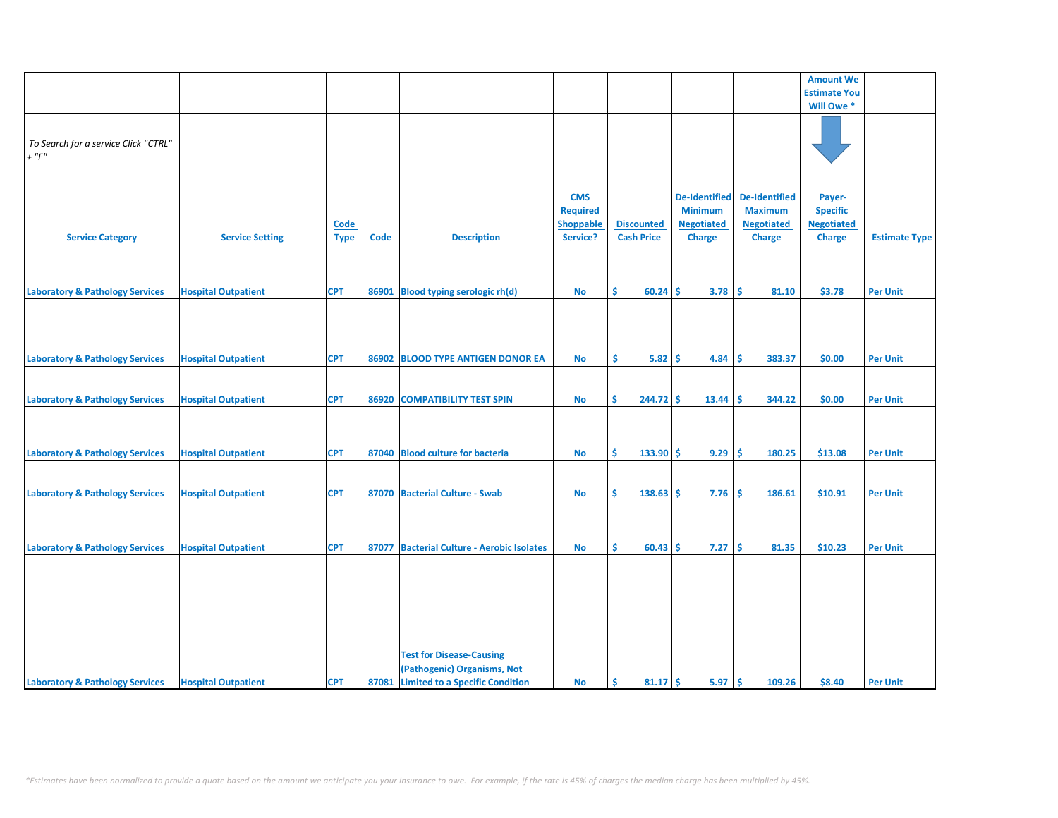|                                            |                            |             |       |                                            |                 |                   |                      |                      | <b>Amount We</b>    |                      |
|--------------------------------------------|----------------------------|-------------|-------|--------------------------------------------|-----------------|-------------------|----------------------|----------------------|---------------------|----------------------|
|                                            |                            |             |       |                                            |                 |                   |                      |                      | <b>Estimate You</b> |                      |
|                                            |                            |             |       |                                            |                 |                   |                      |                      | Will Owe *          |                      |
|                                            |                            |             |       |                                            |                 |                   |                      |                      |                     |                      |
|                                            |                            |             |       |                                            |                 |                   |                      |                      |                     |                      |
| To Search for a service Click "CTRL"       |                            |             |       |                                            |                 |                   |                      |                      |                     |                      |
| $+$ " $F$ "                                |                            |             |       |                                            |                 |                   |                      |                      |                     |                      |
|                                            |                            |             |       |                                            |                 |                   |                      |                      |                     |                      |
|                                            |                            |             |       |                                            |                 |                   |                      |                      |                     |                      |
|                                            |                            |             |       |                                            |                 |                   |                      |                      |                     |                      |
|                                            |                            |             |       |                                            | <b>CMS</b>      |                   | <b>De-Identified</b> | <b>De-Identified</b> | Payer-              |                      |
|                                            |                            |             |       |                                            | <b>Required</b> |                   | <b>Minimum</b>       | <b>Maximum</b>       | <b>Specific</b>     |                      |
|                                            |                            | Code        |       |                                            | Shoppable       | <b>Discounted</b> | <b>Negotiated</b>    | <b>Negotiated</b>    | <b>Negotiated</b>   |                      |
| <b>Service Category</b>                    | <b>Service Setting</b>     | <b>Type</b> | Code  | <b>Description</b>                         | Service?        | <b>Cash Price</b> | <b>Charge</b>        | <b>Charge</b>        | <b>Charge</b>       | <b>Estimate Type</b> |
|                                            |                            |             |       |                                            |                 |                   |                      |                      |                     |                      |
|                                            |                            |             |       |                                            |                 |                   |                      |                      |                     |                      |
|                                            |                            |             |       |                                            |                 |                   |                      |                      |                     |                      |
|                                            |                            |             |       |                                            |                 |                   |                      |                      |                     |                      |
| <b>Laboratory &amp; Pathology Services</b> | <b>Hospital Outpatient</b> | <b>CPT</b>  | 86901 | <b>Blood typing serologic rh(d)</b>        | No              | \$<br>$60.24$ \$  | 3.78                 | <b>S</b><br>81.10    | \$3.78              | <b>Per Unit</b>      |
|                                            |                            |             |       |                                            |                 |                   |                      |                      |                     |                      |
|                                            |                            |             |       |                                            |                 |                   |                      |                      |                     |                      |
|                                            |                            |             |       |                                            |                 |                   |                      |                      |                     |                      |
|                                            |                            |             |       |                                            |                 |                   |                      |                      |                     |                      |
|                                            |                            |             |       |                                            |                 |                   |                      |                      |                     |                      |
| <b>Laboratory &amp; Pathology Services</b> | <b>Hospital Outpatient</b> | <b>CPT</b>  | 86902 | <b>BLOOD TYPE ANTIGEN DONOR EA</b>         | No              | \$<br>5.82        | -\$<br>4.84          | -\$<br>383.37        | \$0.00              | <b>Per Unit</b>      |
|                                            |                            |             |       |                                            |                 |                   |                      |                      |                     |                      |
|                                            |                            |             |       |                                            |                 |                   |                      |                      |                     |                      |
| <b>Laboratory &amp; Pathology Services</b> | <b>Hospital Outpatient</b> | <b>CPT</b>  |       | 86920 COMPATIBILITY TEST SPIN              | No              | Ŝ.<br>$244.72$ \$ | 13.44                | <b>S</b><br>344.22   | \$0.00              | <b>Per Unit</b>      |
|                                            |                            |             |       |                                            |                 |                   |                      |                      |                     |                      |
|                                            |                            |             |       |                                            |                 |                   |                      |                      |                     |                      |
|                                            |                            |             |       |                                            |                 |                   |                      |                      |                     |                      |
|                                            |                            |             |       |                                            |                 |                   |                      |                      |                     |                      |
| <b>Laboratory &amp; Pathology Services</b> | <b>Hospital Outpatient</b> | <b>CPT</b>  |       | 87040 Blood culture for bacteria           | <b>No</b>       | Ŝ<br>$133.90$ \$  | 9.29                 | -Ś<br>180.25         | \$13.08             | <b>Per Unit</b>      |
|                                            |                            |             |       |                                            |                 |                   |                      |                      |                     |                      |
|                                            |                            |             |       |                                            |                 |                   |                      |                      |                     |                      |
| <b>Laboratory &amp; Pathology Services</b> | <b>Hospital Outpatient</b> | <b>CPT</b>  |       | 87070 Bacterial Culture - Swab             | <b>No</b>       | \$.<br>138.63     | -\$<br>7.76          | <b>S</b><br>186.61   | \$10.91             | <b>Per Unit</b>      |
|                                            |                            |             |       |                                            |                 |                   |                      |                      |                     |                      |
|                                            |                            |             |       |                                            |                 |                   |                      |                      |                     |                      |
|                                            |                            |             |       |                                            |                 |                   |                      |                      |                     |                      |
|                                            |                            |             |       |                                            |                 |                   |                      |                      |                     |                      |
| <b>Laboratory &amp; Pathology Services</b> | <b>Hospital Outpatient</b> | <b>CPT</b>  |       | 87077 Bacterial Culture - Aerobic Isolates | No              | \$<br>$60.43$ \$  | 7.27                 | \$<br>81.35          | \$10.23             | <b>Per Unit</b>      |
|                                            |                            |             |       |                                            |                 |                   |                      |                      |                     |                      |
|                                            |                            |             |       |                                            |                 |                   |                      |                      |                     |                      |
|                                            |                            |             |       |                                            |                 |                   |                      |                      |                     |                      |
|                                            |                            |             |       |                                            |                 |                   |                      |                      |                     |                      |
|                                            |                            |             |       |                                            |                 |                   |                      |                      |                     |                      |
|                                            |                            |             |       |                                            |                 |                   |                      |                      |                     |                      |
|                                            |                            |             |       |                                            |                 |                   |                      |                      |                     |                      |
|                                            |                            |             |       |                                            |                 |                   |                      |                      |                     |                      |
|                                            |                            |             |       | <b>Test for Disease-Causing</b>            |                 |                   |                      |                      |                     |                      |
|                                            |                            |             |       |                                            |                 |                   |                      |                      |                     |                      |
|                                            |                            |             |       | (Pathogenic) Organisms, Not                |                 |                   |                      |                      |                     |                      |
| <b>Laboratory &amp; Pathology Services</b> | <b>Hospital Outpatient</b> | <b>CPT</b>  |       | 87081 Limited to a Specific Condition      | <b>No</b>       | -\$<br>$81.17$ \$ | 5.97                 | -\$<br>109.26        | \$8.40              | <b>Per Unit</b>      |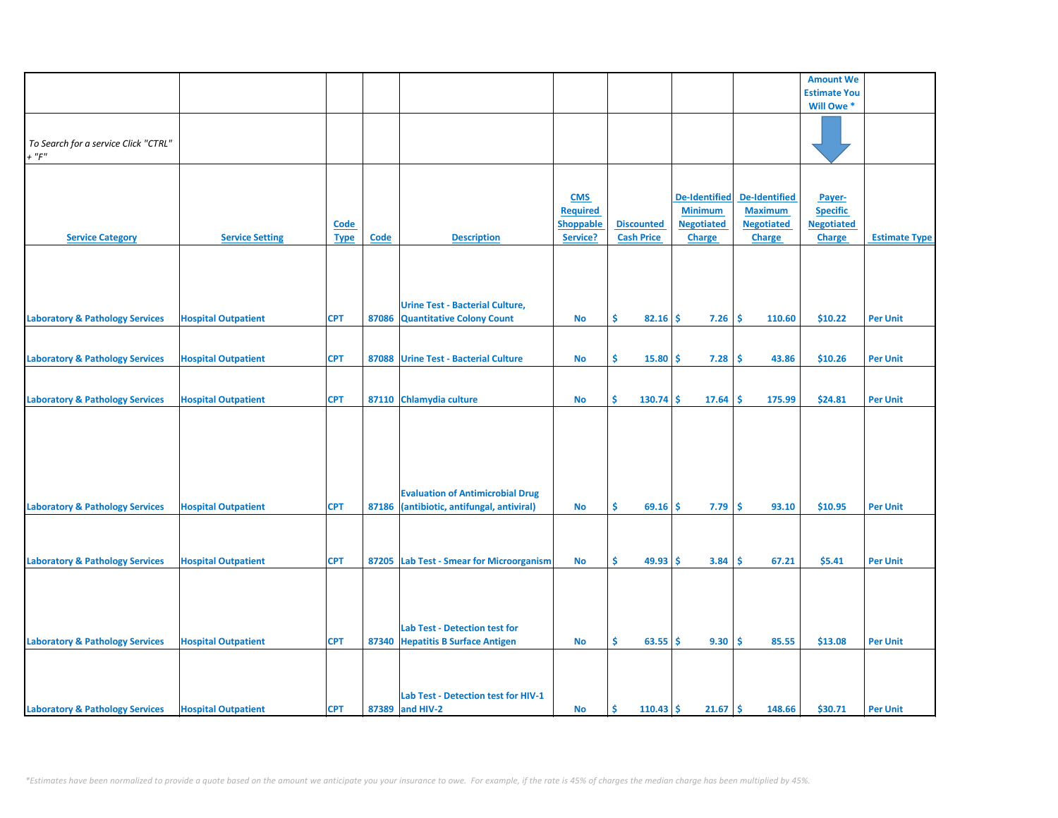|                                            |                            |             |             |                                          |                  |                         |                      |                   | <b>Amount We</b>    |                      |
|--------------------------------------------|----------------------------|-------------|-------------|------------------------------------------|------------------|-------------------------|----------------------|-------------------|---------------------|----------------------|
|                                            |                            |             |             |                                          |                  |                         |                      |                   |                     |                      |
|                                            |                            |             |             |                                          |                  |                         |                      |                   | <b>Estimate You</b> |                      |
|                                            |                            |             |             |                                          |                  |                         |                      |                   | Will Owe *          |                      |
|                                            |                            |             |             |                                          |                  |                         |                      |                   |                     |                      |
|                                            |                            |             |             |                                          |                  |                         |                      |                   |                     |                      |
| To Search for a service Click "CTRL"       |                            |             |             |                                          |                  |                         |                      |                   |                     |                      |
| $+$ " $F$ "                                |                            |             |             |                                          |                  |                         |                      |                   |                     |                      |
|                                            |                            |             |             |                                          |                  |                         |                      |                   |                     |                      |
|                                            |                            |             |             |                                          |                  |                         |                      |                   |                     |                      |
|                                            |                            |             |             |                                          | <b>CMS</b>       |                         | <b>De-Identified</b> | De-Identified     | Payer-              |                      |
|                                            |                            |             |             |                                          | <b>Required</b>  |                         | <b>Minimum</b>       | <b>Maximum</b>    | <b>Specific</b>     |                      |
|                                            |                            | <b>Code</b> |             |                                          | <b>Shoppable</b> | <b>Discounted</b>       | <b>Negotiated</b>    | <b>Negotiated</b> | <b>Negotiated</b>   |                      |
| <b>Service Category</b>                    | <b>Service Setting</b>     | <b>Type</b> | <b>Code</b> | <b>Description</b>                       | Service?         | <b>Cash Price</b>       | <b>Charge</b>        | <b>Charge</b>     | <b>Charge</b>       | <b>Estimate Type</b> |
|                                            |                            |             |             |                                          |                  |                         |                      |                   |                     |                      |
|                                            |                            |             |             |                                          |                  |                         |                      |                   |                     |                      |
|                                            |                            |             |             |                                          |                  |                         |                      |                   |                     |                      |
|                                            |                            |             |             |                                          |                  |                         |                      |                   |                     |                      |
|                                            |                            |             |             |                                          |                  |                         |                      |                   |                     |                      |
|                                            |                            |             |             | <b>Urine Test - Bacterial Culture,</b>   |                  |                         |                      |                   |                     |                      |
| <b>Laboratory &amp; Pathology Services</b> | <b>Hospital Outpatient</b> | <b>CPT</b>  | 87086       | <b>Quantitative Colony Count</b>         | No               | \$<br>82.16             | 7.26<br>\$           | \$.<br>110.60     | \$10.22             | <b>Per Unit</b>      |
|                                            |                            |             |             |                                          |                  |                         |                      |                   |                     |                      |
|                                            |                            |             |             |                                          |                  |                         |                      |                   |                     |                      |
| <b>Laboratory &amp; Pathology Services</b> | <b>Hospital Outpatient</b> | <b>CPT</b>  | 87088       | <b>Urine Test - Bacterial Culture</b>    | No               | \$<br>15.80             | \$.<br>7.28          | -\$<br>43.86      | \$10.26             | <b>Per Unit</b>      |
|                                            |                            |             |             |                                          |                  |                         |                      |                   |                     |                      |
|                                            |                            |             |             |                                          |                  |                         |                      |                   |                     |                      |
|                                            |                            |             |             |                                          |                  |                         |                      |                   |                     |                      |
| <b>Laboratory &amp; Pathology Services</b> | <b>Hospital Outpatient</b> | <b>CPT</b>  |             | 87110 Chlamydia culture                  | <b>No</b>        | \$<br>130.74            | \$<br>17.64          | \$<br>175.99      | \$24.81             | <b>Per Unit</b>      |
|                                            |                            |             |             |                                          |                  |                         |                      |                   |                     |                      |
|                                            |                            |             |             |                                          |                  |                         |                      |                   |                     |                      |
|                                            |                            |             |             |                                          |                  |                         |                      |                   |                     |                      |
|                                            |                            |             |             |                                          |                  |                         |                      |                   |                     |                      |
|                                            |                            |             |             |                                          |                  |                         |                      |                   |                     |                      |
|                                            |                            |             |             |                                          |                  |                         |                      |                   |                     |                      |
|                                            |                            |             |             |                                          |                  |                         |                      |                   |                     |                      |
|                                            |                            |             |             | <b>Evaluation of Antimicrobial Drug</b>  |                  |                         |                      |                   |                     |                      |
| <b>Laboratory &amp; Pathology Services</b> | <b>Hospital Outpatient</b> | <b>CPT</b>  | 87186       | (antibiotic, antifungal, antiviral)      | <b>No</b>        | \$<br>69.16             | 7.79<br>-S           | \$.<br>93.10      | \$10.95             | <b>Per Unit</b>      |
|                                            |                            |             |             |                                          |                  |                         |                      |                   |                     |                      |
|                                            |                            |             |             |                                          |                  |                         |                      |                   |                     |                      |
|                                            |                            |             |             |                                          |                  |                         |                      |                   |                     |                      |
| <b>Laboratory &amp; Pathology Services</b> | <b>Hospital Outpatient</b> | <b>CPT</b>  |             | 87205 Lab Test - Smear for Microorganism | No               | \$<br>49.93             | 3.84<br>-\$          | \$.<br>67.21      | \$5.41              | <b>Per Unit</b>      |
|                                            |                            |             |             |                                          |                  |                         |                      |                   |                     |                      |
|                                            |                            |             |             |                                          |                  |                         |                      |                   |                     |                      |
|                                            |                            |             |             |                                          |                  |                         |                      |                   |                     |                      |
|                                            |                            |             |             |                                          |                  |                         |                      |                   |                     |                      |
|                                            |                            |             |             |                                          |                  |                         |                      |                   |                     |                      |
|                                            |                            |             |             | <b>Lab Test - Detection test for</b>     |                  |                         |                      |                   |                     |                      |
| <b>Laboratory &amp; Pathology Services</b> | <b>Hospital Outpatient</b> | <b>CPT</b>  |             | 87340 Hepatitis B Surface Antigen        | <b>No</b>        | Ŝ.<br>63.55             | 9.30<br>Ŝ.           | Ś<br>85.55        | \$13.08             | <b>Per Unit</b>      |
|                                            |                            |             |             |                                          |                  |                         |                      |                   |                     |                      |
|                                            |                            |             |             |                                          |                  |                         |                      |                   |                     |                      |
|                                            |                            |             |             |                                          |                  |                         |                      |                   |                     |                      |
|                                            |                            |             |             | Lab Test - Detection test for HIV-1      |                  |                         |                      |                   |                     |                      |
| <b>Laboratory &amp; Pathology Services</b> | <b>Hospital Outpatient</b> | <b>CPT</b>  |             | 87389 and HIV-2                          | No               | <b>S</b><br>$110.43$ \$ | 21.67                | \$.<br>148.66     | \$30.71             | <b>Per Unit</b>      |
|                                            |                            |             |             |                                          |                  |                         |                      |                   |                     |                      |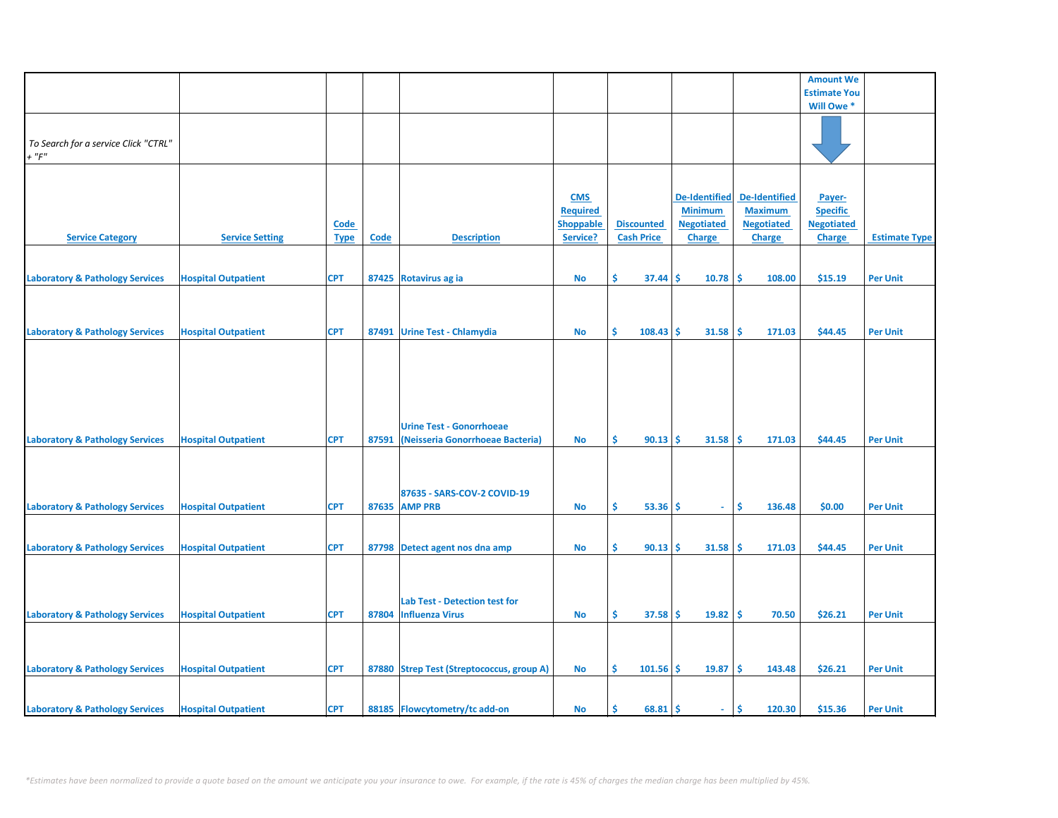|                                            |                            |             |             |                                           |                  |                   |                      |                      | <b>Amount We</b>    |                      |
|--------------------------------------------|----------------------------|-------------|-------------|-------------------------------------------|------------------|-------------------|----------------------|----------------------|---------------------|----------------------|
|                                            |                            |             |             |                                           |                  |                   |                      |                      | <b>Estimate You</b> |                      |
|                                            |                            |             |             |                                           |                  |                   |                      |                      | Will Owe *          |                      |
|                                            |                            |             |             |                                           |                  |                   |                      |                      |                     |                      |
|                                            |                            |             |             |                                           |                  |                   |                      |                      |                     |                      |
| To Search for a service Click "CTRL"       |                            |             |             |                                           |                  |                   |                      |                      |                     |                      |
| $+$ " $F$ "                                |                            |             |             |                                           |                  |                   |                      |                      |                     |                      |
|                                            |                            |             |             |                                           |                  |                   |                      |                      |                     |                      |
|                                            |                            |             |             |                                           |                  |                   |                      |                      |                     |                      |
|                                            |                            |             |             |                                           |                  |                   |                      |                      |                     |                      |
|                                            |                            |             |             |                                           | <b>CMS</b>       |                   | <b>De-Identified</b> | <b>De-Identified</b> | Payer-              |                      |
|                                            |                            |             |             |                                           | <b>Required</b>  |                   | <b>Minimum</b>       | <b>Maximum</b>       | <b>Specific</b>     |                      |
|                                            |                            | <b>Code</b> |             |                                           | <b>Shoppable</b> | <b>Discounted</b> | <b>Negotiated</b>    | <b>Negotiated</b>    | <b>Negotiated</b>   |                      |
| <b>Service Category</b>                    | <b>Service Setting</b>     | <b>Type</b> | <b>Code</b> | <b>Description</b>                        | Service?         | <b>Cash Price</b> | <b>Charge</b>        | <b>Charge</b>        | <b>Charge</b>       | <b>Estimate Type</b> |
|                                            |                            |             |             |                                           |                  |                   |                      |                      |                     |                      |
|                                            |                            |             |             |                                           |                  |                   |                      |                      |                     |                      |
|                                            |                            |             |             |                                           |                  |                   |                      |                      |                     |                      |
| <b>Laboratory &amp; Pathology Services</b> | <b>Hospital Outpatient</b> | <b>CPT</b>  |             | 87425 Rotavirus ag ia                     | No               | \$.<br>37.44      | 10.78<br>Ŝ           | -\$<br>108.00        | \$15.19             | <b>Per Unit</b>      |
|                                            |                            |             |             |                                           |                  |                   |                      |                      |                     |                      |
|                                            |                            |             |             |                                           |                  |                   |                      |                      |                     |                      |
|                                            |                            |             |             |                                           |                  |                   |                      |                      |                     |                      |
|                                            |                            |             |             |                                           |                  |                   |                      |                      |                     |                      |
| <b>Laboratory &amp; Pathology Services</b> | <b>Hospital Outpatient</b> | <b>CPT</b>  |             | 87491 Urine Test - Chlamydia              | <b>No</b>        | Ŝ.<br>108.43      | Ŝ.<br>31.58          | -\$<br>171.03        | \$44.45             | <b>Per Unit</b>      |
|                                            |                            |             |             |                                           |                  |                   |                      |                      |                     |                      |
|                                            |                            |             |             |                                           |                  |                   |                      |                      |                     |                      |
|                                            |                            |             |             |                                           |                  |                   |                      |                      |                     |                      |
|                                            |                            |             |             |                                           |                  |                   |                      |                      |                     |                      |
|                                            |                            |             |             |                                           |                  |                   |                      |                      |                     |                      |
|                                            |                            |             |             |                                           |                  |                   |                      |                      |                     |                      |
|                                            |                            |             |             |                                           |                  |                   |                      |                      |                     |                      |
|                                            |                            |             |             | <b>Urine Test - Gonorrhoeae</b>           |                  |                   |                      |                      |                     |                      |
| <b>Laboratory &amp; Pathology Services</b> | <b>Hospital Outpatient</b> | <b>CPT</b>  | 87591       | (Neisseria Gonorrhoeae Bacteria)          | No               | \$<br>$90.13$ \$  | 31.58                | -\$<br>171.03        | \$44.45             | <b>Per Unit</b>      |
|                                            |                            |             |             |                                           |                  |                   |                      |                      |                     |                      |
|                                            |                            |             |             |                                           |                  |                   |                      |                      |                     |                      |
|                                            |                            |             |             |                                           |                  |                   |                      |                      |                     |                      |
|                                            |                            |             |             |                                           |                  |                   |                      |                      |                     |                      |
|                                            |                            |             |             | 87635 - SARS-COV-2 COVID-19               |                  |                   |                      |                      |                     |                      |
| <b>Laboratory &amp; Pathology Services</b> | <b>Hospital Outpatient</b> | <b>CPT</b>  |             | 87635 AMP PRB                             | <b>No</b>        | Ŝ.<br>$53.36$ \$  | $\sim$               | Ŝ.<br>136.48         | \$0.00              | <b>Per Unit</b>      |
|                                            |                            |             |             |                                           |                  |                   |                      |                      |                     |                      |
|                                            |                            |             |             |                                           |                  |                   |                      |                      |                     |                      |
|                                            |                            |             |             |                                           |                  |                   |                      |                      |                     |                      |
| <b>Laboratory &amp; Pathology Services</b> | <b>Hospital Outpatient</b> | <b>CPT</b>  |             | 87798 Detect agent nos dna amp            | <b>No</b>        | \$<br>90.13       | 31.58<br>Ŝ.          | -Ś<br>171.03         | \$44.45             | <b>Per Unit</b>      |
|                                            |                            |             |             |                                           |                  |                   |                      |                      |                     |                      |
|                                            |                            |             |             |                                           |                  |                   |                      |                      |                     |                      |
|                                            |                            |             |             |                                           |                  |                   |                      |                      |                     |                      |
|                                            |                            |             |             | Lab Test - Detection test for             |                  |                   |                      |                      |                     |                      |
|                                            |                            |             |             |                                           |                  |                   |                      |                      |                     |                      |
| <b>Laboratory &amp; Pathology Services</b> | <b>Hospital Outpatient</b> | <b>CPT</b>  |             | 87804 Influenza Virus                     | <b>No</b>        | \$<br>$37.58$ \$  | $19.82 \mid$ \$      | 70.50                | \$26.21             | <b>Per Unit</b>      |
|                                            |                            |             |             |                                           |                  |                   |                      |                      |                     |                      |
|                                            |                            |             |             |                                           |                  |                   |                      |                      |                     |                      |
|                                            |                            |             |             |                                           |                  |                   |                      |                      |                     |                      |
| <b>Laboratory &amp; Pathology Services</b> | <b>Hospital Outpatient</b> | <b>CPT</b>  |             | 87880 Strep Test (Streptococcus, group A) | <b>No</b>        | \$<br>101.56      | -\$<br>19.87         | \$<br>143.48         | \$26.21             | <b>Per Unit</b>      |
|                                            |                            |             |             |                                           |                  |                   |                      |                      |                     |                      |
|                                            |                            |             |             |                                           |                  |                   |                      |                      |                     |                      |
|                                            |                            |             |             |                                           |                  |                   |                      |                      |                     |                      |
| <b>Laboratory &amp; Pathology Services</b> | <b>Hospital Outpatient</b> | <b>CPT</b>  |             | 88185 Flowcytometry/tc add-on             | No               | $68.81$ \$<br>\$. | ÷.                   | \$<br>120.30         | \$15.36             | <b>Per Unit</b>      |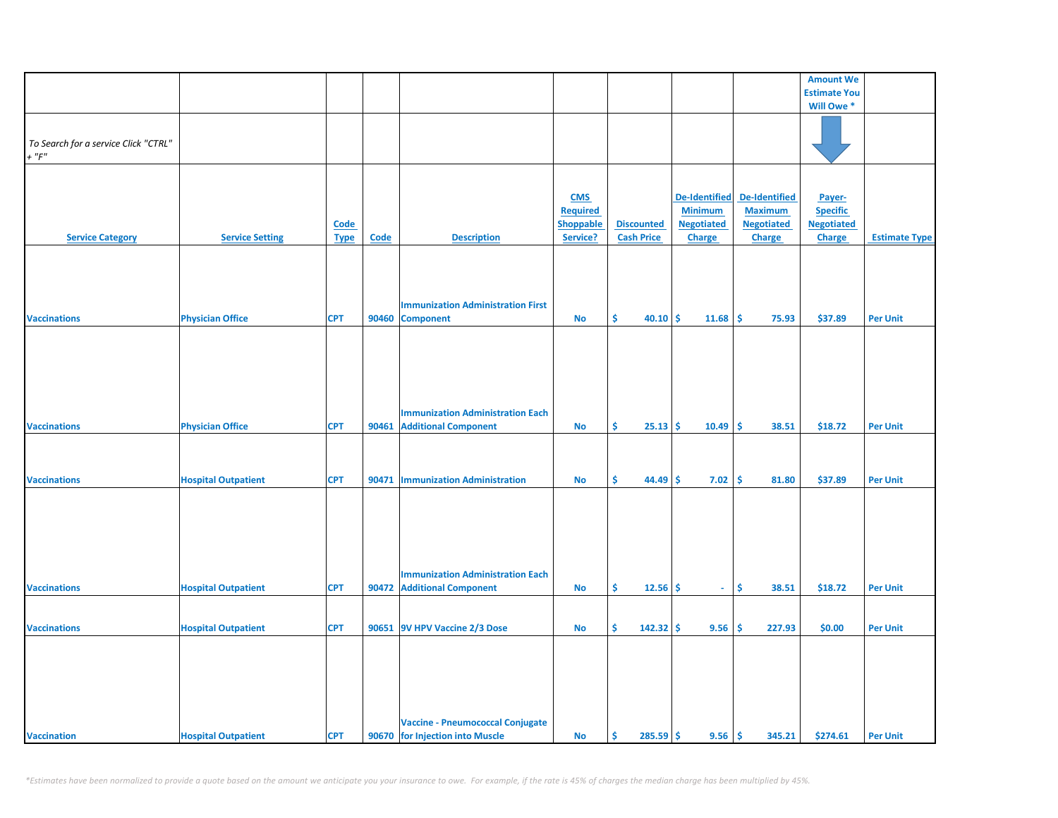|                                      |                            |             |       |                                          |                  |                   |                      |                      | <b>Amount We</b>    |                      |
|--------------------------------------|----------------------------|-------------|-------|------------------------------------------|------------------|-------------------|----------------------|----------------------|---------------------|----------------------|
|                                      |                            |             |       |                                          |                  |                   |                      |                      | <b>Estimate You</b> |                      |
|                                      |                            |             |       |                                          |                  |                   |                      |                      |                     |                      |
|                                      |                            |             |       |                                          |                  |                   |                      |                      | Will Owe *          |                      |
|                                      |                            |             |       |                                          |                  |                   |                      |                      |                     |                      |
| To Search for a service Click "CTRL" |                            |             |       |                                          |                  |                   |                      |                      |                     |                      |
| $+$ " $F$ "                          |                            |             |       |                                          |                  |                   |                      |                      |                     |                      |
|                                      |                            |             |       |                                          |                  |                   |                      |                      |                     |                      |
|                                      |                            |             |       |                                          |                  |                   |                      |                      |                     |                      |
|                                      |                            |             |       |                                          |                  |                   |                      |                      |                     |                      |
|                                      |                            |             |       |                                          | <b>CMS</b>       |                   | <b>De-Identified</b> | <b>De-Identified</b> | Payer-              |                      |
|                                      |                            |             |       |                                          | <b>Required</b>  |                   | <b>Minimum</b>       | <b>Maximum</b>       | <b>Specific</b>     |                      |
|                                      |                            | Code        |       |                                          | <b>Shoppable</b> | <b>Discounted</b> | <b>Negotiated</b>    | <b>Negotiated</b>    | <b>Negotiated</b>   |                      |
| <b>Service Category</b>              | <b>Service Setting</b>     | <b>Type</b> | Code  | <b>Description</b>                       | Service?         | <b>Cash Price</b> | <b>Charge</b>        | Charge               | <b>Charge</b>       | <b>Estimate Type</b> |
|                                      |                            |             |       |                                          |                  |                   |                      |                      |                     |                      |
|                                      |                            |             |       |                                          |                  |                   |                      |                      |                     |                      |
|                                      |                            |             |       |                                          |                  |                   |                      |                      |                     |                      |
|                                      |                            |             |       |                                          |                  |                   |                      |                      |                     |                      |
|                                      |                            |             |       | <b>Immunization Administration First</b> |                  |                   |                      |                      |                     |                      |
| <b>Vaccinations</b>                  | <b>Physician Office</b>    | <b>CPT</b>  | 90460 | <b>Component</b>                         | No               | Ŝ.<br>40.10       | -\$<br>11.68         | \$<br>75.93          | \$37.89             | <b>Per Unit</b>      |
|                                      |                            |             |       |                                          |                  |                   |                      |                      |                     |                      |
|                                      |                            |             |       |                                          |                  |                   |                      |                      |                     |                      |
|                                      |                            |             |       |                                          |                  |                   |                      |                      |                     |                      |
|                                      |                            |             |       |                                          |                  |                   |                      |                      |                     |                      |
|                                      |                            |             |       |                                          |                  |                   |                      |                      |                     |                      |
|                                      |                            |             |       |                                          |                  |                   |                      |                      |                     |                      |
|                                      |                            |             |       |                                          |                  |                   |                      |                      |                     |                      |
|                                      |                            |             |       | <b>Immunization Administration Each</b>  |                  |                   |                      |                      |                     |                      |
| <b>Vaccinations</b>                  | <b>Physician Office</b>    | <b>CPT</b>  |       | 90461 Additional Component               | <b>No</b>        | Ś.<br>$25.13$ \$  | 10.49                | Ŝ.<br>38.51          | \$18.72             | <b>Per Unit</b>      |
|                                      |                            |             |       |                                          |                  |                   |                      |                      |                     |                      |
|                                      |                            |             |       |                                          |                  |                   |                      |                      |                     |                      |
|                                      |                            |             |       |                                          |                  |                   |                      |                      |                     |                      |
| <b>Vaccinations</b>                  | <b>Hospital Outpatient</b> | <b>CPT</b>  |       | 90471   Immunization Administration      | No               | Ŝ.<br>44.49       | \$<br>7.02           | \$<br>81.80          | \$37.89             | <b>Per Unit</b>      |
|                                      |                            |             |       |                                          |                  |                   |                      |                      |                     |                      |
|                                      |                            |             |       |                                          |                  |                   |                      |                      |                     |                      |
|                                      |                            |             |       |                                          |                  |                   |                      |                      |                     |                      |
|                                      |                            |             |       |                                          |                  |                   |                      |                      |                     |                      |
|                                      |                            |             |       |                                          |                  |                   |                      |                      |                     |                      |
|                                      |                            |             |       |                                          |                  |                   |                      |                      |                     |                      |
|                                      |                            |             |       | <b>Immunization Administration Each</b>  |                  |                   |                      |                      |                     |                      |
| <b>Vaccinations</b>                  | <b>Hospital Outpatient</b> | <b>CPT</b>  |       | 90472 Additional Component               | No               | Ŝ<br>12.56        | <b>S</b><br>$\sim$   | Ŝ<br>38.51           | \$18.72             | <b>Per Unit</b>      |
|                                      |                            |             |       |                                          |                  |                   |                      |                      |                     |                      |
|                                      |                            |             |       |                                          |                  |                   |                      |                      |                     |                      |
|                                      |                            |             |       |                                          |                  | \$                |                      | \$                   |                     |                      |
| <b>Vaccinations</b>                  | <b>Hospital Outpatient</b> | <b>CPT</b>  |       | 90651 9V HPV Vaccine 2/3 Dose            | <b>No</b>        | 142.32            | -\$<br>9.56          | 227.93               | \$0.00              | <b>Per Unit</b>      |
|                                      |                            |             |       |                                          |                  |                   |                      |                      |                     |                      |
|                                      |                            |             |       |                                          |                  |                   |                      |                      |                     |                      |
|                                      |                            |             |       |                                          |                  |                   |                      |                      |                     |                      |
|                                      |                            |             |       |                                          |                  |                   |                      |                      |                     |                      |
|                                      |                            |             |       |                                          |                  |                   |                      |                      |                     |                      |
|                                      |                            |             |       |                                          |                  |                   |                      |                      |                     |                      |
|                                      |                            |             |       | <b>Vaccine - Pneumococcal Conjugate</b>  |                  |                   |                      |                      |                     |                      |
| <b>Vaccination</b>                   | <b>Hospital Outpatient</b> | <b>CPT</b>  |       | 90670 for Injection into Muscle          | <b>No</b>        | \$<br>$285.59$ \$ | 9.56                 | \$<br>345.21         | \$274.61            | <b>Per Unit</b>      |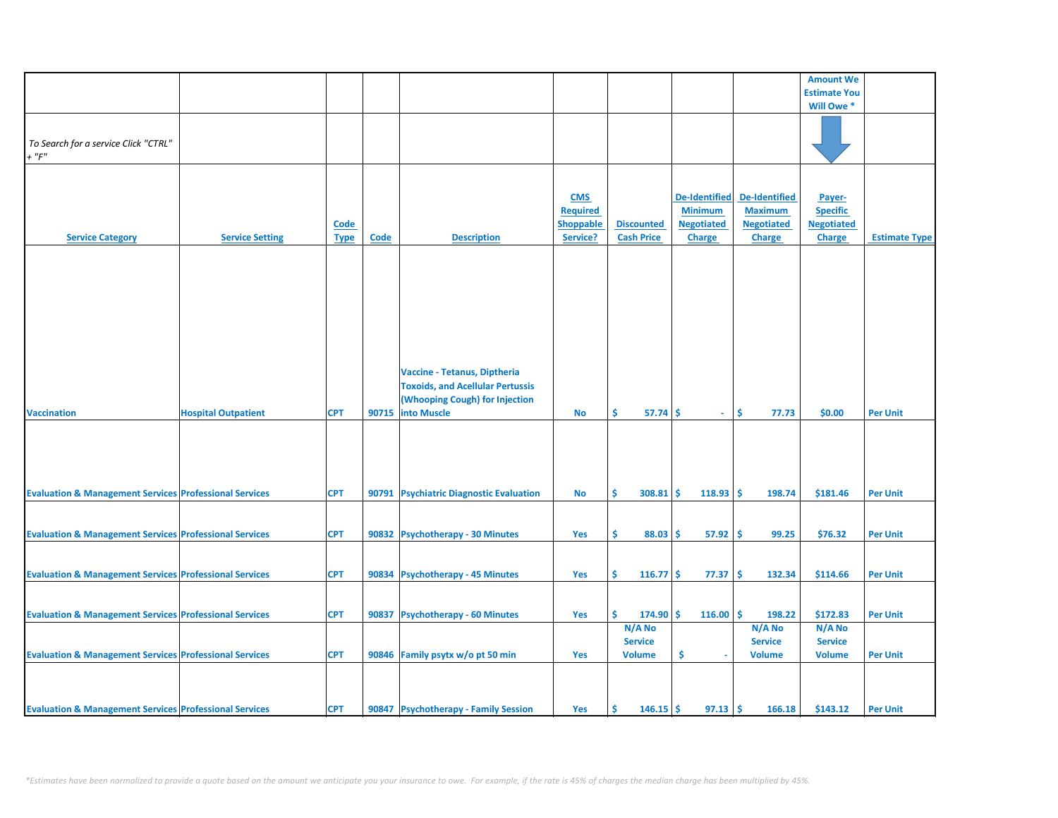|                                                                   |                            |             |       |                                         |                  |                   |                      |                      | <b>Amount We</b>    |                      |
|-------------------------------------------------------------------|----------------------------|-------------|-------|-----------------------------------------|------------------|-------------------|----------------------|----------------------|---------------------|----------------------|
|                                                                   |                            |             |       |                                         |                  |                   |                      |                      | <b>Estimate You</b> |                      |
|                                                                   |                            |             |       |                                         |                  |                   |                      |                      | Will Owe *          |                      |
|                                                                   |                            |             |       |                                         |                  |                   |                      |                      |                     |                      |
|                                                                   |                            |             |       |                                         |                  |                   |                      |                      |                     |                      |
|                                                                   |                            |             |       |                                         |                  |                   |                      |                      |                     |                      |
| To Search for a service Click "CTRL"                              |                            |             |       |                                         |                  |                   |                      |                      |                     |                      |
| $+$ " $F$ "                                                       |                            |             |       |                                         |                  |                   |                      |                      |                     |                      |
|                                                                   |                            |             |       |                                         |                  |                   |                      |                      |                     |                      |
|                                                                   |                            |             |       |                                         |                  |                   |                      |                      |                     |                      |
|                                                                   |                            |             |       |                                         | <b>CMS</b>       |                   | <b>De-Identified</b> | <b>De-Identified</b> | Payer-              |                      |
|                                                                   |                            |             |       |                                         |                  |                   |                      |                      |                     |                      |
|                                                                   |                            |             |       |                                         | <b>Required</b>  |                   | <b>Minimum</b>       | <b>Maximum</b>       | <b>Specific</b>     |                      |
|                                                                   |                            | <b>Code</b> |       |                                         | <b>Shoppable</b> | <b>Discounted</b> | <b>Negotiated</b>    | <b>Negotiated</b>    | <b>Negotiated</b>   |                      |
| <b>Service Category</b>                                           | <b>Service Setting</b>     | <b>Type</b> | Code  | <b>Description</b>                      | Service?         | <b>Cash Price</b> | <b>Charge</b>        | <b>Charge</b>        | <b>Charge</b>       | <b>Estimate Type</b> |
|                                                                   |                            |             |       |                                         |                  |                   |                      |                      |                     |                      |
|                                                                   |                            |             |       |                                         |                  |                   |                      |                      |                     |                      |
|                                                                   |                            |             |       |                                         |                  |                   |                      |                      |                     |                      |
|                                                                   |                            |             |       |                                         |                  |                   |                      |                      |                     |                      |
|                                                                   |                            |             |       |                                         |                  |                   |                      |                      |                     |                      |
|                                                                   |                            |             |       |                                         |                  |                   |                      |                      |                     |                      |
|                                                                   |                            |             |       |                                         |                  |                   |                      |                      |                     |                      |
|                                                                   |                            |             |       |                                         |                  |                   |                      |                      |                     |                      |
|                                                                   |                            |             |       |                                         |                  |                   |                      |                      |                     |                      |
|                                                                   |                            |             |       |                                         |                  |                   |                      |                      |                     |                      |
|                                                                   |                            |             |       |                                         |                  |                   |                      |                      |                     |                      |
|                                                                   |                            |             |       | Vaccine - Tetanus, Diptheria            |                  |                   |                      |                      |                     |                      |
|                                                                   |                            |             |       |                                         |                  |                   |                      |                      |                     |                      |
|                                                                   |                            |             |       | <b>Toxoids, and Acellular Pertussis</b> |                  |                   |                      |                      |                     |                      |
|                                                                   |                            |             |       | (Whooping Cough) for Injection          |                  |                   |                      |                      |                     |                      |
| <b>Vaccination</b>                                                | <b>Hospital Outpatient</b> | <b>CPT</b>  | 90715 | <b>into Muscle</b>                      | No               | Ŝ.<br>57.74       | Ŝ.<br>$\sim$         | Ŝ.<br>77.73          | \$0.00              | <b>Per Unit</b>      |
|                                                                   |                            |             |       |                                         |                  |                   |                      |                      |                     |                      |
|                                                                   |                            |             |       |                                         |                  |                   |                      |                      |                     |                      |
|                                                                   |                            |             |       |                                         |                  |                   |                      |                      |                     |                      |
|                                                                   |                            |             |       |                                         |                  |                   |                      |                      |                     |                      |
|                                                                   |                            |             |       |                                         |                  |                   |                      |                      |                     |                      |
|                                                                   |                            |             |       |                                         |                  |                   |                      |                      |                     |                      |
| <b>Evaluation &amp; Management Services Professional Services</b> |                            | <b>CPT</b>  |       | 90791 Psychiatric Diagnostic Evaluation | No               | Ŝ.<br>$308.81$ \$ | 118.93               | Ŝ.<br>198.74         | \$181.46            | <b>Per Unit</b>      |
|                                                                   |                            |             |       |                                         |                  |                   |                      |                      |                     |                      |
|                                                                   |                            |             |       |                                         |                  |                   |                      |                      |                     |                      |
|                                                                   |                            |             |       |                                         |                  |                   |                      |                      |                     |                      |
| <b>Evaluation &amp; Management Services Professional Services</b> |                            | <b>CPT</b>  |       | 90832 Psychotherapy - 30 Minutes        | Yes              | Ŝ.<br>88.03       | 57.92<br>\$          | Ŝ<br>99.25           | \$76.32             | <b>Per Unit</b>      |
|                                                                   |                            |             |       |                                         |                  |                   |                      |                      |                     |                      |
|                                                                   |                            |             |       |                                         |                  |                   |                      |                      |                     |                      |
|                                                                   |                            |             |       |                                         |                  |                   |                      |                      |                     |                      |
| <b>Evaluation &amp; Management Services Professional Services</b> |                            | <b>CPT</b>  |       | 90834 Psychotherapy - 45 Minutes        | Yes              | Š.<br>$116.77$ \$ | 77.37                | \$<br>132.34         | \$114.66            | <b>Per Unit</b>      |
|                                                                   |                            |             |       |                                         |                  |                   |                      |                      |                     |                      |
|                                                                   |                            |             |       |                                         |                  |                   |                      |                      |                     |                      |
|                                                                   |                            |             |       |                                         |                  | Ś.                |                      | l\$                  |                     |                      |
| <b>Evaluation &amp; Management Services Professional Services</b> |                            | <b>CPT</b>  | 90837 | <b>Psychotherapy - 60 Minutes</b>       | Yes              | $174.90$ \$       | 116.00               | 198.22               | \$172.83            | <b>Per Unit</b>      |
|                                                                   |                            |             |       |                                         |                  | N/A No            |                      | N/A No               | N/A No              |                      |
|                                                                   |                            |             |       |                                         |                  | <b>Service</b>    |                      | <b>Service</b>       | <b>Service</b>      |                      |
| <b>Evaluation &amp; Management Services Professional Services</b> |                            | <b>CPT</b>  |       | 90846 Family psytx w/o pt 50 min        | Yes              | <b>Volume</b>     | \$                   | <b>Volume</b>        | <b>Volume</b>       | <b>Per Unit</b>      |
|                                                                   |                            |             |       |                                         |                  |                   |                      |                      |                     |                      |
|                                                                   |                            |             |       |                                         |                  |                   |                      |                      |                     |                      |
|                                                                   |                            |             |       |                                         |                  |                   |                      |                      |                     |                      |
|                                                                   |                            |             |       |                                         |                  |                   |                      |                      |                     |                      |
| <b>Evaluation &amp; Management Services Professional Services</b> |                            | <b>CPT</b>  |       | 90847 Psychotherapy - Family Session    | Yes              | Ŝ<br>$146.15$ \$  | 97.13                | -\$<br>166.18        | \$143.12            | <b>Per Unit</b>      |
|                                                                   |                            |             |       |                                         |                  |                   |                      |                      |                     |                      |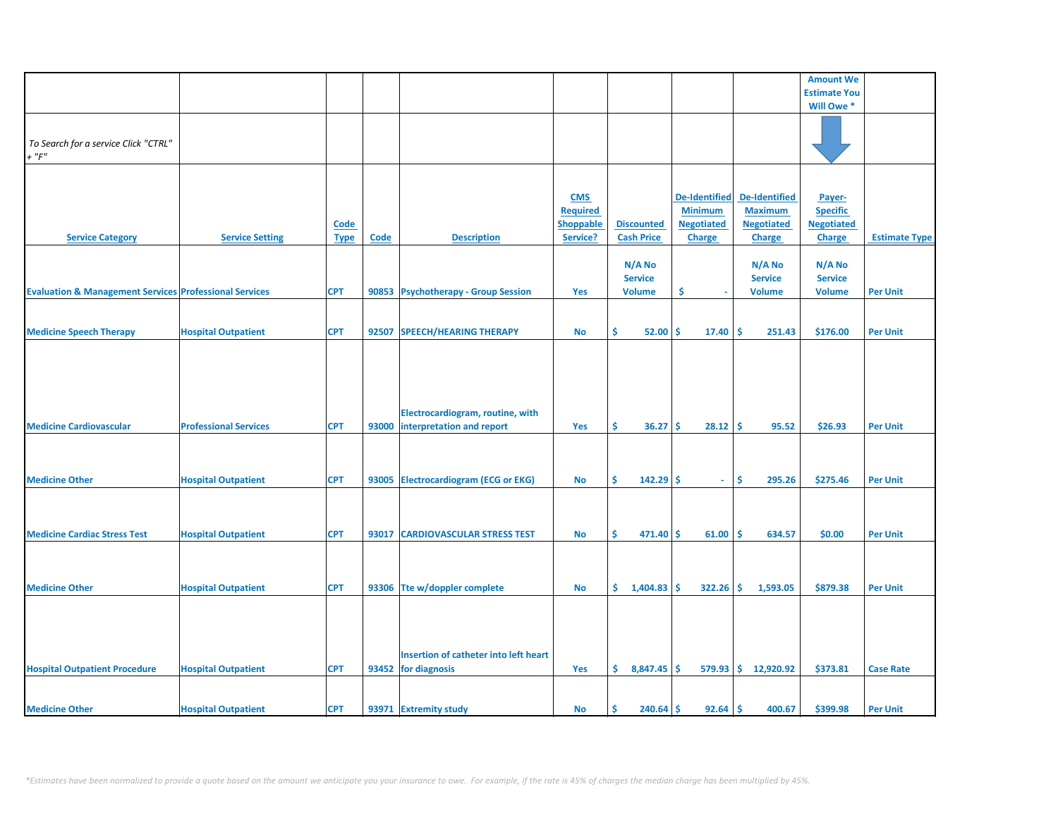|                                                                   |                              |             |       |                                       |                  |                   |                      |                       | <b>Amount We</b>    |                      |
|-------------------------------------------------------------------|------------------------------|-------------|-------|---------------------------------------|------------------|-------------------|----------------------|-----------------------|---------------------|----------------------|
|                                                                   |                              |             |       |                                       |                  |                   |                      |                       | <b>Estimate You</b> |                      |
|                                                                   |                              |             |       |                                       |                  |                   |                      |                       | Will Owe *          |                      |
|                                                                   |                              |             |       |                                       |                  |                   |                      |                       |                     |                      |
|                                                                   |                              |             |       |                                       |                  |                   |                      |                       |                     |                      |
|                                                                   |                              |             |       |                                       |                  |                   |                      |                       |                     |                      |
| To Search for a service Click "CTRL"                              |                              |             |       |                                       |                  |                   |                      |                       |                     |                      |
| $+$ " $F$ "                                                       |                              |             |       |                                       |                  |                   |                      |                       |                     |                      |
|                                                                   |                              |             |       |                                       |                  |                   |                      |                       |                     |                      |
|                                                                   |                              |             |       |                                       |                  |                   |                      |                       |                     |                      |
|                                                                   |                              |             |       |                                       | <b>CMS</b>       |                   | <b>De-Identified</b> | <b>De-Identified</b>  | Payer-              |                      |
|                                                                   |                              |             |       |                                       |                  |                   |                      |                       |                     |                      |
|                                                                   |                              |             |       |                                       | <b>Required</b>  |                   | <b>Minimum</b>       | <b>Maximum</b>        | <b>Specific</b>     |                      |
|                                                                   |                              | <b>Code</b> |       |                                       | <b>Shoppable</b> | <b>Discounted</b> | <b>Negotiated</b>    | <b>Negotiated</b>     | <b>Negotiated</b>   |                      |
| <b>Service Category</b>                                           | <b>Service Setting</b>       | <b>Type</b> | Code  | <b>Description</b>                    | Service?         | <b>Cash Price</b> | <b>Charge</b>        | <b>Charge</b>         | <b>Charge</b>       | <b>Estimate Type</b> |
|                                                                   |                              |             |       |                                       |                  |                   |                      |                       |                     |                      |
|                                                                   |                              |             |       |                                       |                  | N/A No            |                      | N/A No                | N/A No              |                      |
|                                                                   |                              |             |       |                                       |                  |                   |                      |                       |                     |                      |
|                                                                   |                              |             |       |                                       |                  | <b>Service</b>    |                      | <b>Service</b>        | <b>Service</b>      |                      |
| <b>Evaluation &amp; Management Services Professional Services</b> |                              | <b>CPT</b>  |       | 90853 Psychotherapy - Group Session   | Yes              | <b>Volume</b>     | \$.                  | <b>Volume</b>         | <b>Volume</b>       | <b>Per Unit</b>      |
|                                                                   |                              |             |       |                                       |                  |                   |                      |                       |                     |                      |
|                                                                   |                              |             |       |                                       |                  |                   |                      |                       |                     |                      |
| <b>Medicine Speech Therapy</b>                                    | <b>Hospital Outpatient</b>   | <b>CPT</b>  | 92507 | <b>SPEECH/HEARING THERAPY</b>         | <b>No</b>        | \$<br>52.00       | Ŝ.<br>17.40          | \$<br>251.43          | \$176.00            | <b>Per Unit</b>      |
|                                                                   |                              |             |       |                                       |                  |                   |                      |                       |                     |                      |
|                                                                   |                              |             |       |                                       |                  |                   |                      |                       |                     |                      |
|                                                                   |                              |             |       |                                       |                  |                   |                      |                       |                     |                      |
|                                                                   |                              |             |       |                                       |                  |                   |                      |                       |                     |                      |
|                                                                   |                              |             |       |                                       |                  |                   |                      |                       |                     |                      |
|                                                                   |                              |             |       |                                       |                  |                   |                      |                       |                     |                      |
|                                                                   |                              |             |       |                                       |                  |                   |                      |                       |                     |                      |
|                                                                   |                              |             |       | Electrocardiogram, routine, with      |                  |                   |                      |                       |                     |                      |
| <b>Medicine Cardiovascular</b>                                    | <b>Professional Services</b> | <b>CPT</b>  | 93000 | interpretation and report             | Yes              | \$.<br>36.27      | 28.12<br>Ŝ.          | \$.<br>95.52          | \$26.93             | <b>Per Unit</b>      |
|                                                                   |                              |             |       |                                       |                  |                   |                      |                       |                     |                      |
|                                                                   |                              |             |       |                                       |                  |                   |                      |                       |                     |                      |
|                                                                   |                              |             |       |                                       |                  |                   |                      |                       |                     |                      |
|                                                                   |                              |             |       |                                       |                  |                   |                      |                       |                     |                      |
| <b>Medicine Other</b>                                             | <b>Hospital Outpatient</b>   | <b>CPT</b>  |       | 93005 Electrocardiogram (ECG or EKG)  | <b>No</b>        | Ś.<br>$142.29$ \$ | $\omega$             | Ŝ.<br>295.26          | \$275.46            | <b>Per Unit</b>      |
|                                                                   |                              |             |       |                                       |                  |                   |                      |                       |                     |                      |
|                                                                   |                              |             |       |                                       |                  |                   |                      |                       |                     |                      |
|                                                                   |                              |             |       |                                       |                  |                   |                      |                       |                     |                      |
|                                                                   |                              |             |       |                                       |                  |                   |                      |                       |                     |                      |
| <b>Medicine Cardiac Stress Test</b>                               | <b>Hospital Outpatient</b>   | <b>CPT</b>  | 93017 | <b>CARDIOVASCULAR STRESS TEST</b>     | <b>No</b>        | Ś.<br>471.40      | Ŝ<br>61.00           | Ŝ.<br>634.57          | \$0.00              | <b>Per Unit</b>      |
|                                                                   |                              |             |       |                                       |                  |                   |                      |                       |                     |                      |
|                                                                   |                              |             |       |                                       |                  |                   |                      |                       |                     |                      |
|                                                                   |                              |             |       |                                       |                  |                   |                      |                       |                     |                      |
| <b>Medicine Other</b>                                             | <b>Hospital Outpatient</b>   | <b>CPT</b>  |       | 93306 Tte w/doppler complete          | <b>No</b>        | \$<br>1,404.83    | $322.26$ \$<br>Ŝ.    | 1,593.05              | \$879.38            | <b>Per Unit</b>      |
|                                                                   |                              |             |       |                                       |                  |                   |                      |                       |                     |                      |
|                                                                   |                              |             |       |                                       |                  |                   |                      |                       |                     |                      |
|                                                                   |                              |             |       |                                       |                  |                   |                      |                       |                     |                      |
|                                                                   |                              |             |       |                                       |                  |                   |                      |                       |                     |                      |
|                                                                   |                              |             |       |                                       |                  |                   |                      |                       |                     |                      |
|                                                                   |                              |             |       | Insertion of catheter into left heart |                  |                   |                      |                       |                     |                      |
|                                                                   |                              |             |       |                                       |                  |                   |                      |                       |                     |                      |
| <b>Hospital Outpatient Procedure</b>                              | <b>Hospital Outpatient</b>   | <b>CPT</b>  |       | 93452 for diagnosis                   | Yes              | \$.<br>8,847.45   | <b>S</b>             | $579.93$ \$ 12,920.92 | \$373.81            | <b>Case Rate</b>     |
|                                                                   |                              |             |       |                                       |                  |                   |                      |                       |                     |                      |
|                                                                   |                              |             |       |                                       |                  |                   |                      |                       |                     |                      |
| <b>Medicine Other</b>                                             | <b>Hospital Outpatient</b>   | <b>CPT</b>  |       | 93971 Extremity study                 | No               | Ś<br>240.64       | Ŝ.<br>92.64          | ۱Ś<br>400.67          | \$399.98            | <b>Per Unit</b>      |
|                                                                   |                              |             |       |                                       |                  |                   |                      |                       |                     |                      |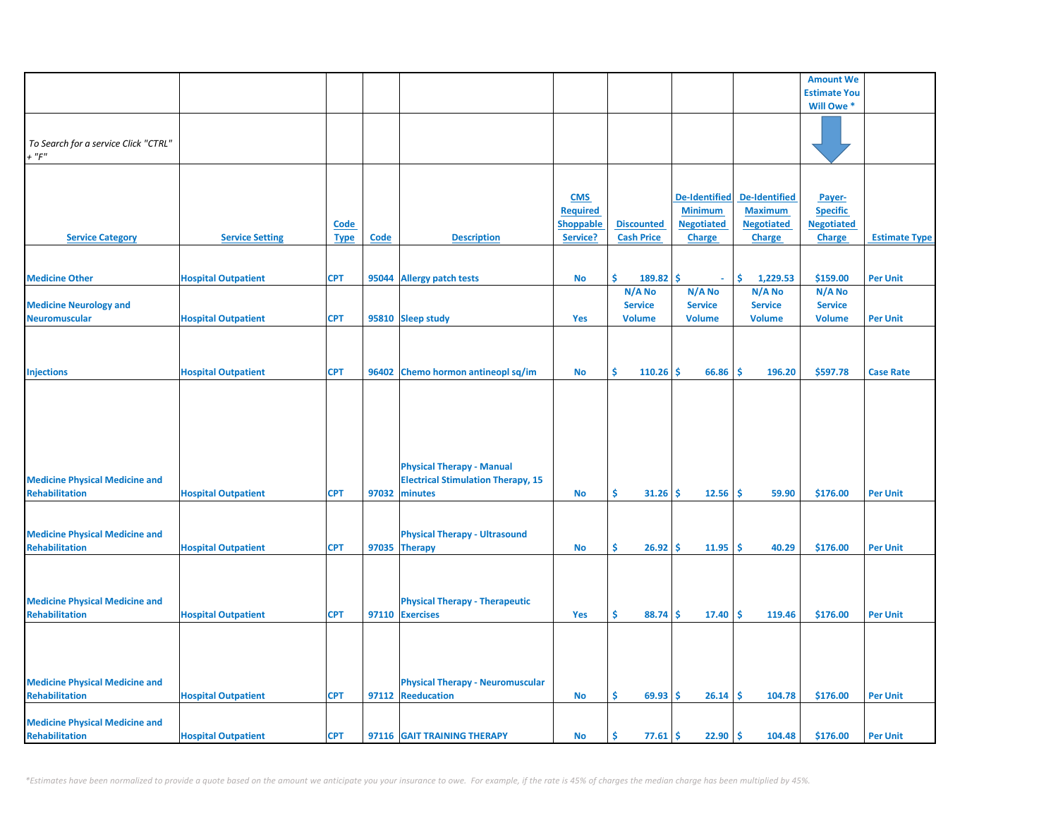|                                       |                            |             |       |                                           |                  |                   |                      |                      | <b>Amount We</b>    |                      |
|---------------------------------------|----------------------------|-------------|-------|-------------------------------------------|------------------|-------------------|----------------------|----------------------|---------------------|----------------------|
|                                       |                            |             |       |                                           |                  |                   |                      |                      | <b>Estimate You</b> |                      |
|                                       |                            |             |       |                                           |                  |                   |                      |                      | Will Owe *          |                      |
|                                       |                            |             |       |                                           |                  |                   |                      |                      |                     |                      |
|                                       |                            |             |       |                                           |                  |                   |                      |                      |                     |                      |
| To Search for a service Click "CTRL"  |                            |             |       |                                           |                  |                   |                      |                      |                     |                      |
| $+$ " $F$ "                           |                            |             |       |                                           |                  |                   |                      |                      |                     |                      |
|                                       |                            |             |       |                                           |                  |                   |                      |                      |                     |                      |
|                                       |                            |             |       |                                           |                  |                   |                      |                      |                     |                      |
|                                       |                            |             |       |                                           | <b>CMS</b>       |                   | <b>De-Identified</b> | <b>De-Identified</b> | Payer-              |                      |
|                                       |                            |             |       |                                           | <b>Required</b>  |                   | <b>Minimum</b>       | <b>Maximum</b>       | <b>Specific</b>     |                      |
|                                       |                            |             |       |                                           |                  |                   |                      |                      |                     |                      |
|                                       |                            | <u>Code</u> |       |                                           | <b>Shoppable</b> | <b>Discounted</b> | <b>Negotiated</b>    | <b>Negotiated</b>    | <b>Negotiated</b>   |                      |
| <b>Service Category</b>               | <b>Service Setting</b>     | <b>Type</b> | Code  | <b>Description</b>                        | Service?         | <b>Cash Price</b> | <b>Charge</b>        | <b>Charge</b>        | <b>Charge</b>       | <b>Estimate Type</b> |
|                                       |                            |             |       |                                           |                  |                   |                      |                      |                     |                      |
|                                       |                            |             |       |                                           |                  |                   |                      |                      |                     |                      |
| <b>Medicine Other</b>                 | <b>Hospital Outpatient</b> | <b>CPT</b>  | 95044 | <b>Allergy patch tests</b>                | <b>No</b>        | Ŝ<br>189.82       | Ś<br>$\omega$        | \$<br>1,229.53       | \$159.00            | <b>Per Unit</b>      |
|                                       |                            |             |       |                                           |                  | N/A No            | N/A No               | N/A No               | N/A No              |                      |
| <b>Medicine Neurology and</b>         |                            |             |       |                                           |                  | <b>Service</b>    | <b>Service</b>       | <b>Service</b>       | <b>Service</b>      |                      |
| <b>Neuromuscular</b>                  | <b>Hospital Outpatient</b> | <b>CPT</b>  |       | 95810 Sleep study                         | Yes              | <b>Volume</b>     | <b>Volume</b>        | <b>Volume</b>        | <b>Volume</b>       | <b>Per Unit</b>      |
|                                       |                            |             |       |                                           |                  |                   |                      |                      |                     |                      |
|                                       |                            |             |       |                                           |                  |                   |                      |                      |                     |                      |
|                                       |                            |             |       |                                           |                  |                   |                      |                      |                     |                      |
|                                       |                            |             |       |                                           |                  |                   |                      |                      |                     |                      |
| <b>Injections</b>                     | <b>Hospital Outpatient</b> | <b>CPT</b>  |       | 96402 Chemo hormon antineopl sq/im        | No               | Ŝ.<br>110.26      | \$<br>66.86          | -\$<br>196.20        | \$597.78            | <b>Case Rate</b>     |
|                                       |                            |             |       |                                           |                  |                   |                      |                      |                     |                      |
|                                       |                            |             |       |                                           |                  |                   |                      |                      |                     |                      |
|                                       |                            |             |       |                                           |                  |                   |                      |                      |                     |                      |
|                                       |                            |             |       |                                           |                  |                   |                      |                      |                     |                      |
|                                       |                            |             |       |                                           |                  |                   |                      |                      |                     |                      |
|                                       |                            |             |       |                                           |                  |                   |                      |                      |                     |                      |
|                                       |                            |             |       | <b>Physical Therapy - Manual</b>          |                  |                   |                      |                      |                     |                      |
|                                       |                            |             |       |                                           |                  |                   |                      |                      |                     |                      |
| <b>Medicine Physical Medicine and</b> |                            |             |       | <b>Electrical Stimulation Therapy, 15</b> |                  |                   |                      |                      |                     |                      |
| <b>Rehabilitation</b>                 | <b>Hospital Outpatient</b> | <b>CPT</b>  | 97032 | minutes                                   | No               | Ŝ.<br>31.26       | 12.56<br>\$.         | \$.<br>59.90         | \$176.00            | <b>Per Unit</b>      |
|                                       |                            |             |       |                                           |                  |                   |                      |                      |                     |                      |
|                                       |                            |             |       |                                           |                  |                   |                      |                      |                     |                      |
| <b>Medicine Physical Medicine and</b> |                            |             |       | <b>Physical Therapy - Ultrasound</b>      |                  |                   |                      |                      |                     |                      |
| <b>Rehabilitation</b>                 | <b>Hospital Outpatient</b> | <b>CPT</b>  |       | 97035 Therapy                             | No               | Ŝ.<br>26.92       | 11.95<br>\$.         | \$.<br>40.29         | \$176.00            | <b>Per Unit</b>      |
|                                       |                            |             |       |                                           |                  |                   |                      |                      |                     |                      |
|                                       |                            |             |       |                                           |                  |                   |                      |                      |                     |                      |
|                                       |                            |             |       |                                           |                  |                   |                      |                      |                     |                      |
| <b>Medicine Physical Medicine and</b> |                            |             |       |                                           |                  |                   |                      |                      |                     |                      |
|                                       |                            |             |       | <b>Physical Therapy - Therapeutic</b>     |                  |                   |                      |                      |                     |                      |
| <b>Rehabilitation</b>                 | <b>Hospital Outpatient</b> | <b>CPT</b>  |       | 97110 Exercises                           | Yes              | Ŝ.<br>88.74       | \$<br>17.40          | Ŝ.<br>119.46         | \$176.00            | <b>Per Unit</b>      |
|                                       |                            |             |       |                                           |                  |                   |                      |                      |                     |                      |
|                                       |                            |             |       |                                           |                  |                   |                      |                      |                     |                      |
|                                       |                            |             |       |                                           |                  |                   |                      |                      |                     |                      |
|                                       |                            |             |       |                                           |                  |                   |                      |                      |                     |                      |
| <b>Medicine Physical Medicine and</b> |                            |             |       | <b>Physical Therapy - Neuromuscular</b>   |                  |                   |                      |                      |                     |                      |
| <b>Rehabilitation</b>                 | <b>Hospital Outpatient</b> | <b>CPT</b>  |       | 97112 Reeducation                         | No               | Ŝ.<br>69.93       | \$.<br>26.14         | Ŝ.<br>104.78         | \$176.00            | <b>Per Unit</b>      |
|                                       |                            |             |       |                                           |                  |                   |                      |                      |                     |                      |
| <b>Medicine Physical Medicine and</b> |                            |             |       |                                           |                  |                   |                      |                      |                     |                      |
| Rehabilitation                        |                            | <b>CPT</b>  |       | 97116 GAIT TRAINING THERAPY               | <b>No</b>        | \$<br>77.61       | \$<br>22.90          | \$.<br>104.48        | \$176.00            | <b>Per Unit</b>      |
|                                       | <b>Hospital Outpatient</b> |             |       |                                           |                  |                   |                      |                      |                     |                      |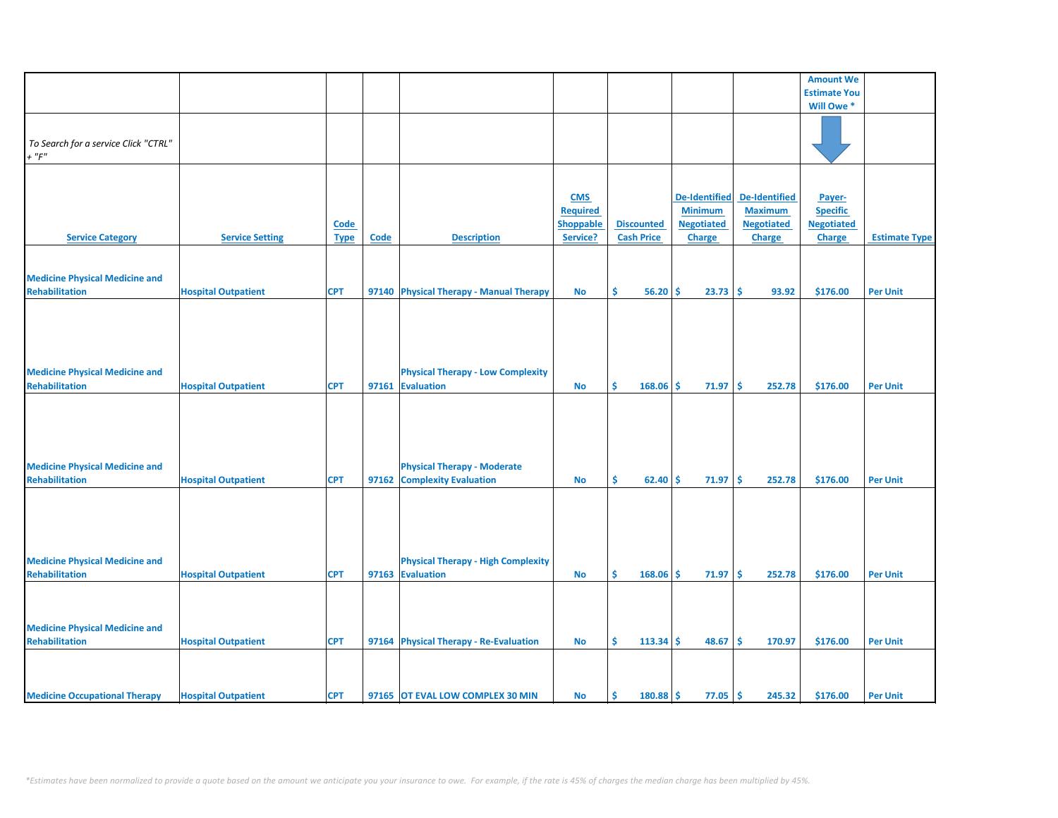|                                       |                            |             |      |                                           |                  |                   |                        |                      | <b>Amount We</b>    |                      |
|---------------------------------------|----------------------------|-------------|------|-------------------------------------------|------------------|-------------------|------------------------|----------------------|---------------------|----------------------|
|                                       |                            |             |      |                                           |                  |                   |                        |                      | <b>Estimate You</b> |                      |
|                                       |                            |             |      |                                           |                  |                   |                        |                      | Will Owe *          |                      |
|                                       |                            |             |      |                                           |                  |                   |                        |                      |                     |                      |
|                                       |                            |             |      |                                           |                  |                   |                        |                      |                     |                      |
| To Search for a service Click "CTRL"  |                            |             |      |                                           |                  |                   |                        |                      |                     |                      |
| $+$ " $F"$                            |                            |             |      |                                           |                  |                   |                        |                      |                     |                      |
|                                       |                            |             |      |                                           |                  |                   |                        |                      |                     |                      |
|                                       |                            |             |      |                                           |                  |                   |                        |                      |                     |                      |
|                                       |                            |             |      |                                           |                  |                   |                        |                      |                     |                      |
|                                       |                            |             |      |                                           | <b>CMS</b>       |                   | <b>De-Identified</b>   | <b>De-Identified</b> | Payer-              |                      |
|                                       |                            |             |      |                                           | <b>Required</b>  |                   | <b>Minimum</b>         | <b>Maximum</b>       | <b>Specific</b>     |                      |
|                                       |                            | <b>Code</b> |      |                                           | <b>Shoppable</b> | <b>Discounted</b> | <b>Negotiated</b>      | <b>Negotiated</b>    | <b>Negotiated</b>   |                      |
|                                       |                            |             |      |                                           |                  |                   |                        |                      |                     |                      |
| <b>Service Category</b>               | <b>Service Setting</b>     | <b>Type</b> | Code | <b>Description</b>                        | Service?         | <b>Cash Price</b> | <b>Charge</b>          | <b>Charge</b>        | <b>Charge</b>       | <b>Estimate Type</b> |
|                                       |                            |             |      |                                           |                  |                   |                        |                      |                     |                      |
|                                       |                            |             |      |                                           |                  |                   |                        |                      |                     |                      |
| <b>Medicine Physical Medicine and</b> |                            |             |      |                                           |                  |                   |                        |                      |                     |                      |
| <b>Rehabilitation</b>                 | <b>Hospital Outpatient</b> | <b>CPT</b>  |      | 97140 Physical Therapy - Manual Therapy   | <b>No</b>        | \$<br>56.20       | 23.73<br>Ŝ             | -\$<br>93.92         | \$176.00            | <b>Per Unit</b>      |
|                                       |                            |             |      |                                           |                  |                   |                        |                      |                     |                      |
|                                       |                            |             |      |                                           |                  |                   |                        |                      |                     |                      |
|                                       |                            |             |      |                                           |                  |                   |                        |                      |                     |                      |
|                                       |                            |             |      |                                           |                  |                   |                        |                      |                     |                      |
|                                       |                            |             |      |                                           |                  |                   |                        |                      |                     |                      |
|                                       |                            |             |      |                                           |                  |                   |                        |                      |                     |                      |
| <b>Medicine Physical Medicine and</b> |                            |             |      | <b>Physical Therapy - Low Complexity</b>  |                  |                   |                        |                      |                     |                      |
| <b>Rehabilitation</b>                 | <b>Hospital Outpatient</b> | <b>CPT</b>  |      | 97161 Evaluation                          | <b>No</b>        | \$<br>168.06      | Ŝ.<br>71.97            | \$<br>252.78         | \$176.00            | <b>Per Unit</b>      |
|                                       |                            |             |      |                                           |                  |                   |                        |                      |                     |                      |
|                                       |                            |             |      |                                           |                  |                   |                        |                      |                     |                      |
|                                       |                            |             |      |                                           |                  |                   |                        |                      |                     |                      |
|                                       |                            |             |      |                                           |                  |                   |                        |                      |                     |                      |
|                                       |                            |             |      |                                           |                  |                   |                        |                      |                     |                      |
|                                       |                            |             |      |                                           |                  |                   |                        |                      |                     |                      |
| <b>Medicine Physical Medicine and</b> |                            |             |      | <b>Physical Therapy - Moderate</b>        |                  |                   |                        |                      |                     |                      |
| <b>Rehabilitation</b>                 | <b>Hospital Outpatient</b> | <b>CPT</b>  |      | 97162 Complexity Evaluation               | <b>No</b>        | \$<br>62.40       | <b>S</b><br>71.97      | l\$<br>252.78        | \$176.00            | <b>Per Unit</b>      |
|                                       |                            |             |      |                                           |                  |                   |                        |                      |                     |                      |
|                                       |                            |             |      |                                           |                  |                   |                        |                      |                     |                      |
|                                       |                            |             |      |                                           |                  |                   |                        |                      |                     |                      |
|                                       |                            |             |      |                                           |                  |                   |                        |                      |                     |                      |
|                                       |                            |             |      |                                           |                  |                   |                        |                      |                     |                      |
|                                       |                            |             |      |                                           |                  |                   |                        |                      |                     |                      |
| <b>Medicine Physical Medicine and</b> |                            |             |      | <b>Physical Therapy - High Complexity</b> |                  |                   |                        |                      |                     |                      |
|                                       |                            |             |      |                                           |                  |                   |                        |                      |                     |                      |
| <b>Rehabilitation</b>                 | <b>Hospital Outpatient</b> | <b>CPT</b>  |      | 97163 Evaluation                          | <b>No</b>        | Š.<br>168.06      | Ŝ.<br>71.97            | ا\$<br>252.78        | \$176.00            | <b>Per Unit</b>      |
|                                       |                            |             |      |                                           |                  |                   |                        |                      |                     |                      |
|                                       |                            |             |      |                                           |                  |                   |                        |                      |                     |                      |
|                                       |                            |             |      |                                           |                  |                   |                        |                      |                     |                      |
| <b>Medicine Physical Medicine and</b> |                            |             |      |                                           |                  |                   |                        |                      |                     |                      |
| <b>Rehabilitation</b>                 | <b>Hospital Outpatient</b> | <b>CPT</b>  |      | 97164 Physical Therapy - Re-Evaluation    | <b>No</b>        | \$<br>$113.34$ \$ | 48.67                  | -\$<br>170.97        | \$176.00            | <b>Per Unit</b>      |
|                                       |                            |             |      |                                           |                  |                   |                        |                      |                     |                      |
|                                       |                            |             |      |                                           |                  |                   |                        |                      |                     |                      |
|                                       |                            |             |      |                                           |                  |                   |                        |                      |                     |                      |
|                                       |                            |             |      |                                           |                  |                   |                        |                      |                     |                      |
| <b>Medicine Occupational Therapy</b>  | <b>Hospital Outpatient</b> | <b>CPT</b>  |      | 97165 OT EVAL LOW COMPLEX 30 MIN          | <b>No</b>        | Ś.<br>180.88      | <b>S</b><br>$77.05$ \$ | 245.32               | \$176.00            | <b>Per Unit</b>      |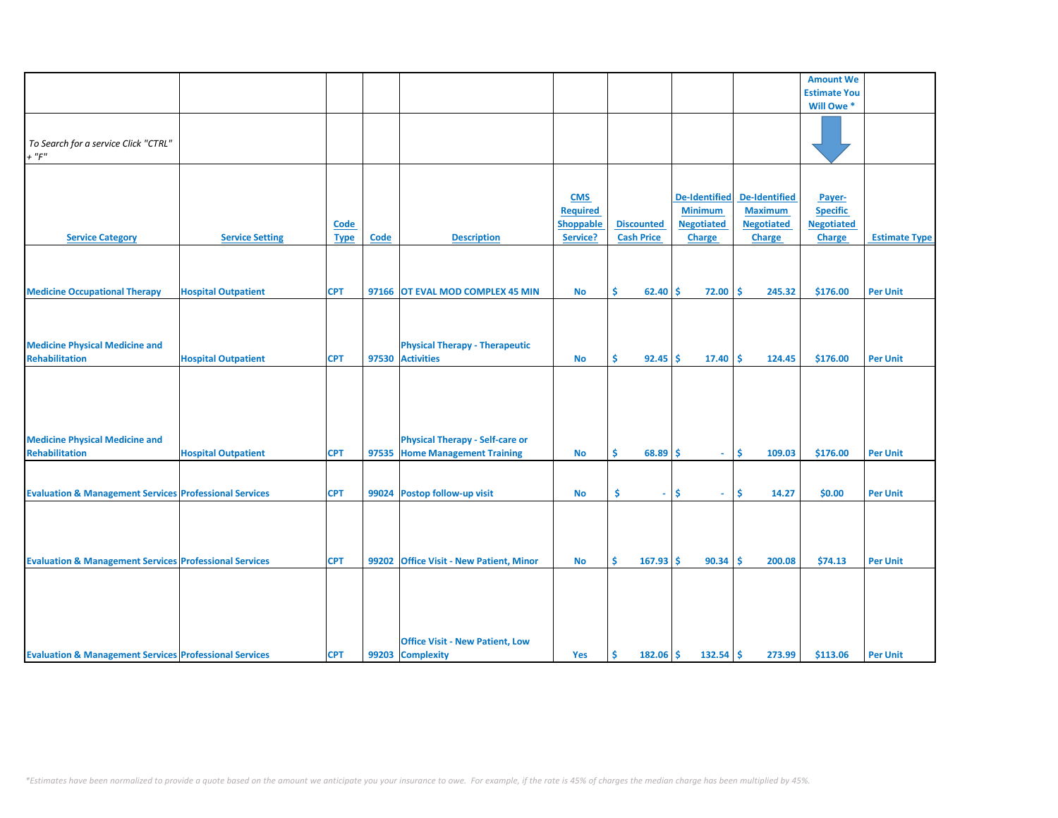|                                                                   |                            |             |       |                                          |                  |                           |                      |                      | <b>Amount We</b>    |                      |
|-------------------------------------------------------------------|----------------------------|-------------|-------|------------------------------------------|------------------|---------------------------|----------------------|----------------------|---------------------|----------------------|
|                                                                   |                            |             |       |                                          |                  |                           |                      |                      | <b>Estimate You</b> |                      |
|                                                                   |                            |             |       |                                          |                  |                           |                      |                      | Will Owe *          |                      |
|                                                                   |                            |             |       |                                          |                  |                           |                      |                      |                     |                      |
|                                                                   |                            |             |       |                                          |                  |                           |                      |                      |                     |                      |
| To Search for a service Click "CTRL"                              |                            |             |       |                                          |                  |                           |                      |                      |                     |                      |
| $+$ " $F$ "                                                       |                            |             |       |                                          |                  |                           |                      |                      |                     |                      |
|                                                                   |                            |             |       |                                          |                  |                           |                      |                      |                     |                      |
|                                                                   |                            |             |       |                                          |                  |                           |                      |                      |                     |                      |
|                                                                   |                            |             |       |                                          |                  |                           |                      |                      |                     |                      |
|                                                                   |                            |             |       |                                          | <b>CMS</b>       |                           | <b>De-Identified</b> | <b>De-Identified</b> | Payer-              |                      |
|                                                                   |                            |             |       |                                          | Required         |                           | <b>Minimum</b>       | <b>Maximum</b>       | <b>Specific</b>     |                      |
|                                                                   |                            | Code        |       |                                          | <b>Shoppable</b> | <b>Discounted</b>         | <b>Negotiated</b>    | <b>Negotiated</b>    | <b>Negotiated</b>   |                      |
| <b>Service Category</b>                                           | <b>Service Setting</b>     | <b>Type</b> | Code  | <b>Description</b>                       | Service?         | <b>Cash Price</b>         | <b>Charge</b>        | <b>Charge</b>        | <b>Charge</b>       | <b>Estimate Type</b> |
|                                                                   |                            |             |       |                                          |                  |                           |                      |                      |                     |                      |
|                                                                   |                            |             |       |                                          |                  |                           |                      |                      |                     |                      |
|                                                                   |                            |             |       |                                          |                  |                           |                      |                      |                     |                      |
|                                                                   |                            |             |       |                                          |                  |                           |                      |                      |                     |                      |
| <b>Medicine Occupational Therapy</b>                              | <b>Hospital Outpatient</b> | <b>CPT</b>  |       | 97166 OT EVAL MOD COMPLEX 45 MIN         | <b>No</b>        | \$.<br>$62.40$ $\sqrt{5}$ | 72.00                | Ŝ.<br>245.32         | \$176.00            | <b>Per Unit</b>      |
|                                                                   |                            |             |       |                                          |                  |                           |                      |                      |                     |                      |
|                                                                   |                            |             |       |                                          |                  |                           |                      |                      |                     |                      |
|                                                                   |                            |             |       |                                          |                  |                           |                      |                      |                     |                      |
| <b>Medicine Physical Medicine and</b>                             |                            |             |       | <b>Physical Therapy - Therapeutic</b>    |                  |                           |                      |                      |                     |                      |
| <b>Rehabilitation</b>                                             | <b>Hospital Outpatient</b> | <b>CPT</b>  |       | 97530 Activities                         | No               | \$<br>$92.45$ \$          | 17.40                | -\$<br>124.45        | \$176.00            | <b>Per Unit</b>      |
|                                                                   |                            |             |       |                                          |                  |                           |                      |                      |                     |                      |
|                                                                   |                            |             |       |                                          |                  |                           |                      |                      |                     |                      |
|                                                                   |                            |             |       |                                          |                  |                           |                      |                      |                     |                      |
|                                                                   |                            |             |       |                                          |                  |                           |                      |                      |                     |                      |
|                                                                   |                            |             |       |                                          |                  |                           |                      |                      |                     |                      |
|                                                                   |                            |             |       |                                          |                  |                           |                      |                      |                     |                      |
| <b>Medicine Physical Medicine and</b>                             |                            |             |       | <b>Physical Therapy - Self-care or</b>   |                  |                           |                      |                      |                     |                      |
| <b>Rehabilitation</b>                                             | <b>Hospital Outpatient</b> | <b>CPT</b>  |       | 97535 Home Management Training           | No               | \$<br>$68.89$ \$          | $\sim$               | <b>S</b><br>109.03   | \$176.00            | <b>Per Unit</b>      |
|                                                                   |                            |             |       |                                          |                  |                           |                      |                      |                     |                      |
|                                                                   |                            |             |       |                                          |                  |                           |                      |                      |                     |                      |
| <b>Evaluation &amp; Management Services Professional Services</b> |                            | <b>CPT</b>  |       | 99024 Postop follow-up visit             | <b>No</b>        | \$<br>÷.                  | Ŝ.<br>$\omega$ .     | \$<br>14.27          | \$0.00              | <b>Per Unit</b>      |
|                                                                   |                            |             |       |                                          |                  |                           |                      |                      |                     |                      |
|                                                                   |                            |             |       |                                          |                  |                           |                      |                      |                     |                      |
|                                                                   |                            |             |       |                                          |                  |                           |                      |                      |                     |                      |
|                                                                   |                            |             |       |                                          |                  |                           |                      |                      |                     |                      |
|                                                                   |                            |             |       |                                          |                  |                           |                      |                      |                     |                      |
| <b>Evaluation &amp; Management Services Professional Services</b> |                            | <b>CPT</b>  | 99202 | <b>Office Visit - New Patient, Minor</b> | <b>No</b>        | Ŝ<br>167.93               | Ŝ.<br>90.34          | Ś<br>200.08          | \$74.13             | <b>Per Unit</b>      |
|                                                                   |                            |             |       |                                          |                  |                           |                      |                      |                     |                      |
|                                                                   |                            |             |       |                                          |                  |                           |                      |                      |                     |                      |
|                                                                   |                            |             |       |                                          |                  |                           |                      |                      |                     |                      |
|                                                                   |                            |             |       |                                          |                  |                           |                      |                      |                     |                      |
|                                                                   |                            |             |       |                                          |                  |                           |                      |                      |                     |                      |
|                                                                   |                            |             |       | <b>Office Visit - New Patient, Low</b>   |                  |                           |                      |                      |                     |                      |
|                                                                   |                            |             |       |                                          |                  |                           |                      |                      |                     |                      |
| <b>Evaluation &amp; Management Services Professional Services</b> |                            | <b>CPT</b>  |       | 99203 Complexity                         | Yes              | \$<br>$182.06$ \$         | 132.54               | -\$<br>273.99        | \$113.06            | <b>Per Unit</b>      |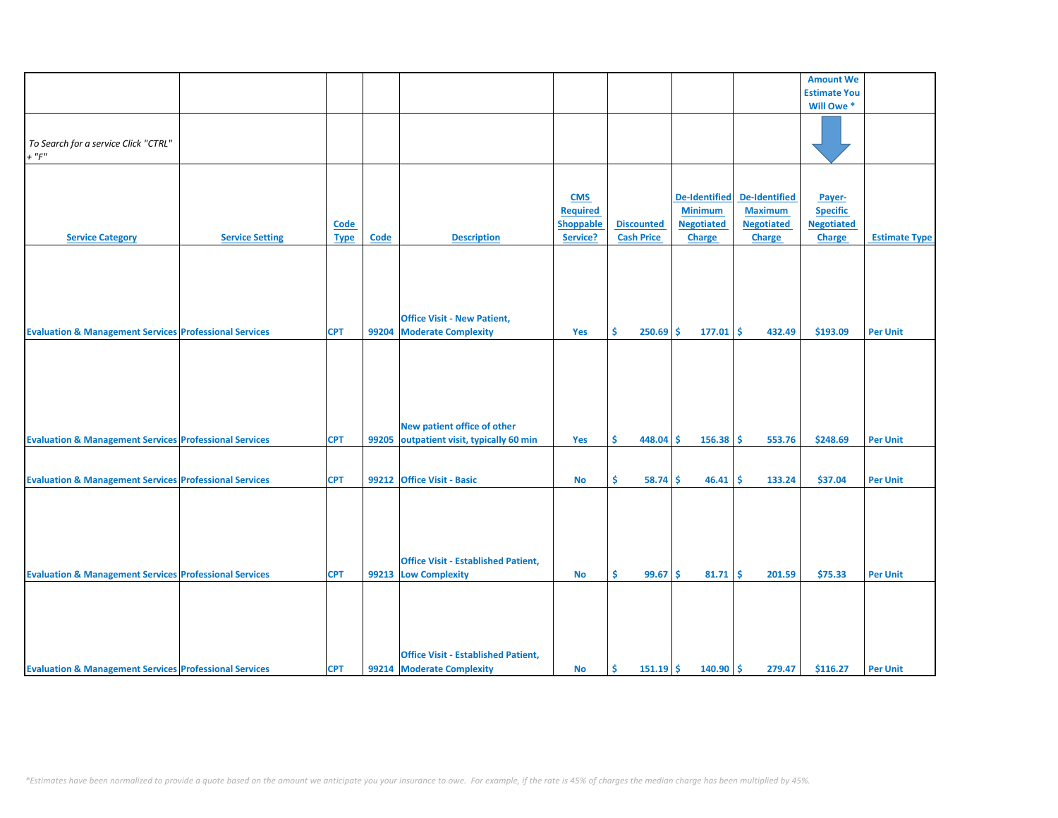|                                                                   |                        |             |             |                                                                         |                 |                   |                      |                      | <b>Amount We</b>    |                      |
|-------------------------------------------------------------------|------------------------|-------------|-------------|-------------------------------------------------------------------------|-----------------|-------------------|----------------------|----------------------|---------------------|----------------------|
|                                                                   |                        |             |             |                                                                         |                 |                   |                      |                      | <b>Estimate You</b> |                      |
|                                                                   |                        |             |             |                                                                         |                 |                   |                      |                      |                     |                      |
|                                                                   |                        |             |             |                                                                         |                 |                   |                      |                      | Will Owe*           |                      |
|                                                                   |                        |             |             |                                                                         |                 |                   |                      |                      |                     |                      |
| To Search for a service Click "CTRL"                              |                        |             |             |                                                                         |                 |                   |                      |                      |                     |                      |
|                                                                   |                        |             |             |                                                                         |                 |                   |                      |                      |                     |                      |
| $+$ " $F"$                                                        |                        |             |             |                                                                         |                 |                   |                      |                      |                     |                      |
|                                                                   |                        |             |             |                                                                         |                 |                   |                      |                      |                     |                      |
|                                                                   |                        |             |             |                                                                         |                 |                   |                      |                      |                     |                      |
|                                                                   |                        |             |             |                                                                         | <b>CMS</b>      |                   | <b>De-Identified</b> | <b>De-Identified</b> | Payer-              |                      |
|                                                                   |                        |             |             |                                                                         | <b>Required</b> |                   | <b>Minimum</b>       | <b>Maximum</b>       | <b>Specific</b>     |                      |
|                                                                   |                        | <b>Code</b> |             |                                                                         | Shoppable       | <b>Discounted</b> | <b>Negotiated</b>    | <b>Negotiated</b>    | <b>Negotiated</b>   |                      |
|                                                                   |                        |             |             |                                                                         | Service?        | <b>Cash Price</b> |                      |                      |                     |                      |
| <b>Service Category</b>                                           | <b>Service Setting</b> | <b>Type</b> | <b>Code</b> | <b>Description</b>                                                      |                 |                   | <b>Charge</b>        | <b>Charge</b>        | <b>Charge</b>       | <b>Estimate Type</b> |
|                                                                   |                        |             |             | <b>Office Visit - New Patient,</b>                                      |                 |                   |                      |                      |                     |                      |
| <b>Evaluation &amp; Management Services Professional Services</b> |                        | <b>CPT</b>  | 99204       | <b>Moderate Complexity</b>                                              | Yes             | Ŝ<br>250.69       | Ŝ.<br>177.01         | l \$<br>432.49       | \$193.09            | <b>Per Unit</b>      |
| <b>Evaluation &amp; Management Services Professional Services</b> |                        | <b>CPT</b>  | 99205       | New patient office of other<br>outpatient visit, typically 60 min       | Yes             | \$<br>$448.04$ \$ | 156.38               | \$<br>553.76         | \$248.69            | <b>Per Unit</b>      |
|                                                                   |                        |             |             |                                                                         |                 |                   |                      |                      |                     |                      |
|                                                                   |                        |             |             |                                                                         |                 |                   |                      |                      |                     |                      |
| <b>Evaluation &amp; Management Services Professional Services</b> |                        | <b>CPT</b>  |             | 99212 Office Visit - Basic                                              | <b>No</b>       | \$<br>58.74       | 46.41<br>Ŝ.          | <b>S</b><br>133.24   | \$37.04             | <b>Per Unit</b>      |
| <b>Evaluation &amp; Management Services Professional Services</b> |                        | <b>CPT</b>  |             | <b>Office Visit - Established Patient,</b><br>99213 Low Complexity      | <b>No</b>       | Ś.<br>99.67       | Ŝ.<br>81.71          | l \$<br>201.59       | \$75.33             | <b>Per Unit</b>      |
| <b>Evaluation &amp; Management Services Professional Services</b> |                        | <b>CPT</b>  |             | <b>Office Visit - Established Patient,</b><br>99214 Moderate Complexity | <b>No</b>       | $151.19$ \$<br>Ŝ. | $140.90$ \$          | 279.47               | \$116.27            | <b>Per Unit</b>      |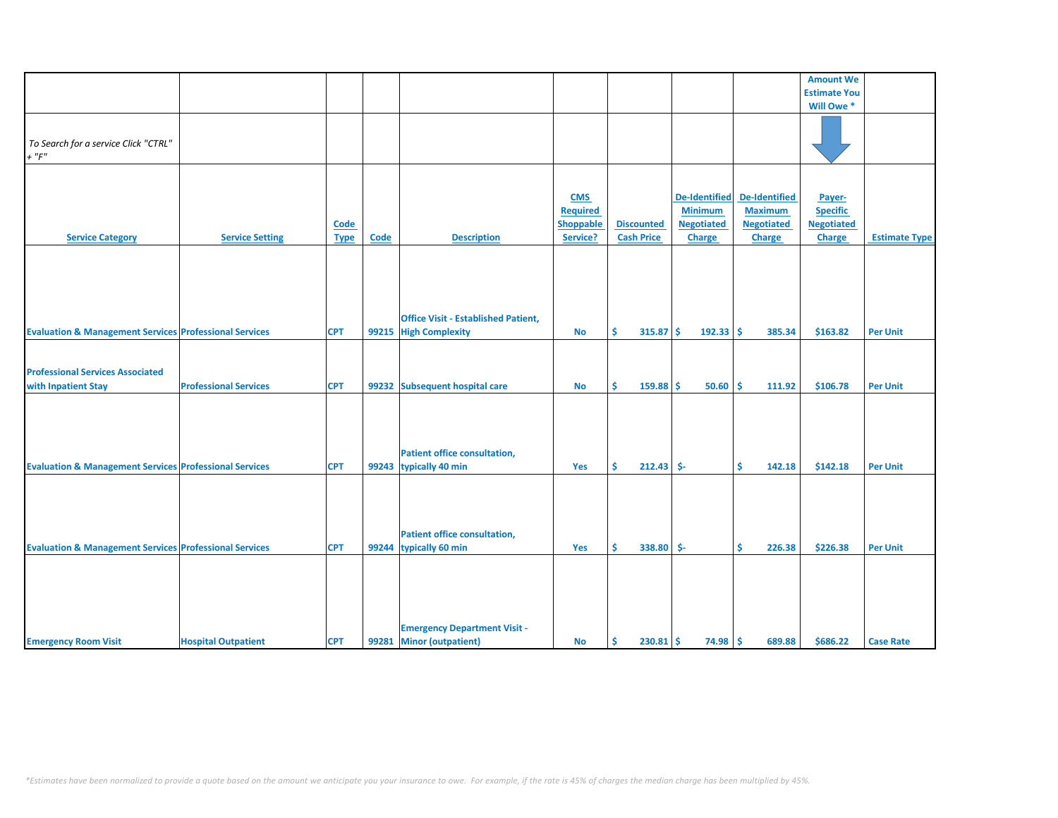|                                                                   |                              |             |       |                                            |                  |                    |                      |                      | <b>Amount We</b>    |                      |
|-------------------------------------------------------------------|------------------------------|-------------|-------|--------------------------------------------|------------------|--------------------|----------------------|----------------------|---------------------|----------------------|
|                                                                   |                              |             |       |                                            |                  |                    |                      |                      | <b>Estimate You</b> |                      |
|                                                                   |                              |             |       |                                            |                  |                    |                      |                      | Will Owe *          |                      |
|                                                                   |                              |             |       |                                            |                  |                    |                      |                      |                     |                      |
|                                                                   |                              |             |       |                                            |                  |                    |                      |                      |                     |                      |
| To Search for a service Click "CTRL"                              |                              |             |       |                                            |                  |                    |                      |                      |                     |                      |
| $+$ " $F$ "                                                       |                              |             |       |                                            |                  |                    |                      |                      |                     |                      |
|                                                                   |                              |             |       |                                            |                  |                    |                      |                      |                     |                      |
|                                                                   |                              |             |       |                                            |                  |                    |                      |                      |                     |                      |
|                                                                   |                              |             |       |                                            |                  |                    |                      |                      |                     |                      |
|                                                                   |                              |             |       |                                            | <b>CMS</b>       |                    | <b>De-Identified</b> | <b>De-Identified</b> | Payer-              |                      |
|                                                                   |                              |             |       |                                            | <b>Required</b>  |                    | <b>Minimum</b>       | <b>Maximum</b>       | <b>Specific</b>     |                      |
|                                                                   |                              | Code        |       |                                            | <b>Shoppable</b> | <b>Discounted</b>  | <b>Negotiated</b>    | <b>Negotiated</b>    | <b>Negotiated</b>   |                      |
| <b>Service Category</b>                                           | <b>Service Setting</b>       | <b>Type</b> | Code  | <b>Description</b>                         | Service?         | <b>Cash Price</b>  | <b>Charge</b>        | <b>Charge</b>        | <b>Charge</b>       | <b>Estimate Type</b> |
|                                                                   |                              |             |       |                                            |                  |                    |                      |                      |                     |                      |
|                                                                   |                              |             |       |                                            |                  |                    |                      |                      |                     |                      |
|                                                                   |                              |             |       |                                            |                  |                    |                      |                      |                     |                      |
|                                                                   |                              |             |       |                                            |                  |                    |                      |                      |                     |                      |
|                                                                   |                              |             |       |                                            |                  |                    |                      |                      |                     |                      |
|                                                                   |                              |             |       |                                            |                  |                    |                      |                      |                     |                      |
|                                                                   |                              |             |       | <b>Office Visit - Established Patient,</b> |                  |                    |                      |                      |                     |                      |
|                                                                   |                              |             |       |                                            |                  | Ś.                 | -Ś                   |                      |                     |                      |
| <b>Evaluation &amp; Management Services Professional Services</b> |                              | <b>CPT</b>  | 99215 | <b>High Complexity</b>                     | <b>No</b>        | 315.87             | $192.33$ \$          | 385.34               | \$163.82            | <b>Per Unit</b>      |
|                                                                   |                              |             |       |                                            |                  |                    |                      |                      |                     |                      |
|                                                                   |                              |             |       |                                            |                  |                    |                      |                      |                     |                      |
| <b>Professional Services Associated</b>                           |                              |             |       |                                            |                  |                    |                      |                      |                     |                      |
| with Inpatient Stay                                               | <b>Professional Services</b> | <b>CPT</b>  |       | 99232 Subsequent hospital care             | <b>No</b>        | \$<br>$159.88$ \$  | $50.60$ \$           | 111.92               | \$106.78            | <b>Per Unit</b>      |
|                                                                   |                              |             |       |                                            |                  |                    |                      |                      |                     |                      |
|                                                                   |                              |             |       |                                            |                  |                    |                      |                      |                     |                      |
|                                                                   |                              |             |       |                                            |                  |                    |                      |                      |                     |                      |
|                                                                   |                              |             |       |                                            |                  |                    |                      |                      |                     |                      |
|                                                                   |                              |             |       |                                            |                  |                    |                      |                      |                     |                      |
|                                                                   |                              |             |       | <b>Patient office consultation,</b>        |                  |                    |                      |                      |                     |                      |
| <b>Evaluation &amp; Management Services Professional Services</b> |                              | <b>CPT</b>  |       | 99243 typically 40 min                     | Yes              | Š.<br>$212.43$ \$- |                      | Ś.<br>142.18         | \$142.18            | <b>Per Unit</b>      |
|                                                                   |                              |             |       |                                            |                  |                    |                      |                      |                     |                      |
|                                                                   |                              |             |       |                                            |                  |                    |                      |                      |                     |                      |
|                                                                   |                              |             |       |                                            |                  |                    |                      |                      |                     |                      |
|                                                                   |                              |             |       |                                            |                  |                    |                      |                      |                     |                      |
|                                                                   |                              |             |       |                                            |                  |                    |                      |                      |                     |                      |
|                                                                   |                              |             |       | <b>Patient office consultation,</b>        |                  |                    |                      |                      |                     |                      |
| <b>Evaluation &amp; Management Services Professional Services</b> |                              | <b>CPT</b>  | 99244 | typically 60 min                           | Yes              | \$<br>338.80 \$-   |                      | \$<br>226.38         | \$226.38            | <b>Per Unit</b>      |
|                                                                   |                              |             |       |                                            |                  |                    |                      |                      |                     |                      |
|                                                                   |                              |             |       |                                            |                  |                    |                      |                      |                     |                      |
|                                                                   |                              |             |       |                                            |                  |                    |                      |                      |                     |                      |
|                                                                   |                              |             |       |                                            |                  |                    |                      |                      |                     |                      |
|                                                                   |                              |             |       |                                            |                  |                    |                      |                      |                     |                      |
|                                                                   |                              |             |       |                                            |                  |                    |                      |                      |                     |                      |
|                                                                   |                              |             |       | <b>Emergency Department Visit -</b>        |                  |                    |                      |                      |                     |                      |
| <b>Emergency Room Visit</b>                                       | <b>Hospital Outpatient</b>   | <b>CPT</b>  | 99281 | <b>Minor (outpatient)</b>                  | <b>No</b>        | \$<br>230.81       | $74.98$ \$<br>-\$    | 689.88               | \$686.22            | <b>Case Rate</b>     |
|                                                                   |                              |             |       |                                            |                  |                    |                      |                      |                     |                      |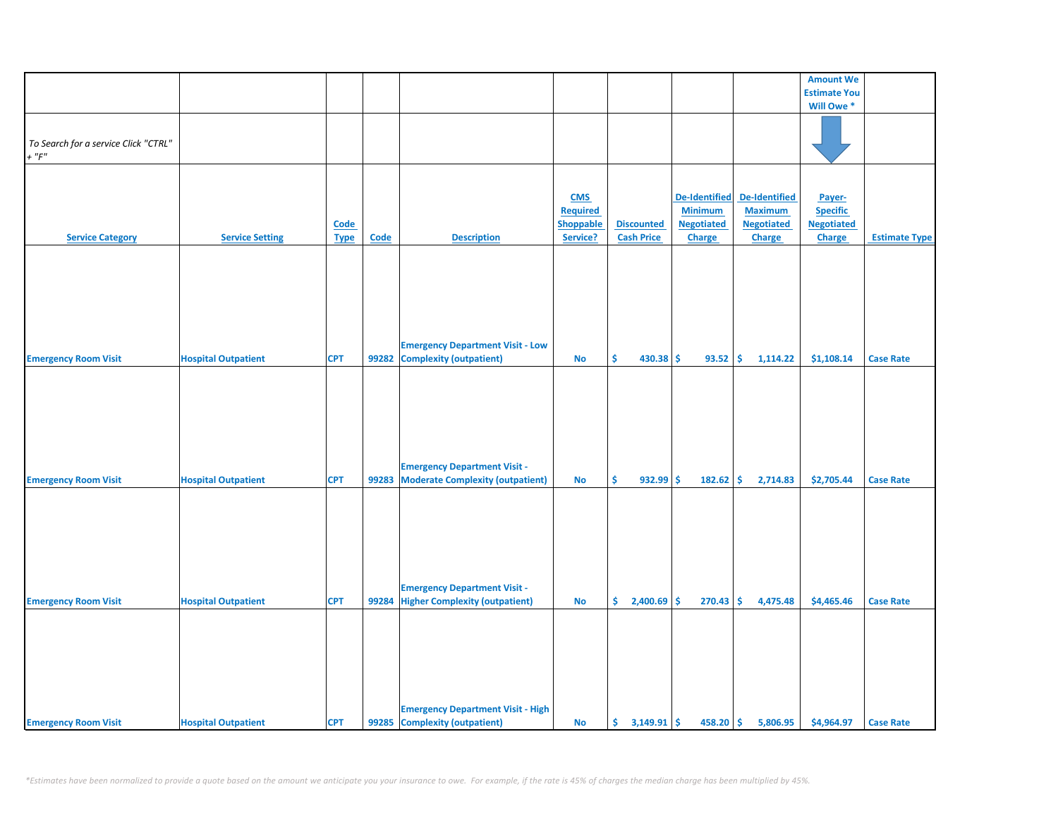|                                      |                            |             |             |                                          |                  |                     |                      |                      | <b>Amount We</b>    |                      |
|--------------------------------------|----------------------------|-------------|-------------|------------------------------------------|------------------|---------------------|----------------------|----------------------|---------------------|----------------------|
|                                      |                            |             |             |                                          |                  |                     |                      |                      | <b>Estimate You</b> |                      |
|                                      |                            |             |             |                                          |                  |                     |                      |                      | Will Owe*           |                      |
|                                      |                            |             |             |                                          |                  |                     |                      |                      |                     |                      |
|                                      |                            |             |             |                                          |                  |                     |                      |                      |                     |                      |
| To Search for a service Click "CTRL" |                            |             |             |                                          |                  |                     |                      |                      |                     |                      |
| $+$ " $F"$                           |                            |             |             |                                          |                  |                     |                      |                      |                     |                      |
|                                      |                            |             |             |                                          |                  |                     |                      |                      |                     |                      |
|                                      |                            |             |             |                                          |                  |                     |                      |                      |                     |                      |
|                                      |                            |             |             |                                          |                  |                     |                      |                      |                     |                      |
|                                      |                            |             |             |                                          | <b>CMS</b>       |                     | <b>De-Identified</b> | <b>De-Identified</b> | Payer-              |                      |
|                                      |                            |             |             |                                          | Required         |                     | <b>Minimum</b>       | <b>Maximum</b>       | <b>Specific</b>     |                      |
|                                      |                            | <b>Code</b> |             |                                          | <b>Shoppable</b> | <b>Discounted</b>   | <b>Negotiated</b>    | <b>Negotiated</b>    | <b>Negotiated</b>   |                      |
| <b>Service Category</b>              | <b>Service Setting</b>     | <b>Type</b> | <b>Code</b> | <b>Description</b>                       | Service?         | <b>Cash Price</b>   | <b>Charge</b>        | <b>Charge</b>        | Charge              | <b>Estimate Type</b> |
|                                      |                            |             |             |                                          |                  |                     |                      |                      |                     |                      |
|                                      |                            |             |             |                                          |                  |                     |                      |                      |                     |                      |
|                                      |                            |             |             |                                          |                  |                     |                      |                      |                     |                      |
|                                      |                            |             |             |                                          |                  |                     |                      |                      |                     |                      |
|                                      |                            |             |             |                                          |                  |                     |                      |                      |                     |                      |
|                                      |                            |             |             |                                          |                  |                     |                      |                      |                     |                      |
|                                      |                            |             |             |                                          |                  |                     |                      |                      |                     |                      |
|                                      |                            |             |             |                                          |                  |                     |                      |                      |                     |                      |
|                                      |                            |             |             |                                          |                  |                     |                      |                      |                     |                      |
|                                      |                            |             |             | <b>Emergency Department Visit - Low</b>  |                  |                     |                      |                      |                     |                      |
| <b>Emergency Room Visit</b>          | <b>Hospital Outpatient</b> | <b>CPT</b>  | 99282       | <b>Complexity (outpatient)</b>           | <b>No</b>        | \$<br>430.38 \$     | 93.52                | \$<br>1,114.22       | \$1,108.14          | <b>Case Rate</b>     |
|                                      |                            |             |             |                                          |                  |                     |                      |                      |                     |                      |
|                                      |                            |             |             |                                          |                  |                     |                      |                      |                     |                      |
|                                      |                            |             |             |                                          |                  |                     |                      |                      |                     |                      |
|                                      |                            |             |             |                                          |                  |                     |                      |                      |                     |                      |
|                                      |                            |             |             |                                          |                  |                     |                      |                      |                     |                      |
|                                      |                            |             |             |                                          |                  |                     |                      |                      |                     |                      |
|                                      |                            |             |             |                                          |                  |                     |                      |                      |                     |                      |
|                                      |                            |             |             |                                          |                  |                     |                      |                      |                     |                      |
|                                      |                            |             |             | <b>Emergency Department Visit -</b>      |                  |                     |                      |                      |                     |                      |
| <b>Emergency Room Visit</b>          | <b>Hospital Outpatient</b> | <b>CPT</b>  | 99283       | <b>Moderate Complexity (outpatient)</b>  | <b>No</b>        | \$<br>$932.99$ \$   | 182.62               | \$<br>2,714.83       | \$2,705.44          | <b>Case Rate</b>     |
|                                      |                            |             |             |                                          |                  |                     |                      |                      |                     |                      |
|                                      |                            |             |             |                                          |                  |                     |                      |                      |                     |                      |
|                                      |                            |             |             |                                          |                  |                     |                      |                      |                     |                      |
|                                      |                            |             |             |                                          |                  |                     |                      |                      |                     |                      |
|                                      |                            |             |             |                                          |                  |                     |                      |                      |                     |                      |
|                                      |                            |             |             |                                          |                  |                     |                      |                      |                     |                      |
|                                      |                            |             |             |                                          |                  |                     |                      |                      |                     |                      |
|                                      |                            |             |             |                                          |                  |                     |                      |                      |                     |                      |
|                                      |                            |             |             |                                          |                  |                     |                      |                      |                     |                      |
|                                      |                            |             |             | <b>Emergency Department Visit -</b>      |                  |                     |                      |                      |                     |                      |
| <b>Emergency Room Visit</b>          | <b>Hospital Outpatient</b> | <b>CPT</b>  |             | 99284 Higher Complexity (outpatient)     | <b>No</b>        | \$<br>$2,400.69$ \$ | 270.43               | \$<br>4,475.48       | \$4,465.46          | <b>Case Rate</b>     |
|                                      |                            |             |             |                                          |                  |                     |                      |                      |                     |                      |
|                                      |                            |             |             |                                          |                  |                     |                      |                      |                     |                      |
|                                      |                            |             |             |                                          |                  |                     |                      |                      |                     |                      |
|                                      |                            |             |             |                                          |                  |                     |                      |                      |                     |                      |
|                                      |                            |             |             |                                          |                  |                     |                      |                      |                     |                      |
|                                      |                            |             |             |                                          |                  |                     |                      |                      |                     |                      |
|                                      |                            |             |             |                                          |                  |                     |                      |                      |                     |                      |
|                                      |                            |             |             |                                          |                  |                     |                      |                      |                     |                      |
|                                      |                            |             |             | <b>Emergency Department Visit - High</b> |                  |                     |                      |                      |                     |                      |
|                                      |                            | <b>CPT</b>  |             | 99285 Complexity (outpatient)            |                  |                     | $458.20$ \$          | 5,806.95             | \$4,964.97          |                      |
| <b>Emergency Room Visit</b>          | <b>Hospital Outpatient</b> |             |             |                                          | <b>No</b>        |                     |                      |                      |                     | <b>Case Rate</b>     |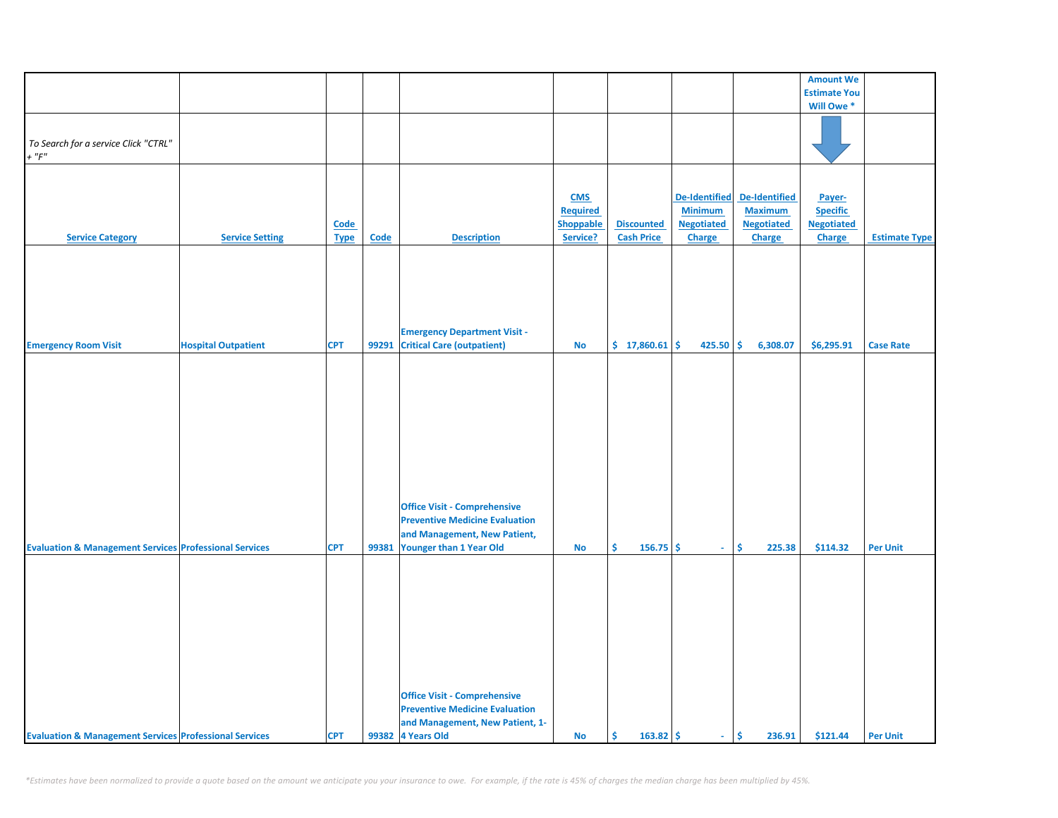|                                                                   |                            |                            |       |                                                                                                                                         |                                                        |                                        |                                                                       |                                                                       | <b>Amount We</b>                                         |                      |
|-------------------------------------------------------------------|----------------------------|----------------------------|-------|-----------------------------------------------------------------------------------------------------------------------------------------|--------------------------------------------------------|----------------------------------------|-----------------------------------------------------------------------|-----------------------------------------------------------------------|----------------------------------------------------------|----------------------|
|                                                                   |                            |                            |       |                                                                                                                                         |                                                        |                                        |                                                                       |                                                                       | <b>Estimate You</b>                                      |                      |
|                                                                   |                            |                            |       |                                                                                                                                         |                                                        |                                        |                                                                       |                                                                       | Will Owe <sup>*</sup>                                    |                      |
| To Search for a service Click "CTRL"<br>$+$ " $F$ "               |                            |                            |       |                                                                                                                                         |                                                        |                                        |                                                                       |                                                                       |                                                          |                      |
| <b>Service Category</b>                                           | <b>Service Setting</b>     | <b>Code</b><br><b>Type</b> | Code  | <b>Description</b>                                                                                                                      | <b>CMS</b><br><b>Required</b><br>Shoppable<br>Service? | <b>Discounted</b><br><b>Cash Price</b> | <b>De-Identified</b><br><b>Minimum</b><br><b>Negotiated</b><br>Charge | <b>De-Identified</b><br><b>Maximum</b><br><b>Negotiated</b><br>Charge | Payer-<br><b>Specific</b><br><b>Negotiated</b><br>Charge | <b>Estimate Type</b> |
| <b>Emergency Room Visit</b>                                       | <b>Hospital Outpatient</b> | <b>CPT</b>                 | 99291 | <b>Emergency Department Visit -</b><br><b>Critical Care (outpatient)</b>                                                                | No                                                     | \$17,860.61                            | 425.50                                                                | \$<br>6,308.07                                                        | \$6,295.91                                               | <b>Case Rate</b>     |
|                                                                   |                            |                            |       |                                                                                                                                         |                                                        |                                        |                                                                       |                                                                       |                                                          |                      |
| <b>Evaluation &amp; Management Services Professional Services</b> |                            | <b>CPT</b>                 | 99381 | <b>Office Visit - Comprehensive</b><br><b>Preventive Medicine Evaluation</b><br>and Management, New Patient,<br>Younger than 1 Year Old | No                                                     | Š.<br>$156.75$ \$                      | $\omega$ .                                                            | \$<br>225.38                                                          | \$114.32                                                 | <b>Per Unit</b>      |
| <b>Evaluation &amp; Management Services Professional Services</b> |                            | <b>CPT</b>                 |       | <b>Office Visit - Comprehensive</b><br><b>Preventive Medicine Evaluation</b><br>and Management, New Patient, 1-<br>99382 4 Years Old    | No                                                     | \$<br>$163.82 \mid \frac{1}{2}$        | $\sim$                                                                | \$<br>236.91                                                          | \$121.44                                                 | <b>Per Unit</b>      |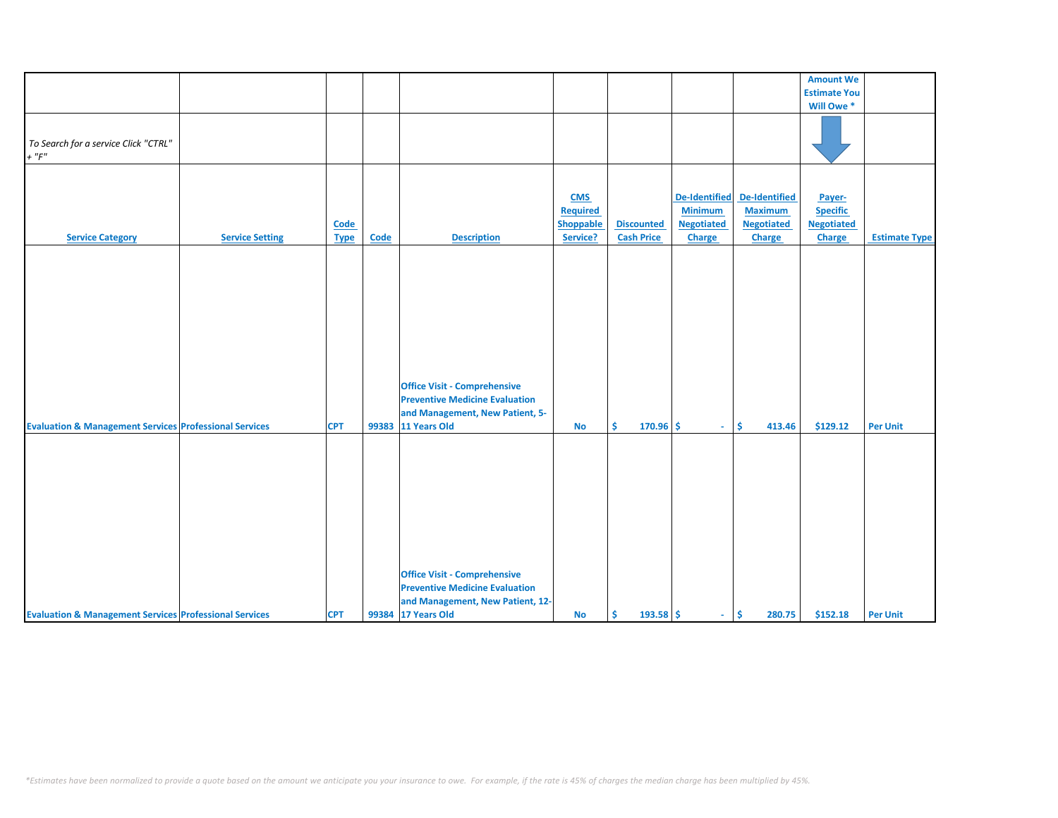|                                                                   |                        |             |       |                                       |                  |                   |                      |                   | <b>Amount We</b>    |                      |
|-------------------------------------------------------------------|------------------------|-------------|-------|---------------------------------------|------------------|-------------------|----------------------|-------------------|---------------------|----------------------|
|                                                                   |                        |             |       |                                       |                  |                   |                      |                   | <b>Estimate You</b> |                      |
|                                                                   |                        |             |       |                                       |                  |                   |                      |                   | Will Owe *          |                      |
|                                                                   |                        |             |       |                                       |                  |                   |                      |                   |                     |                      |
|                                                                   |                        |             |       |                                       |                  |                   |                      |                   |                     |                      |
| To Search for a service Click "CTRL"                              |                        |             |       |                                       |                  |                   |                      |                   |                     |                      |
| $+$ " $F$ "                                                       |                        |             |       |                                       |                  |                   |                      |                   |                     |                      |
|                                                                   |                        |             |       |                                       |                  |                   |                      |                   |                     |                      |
|                                                                   |                        |             |       |                                       |                  |                   |                      |                   |                     |                      |
|                                                                   |                        |             |       |                                       |                  |                   |                      |                   |                     |                      |
|                                                                   |                        |             |       |                                       | <b>CMS</b>       |                   | <b>De-Identified</b> | De-Identified     | Payer-              |                      |
|                                                                   |                        |             |       |                                       | <b>Required</b>  |                   | <b>Minimum</b>       | <b>Maximum</b>    | <b>Specific</b>     |                      |
|                                                                   |                        | <b>Code</b> |       |                                       | <b>Shoppable</b> | <b>Discounted</b> | <b>Negotiated</b>    | <b>Negotiated</b> | <b>Negotiated</b>   |                      |
| <b>Service Category</b>                                           | <b>Service Setting</b> | <b>Type</b> | Code  | <b>Description</b>                    | Service?         | <b>Cash Price</b> | <b>Charge</b>        | Charge            | <b>Charge</b>       | <b>Estimate Type</b> |
|                                                                   |                        |             |       |                                       |                  |                   |                      |                   |                     |                      |
|                                                                   |                        |             |       |                                       |                  |                   |                      |                   |                     |                      |
|                                                                   |                        |             |       |                                       |                  |                   |                      |                   |                     |                      |
|                                                                   |                        |             |       |                                       |                  |                   |                      |                   |                     |                      |
|                                                                   |                        |             |       |                                       |                  |                   |                      |                   |                     |                      |
|                                                                   |                        |             |       |                                       |                  |                   |                      |                   |                     |                      |
|                                                                   |                        |             |       |                                       |                  |                   |                      |                   |                     |                      |
|                                                                   |                        |             |       |                                       |                  |                   |                      |                   |                     |                      |
|                                                                   |                        |             |       |                                       |                  |                   |                      |                   |                     |                      |
|                                                                   |                        |             |       |                                       |                  |                   |                      |                   |                     |                      |
|                                                                   |                        |             |       | <b>Office Visit - Comprehensive</b>   |                  |                   |                      |                   |                     |                      |
|                                                                   |                        |             |       | <b>Preventive Medicine Evaluation</b> |                  |                   |                      |                   |                     |                      |
|                                                                   |                        |             |       |                                       |                  |                   |                      |                   |                     |                      |
|                                                                   |                        |             |       | and Management, New Patient, 5-       |                  |                   |                      |                   |                     |                      |
| <b>Evaluation &amp; Management Services Professional Services</b> |                        | <b>CPT</b>  | 99383 | 11 Years Old                          | <b>No</b>        | Ś.<br>$170.96$ \$ | ÷.                   | Ŝ.<br>413.46      | \$129.12            | <b>Per Unit</b>      |
|                                                                   |                        |             |       |                                       |                  |                   |                      |                   |                     |                      |
|                                                                   |                        |             |       |                                       |                  |                   |                      |                   |                     |                      |
|                                                                   |                        |             |       |                                       |                  |                   |                      |                   |                     |                      |
|                                                                   |                        |             |       |                                       |                  |                   |                      |                   |                     |                      |
|                                                                   |                        |             |       |                                       |                  |                   |                      |                   |                     |                      |
|                                                                   |                        |             |       |                                       |                  |                   |                      |                   |                     |                      |
|                                                                   |                        |             |       |                                       |                  |                   |                      |                   |                     |                      |
|                                                                   |                        |             |       |                                       |                  |                   |                      |                   |                     |                      |
|                                                                   |                        |             |       |                                       |                  |                   |                      |                   |                     |                      |
|                                                                   |                        |             |       |                                       |                  |                   |                      |                   |                     |                      |
|                                                                   |                        |             |       | <b>Office Visit - Comprehensive</b>   |                  |                   |                      |                   |                     |                      |
|                                                                   |                        |             |       | <b>Preventive Medicine Evaluation</b> |                  |                   |                      |                   |                     |                      |
|                                                                   |                        |             |       | and Management, New Patient, 12-      |                  |                   |                      |                   |                     |                      |
| <b>Evaluation &amp; Management Services Professional Services</b> |                        | <b>CPT</b>  |       | 99384 17 Years Old                    | <b>No</b>        | Ŝ.<br>$193.58$ \$ | $\omega_{\rm{eff}}$  | \$<br>280.75      | \$152.18            | <b>Per Unit</b>      |
|                                                                   |                        |             |       |                                       |                  |                   |                      |                   |                     |                      |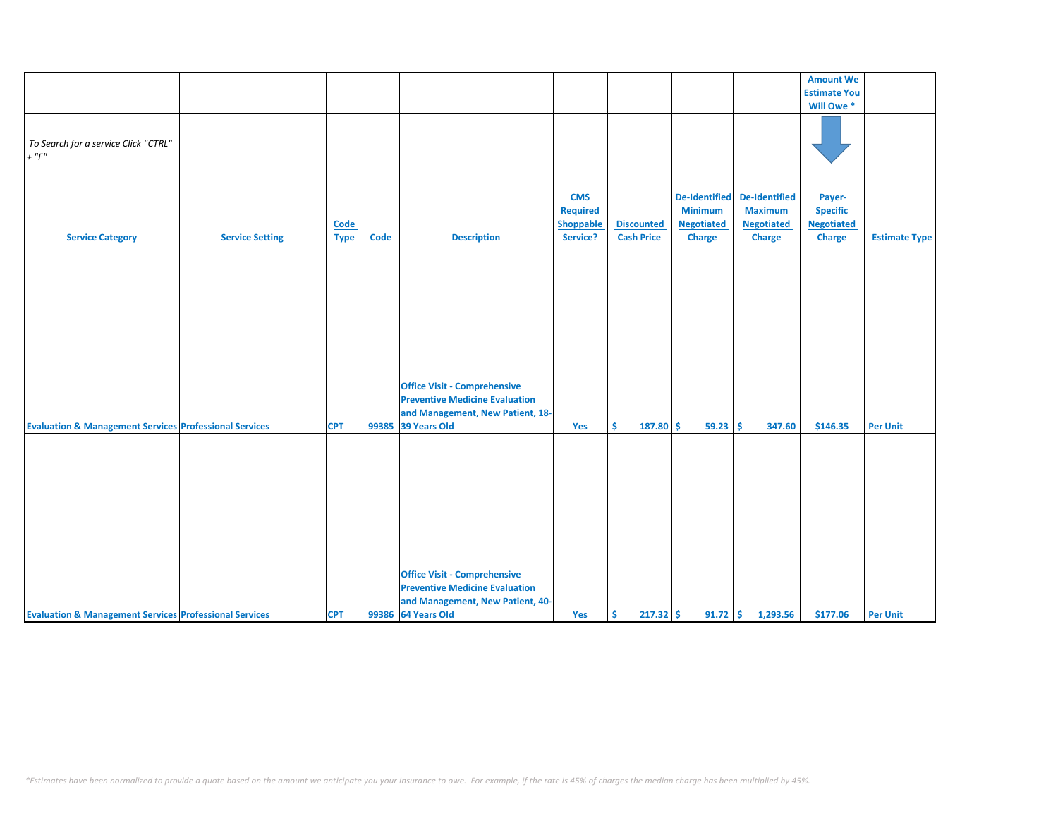|                                                                   |                        |             |       |                                       |                  |                   |                      |                      | <b>Amount We</b>    |                      |
|-------------------------------------------------------------------|------------------------|-------------|-------|---------------------------------------|------------------|-------------------|----------------------|----------------------|---------------------|----------------------|
|                                                                   |                        |             |       |                                       |                  |                   |                      |                      | <b>Estimate You</b> |                      |
|                                                                   |                        |             |       |                                       |                  |                   |                      |                      |                     |                      |
|                                                                   |                        |             |       |                                       |                  |                   |                      |                      | Will Owe *          |                      |
|                                                                   |                        |             |       |                                       |                  |                   |                      |                      |                     |                      |
| To Search for a service Click "CTRL"                              |                        |             |       |                                       |                  |                   |                      |                      |                     |                      |
| $+$ " $F$ "                                                       |                        |             |       |                                       |                  |                   |                      |                      |                     |                      |
|                                                                   |                        |             |       |                                       |                  |                   |                      |                      |                     |                      |
|                                                                   |                        |             |       |                                       |                  |                   |                      |                      |                     |                      |
|                                                                   |                        |             |       |                                       |                  |                   |                      |                      |                     |                      |
|                                                                   |                        |             |       |                                       | <b>CMS</b>       |                   | <b>De-Identified</b> | <b>De-Identified</b> | Payer-              |                      |
|                                                                   |                        |             |       |                                       | <b>Required</b>  |                   | <b>Minimum</b>       | <b>Maximum</b>       | <b>Specific</b>     |                      |
|                                                                   |                        | <b>Code</b> |       |                                       | <b>Shoppable</b> | <b>Discounted</b> | <b>Negotiated</b>    | <b>Negotiated</b>    | <b>Negotiated</b>   |                      |
| <b>Service Category</b>                                           | <b>Service Setting</b> | <b>Type</b> | Code  | <b>Description</b>                    | Service?         | <b>Cash Price</b> | Charge               | Charge               | <b>Charge</b>       | <b>Estimate Type</b> |
|                                                                   |                        |             |       |                                       |                  |                   |                      |                      |                     |                      |
|                                                                   |                        |             |       |                                       |                  |                   |                      |                      |                     |                      |
|                                                                   |                        |             |       |                                       |                  |                   |                      |                      |                     |                      |
|                                                                   |                        |             |       |                                       |                  |                   |                      |                      |                     |                      |
|                                                                   |                        |             |       |                                       |                  |                   |                      |                      |                     |                      |
|                                                                   |                        |             |       |                                       |                  |                   |                      |                      |                     |                      |
|                                                                   |                        |             |       |                                       |                  |                   |                      |                      |                     |                      |
|                                                                   |                        |             |       |                                       |                  |                   |                      |                      |                     |                      |
|                                                                   |                        |             |       |                                       |                  |                   |                      |                      |                     |                      |
|                                                                   |                        |             |       |                                       |                  |                   |                      |                      |                     |                      |
|                                                                   |                        |             |       |                                       |                  |                   |                      |                      |                     |                      |
|                                                                   |                        |             |       | <b>Office Visit - Comprehensive</b>   |                  |                   |                      |                      |                     |                      |
|                                                                   |                        |             |       | <b>Preventive Medicine Evaluation</b> |                  |                   |                      |                      |                     |                      |
|                                                                   |                        |             |       | and Management, New Patient, 18-      |                  |                   |                      |                      |                     |                      |
|                                                                   |                        |             |       | 39 Years Old                          |                  |                   |                      |                      |                     |                      |
| <b>Evaluation &amp; Management Services Professional Services</b> |                        | <b>CPT</b>  | 99385 |                                       | Yes              | Ŝ.<br>187.80      | Ŝ.<br>59.23          | Ŝ<br>347.60          | \$146.35            | <b>Per Unit</b>      |
|                                                                   |                        |             |       |                                       |                  |                   |                      |                      |                     |                      |
|                                                                   |                        |             |       |                                       |                  |                   |                      |                      |                     |                      |
|                                                                   |                        |             |       |                                       |                  |                   |                      |                      |                     |                      |
|                                                                   |                        |             |       |                                       |                  |                   |                      |                      |                     |                      |
|                                                                   |                        |             |       |                                       |                  |                   |                      |                      |                     |                      |
|                                                                   |                        |             |       |                                       |                  |                   |                      |                      |                     |                      |
|                                                                   |                        |             |       |                                       |                  |                   |                      |                      |                     |                      |
|                                                                   |                        |             |       |                                       |                  |                   |                      |                      |                     |                      |
|                                                                   |                        |             |       |                                       |                  |                   |                      |                      |                     |                      |
|                                                                   |                        |             |       |                                       |                  |                   |                      |                      |                     |                      |
|                                                                   |                        |             |       |                                       |                  |                   |                      |                      |                     |                      |
|                                                                   |                        |             |       | <b>Office Visit - Comprehensive</b>   |                  |                   |                      |                      |                     |                      |
|                                                                   |                        |             |       | <b>Preventive Medicine Evaluation</b> |                  |                   |                      |                      |                     |                      |
|                                                                   |                        |             |       | and Management, New Patient, 40-      |                  |                   |                      |                      |                     |                      |
| <b>Evaluation &amp; Management Services Professional Services</b> |                        | <b>CPT</b>  |       | 99386 64 Years Old                    | Yes              | Ŝ.<br>$217.32$ \$ |                      | $91.72$ \$ 1,293.56  | \$177.06            | <b>Per Unit</b>      |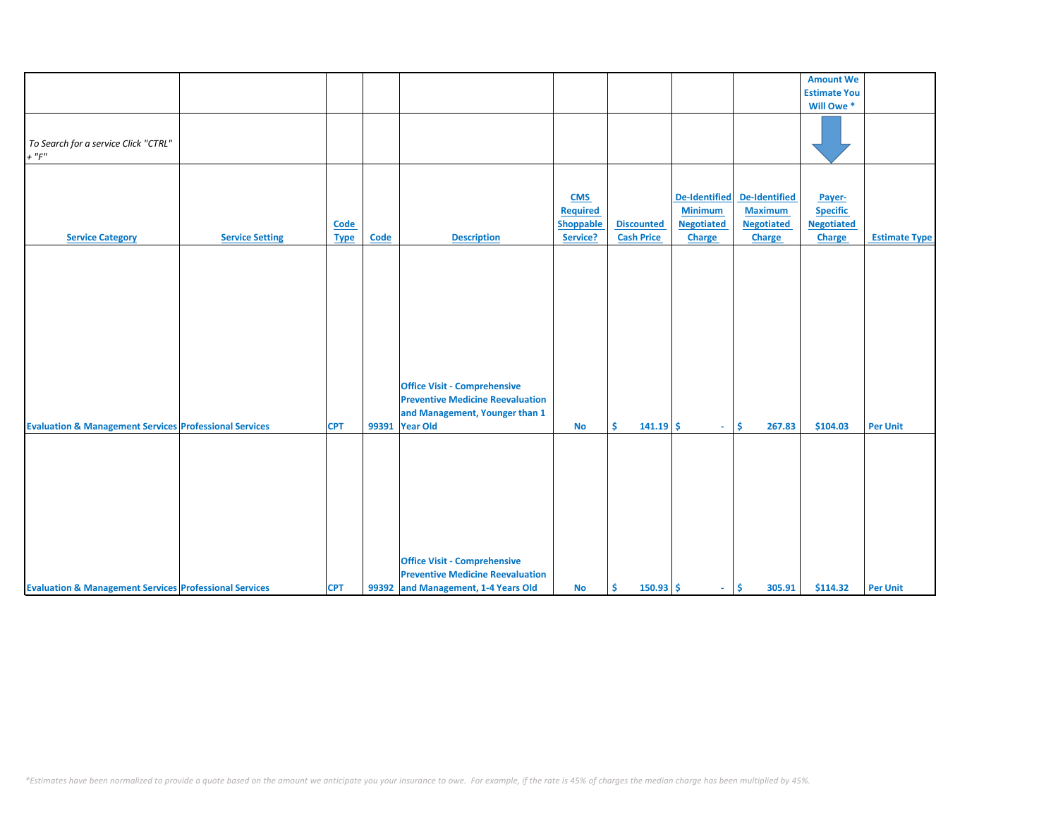|                                                                   |                        |             |             |                                         |                 |                   |                      |                   | <b>Amount We</b>    |                      |
|-------------------------------------------------------------------|------------------------|-------------|-------------|-----------------------------------------|-----------------|-------------------|----------------------|-------------------|---------------------|----------------------|
|                                                                   |                        |             |             |                                         |                 |                   |                      |                   | <b>Estimate You</b> |                      |
|                                                                   |                        |             |             |                                         |                 |                   |                      |                   | Will Owe *          |                      |
|                                                                   |                        |             |             |                                         |                 |                   |                      |                   |                     |                      |
|                                                                   |                        |             |             |                                         |                 |                   |                      |                   |                     |                      |
|                                                                   |                        |             |             |                                         |                 |                   |                      |                   |                     |                      |
| To Search for a service Click "CTRL"                              |                        |             |             |                                         |                 |                   |                      |                   |                     |                      |
| $+$ " $F$ "                                                       |                        |             |             |                                         |                 |                   |                      |                   |                     |                      |
|                                                                   |                        |             |             |                                         |                 |                   |                      |                   |                     |                      |
|                                                                   |                        |             |             |                                         |                 |                   |                      |                   |                     |                      |
|                                                                   |                        |             |             |                                         |                 |                   |                      |                   |                     |                      |
|                                                                   |                        |             |             |                                         | <b>CMS</b>      |                   | <b>De-Identified</b> | De-Identified     | Payer-              |                      |
|                                                                   |                        |             |             |                                         | <b>Required</b> |                   | <b>Minimum</b>       | <b>Maximum</b>    | <b>Specific</b>     |                      |
|                                                                   |                        |             |             |                                         |                 |                   |                      |                   |                     |                      |
|                                                                   |                        | Code        |             |                                         | Shoppable       | <b>Discounted</b> | <b>Negotiated</b>    | <b>Negotiated</b> | <b>Negotiated</b>   |                      |
| <b>Service Category</b>                                           | <b>Service Setting</b> | <b>Type</b> | <b>Code</b> | <b>Description</b>                      | Service?        | <b>Cash Price</b> | <b>Charge</b>        | <b>Charge</b>     | <b>Charge</b>       | <b>Estimate Type</b> |
|                                                                   |                        |             |             |                                         |                 |                   |                      |                   |                     |                      |
|                                                                   |                        |             |             |                                         |                 |                   |                      |                   |                     |                      |
|                                                                   |                        |             |             |                                         |                 |                   |                      |                   |                     |                      |
|                                                                   |                        |             |             |                                         |                 |                   |                      |                   |                     |                      |
|                                                                   |                        |             |             |                                         |                 |                   |                      |                   |                     |                      |
|                                                                   |                        |             |             |                                         |                 |                   |                      |                   |                     |                      |
|                                                                   |                        |             |             |                                         |                 |                   |                      |                   |                     |                      |
|                                                                   |                        |             |             |                                         |                 |                   |                      |                   |                     |                      |
|                                                                   |                        |             |             |                                         |                 |                   |                      |                   |                     |                      |
|                                                                   |                        |             |             |                                         |                 |                   |                      |                   |                     |                      |
|                                                                   |                        |             |             |                                         |                 |                   |                      |                   |                     |                      |
|                                                                   |                        |             |             |                                         |                 |                   |                      |                   |                     |                      |
|                                                                   |                        |             |             |                                         |                 |                   |                      |                   |                     |                      |
|                                                                   |                        |             |             | <b>Office Visit - Comprehensive</b>     |                 |                   |                      |                   |                     |                      |
|                                                                   |                        |             |             | <b>Preventive Medicine Reevaluation</b> |                 |                   |                      |                   |                     |                      |
|                                                                   |                        |             |             |                                         |                 |                   |                      |                   |                     |                      |
|                                                                   |                        |             |             | and Management, Younger than 1          |                 |                   |                      |                   |                     |                      |
| <b>Evaluation &amp; Management Services Professional Services</b> |                        | <b>CPT</b>  |             | 99391 Year Old                          | <b>No</b>       | Ŝ.<br>$141.19$ \$ | $\omega_{\rm{eff}}$  | \$<br>267.83      | \$104.03            | <b>Per Unit</b>      |
|                                                                   |                        |             |             |                                         |                 |                   |                      |                   |                     |                      |
|                                                                   |                        |             |             |                                         |                 |                   |                      |                   |                     |                      |
|                                                                   |                        |             |             |                                         |                 |                   |                      |                   |                     |                      |
|                                                                   |                        |             |             |                                         |                 |                   |                      |                   |                     |                      |
|                                                                   |                        |             |             |                                         |                 |                   |                      |                   |                     |                      |
|                                                                   |                        |             |             |                                         |                 |                   |                      |                   |                     |                      |
|                                                                   |                        |             |             |                                         |                 |                   |                      |                   |                     |                      |
|                                                                   |                        |             |             |                                         |                 |                   |                      |                   |                     |                      |
|                                                                   |                        |             |             |                                         |                 |                   |                      |                   |                     |                      |
|                                                                   |                        |             |             |                                         |                 |                   |                      |                   |                     |                      |
|                                                                   |                        |             |             |                                         |                 |                   |                      |                   |                     |                      |
|                                                                   |                        |             |             |                                         |                 |                   |                      |                   |                     |                      |
|                                                                   |                        |             |             | <b>Office Visit - Comprehensive</b>     |                 |                   |                      |                   |                     |                      |
|                                                                   |                        |             |             | <b>Preventive Medicine Reevaluation</b> |                 |                   |                      |                   |                     |                      |
| <b>Evaluation &amp; Management Services Professional Services</b> |                        | <b>CPT</b>  |             | 99392 and Management, 1-4 Years Old     | No              | $150.93$ \$<br>Ŝ. | $\omega_{\rm{eff}}$  | \$<br>305.91      | \$114.32            | <b>Per Unit</b>      |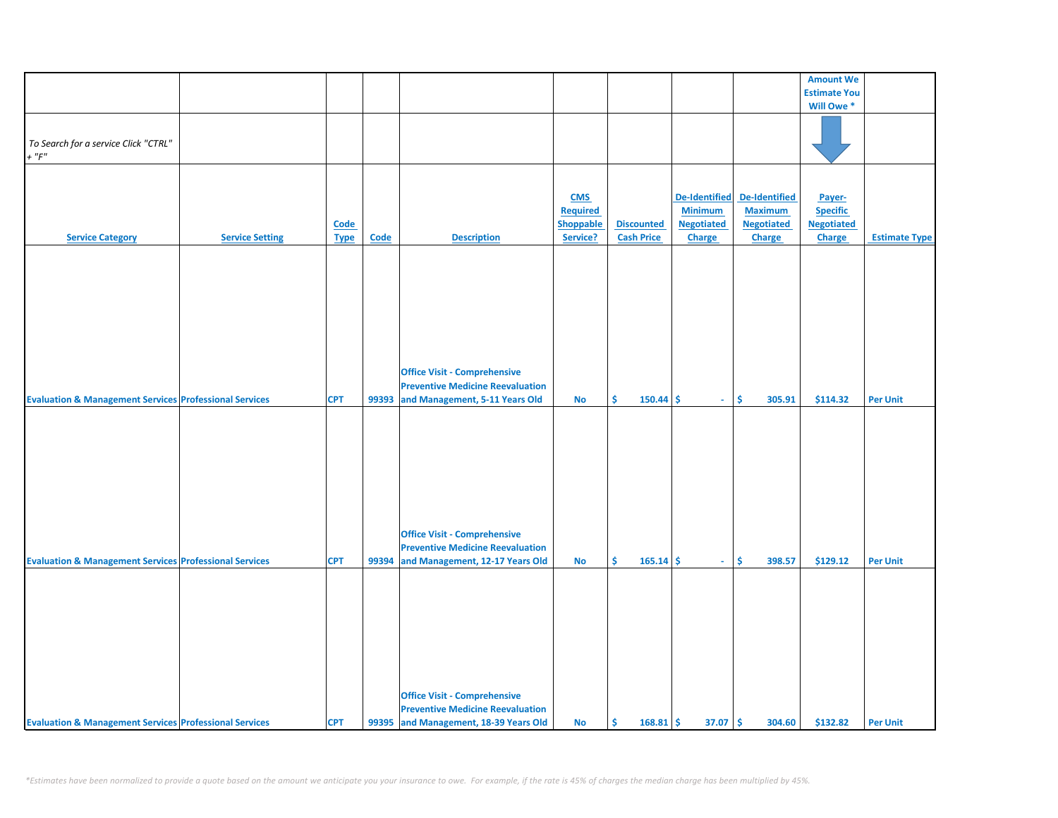|                                                                   |                        |             |             |                                         |                  |                   |                   |                   | <b>Amount We</b>    |                      |
|-------------------------------------------------------------------|------------------------|-------------|-------------|-----------------------------------------|------------------|-------------------|-------------------|-------------------|---------------------|----------------------|
|                                                                   |                        |             |             |                                         |                  |                   |                   |                   | <b>Estimate You</b> |                      |
|                                                                   |                        |             |             |                                         |                  |                   |                   |                   | Will Owe *          |                      |
|                                                                   |                        |             |             |                                         |                  |                   |                   |                   |                     |                      |
|                                                                   |                        |             |             |                                         |                  |                   |                   |                   |                     |                      |
|                                                                   |                        |             |             |                                         |                  |                   |                   |                   |                     |                      |
| To Search for a service Click "CTRL"                              |                        |             |             |                                         |                  |                   |                   |                   |                     |                      |
| $+$ " $F"$                                                        |                        |             |             |                                         |                  |                   |                   |                   |                     |                      |
|                                                                   |                        |             |             |                                         |                  |                   |                   |                   |                     |                      |
|                                                                   |                        |             |             |                                         |                  |                   |                   |                   |                     |                      |
|                                                                   |                        |             |             |                                         |                  |                   |                   |                   |                     |                      |
|                                                                   |                        |             |             |                                         | <b>CMS</b>       |                   | De-Identified     | De-Identified     | Payer-              |                      |
|                                                                   |                        |             |             |                                         | <b>Required</b>  |                   | <b>Minimum</b>    | <b>Maximum</b>    | <b>Specific</b>     |                      |
|                                                                   |                        |             |             |                                         |                  |                   |                   |                   |                     |                      |
|                                                                   |                        | <b>Code</b> |             |                                         | <b>Shoppable</b> | <b>Discounted</b> | <b>Negotiated</b> | <b>Negotiated</b> | <b>Negotiated</b>   |                      |
| <b>Service Category</b>                                           | <b>Service Setting</b> | <b>Type</b> | <b>Code</b> | <b>Description</b>                      | Service?         | <b>Cash Price</b> | Charge            | <b>Charge</b>     | Charge              | <b>Estimate Type</b> |
|                                                                   |                        |             |             |                                         |                  |                   |                   |                   |                     |                      |
|                                                                   |                        |             |             |                                         |                  |                   |                   |                   |                     |                      |
|                                                                   |                        |             |             |                                         |                  |                   |                   |                   |                     |                      |
|                                                                   |                        |             |             |                                         |                  |                   |                   |                   |                     |                      |
|                                                                   |                        |             |             |                                         |                  |                   |                   |                   |                     |                      |
|                                                                   |                        |             |             |                                         |                  |                   |                   |                   |                     |                      |
|                                                                   |                        |             |             |                                         |                  |                   |                   |                   |                     |                      |
|                                                                   |                        |             |             |                                         |                  |                   |                   |                   |                     |                      |
|                                                                   |                        |             |             |                                         |                  |                   |                   |                   |                     |                      |
|                                                                   |                        |             |             |                                         |                  |                   |                   |                   |                     |                      |
|                                                                   |                        |             |             |                                         |                  |                   |                   |                   |                     |                      |
|                                                                   |                        |             |             |                                         |                  |                   |                   |                   |                     |                      |
|                                                                   |                        |             |             | <b>Office Visit - Comprehensive</b>     |                  |                   |                   |                   |                     |                      |
|                                                                   |                        |             |             |                                         |                  |                   |                   |                   |                     |                      |
|                                                                   |                        |             |             | <b>Preventive Medicine Reevaluation</b> |                  |                   |                   |                   |                     |                      |
| <b>Evaluation &amp; Management Services Professional Services</b> |                        | <b>CPT</b>  | 99393       | and Management, 5-11 Years Old          | No               | \$<br>$150.44$ \$ | $\sim$            | \$<br>305.91      | \$114.32            | <b>Per Unit</b>      |
|                                                                   |                        |             |             |                                         |                  |                   |                   |                   |                     |                      |
|                                                                   |                        |             |             |                                         |                  |                   |                   |                   |                     |                      |
|                                                                   |                        |             |             |                                         |                  |                   |                   |                   |                     |                      |
|                                                                   |                        |             |             |                                         |                  |                   |                   |                   |                     |                      |
|                                                                   |                        |             |             |                                         |                  |                   |                   |                   |                     |                      |
|                                                                   |                        |             |             |                                         |                  |                   |                   |                   |                     |                      |
|                                                                   |                        |             |             |                                         |                  |                   |                   |                   |                     |                      |
|                                                                   |                        |             |             |                                         |                  |                   |                   |                   |                     |                      |
|                                                                   |                        |             |             |                                         |                  |                   |                   |                   |                     |                      |
|                                                                   |                        |             |             |                                         |                  |                   |                   |                   |                     |                      |
|                                                                   |                        |             |             |                                         |                  |                   |                   |                   |                     |                      |
|                                                                   |                        |             |             |                                         |                  |                   |                   |                   |                     |                      |
|                                                                   |                        |             |             | <b>Office Visit - Comprehensive</b>     |                  |                   |                   |                   |                     |                      |
|                                                                   |                        |             |             |                                         |                  |                   |                   |                   |                     |                      |
|                                                                   |                        |             |             | <b>Preventive Medicine Reevaluation</b> |                  |                   |                   |                   |                     |                      |
| <b>Evaluation &amp; Management Services Professional Services</b> |                        | <b>CPT</b>  | 99394       | and Management, 12-17 Years Old         | <b>No</b>        | \$<br>165.14      | \$<br>$\omega$    | \$<br>398.57      | \$129.12            | <b>Per Unit</b>      |
|                                                                   |                        |             |             |                                         |                  |                   |                   |                   |                     |                      |
|                                                                   |                        |             |             |                                         |                  |                   |                   |                   |                     |                      |
|                                                                   |                        |             |             |                                         |                  |                   |                   |                   |                     |                      |
|                                                                   |                        |             |             |                                         |                  |                   |                   |                   |                     |                      |
|                                                                   |                        |             |             |                                         |                  |                   |                   |                   |                     |                      |
|                                                                   |                        |             |             |                                         |                  |                   |                   |                   |                     |                      |
|                                                                   |                        |             |             |                                         |                  |                   |                   |                   |                     |                      |
|                                                                   |                        |             |             |                                         |                  |                   |                   |                   |                     |                      |
|                                                                   |                        |             |             |                                         |                  |                   |                   |                   |                     |                      |
|                                                                   |                        |             |             |                                         |                  |                   |                   |                   |                     |                      |
|                                                                   |                        |             |             |                                         |                  |                   |                   |                   |                     |                      |
|                                                                   |                        |             |             |                                         |                  |                   |                   |                   |                     |                      |
|                                                                   |                        |             |             | <b>Office Visit - Comprehensive</b>     |                  |                   |                   |                   |                     |                      |
|                                                                   |                        |             |             |                                         |                  |                   |                   |                   |                     |                      |
|                                                                   |                        |             |             | <b>Preventive Medicine Reevaluation</b> |                  |                   |                   |                   |                     |                      |
| <b>Evaluation &amp; Management Services Professional Services</b> |                        | <b>CPT</b>  |             | 99395 and Management, 18-39 Years Old   | <b>No</b>        | \$<br>$168.81$ \$ | $37.07$ \$        | 304.60            | \$132.82            | <b>Per Unit</b>      |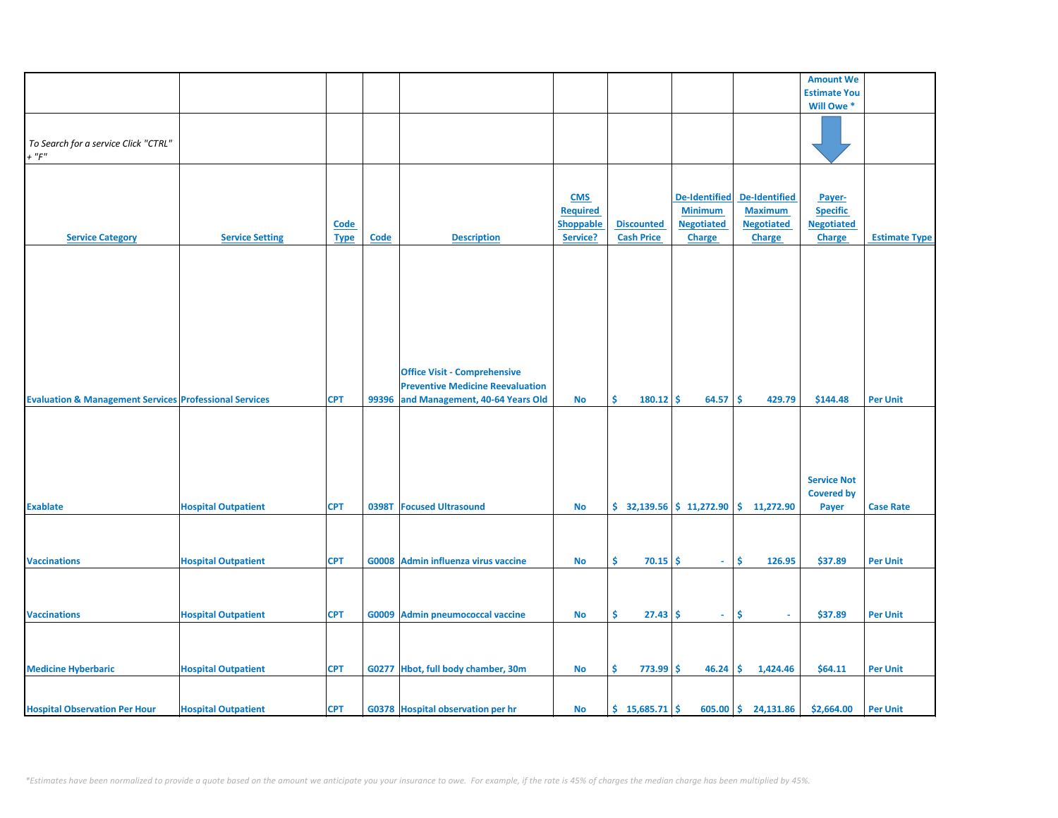|                                                                   |                            |             |             |                                         |                  |                           |                      |                     | <b>Amount We</b>    |                      |
|-------------------------------------------------------------------|----------------------------|-------------|-------------|-----------------------------------------|------------------|---------------------------|----------------------|---------------------|---------------------|----------------------|
|                                                                   |                            |             |             |                                         |                  |                           |                      |                     | <b>Estimate You</b> |                      |
|                                                                   |                            |             |             |                                         |                  |                           |                      |                     | Will Owe *          |                      |
|                                                                   |                            |             |             |                                         |                  |                           |                      |                     |                     |                      |
|                                                                   |                            |             |             |                                         |                  |                           |                      |                     |                     |                      |
|                                                                   |                            |             |             |                                         |                  |                           |                      |                     |                     |                      |
| To Search for a service Click "CTRL"                              |                            |             |             |                                         |                  |                           |                      |                     |                     |                      |
| $+$ " $F$ "                                                       |                            |             |             |                                         |                  |                           |                      |                     |                     |                      |
|                                                                   |                            |             |             |                                         |                  |                           |                      |                     |                     |                      |
|                                                                   |                            |             |             |                                         |                  |                           |                      |                     |                     |                      |
|                                                                   |                            |             |             |                                         |                  |                           |                      |                     |                     |                      |
|                                                                   |                            |             |             |                                         | <b>CMS</b>       |                           | <b>De-Identified</b> | De-Identified       | Payer-              |                      |
|                                                                   |                            |             |             |                                         | <b>Required</b>  |                           | <b>Minimum</b>       | <b>Maximum</b>      | <b>Specific</b>     |                      |
|                                                                   |                            | Code        |             |                                         | <b>Shoppable</b> | <b>Discounted</b>         | <b>Negotiated</b>    | <b>Negotiated</b>   | <b>Negotiated</b>   |                      |
|                                                                   |                            |             |             |                                         |                  |                           |                      |                     |                     |                      |
| <b>Service Category</b>                                           | <b>Service Setting</b>     | <b>Type</b> | <b>Code</b> | <b>Description</b>                      | Service?         | <b>Cash Price</b>         | <b>Charge</b>        | <b>Charge</b>       | <b>Charge</b>       | <b>Estimate Type</b> |
|                                                                   |                            |             |             |                                         |                  |                           |                      |                     |                     |                      |
|                                                                   |                            |             |             |                                         |                  |                           |                      |                     |                     |                      |
|                                                                   |                            |             |             |                                         |                  |                           |                      |                     |                     |                      |
|                                                                   |                            |             |             |                                         |                  |                           |                      |                     |                     |                      |
|                                                                   |                            |             |             |                                         |                  |                           |                      |                     |                     |                      |
|                                                                   |                            |             |             |                                         |                  |                           |                      |                     |                     |                      |
|                                                                   |                            |             |             |                                         |                  |                           |                      |                     |                     |                      |
|                                                                   |                            |             |             |                                         |                  |                           |                      |                     |                     |                      |
|                                                                   |                            |             |             |                                         |                  |                           |                      |                     |                     |                      |
|                                                                   |                            |             |             |                                         |                  |                           |                      |                     |                     |                      |
|                                                                   |                            |             |             |                                         |                  |                           |                      |                     |                     |                      |
|                                                                   |                            |             |             |                                         |                  |                           |                      |                     |                     |                      |
|                                                                   |                            |             |             | <b>Office Visit - Comprehensive</b>     |                  |                           |                      |                     |                     |                      |
|                                                                   |                            |             |             | <b>Preventive Medicine Reevaluation</b> |                  |                           |                      |                     |                     |                      |
| <b>Evaluation &amp; Management Services Professional Services</b> |                            | <b>CPT</b>  | 99396       | and Management, 40-64 Years Old         | <b>No</b>        | \$<br>180.12              | -\$<br>64.57         | \$.<br>429.79       | \$144.48            | <b>Per Unit</b>      |
|                                                                   |                            |             |             |                                         |                  |                           |                      |                     |                     |                      |
|                                                                   |                            |             |             |                                         |                  |                           |                      |                     |                     |                      |
|                                                                   |                            |             |             |                                         |                  |                           |                      |                     |                     |                      |
|                                                                   |                            |             |             |                                         |                  |                           |                      |                     |                     |                      |
|                                                                   |                            |             |             |                                         |                  |                           |                      |                     |                     |                      |
|                                                                   |                            |             |             |                                         |                  |                           |                      |                     |                     |                      |
|                                                                   |                            |             |             |                                         |                  |                           |                      |                     |                     |                      |
|                                                                   |                            |             |             |                                         |                  |                           |                      |                     | <b>Service Not</b>  |                      |
|                                                                   |                            |             |             |                                         |                  |                           |                      |                     |                     |                      |
|                                                                   |                            |             |             |                                         |                  |                           |                      |                     | <b>Covered by</b>   |                      |
| <b>Exablate</b>                                                   | <b>Hospital Outpatient</b> | <b>CPT</b>  | 0398T       | <b>Focused Ultrasound</b>               | No               | $$32,139.56$ $$11,272.90$ |                      | \$11,272.90         | Payer               | <b>Case Rate</b>     |
|                                                                   |                            |             |             |                                         |                  |                           |                      |                     |                     |                      |
|                                                                   |                            |             |             |                                         |                  |                           |                      |                     |                     |                      |
|                                                                   |                            |             |             |                                         |                  |                           |                      |                     |                     |                      |
|                                                                   |                            |             |             |                                         |                  |                           |                      |                     |                     |                      |
| <b>Vaccinations</b>                                               | <b>Hospital Outpatient</b> | <b>CPT</b>  |             | G0008 Admin influenza virus vaccine     | No               | Ŝ.<br>70.15               | Ŝ.<br>$\sim$         | Ŝ.<br>126.95        | \$37.89             | <b>Per Unit</b>      |
|                                                                   |                            |             |             |                                         |                  |                           |                      |                     |                     |                      |
|                                                                   |                            |             |             |                                         |                  |                           |                      |                     |                     |                      |
|                                                                   |                            |             |             |                                         |                  |                           |                      |                     |                     |                      |
|                                                                   |                            |             |             |                                         |                  |                           |                      |                     |                     |                      |
| <b>Vaccinations</b>                                               | <b>Hospital Outpatient</b> | <b>CPT</b>  |             | G0009 Admin pneumococcal vaccine        | No               | \$<br>$27.43$ \$          | $\sim$               | \$<br>$\sim$        | \$37.89             | <b>Per Unit</b>      |
|                                                                   |                            |             |             |                                         |                  |                           |                      |                     |                     |                      |
|                                                                   |                            |             |             |                                         |                  |                           |                      |                     |                     |                      |
|                                                                   |                            |             |             |                                         |                  |                           |                      |                     |                     |                      |
|                                                                   |                            |             |             |                                         |                  |                           |                      |                     |                     |                      |
|                                                                   |                            | <b>CPT</b>  |             |                                         |                  | \$                        |                      | \$.                 |                     |                      |
| <b>Medicine Hyberbaric</b>                                        | <b>Hospital Outpatient</b> |             |             | G0277 Hbot, full body chamber, 30m      | No               | $773.99$ \$               | 46.24                | 1,424.46            | \$64.11             | <b>Per Unit</b>      |
|                                                                   |                            |             |             |                                         |                  |                           |                      |                     |                     |                      |
|                                                                   |                            |             |             |                                         |                  |                           |                      |                     |                     |                      |
|                                                                   |                            |             |             |                                         |                  |                           |                      | 605.00 \$ 24,131.86 |                     |                      |
| <b>Hospital Observation Per Hour</b>                              | <b>Hospital Outpatient</b> | <b>CPT</b>  |             | G0378 Hospital observation per hr       | No               | $$15,685.71$ \$           |                      |                     | \$2,664.00          | <b>Per Unit</b>      |